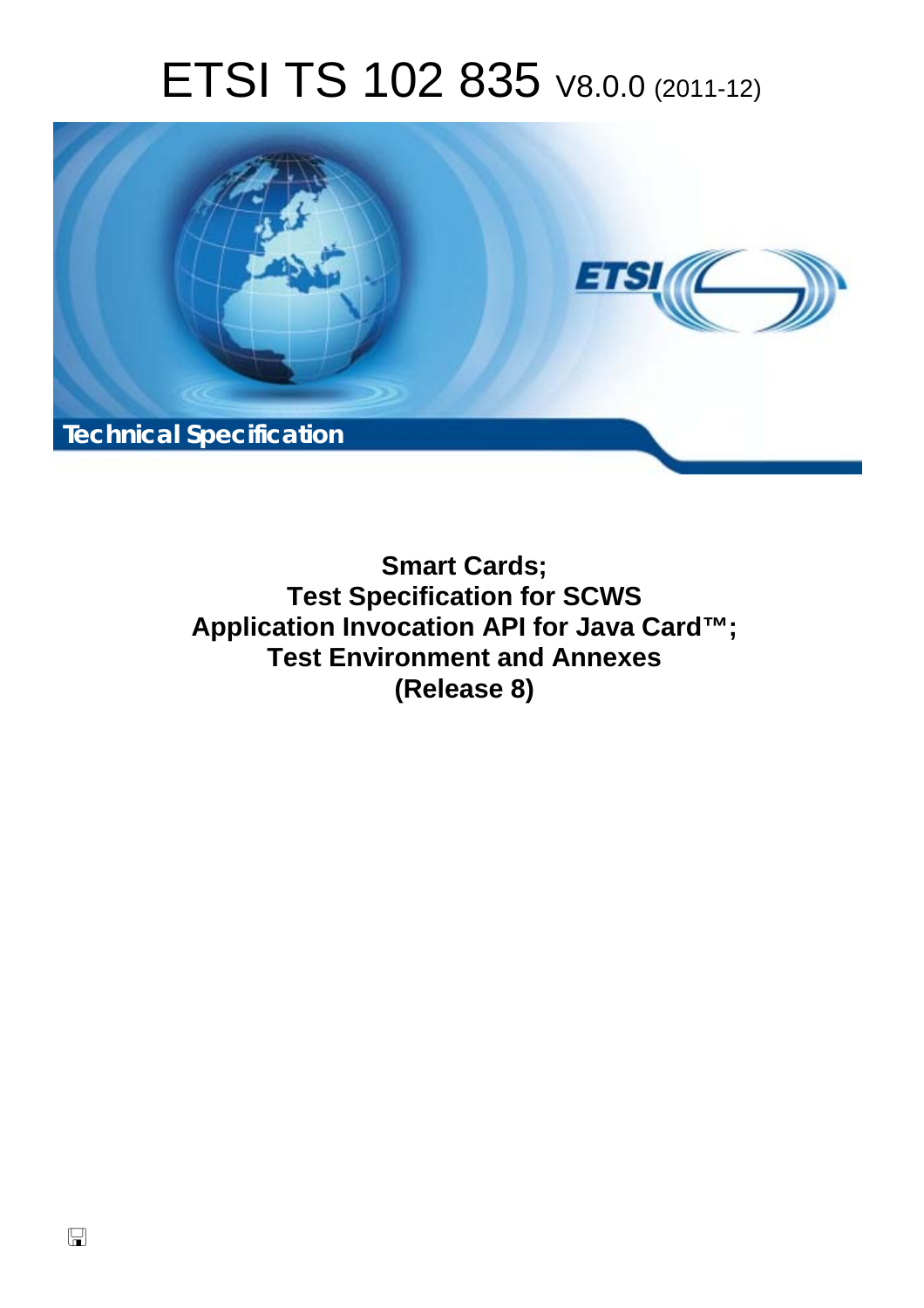# ETSI TS 102 835 V8.0.0 (2011-12)



**Smart Cards; Test Specification for SCWS Application Invocation API for Java Card™; Test Environment and Annexes (Release 8)**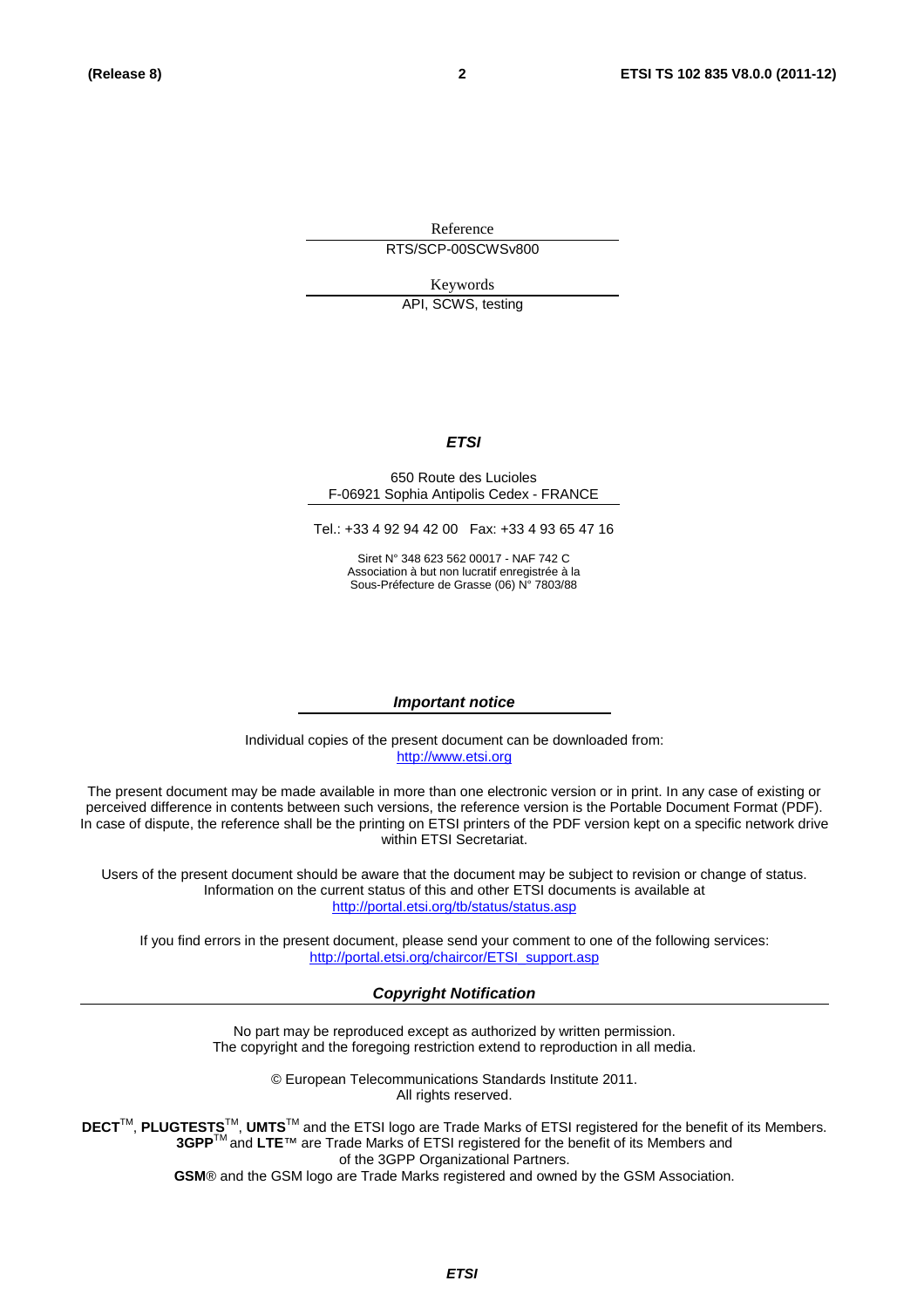Reference RTS/SCP-00SCWSv800

Keywords

API, SCWS, testing

#### *ETSI*

#### 650 Route des Lucioles F-06921 Sophia Antipolis Cedex - FRANCE

Tel.: +33 4 92 94 42 00 Fax: +33 4 93 65 47 16

Siret N° 348 623 562 00017 - NAF 742 C Association à but non lucratif enregistrée à la Sous-Préfecture de Grasse (06) N° 7803/88

#### *Important notice*

Individual copies of the present document can be downloaded from: [http://www.etsi.org](http://www.etsi.org/)

The present document may be made available in more than one electronic version or in print. In any case of existing or perceived difference in contents between such versions, the reference version is the Portable Document Format (PDF). In case of dispute, the reference shall be the printing on ETSI printers of the PDF version kept on a specific network drive within ETSI Secretariat.

Users of the present document should be aware that the document may be subject to revision or change of status. Information on the current status of this and other ETSI documents is available at <http://portal.etsi.org/tb/status/status.asp>

If you find errors in the present document, please send your comment to one of the following services: [http://portal.etsi.org/chaircor/ETSI\\_support.asp](http://portal.etsi.org/chaircor/ETSI_support.asp)

#### *Copyright Notification*

No part may be reproduced except as authorized by written permission. The copyright and the foregoing restriction extend to reproduction in all media.

> © European Telecommunications Standards Institute 2011. All rights reserved.

DECT<sup>™</sup>, PLUGTESTS<sup>™</sup>, UMTS<sup>™</sup> and the ETSI logo are Trade Marks of ETSI registered for the benefit of its Members. **3GPP**TM and **LTE**™ are Trade Marks of ETSI registered for the benefit of its Members and of the 3GPP Organizational Partners.

**GSM**® and the GSM logo are Trade Marks registered and owned by the GSM Association.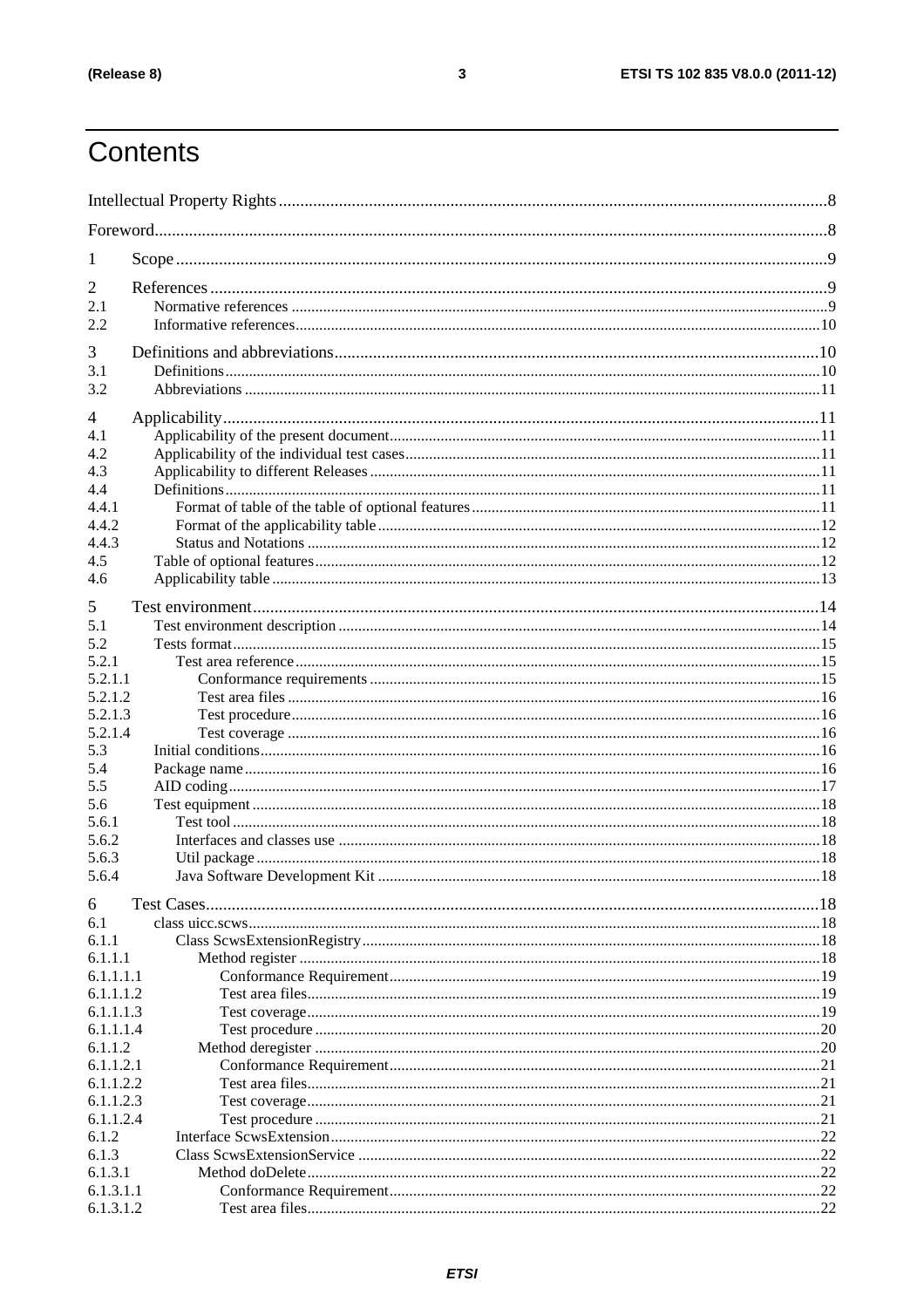# Contents

| 1                      |  |  |
|------------------------|--|--|
| 2                      |  |  |
| 2.1                    |  |  |
| 2.2                    |  |  |
| 3                      |  |  |
| 3.1                    |  |  |
| 3.2                    |  |  |
|                        |  |  |
| 4                      |  |  |
| 4.1                    |  |  |
| 4.2                    |  |  |
| 4.3                    |  |  |
| 4.4                    |  |  |
| 4.4.1                  |  |  |
| 4.4.2                  |  |  |
| 4.4.3                  |  |  |
| 4.5                    |  |  |
| 4.6                    |  |  |
| 5                      |  |  |
| 5.1                    |  |  |
| 5.2                    |  |  |
| 5.2.1                  |  |  |
| 5.2.1.1                |  |  |
| 5.2.1.2                |  |  |
| 5.2.1.3                |  |  |
| 5.2.1.4                |  |  |
| 5.3                    |  |  |
| 5.4                    |  |  |
| 5.5                    |  |  |
| 5.6                    |  |  |
| 5.6.1                  |  |  |
| 5.6.2                  |  |  |
| 5.6.3<br>5.6.4         |  |  |
|                        |  |  |
| 6                      |  |  |
| 6.1                    |  |  |
| 6.1.1                  |  |  |
| 6.1.1.1                |  |  |
| 6.1.1.1.1              |  |  |
| 6.1.1.1.2              |  |  |
| 6.1.1.1.3              |  |  |
| 6.1.1.1.4              |  |  |
| 6.1.1.2                |  |  |
| 6.1.1.2.1              |  |  |
| 6.1.1.2.2<br>6.1.1.2.3 |  |  |
| 6.1.1.2.4              |  |  |
| 6.1.2                  |  |  |
| 6.1.3                  |  |  |
| 6.1.3.1                |  |  |
| 6.1.3.1.1              |  |  |
| 6.1.3.1.2              |  |  |
|                        |  |  |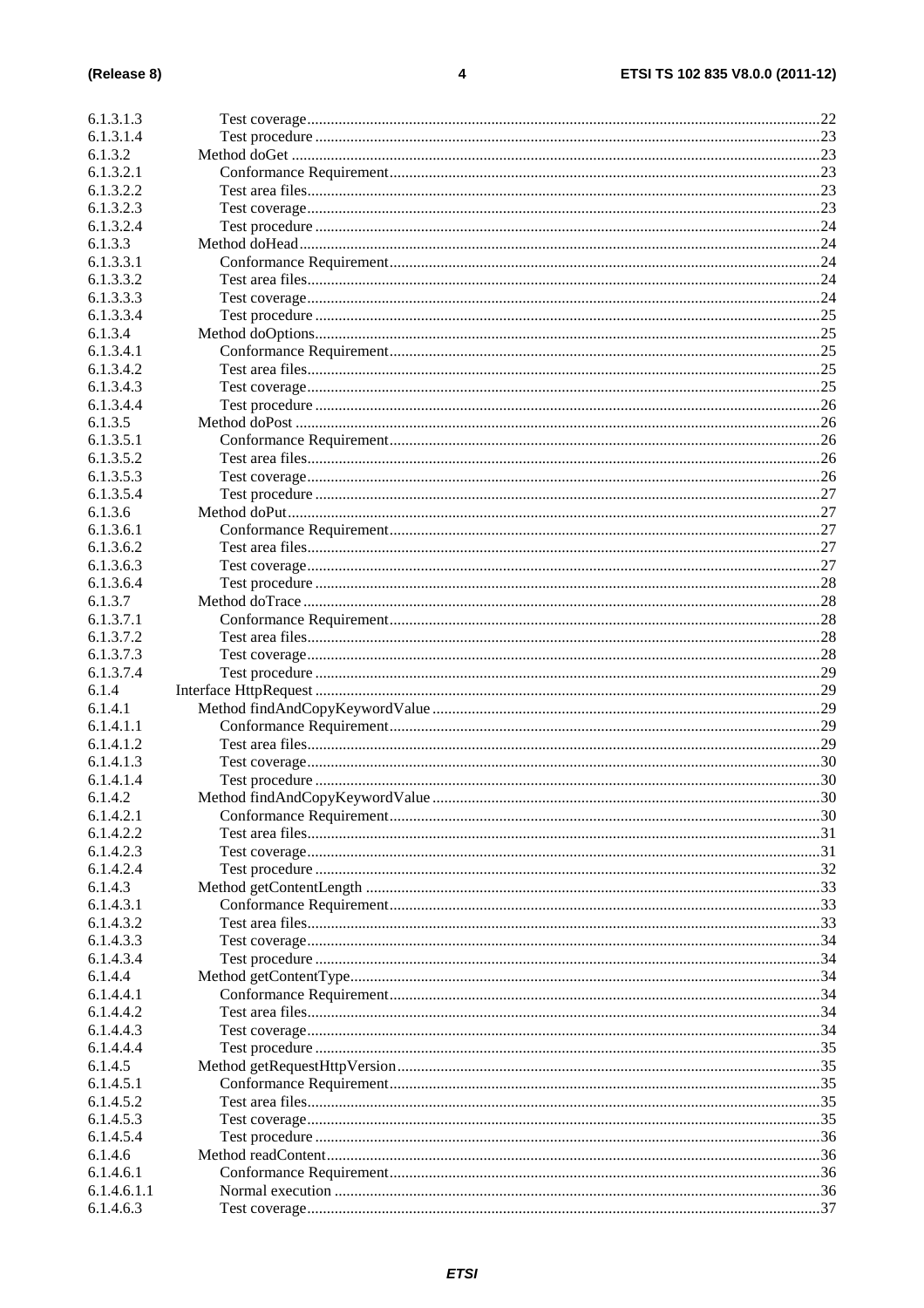| 6.1.3.1.3   |  |
|-------------|--|
| 6.1.3.1.4   |  |
| 6.1.3.2     |  |
| 6.1.3.2.1   |  |
| 6.1.3.2.2   |  |
| 6.1.3.2.3   |  |
| 6.1.3.2.4   |  |
| 6.1.3.3     |  |
| 6.1.3.3.1   |  |
| 6.1.3.3.2   |  |
|             |  |
| 6.1.3.3.3   |  |
| 6.1.3.3.4   |  |
| 6.1.3.4     |  |
| 6.1.3.4.1   |  |
| 6.1.3.4.2   |  |
| 6.1.3.4.3   |  |
| 6.1.3.4.4   |  |
| 6.1.3.5     |  |
| 6.1.3.5.1   |  |
| 6.1.3.5.2   |  |
| 6.1.3.5.3   |  |
| 6.1.3.5.4   |  |
| 6.1.3.6     |  |
| 6.1.3.6.1   |  |
| 6.1.3.6.2   |  |
| 6.1.3.6.3   |  |
| 6.1.3.6.4   |  |
| 6.1.3.7     |  |
| 6.1.3.7.1   |  |
| 6.1.3.7.2   |  |
| 6.1.3.7.3   |  |
| 6.1.3.7.4   |  |
| 6.1.4       |  |
| 6.1.4.1     |  |
| 6.1.4.1.1   |  |
| 6.1.4.1.2   |  |
| 6.1.4.1.3   |  |
| 6.1.4.1.4   |  |
| 6.1.4.2     |  |
| 6.1.4.2.1   |  |
| 6.1.4.2.2   |  |
| 6.1.4.2.3   |  |
| 6.1.4.2.4   |  |
| 6.1.4.3     |  |
| 6.1.4.3.1   |  |
| 6.1.4.3.2   |  |
| 6.1.4.3.3   |  |
| 6.1.4.3.4   |  |
| 6.1.4.4     |  |
| 6.1.4.4.1   |  |
| 6.1.4.4.2   |  |
| 6.1.4.4.3   |  |
| 6.1.4.4.4   |  |
| 6.1.4.5     |  |
| 6.1.4.5.1   |  |
| 6.1.4.5.2   |  |
| 6.1.4.5.3   |  |
| 6.1.4.5.4   |  |
| 6.1.4.6     |  |
| 6.1.4.6.1   |  |
| 6.1.4.6.1.1 |  |
| 6.1.4.6.3   |  |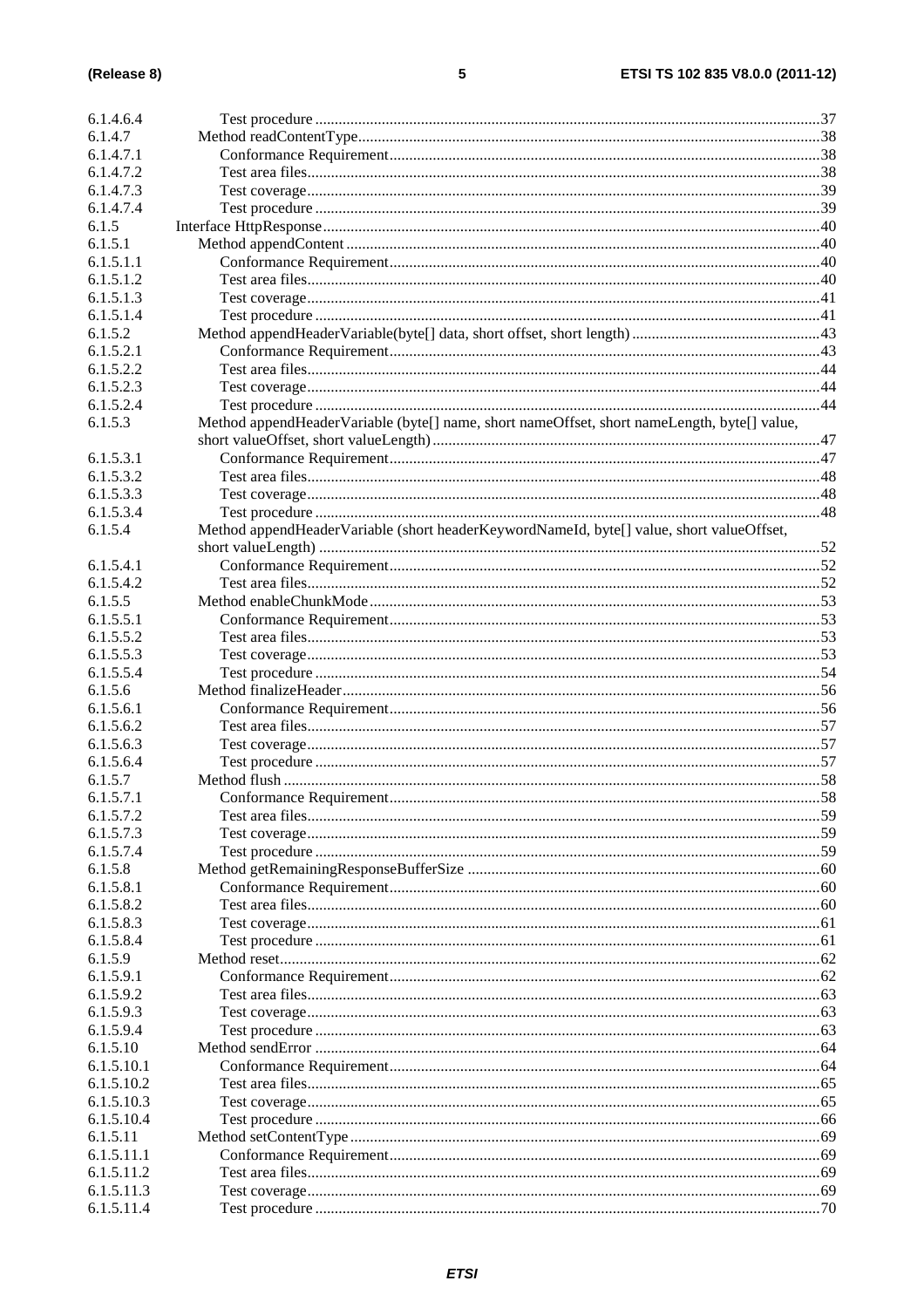| 6.1.4.6.4                |                                                                                             |  |
|--------------------------|---------------------------------------------------------------------------------------------|--|
| 6.1.4.7                  |                                                                                             |  |
| 6.1.4.7.1                |                                                                                             |  |
| 6.1.4.7.2                |                                                                                             |  |
| 6.1.4.7.3                |                                                                                             |  |
| 6.1.4.7.4                |                                                                                             |  |
| 6.1.5                    |                                                                                             |  |
| 6.1.5.1                  |                                                                                             |  |
| 6.1.5.1.1                |                                                                                             |  |
| 6.1.5.1.2                |                                                                                             |  |
| 6.1.5.1.3                |                                                                                             |  |
| 6.1.5.1.4                |                                                                                             |  |
| 6.1.5.2                  |                                                                                             |  |
| 6.1.5.2.1                |                                                                                             |  |
| 6.1.5.2.2                |                                                                                             |  |
| 6.1.5.2.3                |                                                                                             |  |
| 6.1.5.2.4<br>6.1.5.3     |                                                                                             |  |
|                          | Method appendHeaderVariable (byte[] name, short nameOffset, short nameLength, byte[] value, |  |
| 6.1.5.3.1                |                                                                                             |  |
| 6.1.5.3.2                |                                                                                             |  |
| 6.1.5.3.3                |                                                                                             |  |
| 6.1.5.3.4                |                                                                                             |  |
| 6.1.5.4                  | Method appendHeaderVariable (short headerKeywordNameId, byte[] value, short valueOffset,    |  |
|                          |                                                                                             |  |
| 6.1.5.4.1                |                                                                                             |  |
| 6.1.5.4.2                |                                                                                             |  |
| 6.1.5.5                  |                                                                                             |  |
| 6.1.5.5.1                |                                                                                             |  |
| 6.1.5.5.2                |                                                                                             |  |
| 6.1.5.5.3                |                                                                                             |  |
| 6.1.5.5.4                |                                                                                             |  |
| 6.1.5.6                  |                                                                                             |  |
| 6.1.5.6.1                |                                                                                             |  |
| 6.1.5.6.2                |                                                                                             |  |
| 6.1.5.6.3                |                                                                                             |  |
| 6.1.5.6.4                |                                                                                             |  |
| 6.1.5.7                  |                                                                                             |  |
| 6.1.5.7.1                |                                                                                             |  |
| 6.1.5.7.2<br>6.1.5.7.3   |                                                                                             |  |
| 6.1.5.7.4                |                                                                                             |  |
| 6.1.5.8                  |                                                                                             |  |
| 6.1.5.8.1                |                                                                                             |  |
| 6.1.5.8.2                |                                                                                             |  |
| 6.1.5.8.3                |                                                                                             |  |
| 6.1.5.8.4                |                                                                                             |  |
| 6.1.5.9                  |                                                                                             |  |
| 6.1.5.9.1                |                                                                                             |  |
| 6.1.5.9.2                |                                                                                             |  |
| 6.1.5.9.3                |                                                                                             |  |
| 6.1.5.9.4                |                                                                                             |  |
| 6.1.5.10                 |                                                                                             |  |
| 6.1.5.10.1               |                                                                                             |  |
| 6.1.5.10.2               |                                                                                             |  |
| 6.1.5.10.3               |                                                                                             |  |
| 6.1.5.10.4               |                                                                                             |  |
| 6.1.5.11                 |                                                                                             |  |
| 6.1.5.11.1<br>6.1.5.11.2 |                                                                                             |  |
| 6.1.5.11.3               |                                                                                             |  |
| 6.1.5.11.4               |                                                                                             |  |
|                          |                                                                                             |  |

 $\overline{\mathbf{5}}$ 

**ETSI**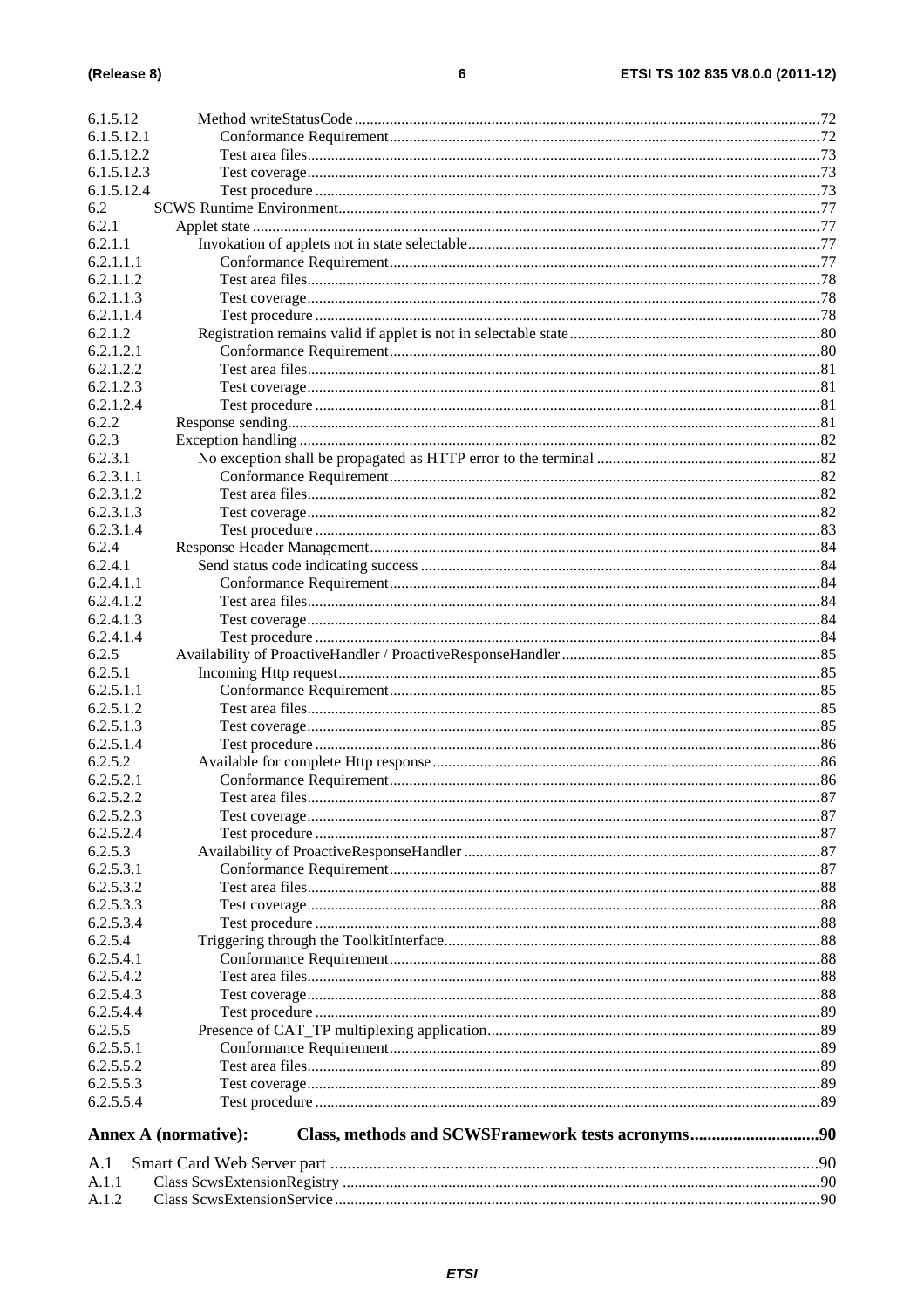| 6.1.5.12               |                             |              |
|------------------------|-----------------------------|--------------|
| 6.1.5.12.1             |                             |              |
| 6.1.5.12.2             |                             |              |
| 6.1.5.12.3             |                             |              |
| 6.1.5.12.4             |                             |              |
| 6.2                    |                             |              |
| 6.2.1                  |                             |              |
| 6.2.1.1                |                             |              |
| 6.2.1.1.1              |                             |              |
| 6.2.1.1.2              |                             |              |
| 6.2.1.1.3              |                             |              |
| 6.2.1.1.4              |                             |              |
| 6.2.1.2                |                             |              |
| 6.2.1.2.1              |                             |              |
| 6.2.1.2.2              |                             |              |
| 6.2.1.2.3              |                             |              |
| 6.2.1.2.4              |                             |              |
| 6.2.2                  |                             |              |
| 6.2.3                  |                             |              |
| 6.2.3.1                |                             |              |
| 6.2.3.1.1              |                             |              |
| 6.2.3.1.2<br>6.2.3.1.3 |                             |              |
| 6.2.3.1.4              |                             |              |
| 6.2.4                  |                             |              |
| 6.2.4.1                |                             |              |
| 6.2.4.1.1              |                             |              |
| 6.2.4.1.2              |                             |              |
| 6.2.4.1.3              |                             |              |
| 6.2.4.1.4              |                             |              |
| 6.2.5                  |                             |              |
| 6.2.5.1                |                             |              |
| 6.2.5.1.1              |                             |              |
| 6.2.5.1.2              |                             |              |
| 6.2.5.1.3              |                             |              |
| 6.2.5.1.4              |                             |              |
| 6.2.5.2                |                             |              |
| 6.2.5.2.1              |                             |              |
| 6.2.5.2.2              |                             |              |
| 6.2.5.2.3              |                             |              |
| 6.2.5.2.4              |                             |              |
| 6.2.5.3                |                             |              |
| 6.2.5.3.1              |                             |              |
| 6.2.5.3.2              |                             |              |
| 6.2.5.3.3              |                             |              |
| 6.2.5.3.4              |                             |              |
| 6.2.5.4                |                             |              |
| 6.2.5.4.1              |                             |              |
| 6.2.5.4.2              |                             |              |
| 6.2.5.4.3              |                             |              |
| 6.2.5.4.4              |                             |              |
| 6.2.5.5                |                             |              |
| 6.2.5.5.1              |                             |              |
| 6.2.5.5.2              |                             |              |
| 6.2.5.5.3              |                             |              |
| 6.2.5.5.4              |                             |              |
|                        | <b>Annex A (normative):</b> |              |
| A.1                    |                             |              |
| A.1.1                  |                             |              |
| A 1 $2$                | Class SewsExtensionService  | $90^{\circ}$ |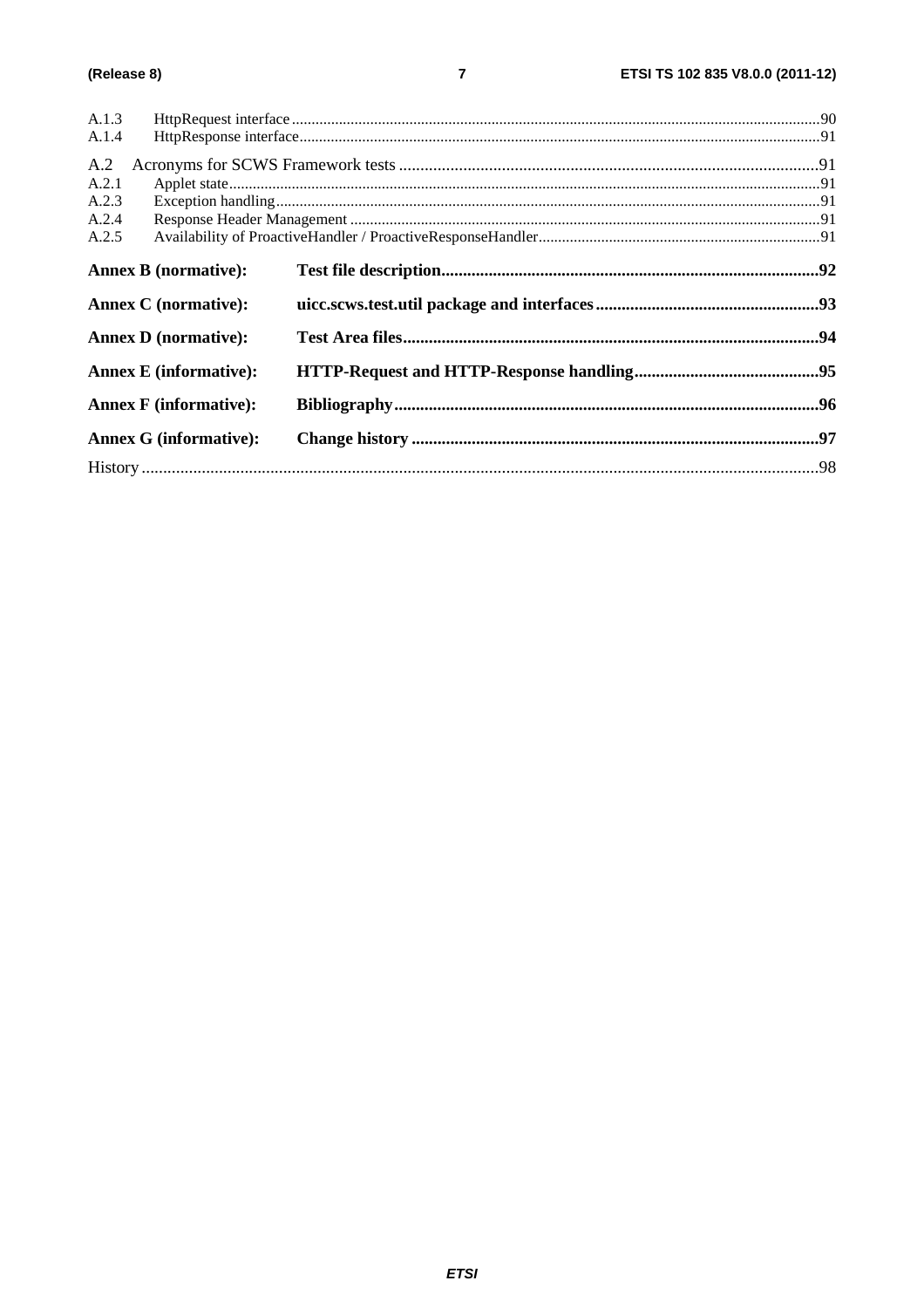| A.1.3                                   |  |
|-----------------------------------------|--|
| A.1.4                                   |  |
| A.2<br>A.2.1<br>A.2.3<br>A.2.4<br>A.2.5 |  |
| <b>Annex B</b> (normative):             |  |
| <b>Annex C</b> (normative):             |  |
| <b>Annex D</b> (normative):             |  |
| <b>Annex E</b> (informative):           |  |
| <b>Annex F</b> (informative):           |  |
| <b>Annex G (informative):</b>           |  |
|                                         |  |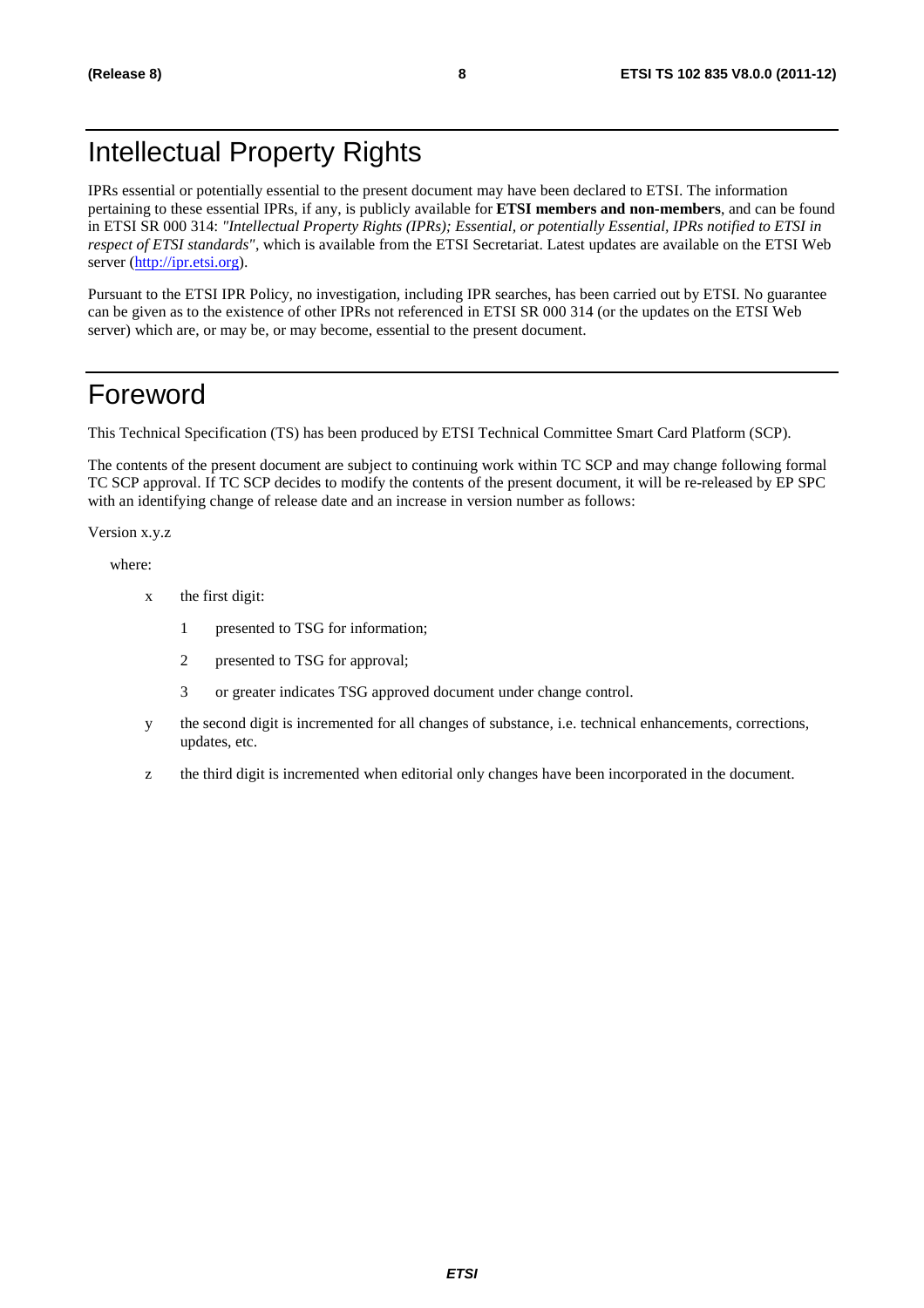# Intellectual Property Rights

IPRs essential or potentially essential to the present document may have been declared to ETSI. The information pertaining to these essential IPRs, if any, is publicly available for **ETSI members and non-members**, and can be found in ETSI SR 000 314: *"Intellectual Property Rights (IPRs); Essential, or potentially Essential, IPRs notified to ETSI in respect of ETSI standards"*, which is available from the ETSI Secretariat. Latest updates are available on the ETSI Web server [\(http://ipr.etsi.org](http://webapp.etsi.org/IPR/home.asp)).

Pursuant to the ETSI IPR Policy, no investigation, including IPR searches, has been carried out by ETSI. No guarantee can be given as to the existence of other IPRs not referenced in ETSI SR 000 314 (or the updates on the ETSI Web server) which are, or may be, or may become, essential to the present document.

# Foreword

This Technical Specification (TS) has been produced by ETSI Technical Committee Smart Card Platform (SCP).

The contents of the present document are subject to continuing work within TC SCP and may change following formal TC SCP approval. If TC SCP decides to modify the contents of the present document, it will be re-released by EP SPC with an identifying change of release date and an increase in version number as follows:

Version x.y.z

where:

- x the first digit:
	- 1 presented to TSG for information;
	- 2 presented to TSG for approval;
	- 3 or greater indicates TSG approved document under change control.
- y the second digit is incremented for all changes of substance, i.e. technical enhancements, corrections, updates, etc.
- z the third digit is incremented when editorial only changes have been incorporated in the document.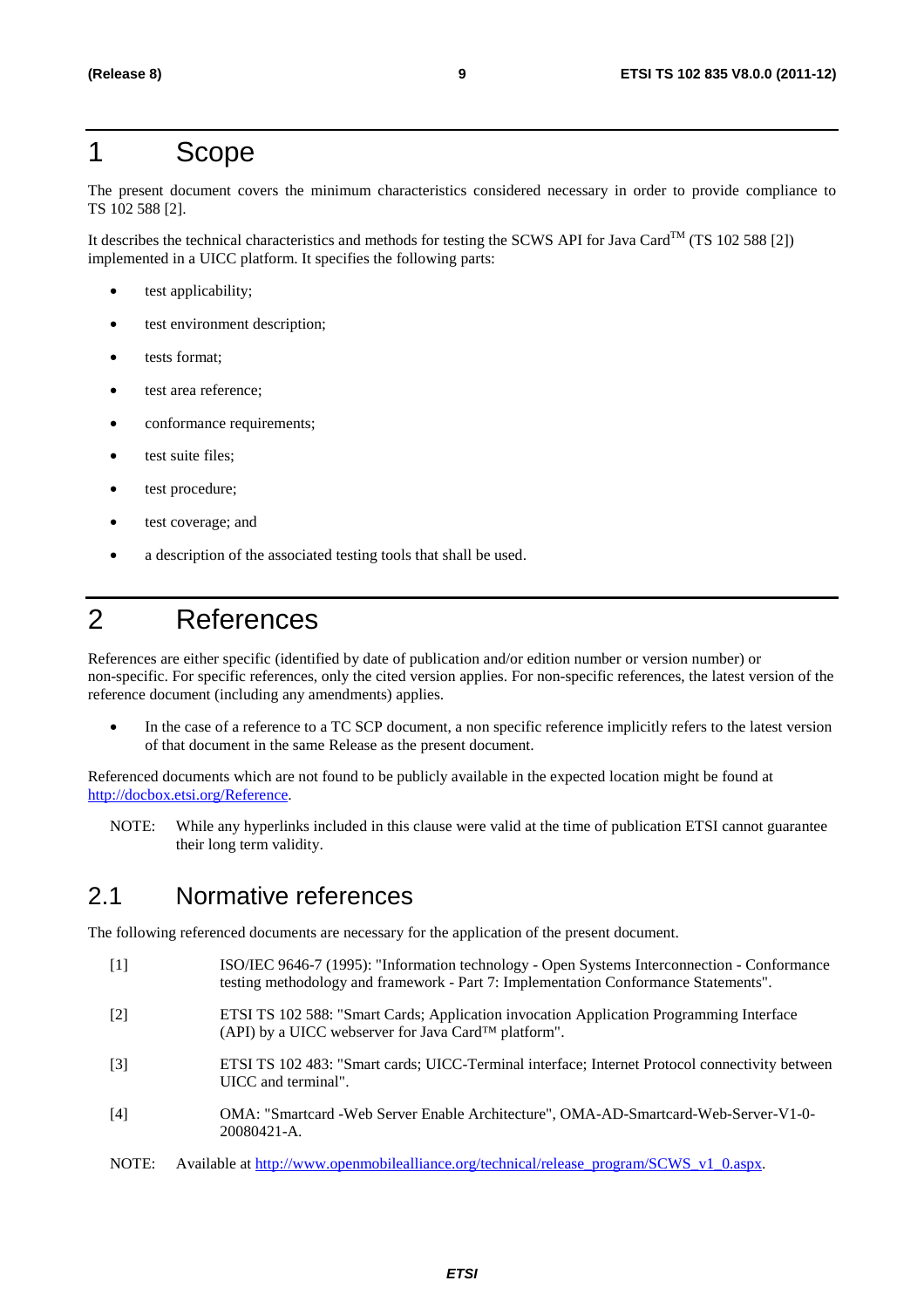# 1 Scope

The present document covers the minimum characteristics considered necessary in order to provide compliance to TS 102 588 [2].

It describes the technical characteristics and methods for testing the SCWS API for Java Card<sup>TM</sup> (TS 102 588 [2]) implemented in a UICC platform. It specifies the following parts:

- test applicability;
- test environment description;
- tests format;
- test area reference:
- conformance requirements;
- test suite files;
- test procedure:
- test coverage; and
- a description of the associated testing tools that shall be used.

# 2 References

References are either specific (identified by date of publication and/or edition number or version number) or non-specific. For specific references, only the cited version applies. For non-specific references, the latest version of the reference document (including any amendments) applies.

• In the case of a reference to a TC SCP document, a non specific reference implicitly refers to the latest version of that document in the same Release as the present document.

Referenced documents which are not found to be publicly available in the expected location might be found at <http://docbox.etsi.org/Reference>.

NOTE: While any hyperlinks included in this clause were valid at the time of publication ETSI cannot guarantee their long term validity.

### 2.1 Normative references

The following referenced documents are necessary for the application of the present document.

- [1] ISO/IEC 9646-7 (1995): "Information technology Open Systems Interconnection Conformance testing methodology and framework - Part 7: Implementation Conformance Statements".
- [2] ETSI TS 102 588: "Smart Cards; Application invocation Application Programming Interface (API) by a UICC webserver for Java Card™ platform".
- [3] ETSI TS 102 483: "Smart cards; UICC-Terminal interface; Internet Protocol connectivity between UICC and terminal".
- [4] OMA: "Smartcard -Web Server Enable Architecture", OMA-AD-Smartcard-Web-Server-V1-0- 20080421-A.
- NOTE: Available at [http://www.openmobilealliance.org/technical/release\\_program/SCWS\\_v1\\_0.aspx](http://www.openmobilealliance.org/technical/release_program/SCWS_v1_0.aspx).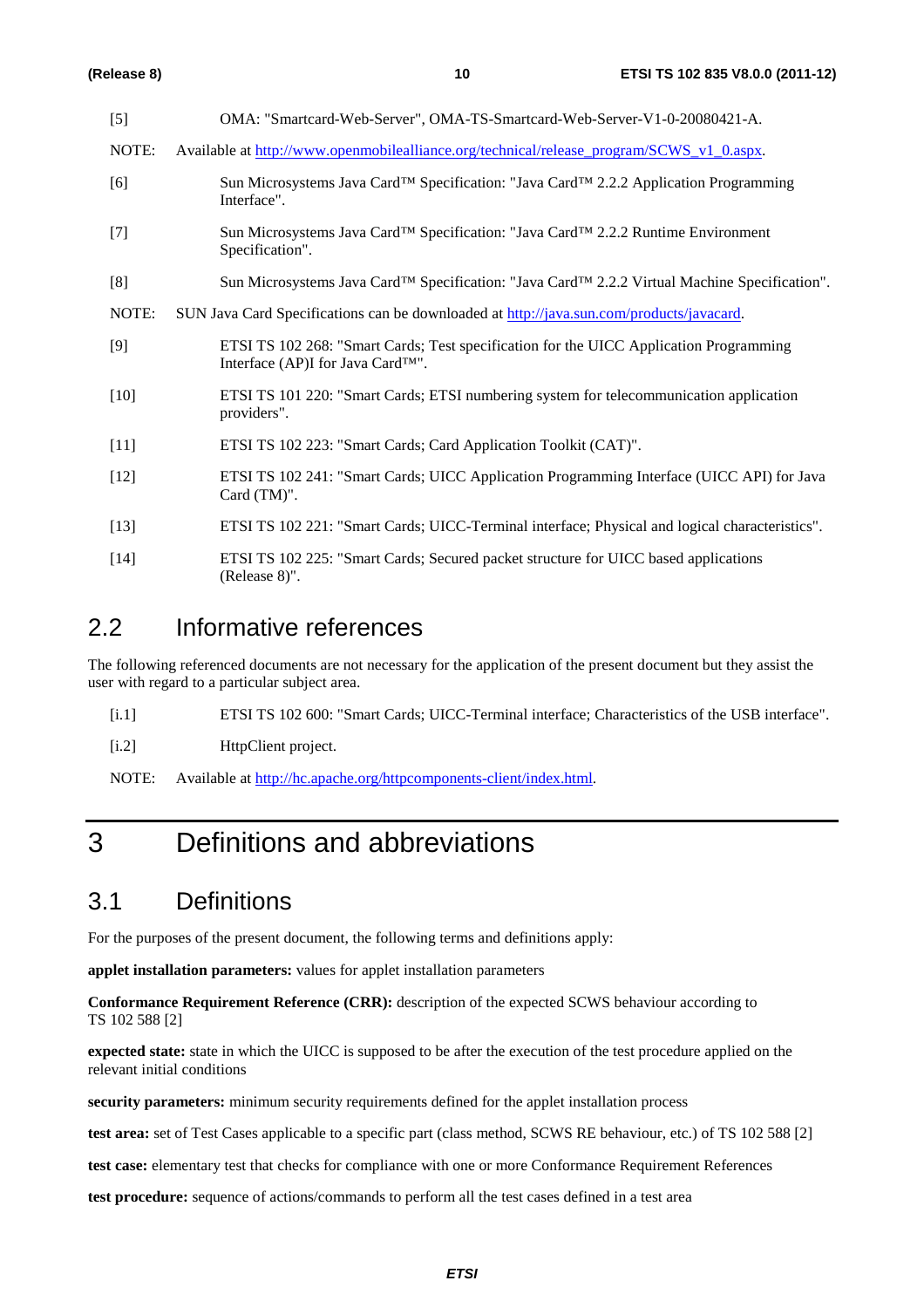| $[5]$  | OMA: "Smartcard-Web-Server", OMA-TS-Smartcard-Web-Server-V1-0-20080421-A.                                                                |
|--------|------------------------------------------------------------------------------------------------------------------------------------------|
| NOTE:  | Available at http://www.openmobilealliance.org/technical/release_program/SCWS_v1_0.aspx.                                                 |
| [6]    | Sun Microsystems Java Card™ Specification: "Java Card™ 2.2.2 Application Programming<br>Interface".                                      |
| $[7]$  | Sun Microsystems Java Card™ Specification: "Java Card™ 2.2.2 Runtime Environment<br>Specification".                                      |
| [8]    | Sun Microsystems Java Card™ Specification: "Java Card™ 2.2.2 Virtual Machine Specification".                                             |
| NOTE:  | SUN Java Card Specifications can be downloaded at http://java.sun.com/products/javacard.                                                 |
| $[9]$  | ETSI TS 102 268: "Smart Cards; Test specification for the UICC Application Programming<br>Interface (AP)I for Java Card <sup>TM"</sup> . |
| $[10]$ | ETSI TS 101 220: "Smart Cards; ETSI numbering system for telecommunication application<br>providers".                                    |
| $[11]$ | ETSI TS 102 223: "Smart Cards; Card Application Toolkit (CAT)".                                                                          |
| $[12]$ | ETSI TS 102 241: "Smart Cards; UICC Application Programming Interface (UICC API) for Java<br>Card (TM)".                                 |
| $[13]$ | ETSI TS 102 221: "Smart Cards; UICC-Terminal interface; Physical and logical characteristics".                                           |
| $[14]$ | ETSI TS 102 225: "Smart Cards; Secured packet structure for UICC based applications<br>(Release 8)".                                     |

### 2.2 Informative references

The following referenced documents are not necessary for the application of the present document but they assist the user with regard to a particular subject area.

[i.1] ETSI TS 102 600: "Smart Cards; UICC-Terminal interface; Characteristics of the USB interface".

[i.2] HttpClient project.

NOTE: Available at<http://hc.apache.org/httpcomponents-client/index.html>.

# 3 Definitions and abbreviations

### 3.1 Definitions

For the purposes of the present document, the following terms and definitions apply:

**applet installation parameters:** values for applet installation parameters

**Conformance Requirement Reference (CRR):** description of the expected SCWS behaviour according to TS 102 588 [2]

**expected state:** state in which the UICC is supposed to be after the execution of the test procedure applied on the relevant initial conditions

**security parameters:** minimum security requirements defined for the applet installation process

**test area:** set of Test Cases applicable to a specific part (class method, SCWS RE behaviour, etc.) of TS 102 588 [2]

**test case:** elementary test that checks for compliance with one or more Conformance Requirement References

**test procedure:** sequence of actions/commands to perform all the test cases defined in a test area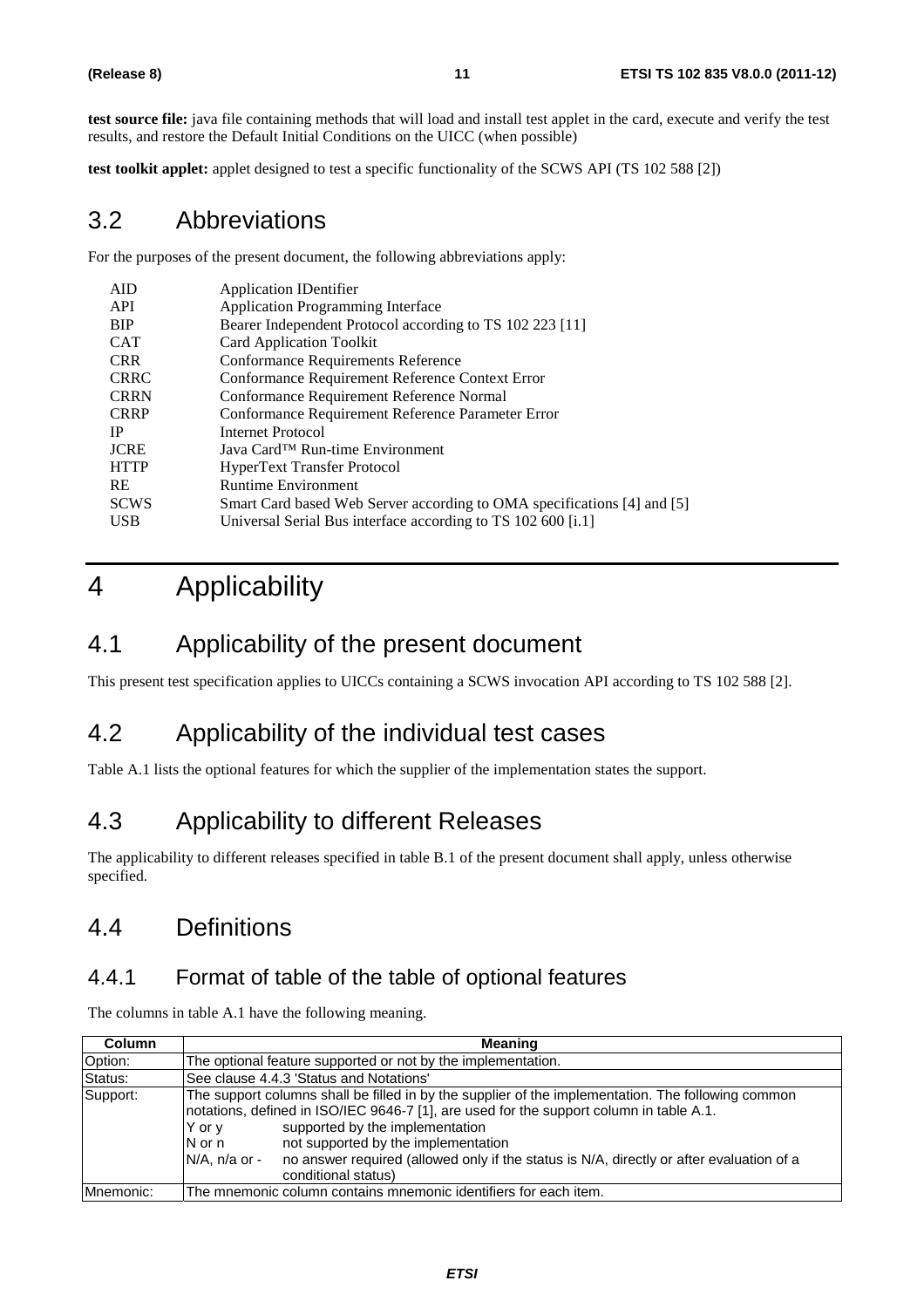**test source file:** java file containing methods that will load and install test applet in the card, execute and verify the test results, and restore the Default Initial Conditions on the UICC (when possible)

**test toolkit applet:** applet designed to test a specific functionality of the SCWS API (TS 102 588 [2])

### 3.2 Abbreviations

For the purposes of the present document, the following abbreviations apply:

| AID         | <b>Application IDentifier</b>                                           |
|-------------|-------------------------------------------------------------------------|
| API         | <b>Application Programming Interface</b>                                |
| BIP         | Bearer Independent Protocol according to TS 102 223 [11]                |
| <b>CAT</b>  | <b>Card Application Toolkit</b>                                         |
| <b>CRR</b>  | <b>Conformance Requirements Reference</b>                               |
| <b>CRRC</b> | Conformance Requirement Reference Context Error                         |
| <b>CRRN</b> | Conformance Requirement Reference Normal                                |
| <b>CRRP</b> | Conformance Requirement Reference Parameter Error                       |
| IP          | Internet Protocol                                                       |
| <b>JCRE</b> | Java Card <sup>TM</sup> Run-time Environment                            |
| <b>HTTP</b> | <b>HyperText Transfer Protocol</b>                                      |
| <b>RE</b>   | <b>Runtime Environment</b>                                              |
| <b>SCWS</b> | Smart Card based Web Server according to OMA specifications [4] and [5] |
| <b>USB</b>  | Universal Serial Bus interface according to TS 102 600 [i.1]            |

# 4 Applicability

# 4.1 Applicability of the present document

This present test specification applies to UICCs containing a SCWS invocation API according to TS 102 588 [2].

# 4.2 Applicability of the individual test cases

Table A.1 lists the optional features for which the supplier of the implementation states the support.

# 4.3 Applicability to different Releases

The applicability to different releases specified in table B.1 of the present document shall apply, unless otherwise specified.

# 4.4 Definitions

### 4.4.1 Format of table of the table of optional features

The columns in table A.1 have the following meaning.

| <b>Column</b> | <b>Meaning</b>                                                                                                                                                                                                                                                                                                                                                                                                                      |  |  |  |
|---------------|-------------------------------------------------------------------------------------------------------------------------------------------------------------------------------------------------------------------------------------------------------------------------------------------------------------------------------------------------------------------------------------------------------------------------------------|--|--|--|
| Option:       | The optional feature supported or not by the implementation.                                                                                                                                                                                                                                                                                                                                                                        |  |  |  |
| Status:       | See clause 4.4.3 'Status and Notations'                                                                                                                                                                                                                                                                                                                                                                                             |  |  |  |
| Support:      | The support columns shall be filled in by the supplier of the implementation. The following common<br>Inotations, defined in ISO/IEC 9646-7 [1], are used for the support column in table A.1.<br>supported by the implementation<br>Y or y<br>not supported by the implementation<br>N or n<br>no answer required (allowed only if the status is N/A, directly or after evaluation of a<br>$N/A$ , n/a or -<br>conditional status) |  |  |  |
| Mnemonic:     | The mnemonic column contains mnemonic identifiers for each item.                                                                                                                                                                                                                                                                                                                                                                    |  |  |  |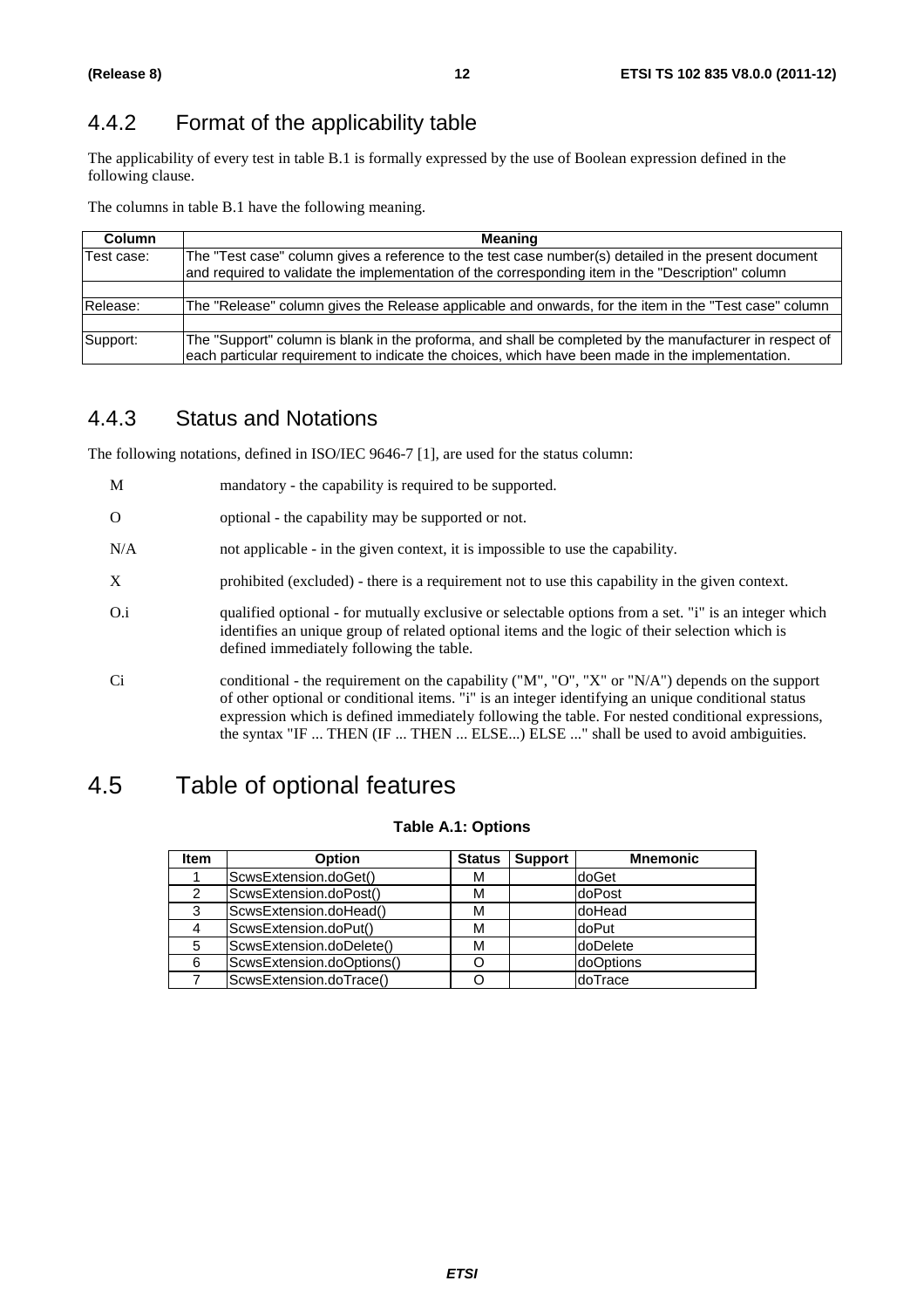# 4.4.2 Format of the applicability table

The applicability of every test in table B.1 is formally expressed by the use of Boolean expression defined in the following clause.

The columns in table B.1 have the following meaning.

| <b>Column</b> | Meaning                                                                                                                                                                                                     |
|---------------|-------------------------------------------------------------------------------------------------------------------------------------------------------------------------------------------------------------|
| Test case:    | The "Test case" column gives a reference to the test case number(s) detailed in the present document<br>and required to validate the implementation of the corresponding item in the "Description" column   |
|               |                                                                                                                                                                                                             |
| Release:      | The "Release" column gives the Release applicable and onwards, for the item in the "Test case" column                                                                                                       |
|               |                                                                                                                                                                                                             |
| Support:      | The "Support" column is blank in the proforma, and shall be completed by the manufacturer in respect of<br>each particular requirement to indicate the choices, which have been made in the implementation. |

### 4.4.3 Status and Notations

The following notations, defined in ISO/IEC 9646-7 [1], are used for the status column:

| M        | mandatory - the capability is required to be supported.                                                                                                                                                                                                                                                                                                                                       |
|----------|-----------------------------------------------------------------------------------------------------------------------------------------------------------------------------------------------------------------------------------------------------------------------------------------------------------------------------------------------------------------------------------------------|
| $\Omega$ | optional - the capability may be supported or not.                                                                                                                                                                                                                                                                                                                                            |
| N/A      | not applicable - in the given context, it is impossible to use the capability.                                                                                                                                                                                                                                                                                                                |
| X        | prohibited (excluded) - there is a requirement not to use this capability in the given context.                                                                                                                                                                                                                                                                                               |
| $O_{.1}$ | qualified optional - for mutually exclusive or selectable options from a set. "i" is an integer which<br>identifies an unique group of related optional items and the logic of their selection which is<br>defined immediately following the table.                                                                                                                                           |
| Ci       | conditional - the requirement on the capability ("M", "O", "X" or "N/A") depends on the support<br>of other optional or conditional items. "i" is an integer identifying an unique conditional status<br>expression which is defined immediately following the table. For nested conditional expressions,<br>the syntax "IF  THEN (IF  THEN  ELSE) ELSE " shall be used to avoid ambiguities. |

# 4.5 Table of optional features

#### **Table A.1: Options**

| <b>Item</b> | <b>Option</b>             | <b>Status</b> | <b>Support</b> | <b>Mnemonic</b> |
|-------------|---------------------------|---------------|----------------|-----------------|
|             | ScwsExtension.doGet()     | М             |                | doGet           |
| 2           | ScwsExtension.doPost()    | М             |                | doPost          |
| 3           | ScwsExtension.doHead()    | М             |                | doHead          |
|             | ScwsExtension.doPut()     | м             |                | doPut           |
| 5           | ScwsExtension.doDelete()  | М             |                | doDelete        |
| 6           | ScwsExtension.doOptions() |               |                | doOptions       |
|             | ScwsExtension.doTrace()   |               |                | doTrace         |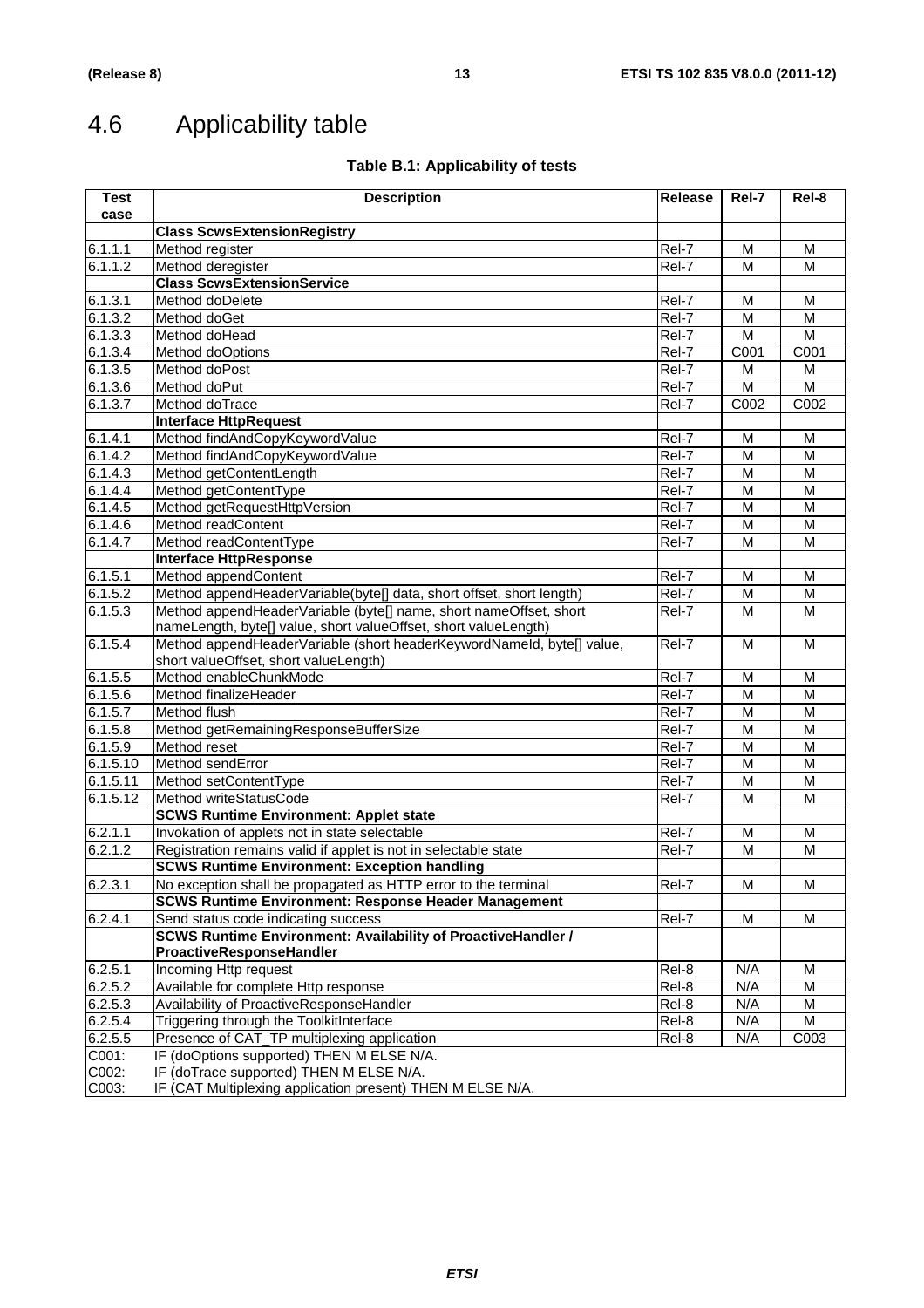# 4.6 Applicability table

### **Table B.1: Applicability of tests**

| <b>Test</b><br>case | <b>Description</b>                                                    | <b>Release</b> | Rel-7 | Rel-8                   |
|---------------------|-----------------------------------------------------------------------|----------------|-------|-------------------------|
|                     | <b>Class ScwsExtensionRegistry</b>                                    |                |       |                         |
| 6.1.1.1             | Method register                                                       | Rel-7          | M     | M                       |
| 6.1.1.2             | Method deregister                                                     | Rel-7          | M     | M                       |
|                     | <b>Class ScwsExtensionService</b>                                     |                |       |                         |
| 6.1.3.1             | Method doDelete                                                       | Rel-7          | М     | М                       |
| 6.1.3.2             | Method doGet                                                          | Rel-7          | M     | M                       |
| 6.1.3.3             | Method doHead                                                         | Rel-7          | M     | M                       |
| 6.1.3.4             | Method doOptions                                                      | Rel-7          | C001  | C001                    |
| 6.1.3.5             | Method doPost                                                         | Rel-7          | M     | M                       |
| 6.1.3.6             | Method doPut                                                          | Rel-7          | M     | $\overline{\mathsf{M}}$ |
| 6.1.3.7             | Method doTrace                                                        | Rel-7          | C002  | C002                    |
|                     | <b>Interface HttpRequest</b>                                          |                |       |                         |
| 6.1.4.1             | Method findAndCopyKeywordValue                                        | Rel-7          | M     | M                       |
| 6.1.4.2             | Method findAndCopyKeywordValue                                        | Rel-7          | M     | $\overline{M}$          |
| 6.1.4.3             | Method getContentLength                                               | Rel-7          | M     | M                       |
| 6.1.4.4             | Method getContentType                                                 | Rel-7          | M     | M                       |
| 6.1.4.5             | Method getRequestHttpVersion                                          | Rel-7          | M     | M                       |
| 6.1.4.6             | Method readContent                                                    | Rel-7          | M     | M                       |
| 6.1.4.7             | Method readContentType                                                | Rel-7          | м     | M                       |
|                     | <b>Interface HttpResponse</b>                                         |                |       |                         |
| 6.1.5.1             | Method appendContent                                                  | Rel-7          | M     | M                       |
| 6.1.5.2             | Method appendHeaderVariable(byte[] data, short offset, short length)  | Rel-7          | M     | M                       |
| 6.1.5.3             | Method appendHeaderVariable (byte[] name, short nameOffset, short     | Rel-7          | M     | M                       |
|                     | nameLength, byte[] value, short valueOffset, short valueLength)       |                |       |                         |
| 6.1.5.4             | Method appendHeaderVariable (short headerKeywordNameld, byte[] value, | Rel-7          | M     | M                       |
|                     | short valueOffset, short valueLength)                                 |                |       |                         |
| 6.1.5.5             | Method enableChunkMode                                                | Rel-7          | M     | M                       |
| 6.1.5.6             | Method finalizeHeader                                                 | Rel-7          | M     | M                       |
| 6.1.5.7             | Method flush                                                          | Rel-7          | M     | M                       |
| 6.1.5.8             | Method getRemainingResponseBufferSize                                 | Rel-7          | M     | M                       |
| 6.1.5.9             | Method reset                                                          | Rel-7          | M     | M                       |
| 6.1.5.10            | Method sendError                                                      | Rel-7          | M     | M                       |
| 6.1.5.11            | Method setContentType                                                 | Rel-7          | M     | M                       |
| 6.1.5.12            | Method writeStatusCode                                                | Rel-7          | м     | M                       |
|                     | <b>SCWS Runtime Environment: Applet state</b>                         |                |       |                         |
| 6.2.1.1             | Invokation of applets not in state selectable                         | Rel-7          | M     | M                       |
| 6.2.1.2             | Registration remains valid if applet is not in selectable state       | Rel-7          | M     | М                       |
|                     | <b>SCWS Runtime Environment: Exception handling</b>                   |                |       |                         |
| 6.2.3.1             | No exception shall be propagated as HTTP error to the terminal        | Rel-7          | M     | M                       |
|                     | <b>SCWS Runtime Environment: Response Header Management</b>           |                |       |                         |
| 6.2.4.1             | Send status code indicating success                                   | Rel-7          | M     | M                       |
|                     | <b>SCWS Runtime Environment: Availability of ProactiveHandler /</b>   |                |       |                         |
|                     | ProactiveResponseHandler                                              |                |       |                         |
| 6.2.5.1             | Incoming Http request                                                 | Rel-8          | N/A   | M                       |
| 6.2.5.2             | Available for complete Http response                                  | Rel-8          | N/A   | M                       |
| 6.2.5.3             | Availability of ProactiveResponseHandler                              | Rel-8          | N/A   | м                       |
| 6.2.5.4             | Triggering through the ToolkitInterface                               | Rel-8          | N/A   | M                       |
| 6.2.5.5             | Presence of CAT_TP multiplexing application                           | Rel-8          | N/A   | C003                    |
| C001:               | IF (doOptions supported) THEN M ELSE N/A.                             |                |       |                         |
| C002:               | IF (doTrace supported) THEN M ELSE N/A.                               |                |       |                         |
| C003:               | IF (CAT Multiplexing application present) THEN M ELSE N/A.            |                |       |                         |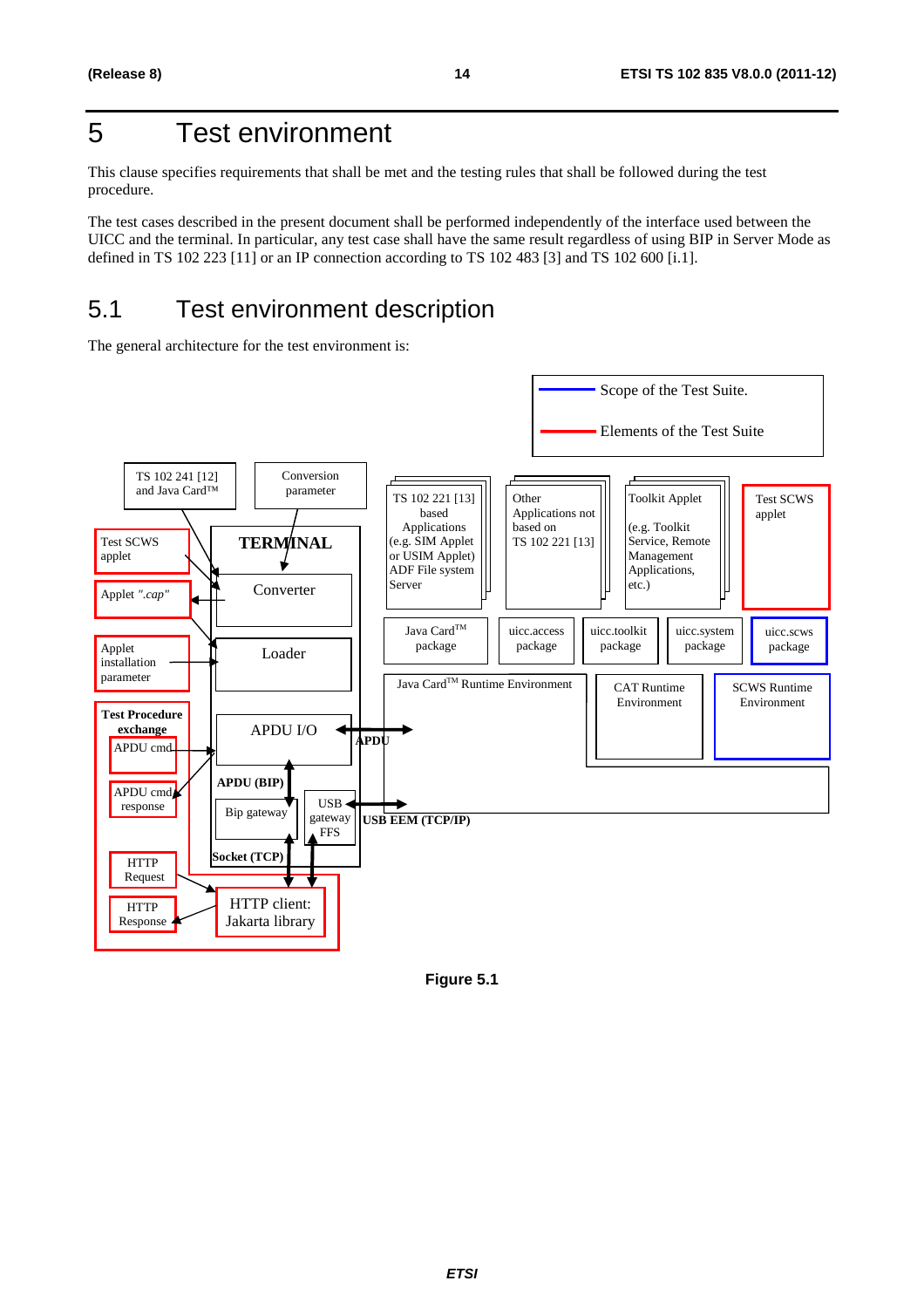# 5 Test environment

This clause specifies requirements that shall be met and the testing rules that shall be followed during the test procedure.

The test cases described in the present document shall be performed independently of the interface used between the UICC and the terminal. In particular, any test case shall have the same result regardless of using BIP in Server Mode as defined in TS 102 223 [11] or an IP connection according to TS 102 483 [3] and TS 102 600 [i.1].

# 5.1 Test environment description

The general architecture for the test environment is:



**Figure 5.1**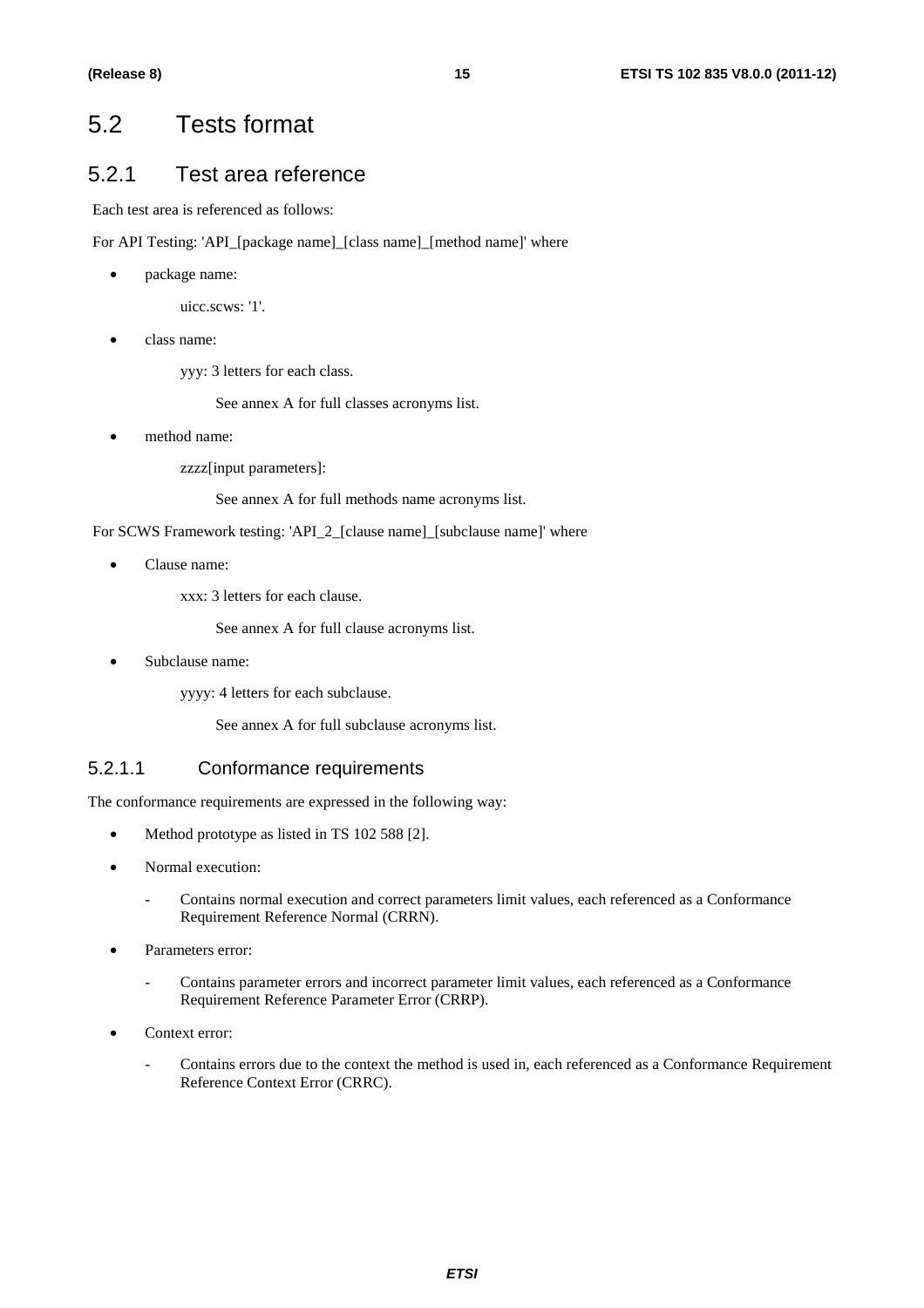# 5.2 Tests format

### 5.2.1 Test area reference

Each test area is referenced as follows:

For API Testing: 'API\_[package name]\_[class name]\_[method name]' where

• package name:

uicc.scws: '1'.

• class name:

yyy: 3 letters for each class.

See annex A for full classes acronyms list.

method name:

zzzz[input parameters]:

See annex A for full methods name acronyms list.

For SCWS Framework testing: 'API\_2\_[clause name]\_[subclause name]' where

• Clause name:

xxx: 3 letters for each clause.

See annex A for full clause acronyms list.

Subclause name:

yyyy: 4 letters for each subclause.

See annex A for full subclause acronyms list.

#### 5.2.1.1 Conformance requirements

The conformance requirements are expressed in the following way:

- Method prototype as listed in TS 102 588 [2].
- Normal execution:
	- Contains normal execution and correct parameters limit values, each referenced as a Conformance Requirement Reference Normal (CRRN).
- Parameters error:
	- Contains parameter errors and incorrect parameter limit values, each referenced as a Conformance Requirement Reference Parameter Error (CRRP).
- Context error:
	- Contains errors due to the context the method is used in, each referenced as a Conformance Requirement Reference Context Error (CRRC).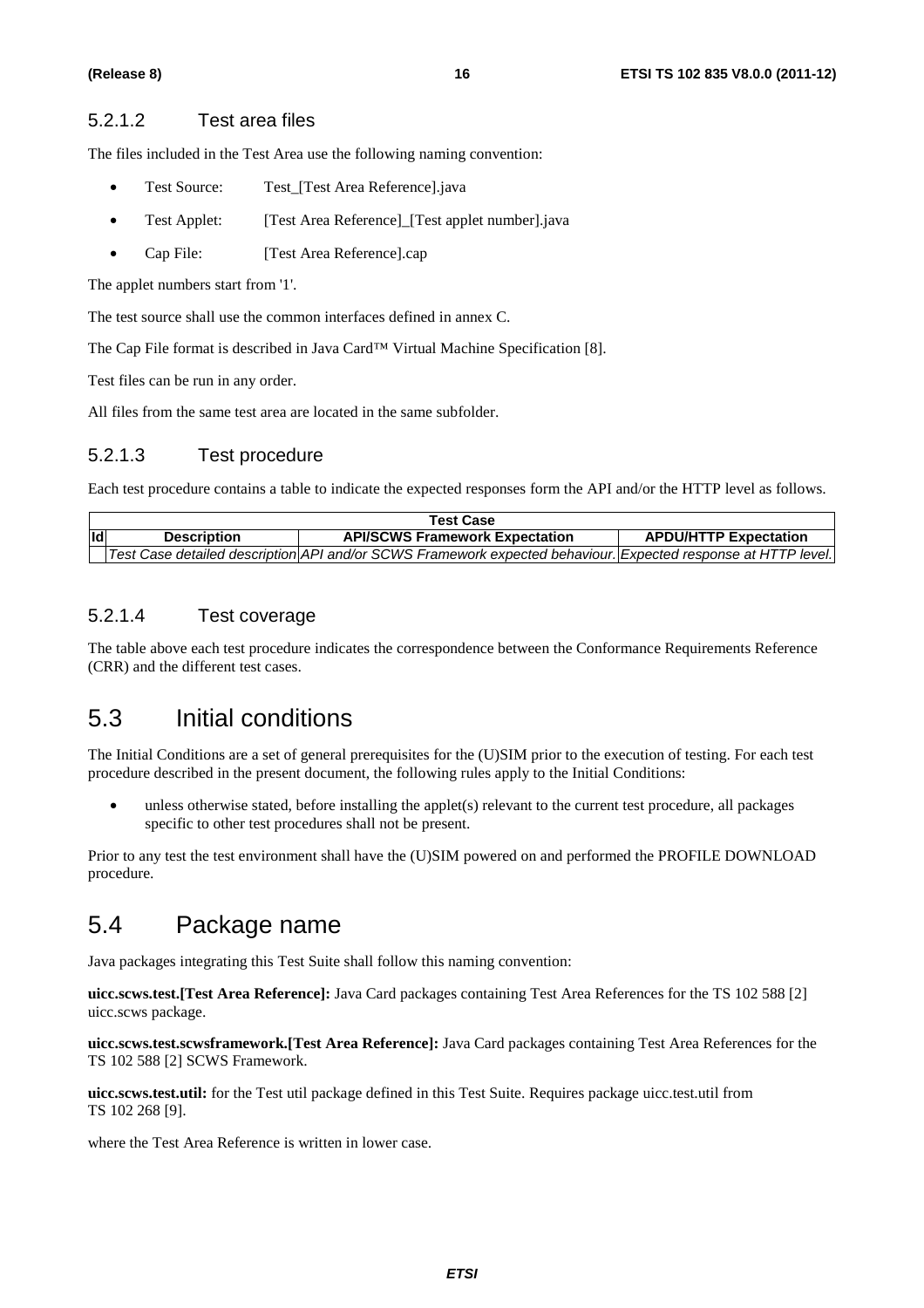#### 5.2.1.2 Test area files

The files included in the Test Area use the following naming convention:

- Test Source: Test\_[Test Area Reference].java
- Test Applet: [Test Area Reference] [Test applet number].java
- Cap File: [Test Area Reference].cap

The applet numbers start from '1'.

The test source shall use the common interfaces defined in annex C.

The Cap File format is described in Java Card™ Virtual Machine Specification [8].

Test files can be run in any order.

All files from the same test area are located in the same subfolder.

#### 5.2.1.3 Test procedure

Each test procedure contains a table to indicate the expected responses form the API and/or the HTTP level as follows.

|    |                    | Test Case                                                                                                        |                              |
|----|--------------------|------------------------------------------------------------------------------------------------------------------|------------------------------|
| ld | <b>Description</b> | <b>API/SCWS Framework Expectation</b>                                                                            | <b>APDU/HTTP Expectation</b> |
|    |                    | l Test Case detailed description\API and/or SCWS Framework expected behaviour.\Expected response at HTTP level.\ |                              |

#### 5.2.1.4 Test coverage

The table above each test procedure indicates the correspondence between the Conformance Requirements Reference (CRR) and the different test cases.

# 5.3 Initial conditions

The Initial Conditions are a set of general prerequisites for the (U)SIM prior to the execution of testing. For each test procedure described in the present document, the following rules apply to the Initial Conditions:

• unless otherwise stated, before installing the applet(s) relevant to the current test procedure, all packages specific to other test procedures shall not be present.

Prior to any test the test environment shall have the (U)SIM powered on and performed the PROFILE DOWNLOAD procedure.

# 5.4 Package name

Java packages integrating this Test Suite shall follow this naming convention:

**uicc.scws.test.[Test Area Reference]:** Java Card packages containing Test Area References for the TS 102 588 [2] uicc.scws package.

**uicc.scws.test.scwsframework.[Test Area Reference]:** Java Card packages containing Test Area References for the TS 102 588 [2] SCWS Framework.

**uicc.scws.test.util:** for the Test util package defined in this Test Suite. Requires package uicc.test.util from TS 102 268 [9].

where the Test Area Reference is written in lower case.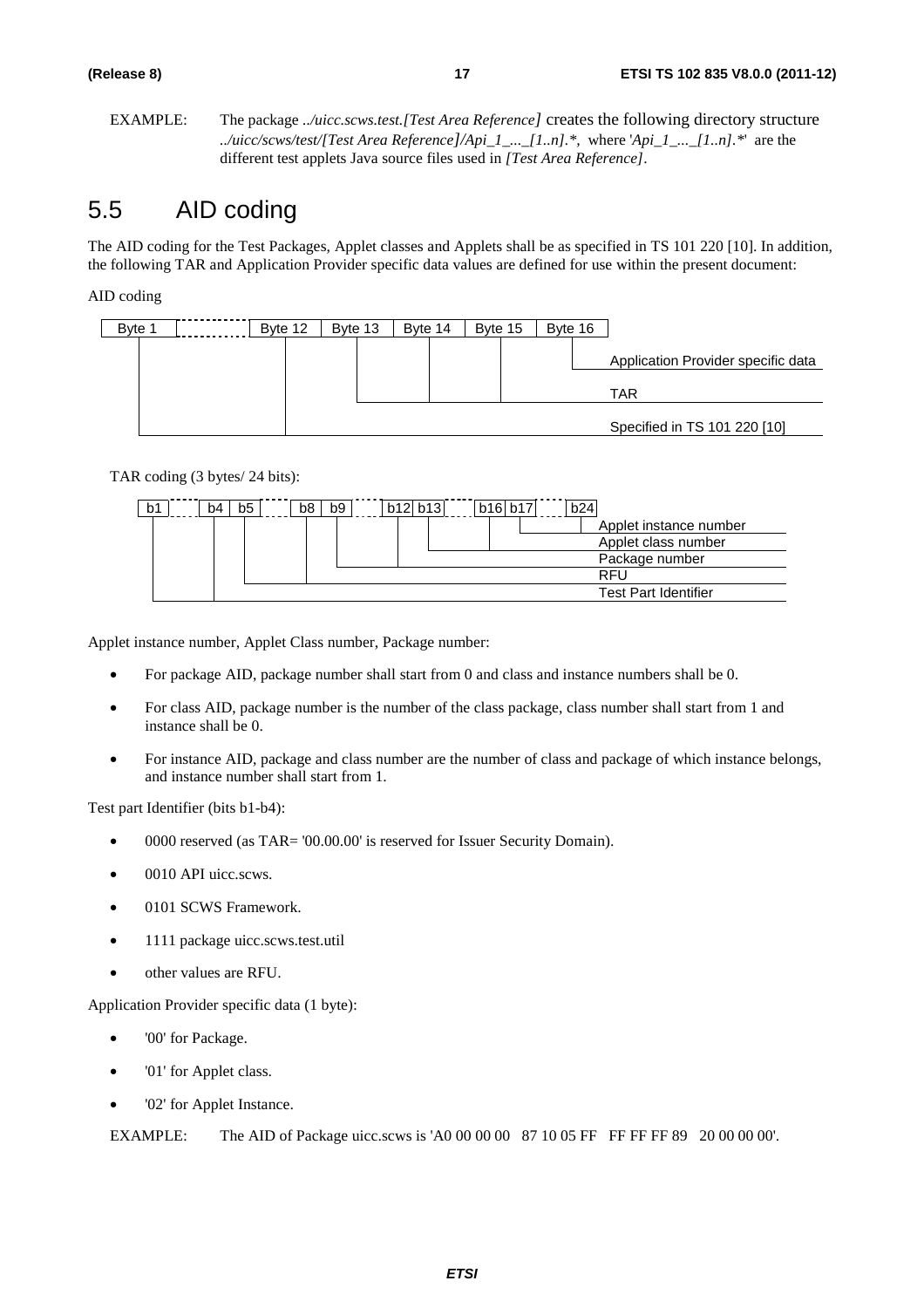EXAMPLE: The package *../uicc.scws.test.[Test Area Reference]* creates the following directory structure *../uicc/scws/test/[Test Area Reference]/Api\_1\_...\_[1..n].\*,* where '*Api\_1\_...\_[1..n].\**' are the different test applets Java source files used in *[Test Area Reference]*.

# 5.5 AID coding

The AID coding for the Test Packages, Applet classes and Applets shall be as specified in TS 101 220 [10]. In addition, the following TAR and Application Provider specific data values are defined for use within the present document:

AID coding

| Byte 1 | Byte 12 | Byte 13 | Byte 14 | Byte 15 | Byte 16 |                                           |
|--------|---------|---------|---------|---------|---------|-------------------------------------------|
|        |         |         |         |         |         | Application Provider specific data<br>TAR |
|        |         |         |         |         |         | Specified in TS 101 220 [10]              |

TAR coding (3 bytes/ 24 bits):

| b1 | b4 | b <sub>5</sub> | b8 | b <sub>9</sub> | b12 b13 | b16 b17 | b24                         |
|----|----|----------------|----|----------------|---------|---------|-----------------------------|
|    |    |                |    |                |         |         | Applet instance number      |
|    |    |                |    |                |         |         | Applet class number         |
|    |    |                |    |                |         |         | Package number              |
|    |    |                |    |                |         |         | RFU                         |
|    |    |                |    |                |         |         | <b>Test Part Identifier</b> |

Applet instance number, Applet Class number, Package number:

- For package AID, package number shall start from 0 and class and instance numbers shall be 0.
- For class AID, package number is the number of the class package, class number shall start from 1 and instance shall be 0.
- For instance AID, package and class number are the number of class and package of which instance belongs, and instance number shall start from 1.

Test part Identifier (bits b1-b4):

- 0000 reserved (as TAR= '00.00.00' is reserved for Issuer Security Domain).
- 0010 API uicc.scws.
- 0101 SCWS Framework.
- 1111 package uicc.scws.test.util
- other values are RFU.

Application Provider specific data (1 byte):

- '00' for Package.
- '01' for Applet class.
- '02' for Applet Instance.

EXAMPLE: The AID of Package uicc.scws is 'A0 00 00 00 87 10 05 FF FF FF FF 89 20 00 00 00'.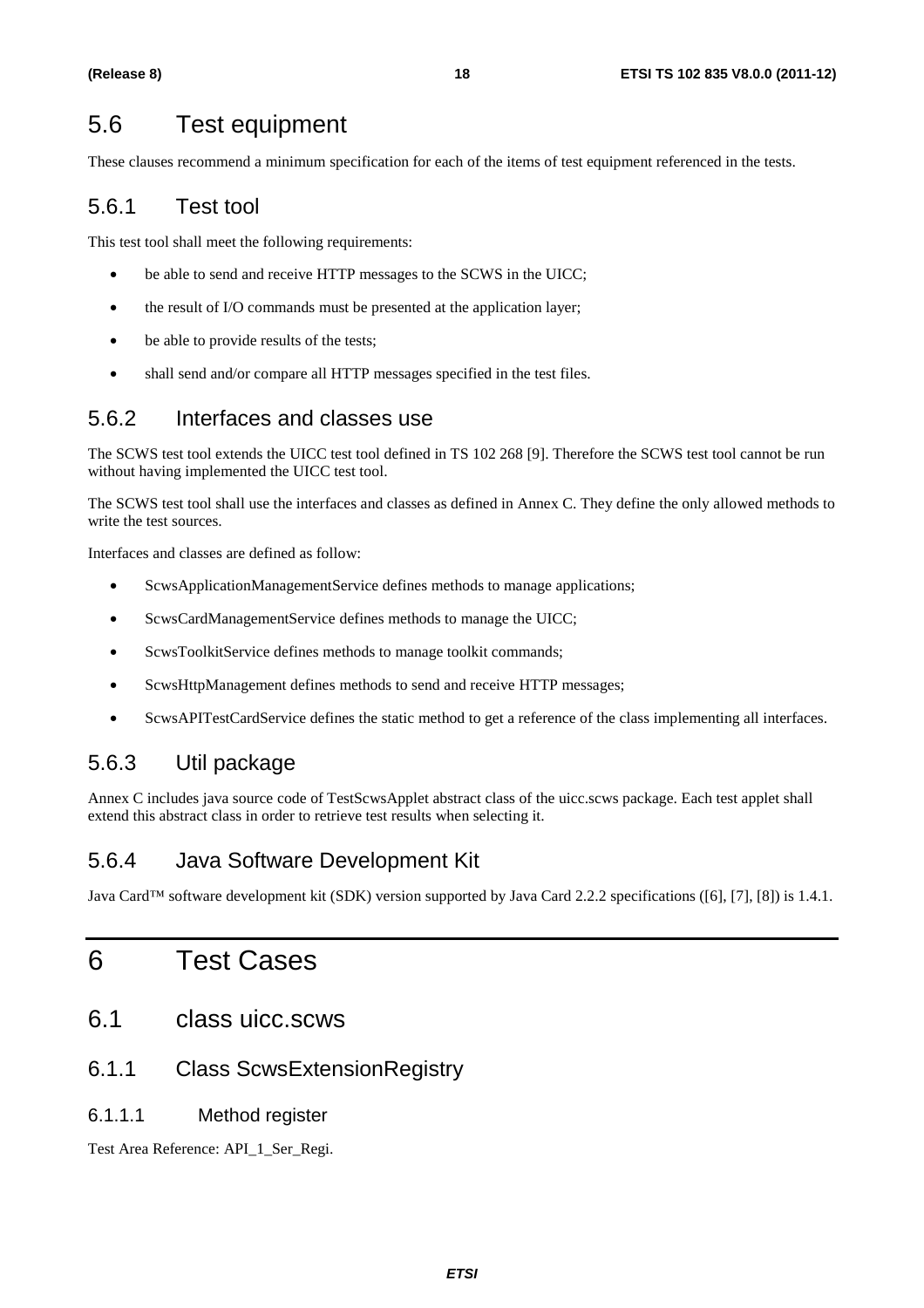# 5.6 Test equipment

These clauses recommend a minimum specification for each of the items of test equipment referenced in the tests.

### 5.6.1 Test tool

This test tool shall meet the following requirements:

- be able to send and receive HTTP messages to the SCWS in the UICC;
- the result of I/O commands must be presented at the application layer;
- be able to provide results of the tests;
- shall send and/or compare all HTTP messages specified in the test files.

### 5.6.2 Interfaces and classes use

The SCWS test tool extends the UICC test tool defined in TS 102 268 [9]. Therefore the SCWS test tool cannot be run without having implemented the UICC test tool.

The SCWS test tool shall use the interfaces and classes as defined in Annex C. They define the only allowed methods to write the test sources.

Interfaces and classes are defined as follow:

- ScwsApplicationManagementService defines methods to manage applications;
- ScwsCardManagementService defines methods to manage the UICC;
- ScwsToolkitService defines methods to manage toolkit commands;
- ScwsHttpManagement defines methods to send and receive HTTP messages;
- ScwsAPITestCardService defines the static method to get a reference of the class implementing all interfaces.

### 5.6.3 Util package

Annex C includes java source code of TestScwsApplet abstract class of the uicc.scws package. Each test applet shall extend this abstract class in order to retrieve test results when selecting it.

### 5.6.4 Java Software Development Kit

Java Card™ software development kit (SDK) version supported by Java Card 2.2.2 specifications ([6], [7], [8]) is 1.4.1.

# 6 Test Cases

- 6.1 class uicc.scws
- 6.1.1 Class ScwsExtensionRegistry
- 6.1.1.1 Method register

Test Area Reference: API\_1\_Ser\_Regi.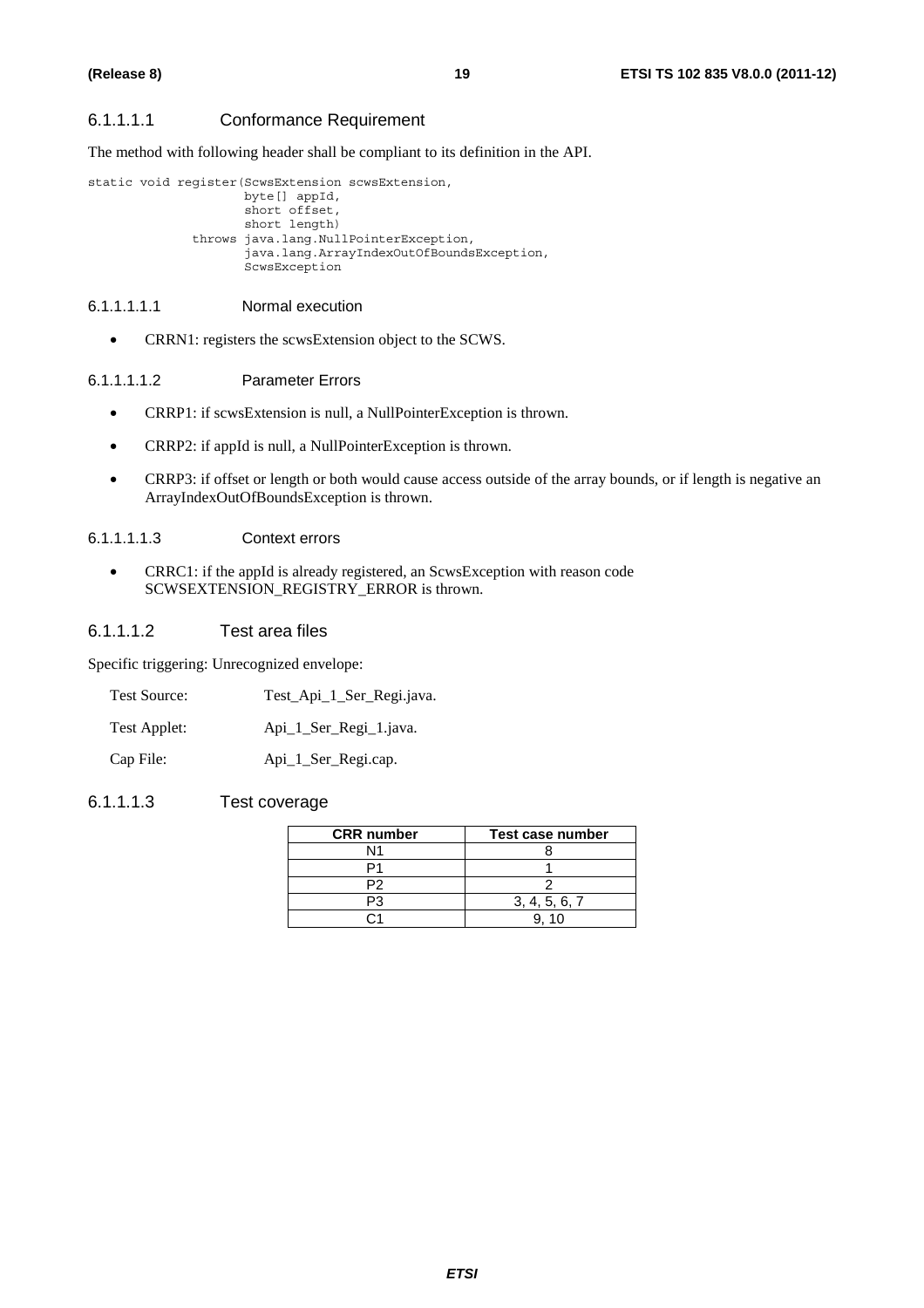#### 6.1.1.1.1 Conformance Requirement

The method with following header shall be compliant to its definition in the API.

static void register(ScwsExtension scwsExtension,

 byte[] appId, short offset, short length) throws java.lang.NullPointerException, java.lang.ArrayIndexOutOfBoundsException, ScwsException

#### 6.1.1.1.1.1 Normal execution

• CRRN1: registers the scwsExtension object to the SCWS.

#### 6.1.1.1.1.2 Parameter Errors

- CRRP1: if scwsExtension is null, a NullPointerException is thrown.
- CRRP2: if appId is null, a NullPointerException is thrown.
- CRRP3: if offset or length or both would cause access outside of the array bounds, or if length is negative an ArrayIndexOutOfBoundsException is thrown.

#### 6.1.1.1.1.3 Context errors

• CRRC1: if the appId is already registered, an ScwsException with reason code SCWSEXTENSION\_REGISTRY\_ERROR is thrown.

#### 6.1.1.1.2 Test area files

Specific triggering: Unrecognized envelope:

| Test Source: | Test_Api_1_Ser_Regi.java. |
|--------------|---------------------------|
|--------------|---------------------------|

|  | Test Applet: | Api_1_Ser_Regi_1.java. |
|--|--------------|------------------------|
|--|--------------|------------------------|

Cap File: Api\_1\_Ser\_Regi.cap.

#### 6.1.1.1.3 Test coverage

| <b>CRR</b> number | Test case number |
|-------------------|------------------|
| N1                |                  |
|                   |                  |
| P2                |                  |
| PЗ                | 3, 4, 5, 6, 7    |
|                   |                  |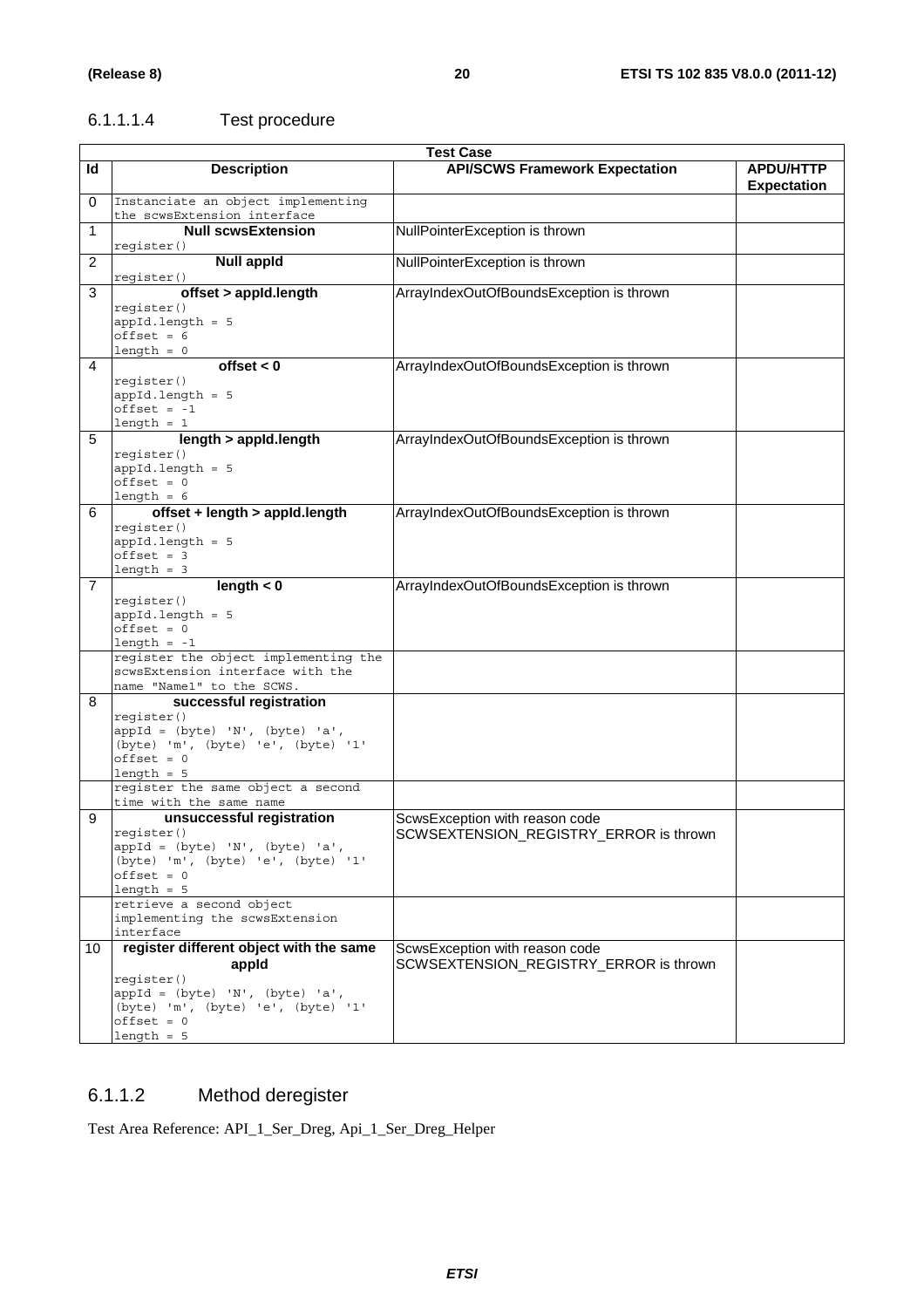### 6.1.1.1.4 Test procedure

|                | <b>Test Case</b>                                                                                                                                                              |                                                                          |                                        |  |  |  |  |
|----------------|-------------------------------------------------------------------------------------------------------------------------------------------------------------------------------|--------------------------------------------------------------------------|----------------------------------------|--|--|--|--|
| ld             | <b>Description</b>                                                                                                                                                            | <b>API/SCWS Framework Expectation</b>                                    | <b>APDU/HTTP</b><br><b>Expectation</b> |  |  |  |  |
| 0              | Instanciate an object implementing<br>the scwsExtension interface                                                                                                             |                                                                          |                                        |  |  |  |  |
| 1              | <b>Null scwsExtension</b><br>register()                                                                                                                                       | NullPointerException is thrown                                           |                                        |  |  |  |  |
| $\overline{2}$ | <b>Null appid</b><br>register()                                                                                                                                               | NullPointerException is thrown                                           |                                        |  |  |  |  |
| 3              | offset > appld.length<br>register()<br>$appId.length = 5$<br>$offset = 6$<br>length = $0$                                                                                     | ArrayIndexOutOfBoundsException is thrown                                 |                                        |  |  |  |  |
| 4              | offset $< 0$<br>register()<br>$appId.length = 5$<br>$offset = -1$<br>$length = 1$                                                                                             | ArrayIndexOutOfBoundsException is thrown                                 |                                        |  |  |  |  |
| 5              | length > appld.length<br>register()<br>$appId.length = 5$<br>$offset = 0$<br>$length = 6$                                                                                     | ArrayIndexOutOfBoundsException is thrown                                 |                                        |  |  |  |  |
| 6              | offset + length > appld.length<br>register()<br>$appId.length = 5$<br>$offset = 3$<br>$length = 3$                                                                            | ArrayIndexOutOfBoundsException is thrown                                 |                                        |  |  |  |  |
| $\overline{7}$ | length < 0<br>register()<br>$appId.length = 5$<br>$offset = 0$<br>$length = -1$<br>register the object implementing the<br>scwsExtension interface with the                   | ArrayIndexOutOfBoundsException is thrown                                 |                                        |  |  |  |  |
| 8              | name "Name1" to the SCWS.<br>successful registration<br>reqister()<br>$appId = (byte) 'N', (byte) 'a',$<br>(byte) 'm', (byte) 'e', (byte) '1'<br>$offset = 0$<br>$length = 5$ |                                                                          |                                        |  |  |  |  |
|                | reqister the same object a second<br>time with the same name                                                                                                                  |                                                                          |                                        |  |  |  |  |
| 9              | unsuccessful registration<br>register()<br>$appId = (byte) 'N', (byte) 'a',$<br>(byte) 'm', (byte) 'e', (byte) '1'<br>$offset = 0$<br>$length = 5$                            | ScwsException with reason code<br>SCWSEXTENSION_REGISTRY_ERROR is thrown |                                        |  |  |  |  |
|                | retrieve a second object<br>implementing the scwsExtension<br>interface                                                                                                       |                                                                          |                                        |  |  |  |  |
| 10             | register different object with the same<br>appid<br>register()<br>$appId = (byte) 'N', (byte) 'a',$<br>(byte) 'm', (byte) 'e', (byte) '1'<br>$offset = 0$<br>length = $5$     | ScwsException with reason code<br>SCWSEXTENSION_REGISTRY_ERROR is thrown |                                        |  |  |  |  |

### 6.1.1.2 Method deregister

Test Area Reference: API\_1\_Ser\_Dreg, Api\_1\_Ser\_Dreg\_Helper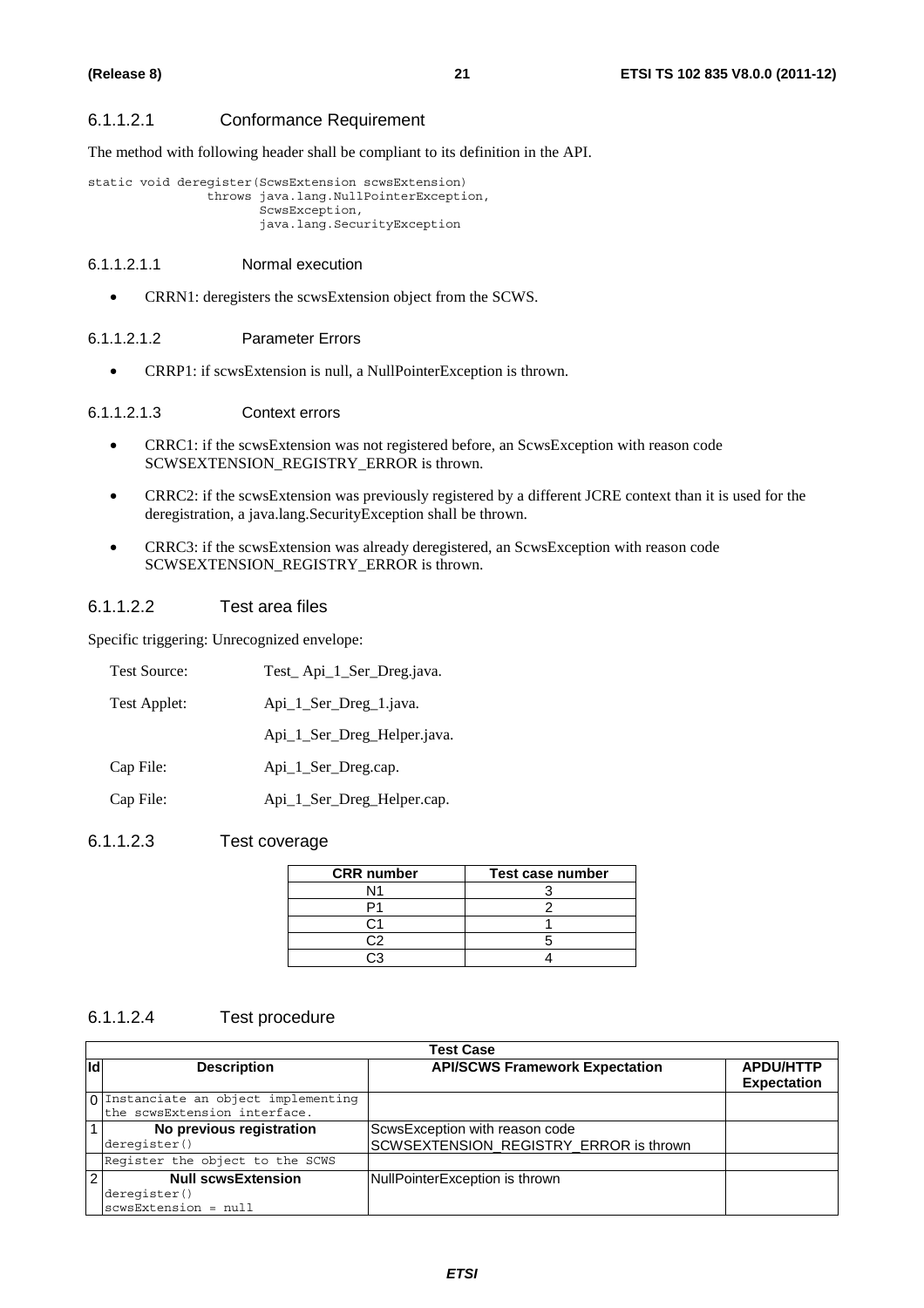#### 6.1.1.2.1 Conformance Requirement

The method with following header shall be compliant to its definition in the API.

```
static void deregister(ScwsExtension scwsExtension) 
       throws java.lang.NullPointerException, 
              ScwsException, 
              java.lang.SecurityException
```
#### 6.1.1.2.1.1 Normal execution

• CRRN1: deregisters the scwsExtension object from the SCWS.

#### 6.1.1.2.1.2 Parameter Errors

• CRRP1: if scwsExtension is null, a NullPointerException is thrown.

#### 6.1.1.2.1.3 Context errors

- CRRC1: if the scwsExtension was not registered before, an ScwsException with reason code SCWSEXTENSION\_REGISTRY\_ERROR is thrown.
- CRRC2: if the scwsExtension was previously registered by a different JCRE context than it is used for the deregistration, a java.lang.SecurityException shall be thrown.
- CRRC3: if the scwsExtension was already deregistered, an ScwsException with reason code SCWSEXTENSION\_REGISTRY\_ERROR is thrown.

#### 6.1.1.2.2 Test area files

Specific triggering: Unrecognized envelope:

| <b>Test Source:</b> | Test_Api_1_Ser_Dreg.java.   |
|---------------------|-----------------------------|
| Test Applet:        | Api_1_Ser_Dreg_1.java.      |
|                     | Api_1_Ser_Dreg_Helper.java. |
| Cap File:           | Api_1_Ser_Dreg.cap.         |
| Cap File:           | Api_1_Ser_Dreg_Helper.cap.  |

#### 6.1.1.2.3 Test coverage

| <b>CRR</b> number | Test case number |
|-------------------|------------------|
| N <sub>1</sub>    |                  |
|                   |                  |
|                   |                  |
|                   |                  |
|                   |                  |

#### 6.1.1.2.4 Test procedure

|                | <b>Test Case</b>                     |                                        |                                        |  |  |  |
|----------------|--------------------------------------|----------------------------------------|----------------------------------------|--|--|--|
| <b>Id</b>      | <b>Description</b>                   | <b>API/SCWS Framework Expectation</b>  | <b>APDU/HTTP</b><br><b>Expectation</b> |  |  |  |
|                | 0 Instanciate an object implementing |                                        |                                        |  |  |  |
|                | the scwsExtension interface.         |                                        |                                        |  |  |  |
| $\vert$ 1      | No previous registration             | ScwsException with reason code         |                                        |  |  |  |
|                | deregister()                         | SCWSEXTENSION_REGISTRY_ERROR is thrown |                                        |  |  |  |
|                | Register the object to the SCWS      |                                        |                                        |  |  |  |
| $\overline{2}$ | <b>Null scwsExtension</b>            | NullPointerException is thrown         |                                        |  |  |  |
|                | deregister()                         |                                        |                                        |  |  |  |
|                | scwsExtension = null                 |                                        |                                        |  |  |  |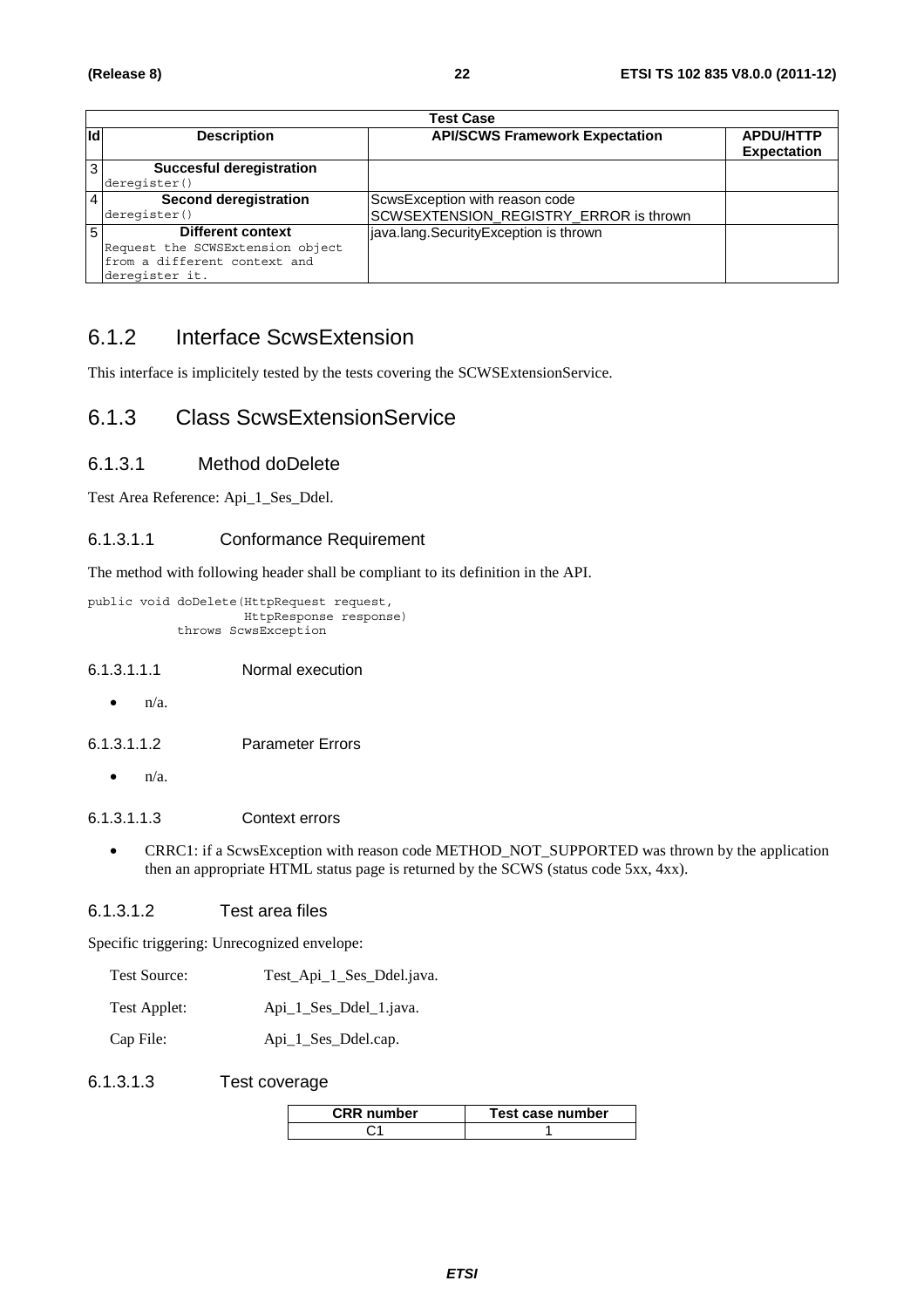|     | <b>Test Case</b>                 |                                        |                                        |  |  |  |
|-----|----------------------------------|----------------------------------------|----------------------------------------|--|--|--|
| lld | <b>Description</b>               | <b>API/SCWS Framework Expectation</b>  | <b>APDU/HTTP</b><br><b>Expectation</b> |  |  |  |
|     | <b>Succesful deregistration</b>  |                                        |                                        |  |  |  |
|     | deregister()                     |                                        |                                        |  |  |  |
|     | Second deregistration            | ScwsException with reason code         |                                        |  |  |  |
|     | deregister()                     | SCWSEXTENSION_REGISTRY_ERROR is thrown |                                        |  |  |  |
| 5   | <b>Different context</b>         | java.lang.SecurityException is thrown  |                                        |  |  |  |
|     | Request the SCWSExtension object |                                        |                                        |  |  |  |
|     | from a different context and     |                                        |                                        |  |  |  |
|     | deregister it.                   |                                        |                                        |  |  |  |

### 6.1.2 Interface ScwsExtension

This interface is implicitely tested by the tests covering the SCWSExtensionService.

### 6.1.3 Class ScwsExtensionService

#### 6.1.3.1 Method doDelete

Test Area Reference: Api\_1\_Ses\_Ddel.

#### 6.1.3.1.1 Conformance Requirement

The method with following header shall be compliant to its definition in the API.

```
public void doDelete(HttpRequest request, 
            HttpResponse response) 
  throws ScwsException
```
#### 6.1.3.1.1.1 Normal execution

 $n/a$ .

#### 6.1.3.1.1.2 Parameter Errors

 $n/a$ .

#### 6.1.3.1.1.3 Context errors

• CRRC1: if a ScwsException with reason code METHOD\_NOT\_SUPPORTED was thrown by the application then an appropriate HTML status page is returned by the SCWS (status code 5xx, 4xx).

#### 6.1.3.1.2 Test area files

Specific triggering: Unrecognized envelope:

- Test Source: Test\_Api\_1\_Ses\_Ddel.java.
- Test Applet: Api\_1\_Ses\_Ddel\_1.java.

Cap File: Api\_1\_Ses\_Ddel.cap.

#### 6.1.3.1.3 Test coverage

| <b>CRR</b> number | Test case number |
|-------------------|------------------|
|                   |                  |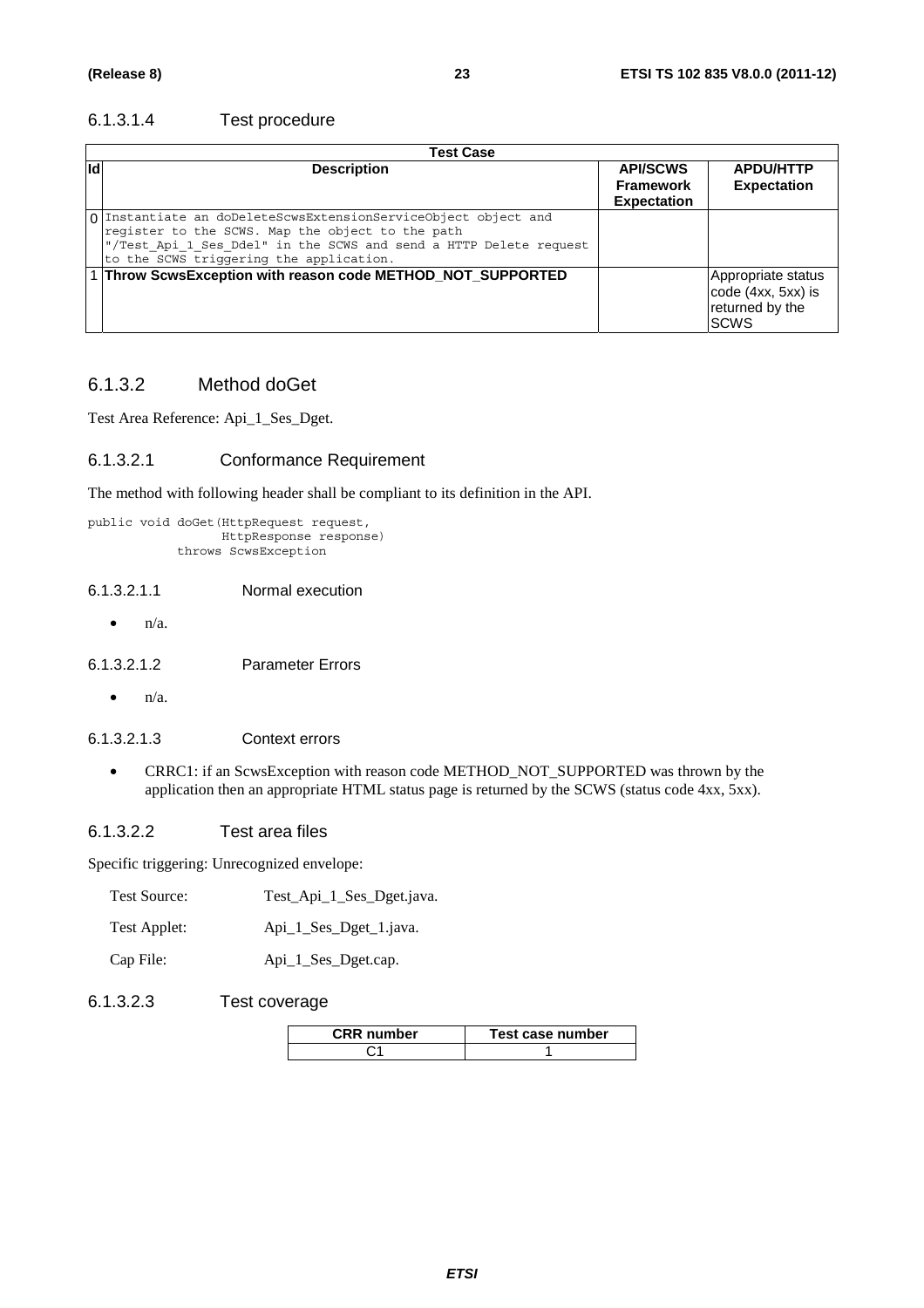#### 6.1.3.1.4 Test procedure

|     | <b>Test Case</b>                                                                                                                                                                                                                   |                                                           |                                                                             |  |  |
|-----|------------------------------------------------------------------------------------------------------------------------------------------------------------------------------------------------------------------------------------|-----------------------------------------------------------|-----------------------------------------------------------------------------|--|--|
| lld | <b>Description</b>                                                                                                                                                                                                                 | <b>API/SCWS</b><br><b>Framework</b><br><b>Expectation</b> | <b>APDU/HTTP</b><br><b>Expectation</b>                                      |  |  |
|     | O Instantiate an doDeleteScwsExtensionServiceObject object and<br>register to the SCWS. Map the object to the path<br>"/Test Api 1 Ses Ddel" in the SCWS and send a HTTP Delete request<br>to the SCWS triggering the application. |                                                           |                                                                             |  |  |
|     | 1 Throw ScwsException with reason code METHOD_NOT_SUPPORTED                                                                                                                                                                        |                                                           | Appropriate status<br>code (4xx, 5xx) is<br>returned by the<br><b>ISCWS</b> |  |  |

#### 6.1.3.2 Method doGet

Test Area Reference: Api\_1\_Ses\_Dget.

#### 6.1.3.2.1 Conformance Requirement

The method with following header shall be compliant to its definition in the API.

```
public void doGet(HttpRequest request, 
        HttpResponse response) 
  throws ScwsException
```
#### 6.1.3.2.1.1 Normal execution

 $\bullet$   $n/a$ .

6.1.3.2.1.2 Parameter Errors

 $\bullet$   $n/a$ .

#### 6.1.3.2.1.3 Context errors

• CRRC1: if an ScwsException with reason code METHOD\_NOT\_SUPPORTED was thrown by the application then an appropriate HTML status page is returned by the SCWS (status code 4xx, 5xx).

#### 6.1.3.2.2 Test area files

Specific triggering: Unrecognized envelope:

| Test Source: | Test_Api_1_Ses_Dget.java. |
|--------------|---------------------------|
|--------------|---------------------------|

| Test Applet: |  | Api_1_Ses_Dget_1.java. |
|--------------|--|------------------------|

Cap File: Api\_1\_Ses\_Dget.cap.

#### 6.1.3.2.3 Test coverage

| <b>CRR</b> number | Test case number |
|-------------------|------------------|
|                   |                  |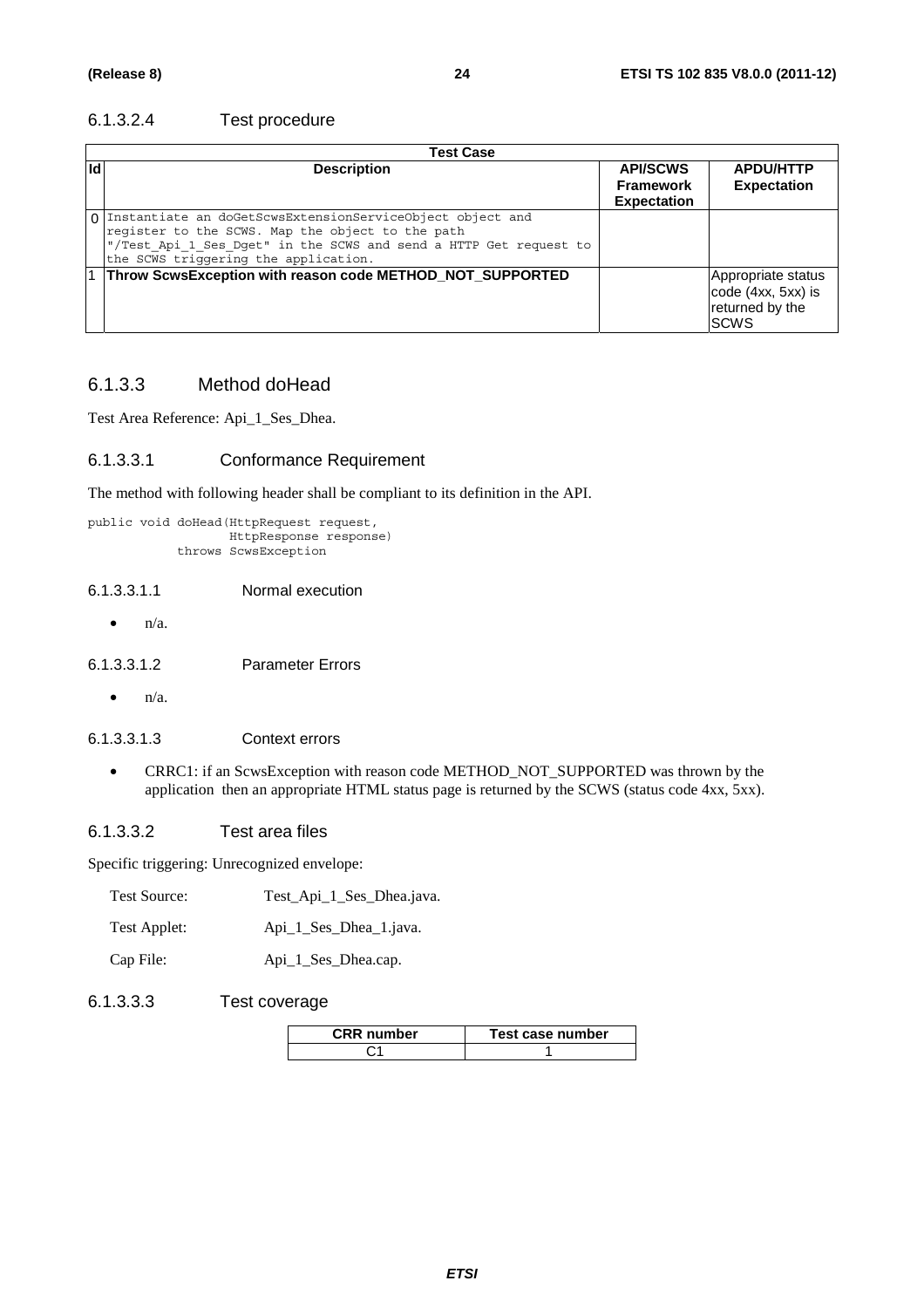#### 6.1.3.2.4 Test procedure

|           | <b>Test Case</b>                                                                                                                                                                                                             |                                                           |                                                                             |  |  |
|-----------|------------------------------------------------------------------------------------------------------------------------------------------------------------------------------------------------------------------------------|-----------------------------------------------------------|-----------------------------------------------------------------------------|--|--|
| <b>Id</b> | <b>Description</b>                                                                                                                                                                                                           | <b>API/SCWS</b><br><b>Framework</b><br><b>Expectation</b> | <b>APDU/HTTP</b><br><b>Expectation</b>                                      |  |  |
|           | 0 Instantiate an doGetScwsExtensionServiceObject object and<br>register to the SCWS. Map the object to the path<br>"/Test_Api_1_Ses_Dget" in the SCWS and send a HTTP Get request to<br>the SCWS triggering the application. |                                                           |                                                                             |  |  |
|           | <b>Throw ScwsException with reason code METHOD_NOT_SUPPORTED</b>                                                                                                                                                             |                                                           | Appropriate status<br>code (4xx, 5xx) is<br>returned by the<br><b>ISCWS</b> |  |  |

#### 6.1.3.3 Method doHead

Test Area Reference: Api\_1\_Ses\_Dhea.

#### 6.1.3.3.1 Conformance Requirement

The method with following header shall be compliant to its definition in the API.

```
public void doHead(HttpRequest request, 
         HttpResponse response) 
  throws ScwsException
```
#### 6.1.3.3.1.1 Normal execution

 $\bullet$   $n/a$ .

6.1.3.3.1.2 Parameter Errors

 $\bullet$   $n/a$ .

#### 6.1.3.3.1.3 Context errors

• CRRC1: if an ScwsException with reason code METHOD\_NOT\_SUPPORTED was thrown by the application then an appropriate HTML status page is returned by the SCWS (status code 4xx, 5xx).

#### 6.1.3.3.2 Test area files

Specific triggering: Unrecognized envelope:

| Test Source: | Test_Api_1_Ses_Dhea.java. |
|--------------|---------------------------|
|--------------|---------------------------|

| Test Applet: |  |  | Api_1_Ses_Dhea_1.java. |
|--------------|--|--|------------------------|
|              |  |  |                        |

Cap File: Api\_1\_Ses\_Dhea.cap.

#### 6.1.3.3.3 Test coverage

| <b>CRR</b> number | Test case number |
|-------------------|------------------|
|                   |                  |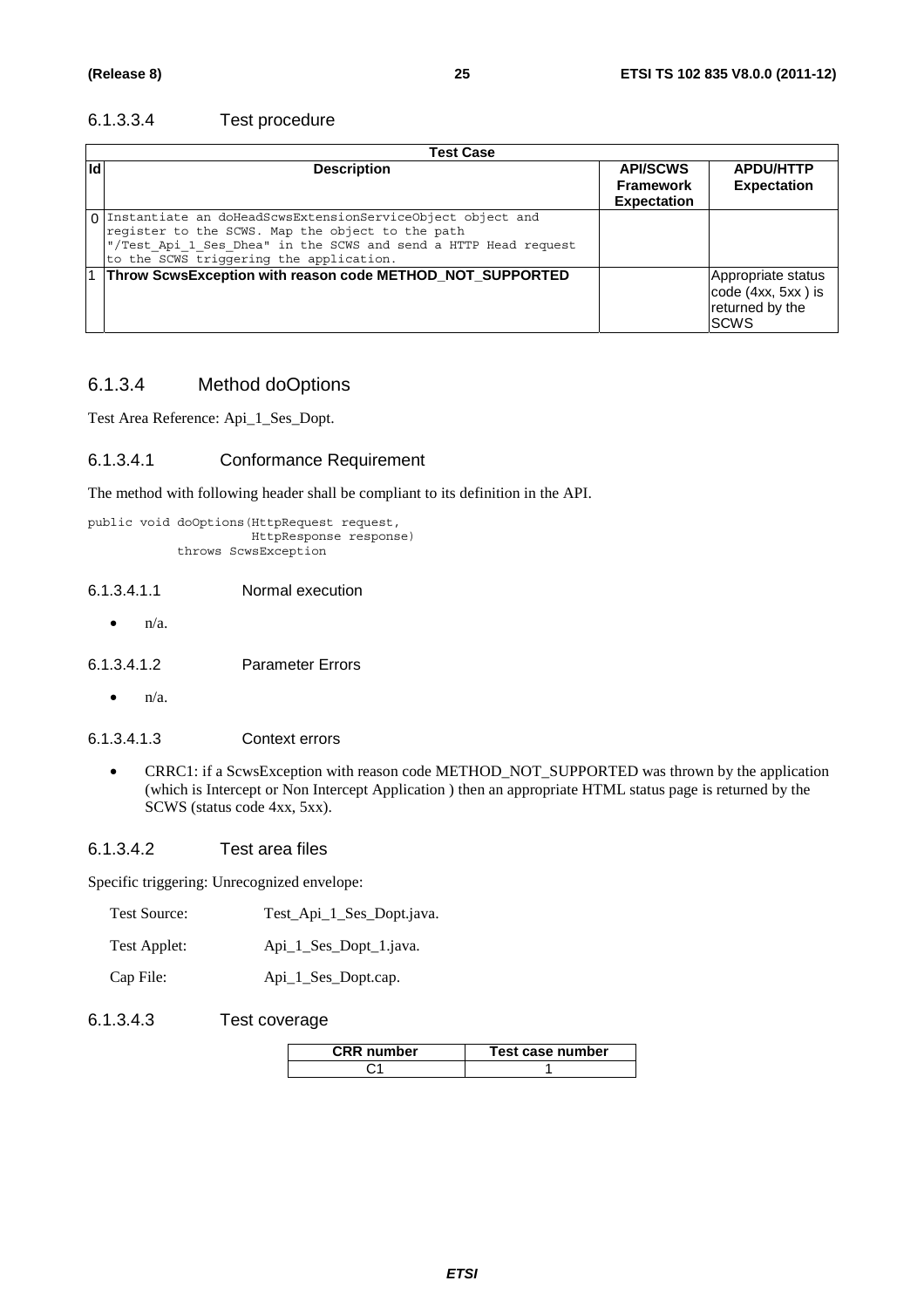#### 6.1.3.3.4 Test procedure

|           | <b>Test Case</b>                                                                                                                                                                                                               |                                                           |                                                                             |  |  |
|-----------|--------------------------------------------------------------------------------------------------------------------------------------------------------------------------------------------------------------------------------|-----------------------------------------------------------|-----------------------------------------------------------------------------|--|--|
| <b>Id</b> | <b>Description</b>                                                                                                                                                                                                             | <b>API/SCWS</b><br><b>Framework</b><br><b>Expectation</b> | <b>APDU/HTTP</b><br><b>Expectation</b>                                      |  |  |
|           | O Instantiate an doHeadScwsExtensionServiceObject object and<br>register to the SCWS. Map the object to the path<br>"/Test Api 1 Ses Dhea" in the SCWS and send a HTTP Head request<br>to the SCWS triggering the application. |                                                           |                                                                             |  |  |
|           | 1 Throw ScwsException with reason code METHOD_NOT_SUPPORTED                                                                                                                                                                    |                                                           | Appropriate status<br>code (4xx, 5xx) is<br>returned by the<br><b>ISCWS</b> |  |  |

#### 6.1.3.4 Method doOptions

Test Area Reference: Api\_1\_Ses\_Dopt.

#### 6.1.3.4.1 Conformance Requirement

The method with following header shall be compliant to its definition in the API.

```
public void doOptions(HttpRequest request, 
           HttpResponse response)
  throws ScwsException
```
#### 6.1.3.4.1.1 Normal execution

 $\bullet$   $n/a$ .

6.1.3.4.1.2 Parameter Errors

 $\bullet$   $n/a$ .

#### 6.1.3.4.1.3 Context errors

• CRRC1: if a ScwsException with reason code METHOD\_NOT\_SUPPORTED was thrown by the application (which is Intercept or Non Intercept Application ) then an appropriate HTML status page is returned by the SCWS (status code 4xx, 5xx).

#### 6.1.3.4.2 Test area files

Specific triggering: Unrecognized envelope:

| Test Source: | Test_Api_1_Ses_Dopt.java. |
|--------------|---------------------------|
|--------------|---------------------------|

| Test Applet: |  | Api_1_Ses_Dopt_1.java. |
|--------------|--|------------------------|
|              |  |                        |

Cap File: Api\_1\_Ses\_Dopt.cap.

#### 6.1.3.4.3 Test coverage

| <b>CRR</b> number | Test case number |
|-------------------|------------------|
|                   |                  |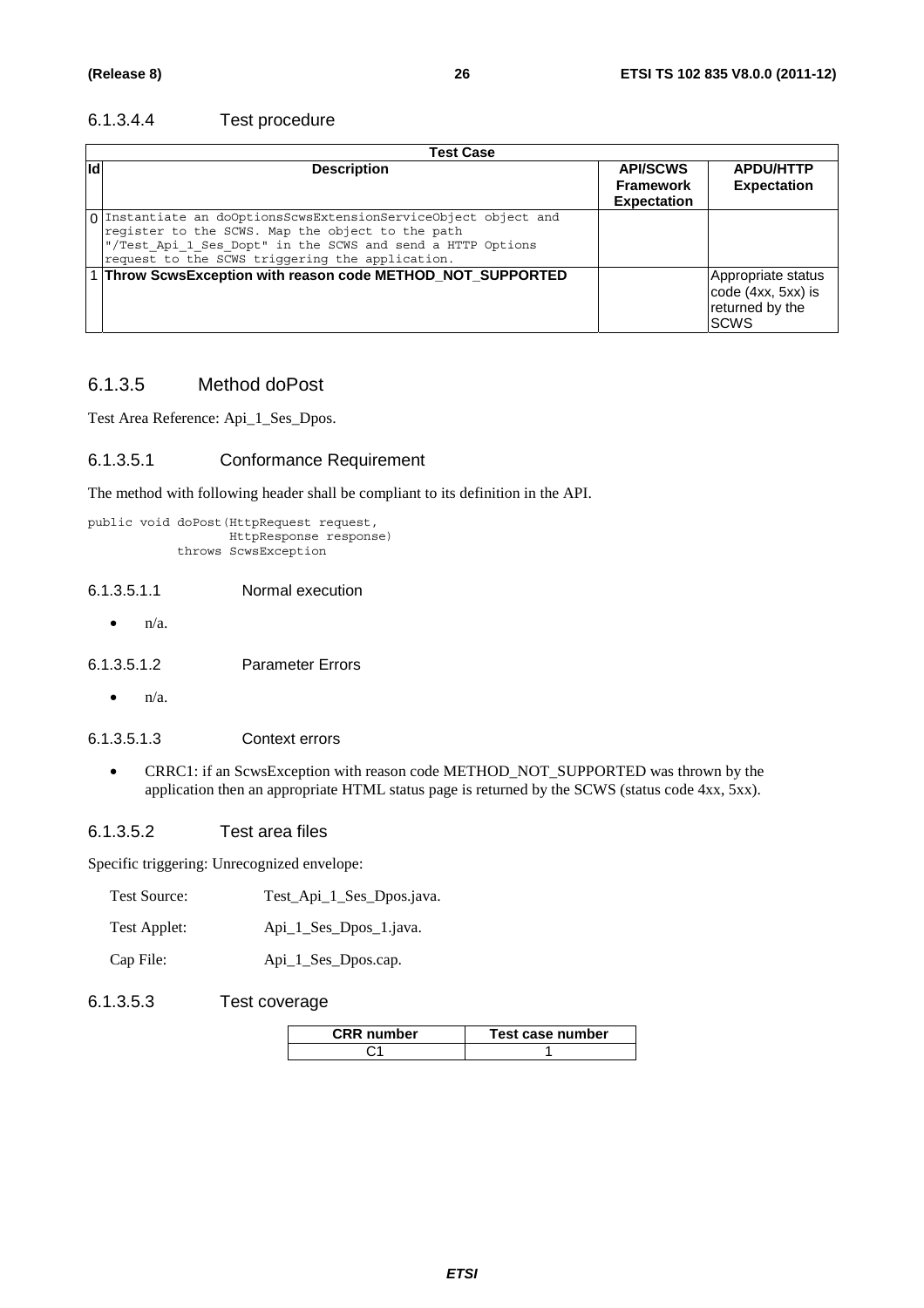#### 6.1.3.4.4 Test procedure

|     | Test Case                                                                                                                                                                                                                            |                                                           |                                                                             |
|-----|--------------------------------------------------------------------------------------------------------------------------------------------------------------------------------------------------------------------------------------|-----------------------------------------------------------|-----------------------------------------------------------------------------|
| lld | <b>Description</b>                                                                                                                                                                                                                   | <b>API/SCWS</b><br><b>Framework</b><br><b>Expectation</b> | <b>APDU/HTTP</b><br><b>Expectation</b>                                      |
|     | 0 Instantiate an doOptionsScwsExtensionServiceObject object and<br>register to the SCWS. Map the object to the path<br>"/Test_Api_1_Ses_Dopt" in the SCWS and send a HTTP Options<br>request to the SCWS triggering the application. |                                                           |                                                                             |
|     | 1 Throw ScwsException with reason code METHOD_NOT_SUPPORTED                                                                                                                                                                          |                                                           | Appropriate status<br>code (4xx, 5xx) is<br>returned by the<br><b>ISCWS</b> |

#### 6.1.3.5 Method doPost

Test Area Reference: Api\_1\_Ses\_Dpos.

#### 6.1.3.5.1 Conformance Requirement

The method with following header shall be compliant to its definition in the API.

```
public void doPost(HttpRequest request, 
         HttpResponse response) 
  throws ScwsException
```
#### 6.1.3.5.1.1 Normal execution

 $\bullet$   $n/a$ .

6.1.3.5.1.2 Parameter Errors

 $\bullet$   $n/a$ .

#### 6.1.3.5.1.3 Context errors

• CRRC1: if an ScwsException with reason code METHOD\_NOT\_SUPPORTED was thrown by the application then an appropriate HTML status page is returned by the SCWS (status code 4xx, 5xx).

#### 6.1.3.5.2 Test area files

Specific triggering: Unrecognized envelope:

| Test Applet: |  |  | Api_1_Ses_Dpos_1.java. |  |
|--------------|--|--|------------------------|--|

Cap File: Api\_1\_Ses\_Dpos.cap.

#### 6.1.3.5.3 Test coverage

| CRR number | Test case number |
|------------|------------------|
|            |                  |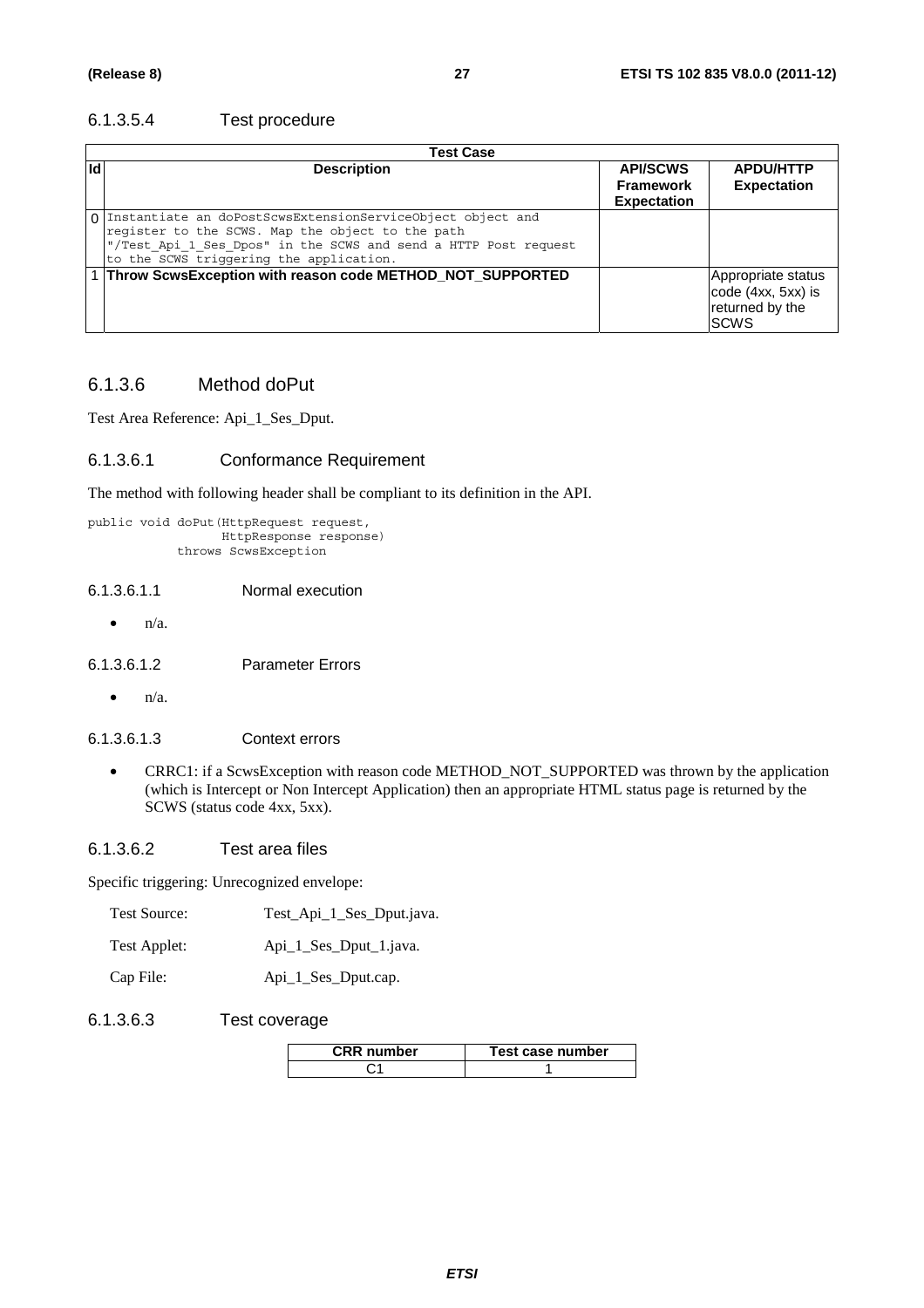#### 6.1.3.5.4 Test procedure

|     | <b>Test Case</b>                                                                                                                                                                                                               |                                                           |                                                                            |
|-----|--------------------------------------------------------------------------------------------------------------------------------------------------------------------------------------------------------------------------------|-----------------------------------------------------------|----------------------------------------------------------------------------|
| lld | <b>Description</b>                                                                                                                                                                                                             | <b>API/SCWS</b><br><b>Framework</b><br><b>Expectation</b> | <b>APDU/HTTP</b><br><b>Expectation</b>                                     |
|     | 0 Instantiate an doPostScwsExtensionServiceObject object and<br>register to the SCWS. Map the object to the path<br>"/Test_Api_1_Ses_Dpos" in the SCWS and send a HTTP Post request<br>to the SCWS triggering the application. |                                                           |                                                                            |
|     | 1 Throw ScwsException with reason code METHOD_NOT_SUPPORTED                                                                                                                                                                    |                                                           | Appropriate status<br>code (4xx, 5xx) is<br>returned by the<br><b>SCWS</b> |

#### 6.1.3.6 Method doPut

Test Area Reference: Api\_1\_Ses\_Dput.

#### 6.1.3.6.1 Conformance Requirement

The method with following header shall be compliant to its definition in the API.

```
public void doPut(HttpRequest request, 
        HttpResponse response) 
  throws ScwsException
```
#### 6.1.3.6.1.1 Normal execution

 $\bullet$   $n/a$ .

6.1.3.6.1.2 Parameter Errors

 $\bullet$   $n/a$ .

#### 6.1.3.6.1.3 Context errors

• CRRC1: if a ScwsException with reason code METHOD\_NOT\_SUPPORTED was thrown by the application (which is Intercept or Non Intercept Application) then an appropriate HTML status page is returned by the SCWS (status code 4xx, 5xx).

#### 6.1.3.6.2 Test area files

Specific triggering: Unrecognized envelope:

| Test Source: | Test_Api_1_Ses_Dput.java. |
|--------------|---------------------------|
|--------------|---------------------------|

| Api_1_Ses_Dput_1.java. |
|------------------------|
|                        |

Cap File: Api\_1\_Ses\_Dput.cap.

#### 6.1.3.6.3 Test coverage

| <b>CRR</b> number | Test case number |
|-------------------|------------------|
|                   |                  |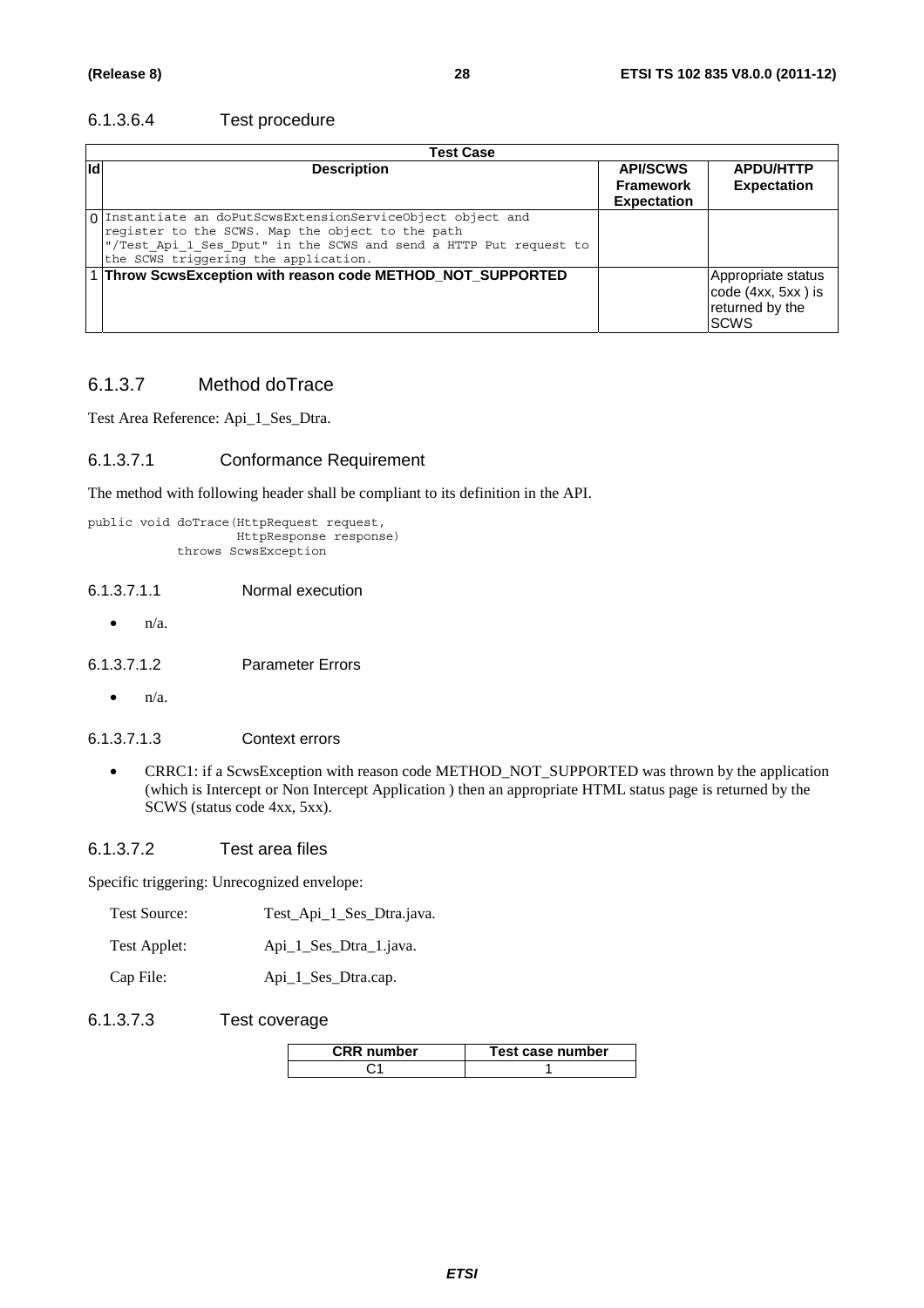#### 6.1.3.6.4 Test procedure

|     | Test Case                                                                                                                                                                                                                    |                                                           |                                                                            |
|-----|------------------------------------------------------------------------------------------------------------------------------------------------------------------------------------------------------------------------------|-----------------------------------------------------------|----------------------------------------------------------------------------|
| lld | <b>Description</b>                                                                                                                                                                                                           | <b>API/SCWS</b><br><b>Framework</b><br><b>Expectation</b> | <b>APDU/HTTP</b><br><b>Expectation</b>                                     |
|     | 0 Instantiate an doPutScwsExtensionServiceObject object and<br>register to the SCWS. Map the object to the path<br>"/Test_Api_1_Ses_Dput" in the SCWS and send a HTTP Put request to<br>the SCWS triggering the application. |                                                           |                                                                            |
|     | 1 Throw ScwsException with reason code METHOD_NOT_SUPPORTED                                                                                                                                                                  |                                                           | Appropriate status<br>code (4xx, 5xx) is<br>returned by the<br><b>SCWS</b> |

#### 6.1.3.7 Method doTrace

Test Area Reference: Api\_1\_Ses\_Dtra.

#### 6.1.3.7.1 Conformance Requirement

The method with following header shall be compliant to its definition in the API.

```
public void doTrace(HttpRequest request, 
           HttpResponse response) 
  throws ScwsException
```
#### 6.1.3.7.1.1 Normal execution

 $\bullet$   $n/a$ .

6.1.3.7.1.2 Parameter Errors

 $\bullet$  n/a.

#### 6.1.3.7.1.3 Context errors

• CRRC1: if a ScwsException with reason code METHOD\_NOT\_SUPPORTED was thrown by the application (which is Intercept or Non Intercept Application ) then an appropriate HTML status page is returned by the SCWS (status code 4xx, 5xx).

#### 6.1.3.7.2 Test area files

Specific triggering: Unrecognized envelope:

| Test Source:   | Test_Api_1_Ses_Dtra.java.             |
|----------------|---------------------------------------|
| $T$ est Annlet | $\Delta$ ni 1 $\Delta$ es Dtra 1 iava |

| rest Applet: | $Ap1_$ _1 $Bes_$ _Dua_1. Java |
|--------------|-------------------------------|
|              |                               |

Cap File: Api\_1\_Ses\_Dtra.cap.

#### 6.1.3.7.3 Test coverage

| <b>CRR</b> number | Test case number |
|-------------------|------------------|
|                   |                  |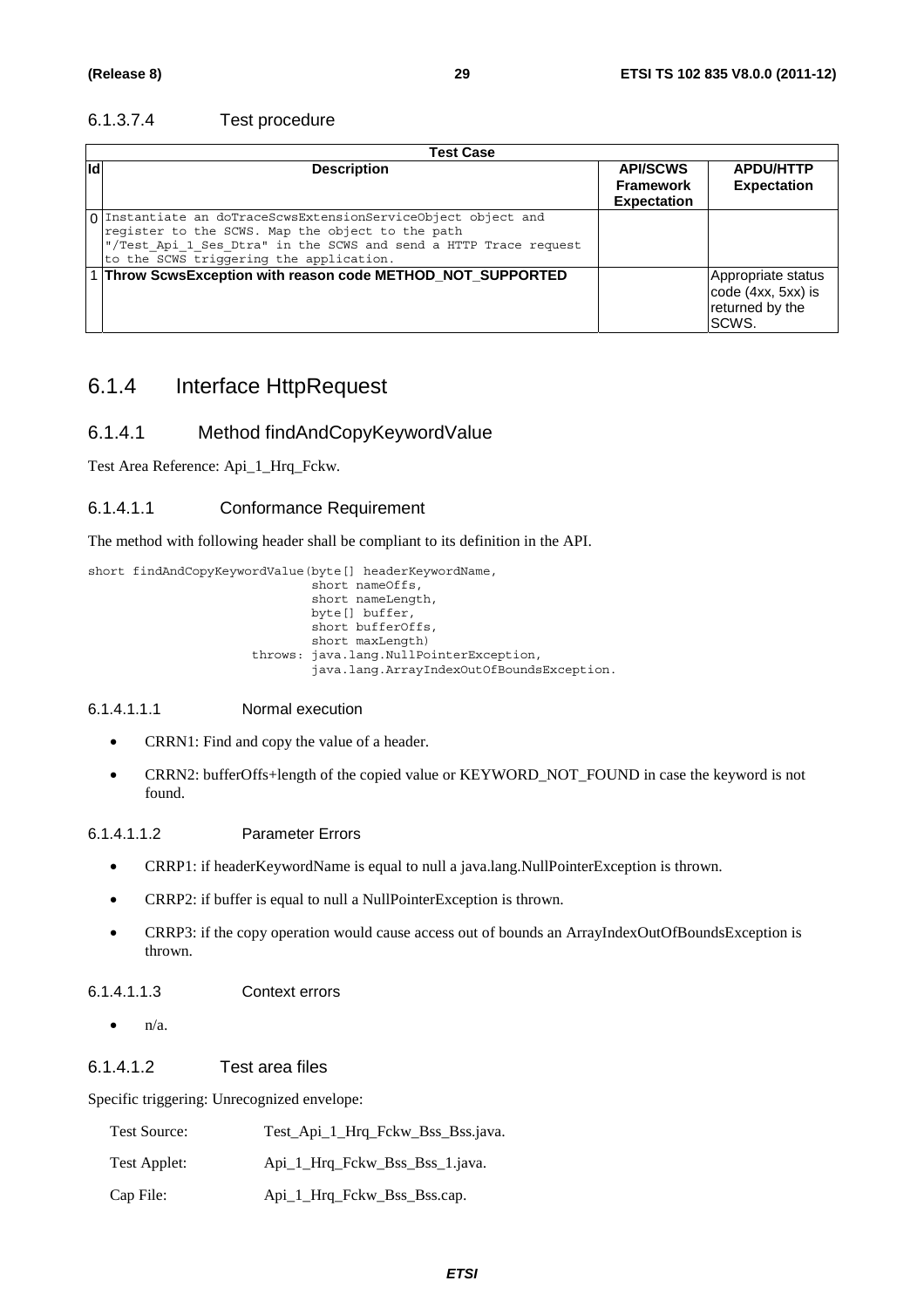#### 6.1.3.7.4 Test procedure

|     | <b>Test Case</b>                                                                                                                                                                                                                 |                                                           |                                                                      |  |  |
|-----|----------------------------------------------------------------------------------------------------------------------------------------------------------------------------------------------------------------------------------|-----------------------------------------------------------|----------------------------------------------------------------------|--|--|
| lld | <b>Description</b>                                                                                                                                                                                                               | <b>API/SCWS</b><br><b>Framework</b><br><b>Expectation</b> | <b>APDU/HTTP</b><br><b>Expectation</b>                               |  |  |
|     | 0 Instantiate an doTraceScwsExtensionServiceObject object and<br>register to the SCWS. Map the object to the path<br>"/Test Api 1 Ses Dtra" in the SCWS and send a HTTP Trace request<br>to the SCWS triggering the application. |                                                           |                                                                      |  |  |
|     | 1 Throw ScwsException with reason code METHOD_NOT_SUPPORTED                                                                                                                                                                      |                                                           | Appropriate status<br>code (4xx, 5xx) is<br>returned by the<br>SCWS. |  |  |

### 6.1.4 Interface HttpRequest

#### 6.1.4.1 Method findAndCopyKeywordValue

Test Area Reference: Api\_1\_Hrq\_Fckw.

#### 6.1.4.1.1 Conformance Requirement

The method with following header shall be compliant to its definition in the API.

short findAndCopyKeywordValue(byte[] headerKeywordName,  $short$  nameOffs, short nameLength, byte[] buffer, short bufferOffs, short maxLength) throws: java.lang.NullPointerException, java.lang.ArrayIndexOutOfBoundsException.

#### 6.1.4.1.1.1 Normal execution

- CRRN1: Find and copy the value of a header.
- CRRN2: bufferOffs+length of the copied value or KEYWORD\_NOT\_FOUND in case the keyword is not found.

#### 6.1.4.1.1.2 Parameter Errors

- CRRP1: if headerKeywordName is equal to null a java.lang.NullPointerException is thrown.
- CRRP2: if buffer is equal to null a NullPointerException is thrown.
- CRRP3: if the copy operation would cause access out of bounds an ArrayIndexOutOfBoundsException is thrown.

#### 6.1.4.1.1.3 Context errors

 $\bullet$   $n/a$ .

#### 6.1.4.1.2 Test area files

Specific triggering: Unrecognized envelope:

| <b>Test Source:</b> | Test_Api_1_Hrq_Fckw_Bss_Bss.java. |
|---------------------|-----------------------------------|
| Test Applet:        | Api 1 Hrq Fckw Bss Bss 1.java.    |
| Cap File:           | Api_1_Hrq_Fckw_Bss_Bss.cap.       |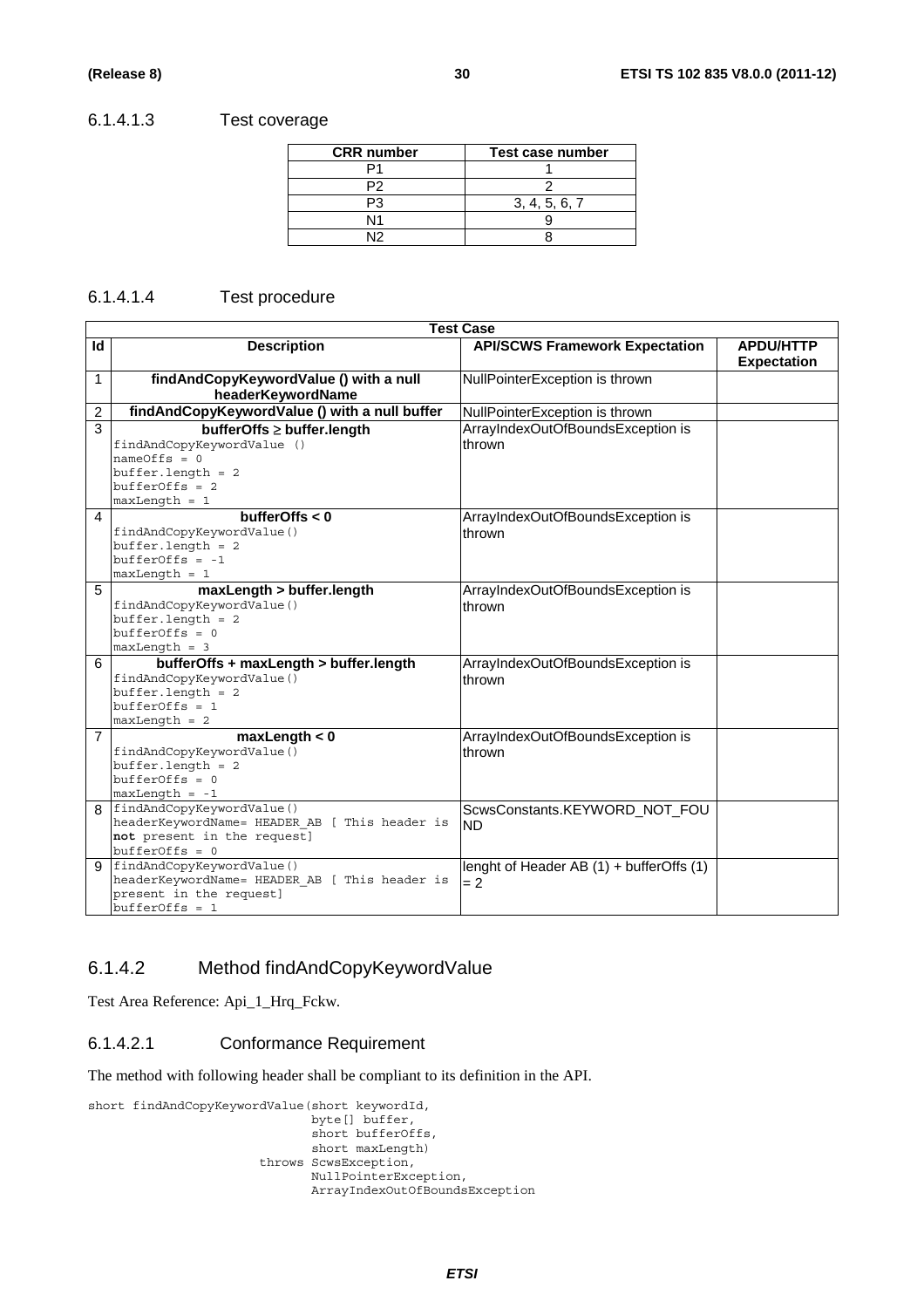#### 6.1.4.1.3 Test coverage

| <b>CRR</b> number | Test case number |
|-------------------|------------------|
|                   |                  |
|                   |                  |
|                   | 3, 4, 5, 6, 7    |
| N1                |                  |
|                   |                  |

#### 6.1.4.1.4 Test procedure

|                | <b>Test Case</b>                              |                                          |                    |  |  |  |
|----------------|-----------------------------------------------|------------------------------------------|--------------------|--|--|--|
| Id             | <b>Description</b>                            | <b>API/SCWS Framework Expectation</b>    | <b>APDU/HTTP</b>   |  |  |  |
|                |                                               |                                          | <b>Expectation</b> |  |  |  |
| 1              | findAndCopyKeywordValue () with a null        | NullPointerException is thrown           |                    |  |  |  |
|                | headerKeywordName                             |                                          |                    |  |  |  |
| $\overline{c}$ | findAndCopyKeywordValue () with a null buffer | NullPointerException is thrown           |                    |  |  |  |
| 3              | bufferOffs ≥ buffer.length                    | ArrayIndexOutOfBoundsException is        |                    |  |  |  |
|                | findAndCopyKeywordValue ()                    | thrown                                   |                    |  |  |  |
|                | $nameOffs = 0$                                |                                          |                    |  |  |  |
|                | $buffer.length = 2$                           |                                          |                    |  |  |  |
|                | $bufferOffs = 2$                              |                                          |                    |  |  |  |
|                | $maxLength = 1$                               |                                          |                    |  |  |  |
| 4              | bufferOffs $< 0$                              | ArrayIndexOutOfBoundsException is        |                    |  |  |  |
|                | findAndCopyKeywordValue()                     | thrown                                   |                    |  |  |  |
|                | $buffer.length = 2$                           |                                          |                    |  |  |  |
|                | $bufferOffs = -1$                             |                                          |                    |  |  |  |
|                | $maxLength = 1$                               |                                          |                    |  |  |  |
| 5              | maxLength > buffer.length                     | ArrayIndexOutOfBoundsException is        |                    |  |  |  |
|                | findAndCopyKeywordValue()                     | thrown                                   |                    |  |  |  |
|                | $buffer.length = 2$<br>$bufferOffs = 0$       |                                          |                    |  |  |  |
|                | $maxLength = 3$                               |                                          |                    |  |  |  |
|                | bufferOffs + maxLength > buffer.length        |                                          |                    |  |  |  |
| 6              | findAndCopyKeywordValue()                     | ArrayIndexOutOfBoundsException is        |                    |  |  |  |
|                | $buffer.length = 2$                           | thrown                                   |                    |  |  |  |
|                | $bufferOffs = 1$                              |                                          |                    |  |  |  |
|                | $maxLength = 2$                               |                                          |                    |  |  |  |
| 7              | maxLength < 0                                 | ArrayIndexOutOfBoundsException is        |                    |  |  |  |
|                | findAndCopyKeywordValue()                     | thrown                                   |                    |  |  |  |
|                | $buffer.length = 2$                           |                                          |                    |  |  |  |
|                | $bufferOffs = 0$                              |                                          |                    |  |  |  |
|                | $maxLength = -1$                              |                                          |                    |  |  |  |
| 8              | findAndCopyKeywordValue()                     | ScwsConstants.KEYWORD_NOT_FOU            |                    |  |  |  |
|                | headerKeywordName= HEADER AB [ This header is | <b>ND</b>                                |                    |  |  |  |
|                | not present in the request]                   |                                          |                    |  |  |  |
|                | $bufferOffs = 0$                              |                                          |                    |  |  |  |
| g              | findAndCopyKeywordValue()                     | lenght of Header AB (1) + bufferOffs (1) |                    |  |  |  |
|                | headerKeywordName= HEADER AB [ This header is | $= 2$                                    |                    |  |  |  |
|                | present in the request]                       |                                          |                    |  |  |  |
|                | $bufferOffs = 1$                              |                                          |                    |  |  |  |

### 6.1.4.2 Method findAndCopyKeywordValue

Test Area Reference: Api\_1\_Hrq\_Fckw.

#### 6.1.4.2.1 Conformance Requirement

The method with following header shall be compliant to its definition in the API.

```
short findAndCopyKeywordValue(short keywordId, 
                      byte[] buffer, 
                     short bufferOffs,
                    short maxLength)
              throws ScwsException, 
                     NullPointerException, 
                     ArrayIndexOutOfBoundsException
```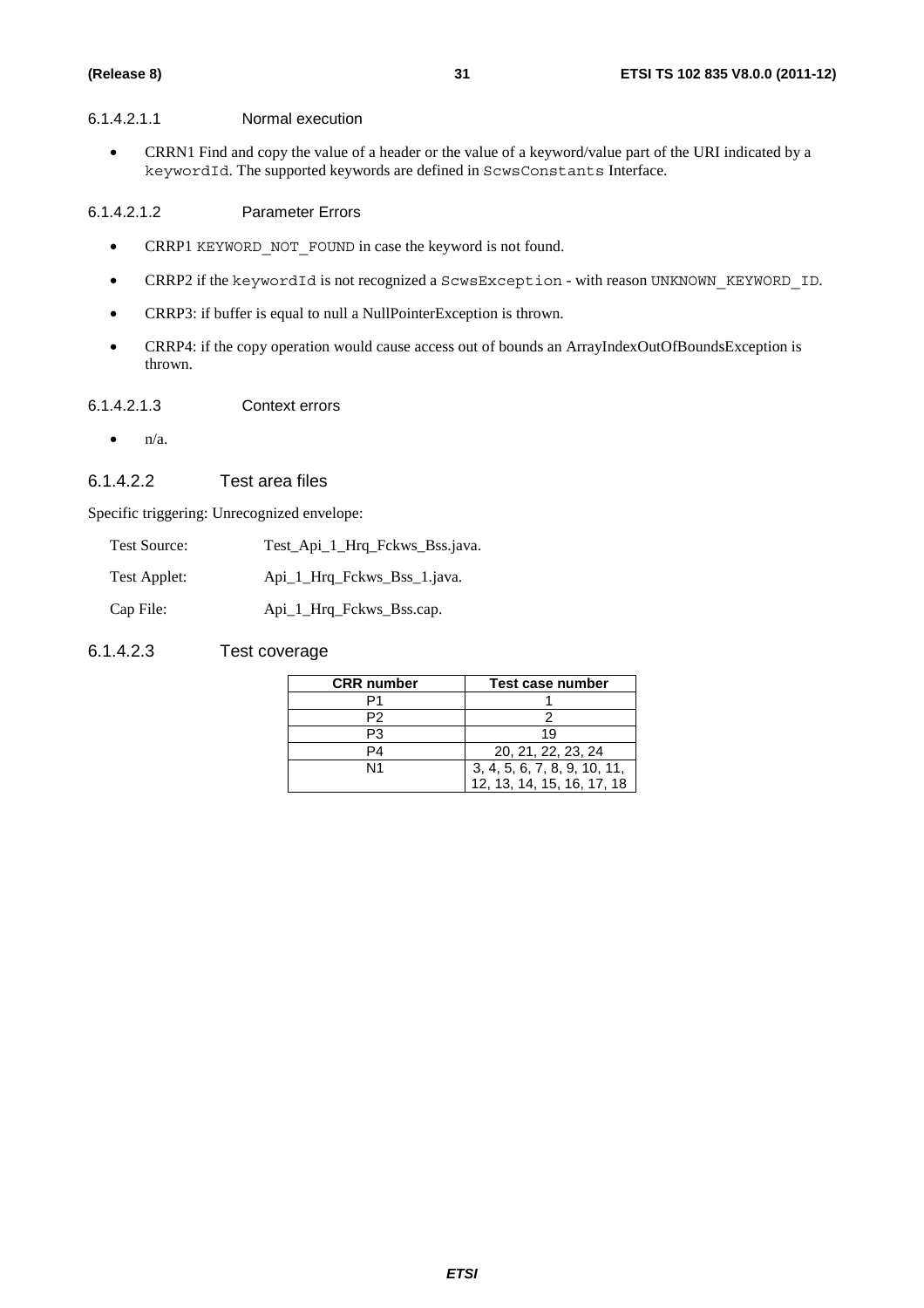#### 6.1.4.2.1.1 Normal execution

• CRRN1 Find and copy the value of a header or the value of a keyword/value part of the URI indicated by a keywordId. The supported keywords are defined in ScwsConstants Interface.

#### 6.1.4.2.1.2 Parameter Errors

- CRRP1 KEYWORD NOT FOUND in case the keyword is not found.
- CRRP2 if the keywordId is not recognized a ScwsException with reason UNKNOWN KEYWORD ID.
- CRRP3: if buffer is equal to null a NullPointerException is thrown.
- CRRP4: if the copy operation would cause access out of bounds an ArrayIndexOutOfBoundsException is thrown.

#### 6.1.4.2.1.3 Context errors

 $\bullet$   $n/a$ .

#### 6.1.4.2.2 Test area files

Specific triggering: Unrecognized envelope:

| Test Source: | Test_Api_1_Hrq_Fckws_Bss.java. |
|--------------|--------------------------------|
|--------------|--------------------------------|

Test Applet: Api\_1\_Hrq\_Fckws\_Bss\_1.java.

Cap File: Api\_1\_Hrq\_Fckws\_Bss.cap.

#### 6.1.4.2.3 Test coverage

| <b>CRR</b> number | Test case number                                           |  |  |
|-------------------|------------------------------------------------------------|--|--|
|                   |                                                            |  |  |
| P2                |                                                            |  |  |
| Р3                | 19                                                         |  |  |
| PΔ                | 20, 21, 22, 23, 24                                         |  |  |
| N1                | 3, 4, 5, 6, 7, 8, 9, 10, 11,<br>12, 13, 14, 15, 16, 17, 18 |  |  |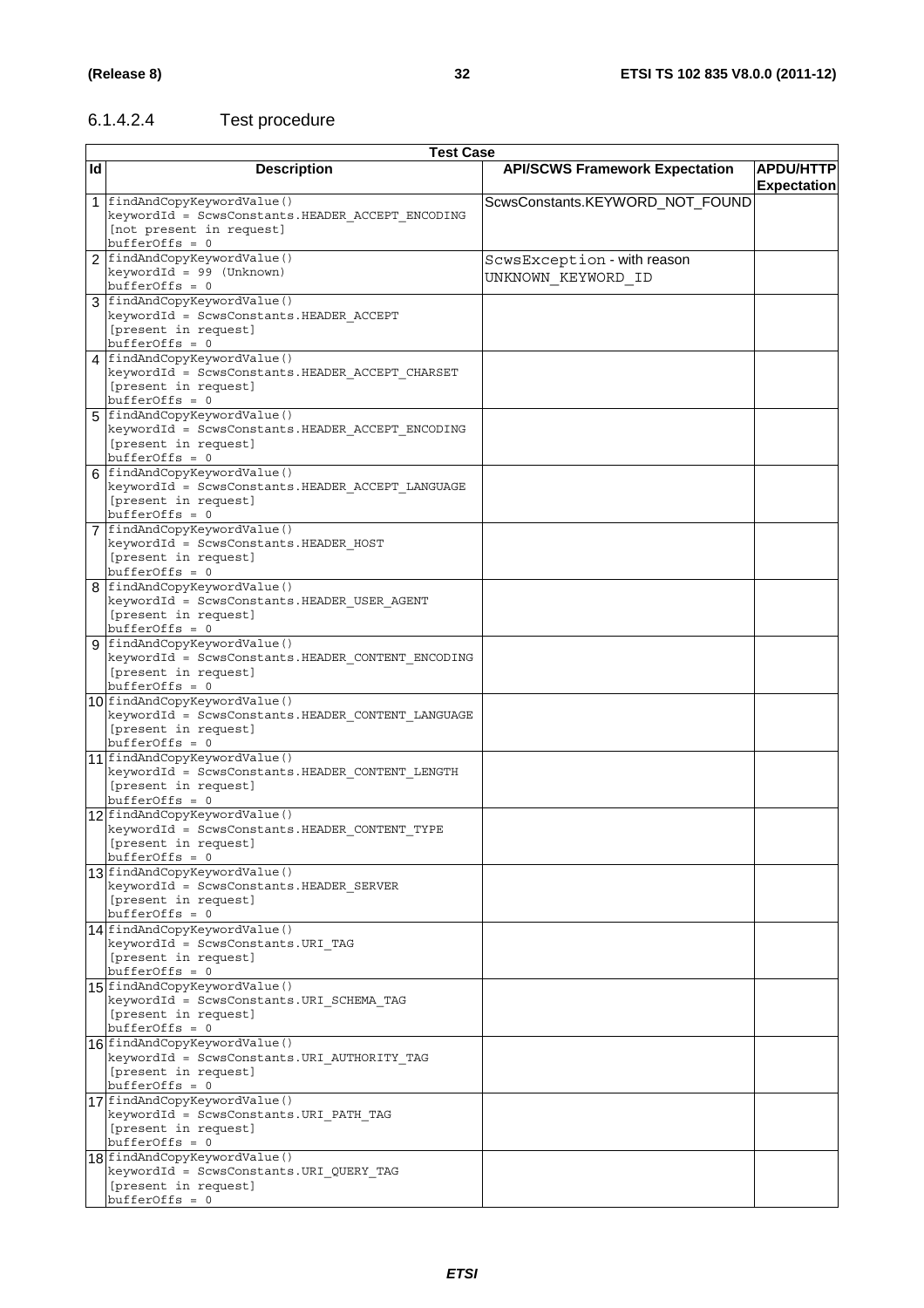### 6.1.4.2.4 Test procedure

|    | <b>Test Case</b>                                                               |                                       |                                        |  |  |  |
|----|--------------------------------------------------------------------------------|---------------------------------------|----------------------------------------|--|--|--|
| ld | <b>Description</b>                                                             | <b>API/SCWS Framework Expectation</b> | <b>APDU/HTTP</b><br><b>Expectation</b> |  |  |  |
|    | 1 findAndCopyKeywordValue()                                                    | ScwsConstants.KEYWORD_NOT_FOUND       |                                        |  |  |  |
|    | keywordId = ScwsConstants.HEADER ACCEPT ENCODING<br>[not present in request]   |                                       |                                        |  |  |  |
|    | $bufferOffs = 0$                                                               |                                       |                                        |  |  |  |
|    | 2 findAndCopyKeywordValue()                                                    | ScwsException - with reason           |                                        |  |  |  |
|    | keywordId = 99 (Unknown)                                                       | UNKNOWN KEYWORD ID                    |                                        |  |  |  |
|    | $bufferOffs = 0$<br>3 findAndCopyKeywordValue()                                |                                       |                                        |  |  |  |
|    | keywordId = ScwsConstants.HEADER ACCEPT                                        |                                       |                                        |  |  |  |
|    | [present in request]                                                           |                                       |                                        |  |  |  |
|    | $bufferOffs = 0$                                                               |                                       |                                        |  |  |  |
|    | 4 findAndCopyKeywordValue()<br>keywordId = ScwsConstants.HEADER ACCEPT CHARSET |                                       |                                        |  |  |  |
|    | [present in request]                                                           |                                       |                                        |  |  |  |
|    | $bufferOffs = 0$                                                               |                                       |                                        |  |  |  |
|    | 5 findAndCopyKeywordValue()                                                    |                                       |                                        |  |  |  |
|    | keywordId = ScwsConstants.HEADER ACCEPT ENCODING                               |                                       |                                        |  |  |  |
|    | [present in request]<br>$bufferOffs = 0$                                       |                                       |                                        |  |  |  |
|    | 6 findAndCopyKeywordValue()                                                    |                                       |                                        |  |  |  |
|    | keywordId = ScwsConstants.HEADER_ACCEPT_LANGUAGE                               |                                       |                                        |  |  |  |
|    | [present in request]<br>$bufferOffs = 0$                                       |                                       |                                        |  |  |  |
|    | 7 findAndCopyKeywordValue()                                                    |                                       |                                        |  |  |  |
|    | keywordId = ScwsConstants.HEADER_HOST                                          |                                       |                                        |  |  |  |
|    | [present in request]                                                           |                                       |                                        |  |  |  |
|    | $butferoffs = 0$                                                               |                                       |                                        |  |  |  |
|    | 8 findAndCopyKeywordValue()<br>keywordId = ScwsConstants.HEADER_USER_AGENT     |                                       |                                        |  |  |  |
|    | [present in request]                                                           |                                       |                                        |  |  |  |
|    | $bufferOffs = 0$                                                               |                                       |                                        |  |  |  |
|    | 9 findAndCopyKeywordValue()                                                    |                                       |                                        |  |  |  |
|    | keywordId = ScwsConstants.HEADER_CONTENT_ENCODING<br>[present in request]      |                                       |                                        |  |  |  |
|    | $bufferOffs = 0$                                                               |                                       |                                        |  |  |  |
|    | 10 findAndCopyKeywordValue()                                                   |                                       |                                        |  |  |  |
|    | keywordId = ScwsConstants.HEADER_CONTENT_LANGUAGE                              |                                       |                                        |  |  |  |
|    | [present in request]<br>$bufferOffs = 0$                                       |                                       |                                        |  |  |  |
|    | 11 findAndCopyKeywordValue()                                                   |                                       |                                        |  |  |  |
|    | keywordId = ScwsConstants.HEADER CONTENT LENGTH                                |                                       |                                        |  |  |  |
|    | [present in request]                                                           |                                       |                                        |  |  |  |
|    | $bufferOffs = 0$<br>12 findAndCopyKeywordValue()                               |                                       |                                        |  |  |  |
|    | keywordId = ScwsConstants.HEADER CONTENT TYPE                                  |                                       |                                        |  |  |  |
|    | [present in request]                                                           |                                       |                                        |  |  |  |
|    | $bufferOffs = 0$                                                               |                                       |                                        |  |  |  |
|    | 13 findAndCopyKeywordValue()<br>keywordId = ScwsConstants.HEADER SERVER        |                                       |                                        |  |  |  |
|    | [present in request]                                                           |                                       |                                        |  |  |  |
|    | $bufferOffs = 0$                                                               |                                       |                                        |  |  |  |
|    | 14 findAndCopyKeywordValue()                                                   |                                       |                                        |  |  |  |
|    | keywordId = ScwsConstants.URI TAG<br>[present in request]                      |                                       |                                        |  |  |  |
|    | $bufferOffs = 0$                                                               |                                       |                                        |  |  |  |
|    | 15 findAndCopyKeywordValue()                                                   |                                       |                                        |  |  |  |
|    | keywordId = ScwsConstants.URI SCHEMA TAG                                       |                                       |                                        |  |  |  |
|    | [present in request]<br>$bufferOffs = 0$                                       |                                       |                                        |  |  |  |
|    | 16 findAndCopyKeywordValue()                                                   |                                       |                                        |  |  |  |
|    | keywordId = ScwsConstants.URI AUTHORITY TAG                                    |                                       |                                        |  |  |  |
|    | [present in request]                                                           |                                       |                                        |  |  |  |
|    | $bufferOffs = 0$                                                               |                                       |                                        |  |  |  |
|    | 17 findAndCopyKeywordValue()<br>keywordId = ScwsConstants.URI PATH TAG         |                                       |                                        |  |  |  |
|    | [present in request]                                                           |                                       |                                        |  |  |  |
|    | $bufferOffs = 0$                                                               |                                       |                                        |  |  |  |
|    | 18 findAndCopyKeywordValue()                                                   |                                       |                                        |  |  |  |
|    | keywordId = ScwsConstants.URI QUERY TAG<br>[present in request]                |                                       |                                        |  |  |  |
|    | $bufferOffs = 0$                                                               |                                       |                                        |  |  |  |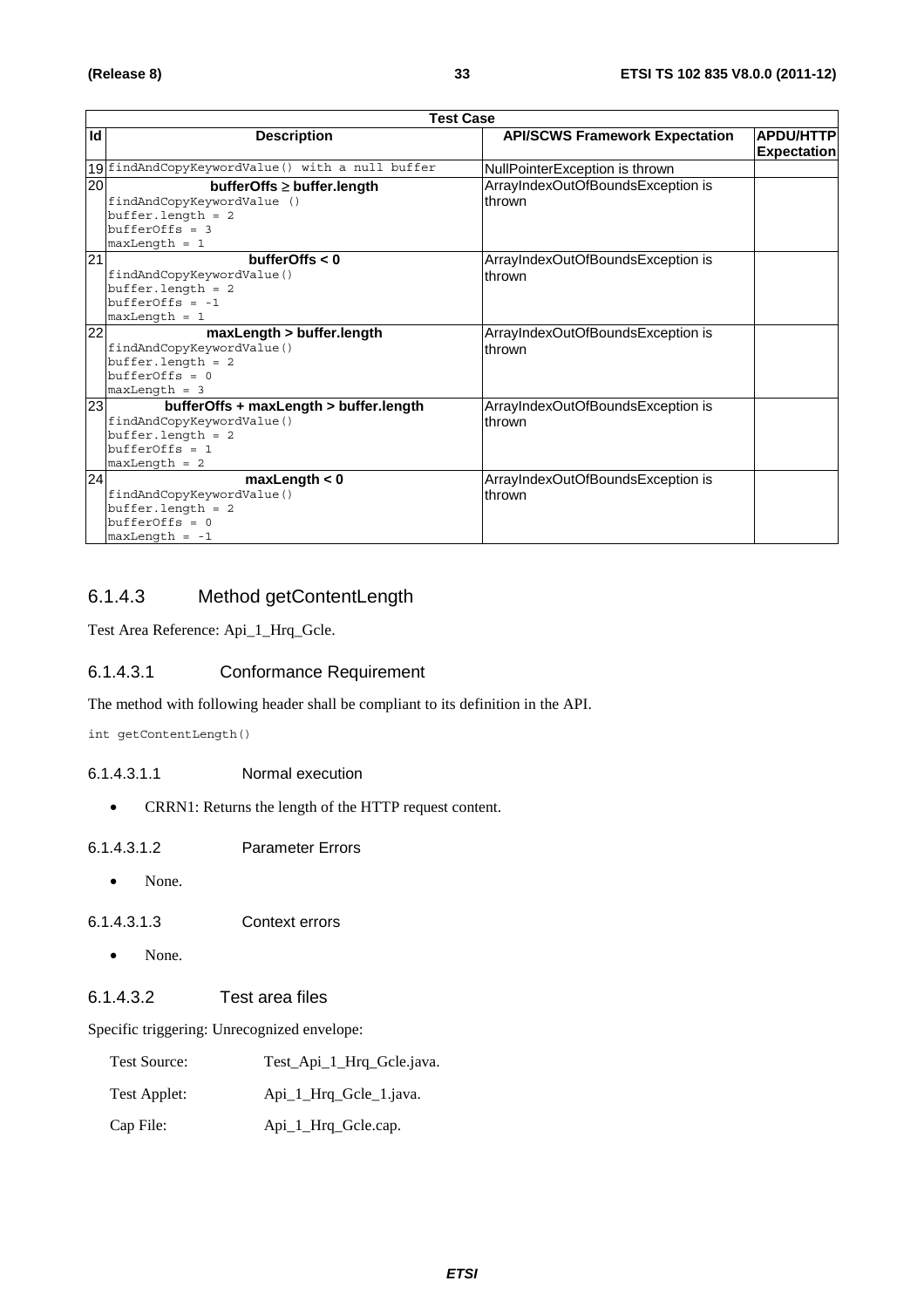|          | <b>Test Case</b>                                                                                                                                                                                                                                                                                             |                                                                                            |                    |  |  |
|----------|--------------------------------------------------------------------------------------------------------------------------------------------------------------------------------------------------------------------------------------------------------------------------------------------------------------|--------------------------------------------------------------------------------------------|--------------------|--|--|
| Id       | <b>Description</b>                                                                                                                                                                                                                                                                                           | <b>API/SCWS Framework Expectation</b>                                                      | <b>APDU/HTTP</b>   |  |  |
|          |                                                                                                                                                                                                                                                                                                              |                                                                                            | <b>Expectation</b> |  |  |
|          | 19 findAndCopyKeywordValue() with a null buffer                                                                                                                                                                                                                                                              | NullPointerException is thrown                                                             |                    |  |  |
| 20       | $bufferOffs \geq buffer.length$                                                                                                                                                                                                                                                                              | ArrayIndexOutOfBoundsException is                                                          |                    |  |  |
|          | findAndCopyKeywordValue ()                                                                                                                                                                                                                                                                                   | thrown                                                                                     |                    |  |  |
|          | $buffer.length = 2$                                                                                                                                                                                                                                                                                          |                                                                                            |                    |  |  |
|          | $bufferOffs = 3$                                                                                                                                                                                                                                                                                             |                                                                                            |                    |  |  |
|          | $maxLength = 1$                                                                                                                                                                                                                                                                                              |                                                                                            |                    |  |  |
| 21       | bufferOffs $< 0$                                                                                                                                                                                                                                                                                             | ArrayIndexOutOfBoundsException is                                                          |                    |  |  |
|          | findAndCopyKeywordValue()                                                                                                                                                                                                                                                                                    | thrown                                                                                     |                    |  |  |
|          | $buffer.length = 2$                                                                                                                                                                                                                                                                                          |                                                                                            |                    |  |  |
|          | $bufferOffs = -1$                                                                                                                                                                                                                                                                                            |                                                                                            |                    |  |  |
|          | $maxLength = 1$                                                                                                                                                                                                                                                                                              |                                                                                            |                    |  |  |
| 22       | maxLength > buffer.length                                                                                                                                                                                                                                                                                    | ArrayIndexOutOfBoundsException is                                                          |                    |  |  |
|          | findAndCopyKeywordValue()                                                                                                                                                                                                                                                                                    | thrown                                                                                     |                    |  |  |
|          |                                                                                                                                                                                                                                                                                                              |                                                                                            |                    |  |  |
|          |                                                                                                                                                                                                                                                                                                              |                                                                                            |                    |  |  |
|          |                                                                                                                                                                                                                                                                                                              |                                                                                            |                    |  |  |
|          |                                                                                                                                                                                                                                                                                                              |                                                                                            |                    |  |  |
|          |                                                                                                                                                                                                                                                                                                              |                                                                                            |                    |  |  |
|          |                                                                                                                                                                                                                                                                                                              |                                                                                            |                    |  |  |
|          |                                                                                                                                                                                                                                                                                                              |                                                                                            |                    |  |  |
|          |                                                                                                                                                                                                                                                                                                              |                                                                                            |                    |  |  |
|          |                                                                                                                                                                                                                                                                                                              |                                                                                            |                    |  |  |
|          |                                                                                                                                                                                                                                                                                                              |                                                                                            |                    |  |  |
|          |                                                                                                                                                                                                                                                                                                              |                                                                                            |                    |  |  |
|          |                                                                                                                                                                                                                                                                                                              |                                                                                            |                    |  |  |
| 23<br>24 | $buffer.length = 2$<br>$bufferOffs = 0$<br>$maxLength = 3$<br>bufferOffs + maxLength > buffer.length<br>findAndCopyKeywordValue()<br>$buffer.length = 2$<br>$bufferOffs = 1$<br>$maxLength = 2$<br>maxLength < 0<br>findAndCopyKeywordValue()<br>$buffer.length = 2$<br>$bufferOffs = 0$<br>$maxLength = -1$ | ArrayIndexOutOfBoundsException is<br>thrown<br>ArrayIndexOutOfBoundsException is<br>thrown |                    |  |  |

### 6.1.4.3 Method getContentLength

Test Area Reference: Api\_1\_Hrq\_Gcle.

#### 6.1.4.3.1 Conformance Requirement

The method with following header shall be compliant to its definition in the API.

int getContentLength()

- 6.1.4.3.1.1 Normal execution
	- CRRN1: Returns the length of the HTTP request content.
- 6.1.4.3.1.2 Parameter Errors
	- None.
- 6.1.4.3.1.3 Context errors
	- None.

#### 6.1.4.3.2 Test area files

Specific triggering: Unrecognized envelope:

| Test Source: | Test_Api_1_Hrq_Gcle.java. |
|--------------|---------------------------|
| Test Applet: | Api 1 Hrg Gele 1.java.    |
| Cap File:    | Api_1_Hrq_Gcle.cap.       |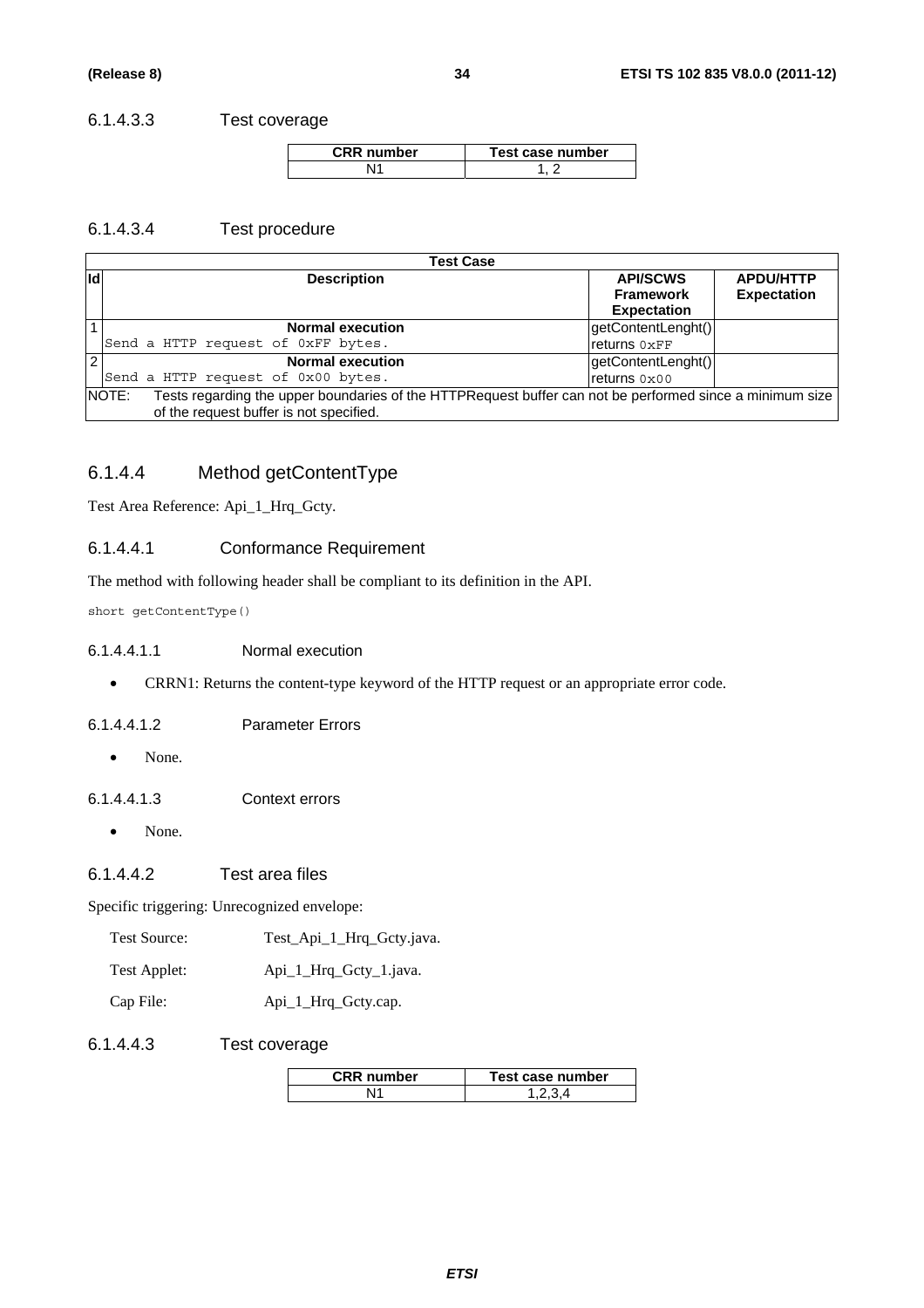#### 6.1.4.3.3 Test coverage

| <b>CRR</b> number | Test case number |
|-------------------|------------------|
|                   |                  |

#### 6.1.4.3.4 Test procedure

|                                                                                                                   | <b>Test Case</b>                        |                    |                    |  |  |  |  |
|-------------------------------------------------------------------------------------------------------------------|-----------------------------------------|--------------------|--------------------|--|--|--|--|
| <b>Id</b>                                                                                                         | <b>Description</b>                      | <b>API/SCWS</b>    | <b>APDU/HTTP</b>   |  |  |  |  |
|                                                                                                                   |                                         | <b>Framework</b>   | <b>Expectation</b> |  |  |  |  |
|                                                                                                                   |                                         | <b>Expectation</b> |                    |  |  |  |  |
|                                                                                                                   | <b>Normal execution</b>                 | getContentLenght() |                    |  |  |  |  |
|                                                                                                                   | Send a HTTP request of 0xFF bytes.      | returns 0xFF       |                    |  |  |  |  |
| $\overline{2}$                                                                                                    | <b>Normal execution</b>                 | getContentLenght() |                    |  |  |  |  |
|                                                                                                                   | Send a HTTP request of 0x00 bytes.      | returns 0x00       |                    |  |  |  |  |
| Tests regarding the upper boundaries of the HTTPRequest buffer can not be performed since a minimum size<br>NOTE: |                                         |                    |                    |  |  |  |  |
|                                                                                                                   | of the request buffer is not specified. |                    |                    |  |  |  |  |

### 6.1.4.4 Method getContentType

Test Area Reference: Api\_1\_Hrq\_Gcty.

#### 6.1.4.4.1 Conformance Requirement

The method with following header shall be compliant to its definition in the API.

short getContentType()

#### 6.1.4.4.1.1 Normal execution

• CRRN1: Returns the content-type keyword of the HTTP request or an appropriate error code.

#### 6.1.4.4.1.2 Parameter Errors

• None.

6.1.4.4.1.3 Context errors

• None.

#### 6.1.4.4.2 Test area files

Specific triggering: Unrecognized envelope:

| Test Source: |  |  |  |  | Test_Api_1_Hrq_Gcty.java. |  |
|--------------|--|--|--|--|---------------------------|--|
|--------------|--|--|--|--|---------------------------|--|

- Test Applet: Api\_1\_Hrq\_Gcty\_1.java.
- Cap File: Api\_1\_Hrq\_Gcty.cap.

#### 6.1.4.4.3 Test coverage

| <b>CRR</b> number | Test case number |
|-------------------|------------------|
|                   |                  |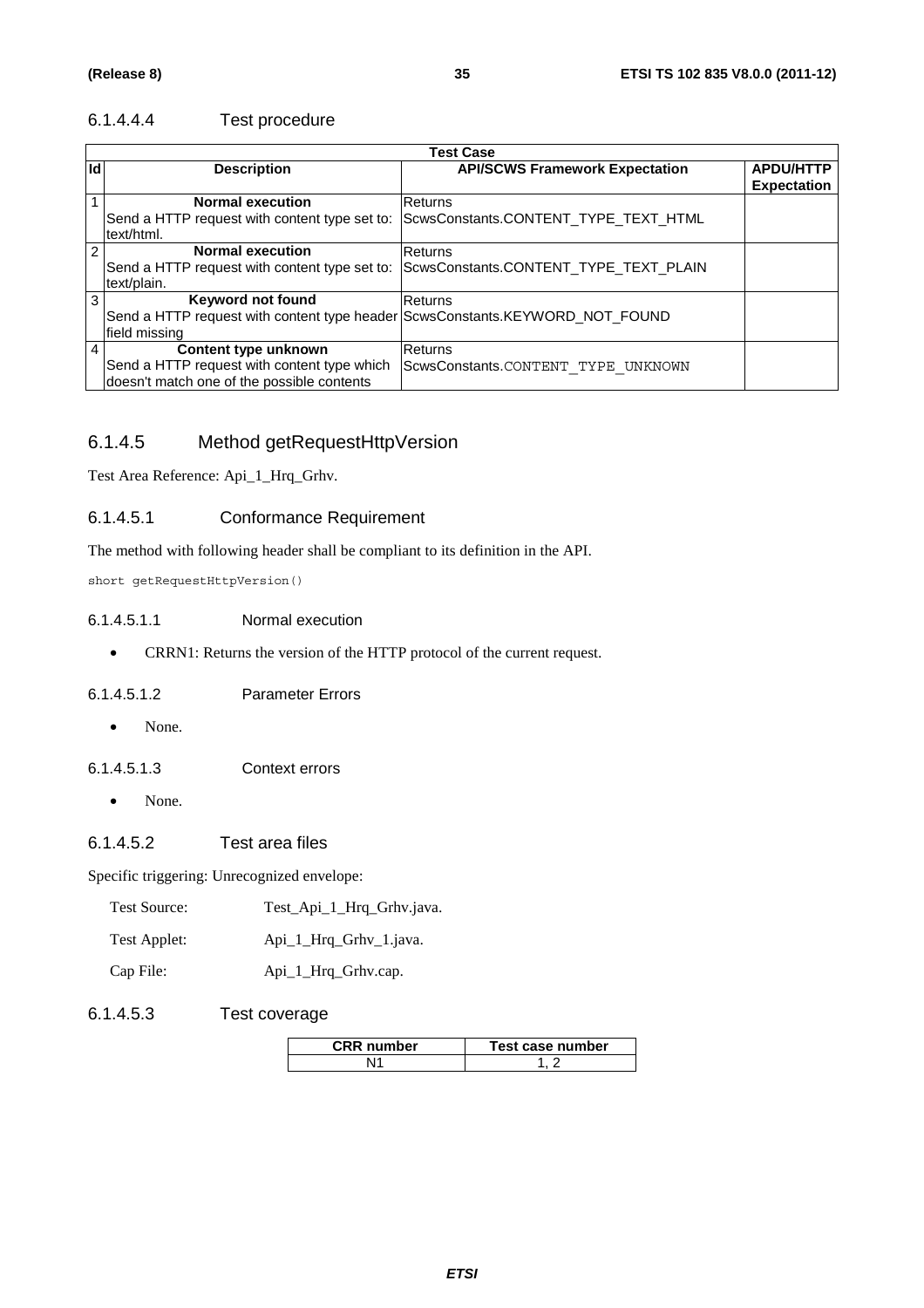#### 6.1.4.4.4 Test procedure

|                | <b>Test Case</b>                                                                                                          |                                                  |                                        |  |  |
|----------------|---------------------------------------------------------------------------------------------------------------------------|--------------------------------------------------|----------------------------------------|--|--|
| Id             | <b>Description</b>                                                                                                        | <b>API/SCWS Framework Expectation</b>            | <b>APDU/HTTP</b><br><b>Expectation</b> |  |  |
|                | <b>Normal execution</b><br>Send a HTTP request with content type set to:<br>text/html.                                    | Returns<br>ScwsConstants.CONTENT_TYPE_TEXT_HTML  |                                        |  |  |
| 2              | <b>Normal execution</b><br>Send a HTTP request with content type set to:<br>text/plain.                                   | Returns<br>ScwsConstants.CONTENT_TYPE_TEXT_PLAIN |                                        |  |  |
| 3              | <b>Keyword not found</b><br>Send a HTTP request with content type header ScwsConstants.KEYWORD_NOT_FOUND<br>field missing | Returns                                          |                                        |  |  |
| $\overline{4}$ | Content type unknown<br>Send a HTTP request with content type which<br>doesn't match one of the possible contents         | Returns<br>ScwsConstants.CONTENT TYPE UNKNOWN    |                                        |  |  |

### 6.1.4.5 Method getRequestHttpVersion

Test Area Reference: Api\_1\_Hrq\_Grhv.

#### 6.1.4.5.1 Conformance Requirement

The method with following header shall be compliant to its definition in the API.

short getRequestHttpVersion()

#### 6.1.4.5.1.1 Normal execution

• CRRN1: Returns the version of the HTTP protocol of the current request.

#### 6.1.4.5.1.2 Parameter Errors

• None.

6.1.4.5.1.3 Context errors

- None.
- 6.1.4.5.2 Test area files

Specific triggering: Unrecognized envelope:

| Test Source: | Test_Api_1_Hrq_Grhv.java. |
|--------------|---------------------------|
|--------------|---------------------------|

| Test Applet: | Api_1_Hrq_Grhv_1.java. |
|--------------|------------------------|
|--------------|------------------------|

Cap File: Api\_1\_Hrq\_Grhv.cap.

#### 6.1.4.5.3 Test coverage

| <b>CRR</b> number | Test case number |
|-------------------|------------------|
|                   |                  |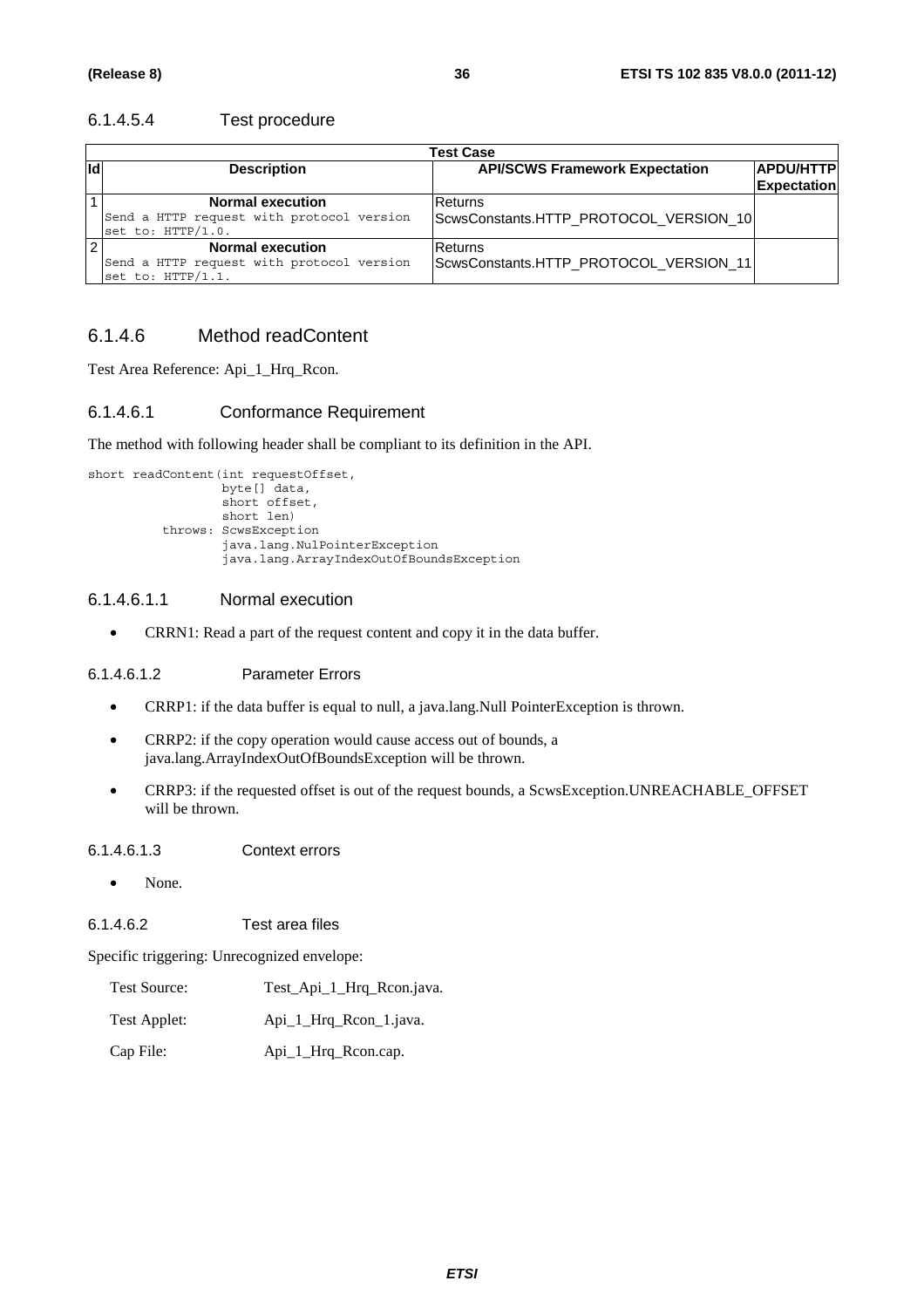#### 6.1.4.5.4 Test procedure

|     | <b>Test Case</b>                                                                          |                                                   |                                        |  |  |  |
|-----|-------------------------------------------------------------------------------------------|---------------------------------------------------|----------------------------------------|--|--|--|
| lld | <b>Description</b>                                                                        | <b>API/SCWS Framework Expectation</b>             | <b>APDU/HTTP</b><br><b>Expectation</b> |  |  |  |
|     | <b>Normal execution</b><br>Send a HTTP request with protocol version<br>set to: HTTP/1.0. | Returns<br>ScwsConstants.HTTP_PROTOCOL_VERSION_10 |                                        |  |  |  |
|     | <b>Normal execution</b><br>Send a HTTP request with protocol version<br>set to: HTTP/1.1. | Returns<br>ScwsConstants.HTTP_PROTOCOL_VERSION_11 |                                        |  |  |  |

#### 6.1.4.6 Method readContent

Test Area Reference: Api\_1\_Hrq\_Rcon.

#### 6.1.4.6.1 Conformance Requirement

The method with following header shall be compliant to its definition in the API.

```
short readContent(int requestOffset,
         byte[] data, 
         short offset, 
         short len) 
throws: ScwsException 
         java.lang.NulPointerException 
         java.lang.ArrayIndexOutOfBoundsException
```
#### 6.1.4.6.1.1 Normal execution

• CRRN1: Read a part of the request content and copy it in the data buffer.

6.1.4.6.1.2 Parameter Errors

- CRRP1: if the data buffer is equal to null, a java.lang.Null PointerException is thrown.
- CRRP2: if the copy operation would cause access out of bounds, a java.lang.ArrayIndexOutOfBoundsException will be thrown.
- CRRP3: if the requested offset is out of the request bounds, a ScwsException.UNREACHABLE\_OFFSET will be thrown.

6.1.4.6.1.3 Context errors

• None.

6.1.4.6.2 Test area files

Specific triggering: Unrecognized envelope:

Test Source: Test\_Api\_1\_Hrq\_Rcon.java.

- Test Applet: Api\_1\_Hrq\_Rcon\_1.java.
- Cap File: Api\_1\_Hrq\_Rcon.cap.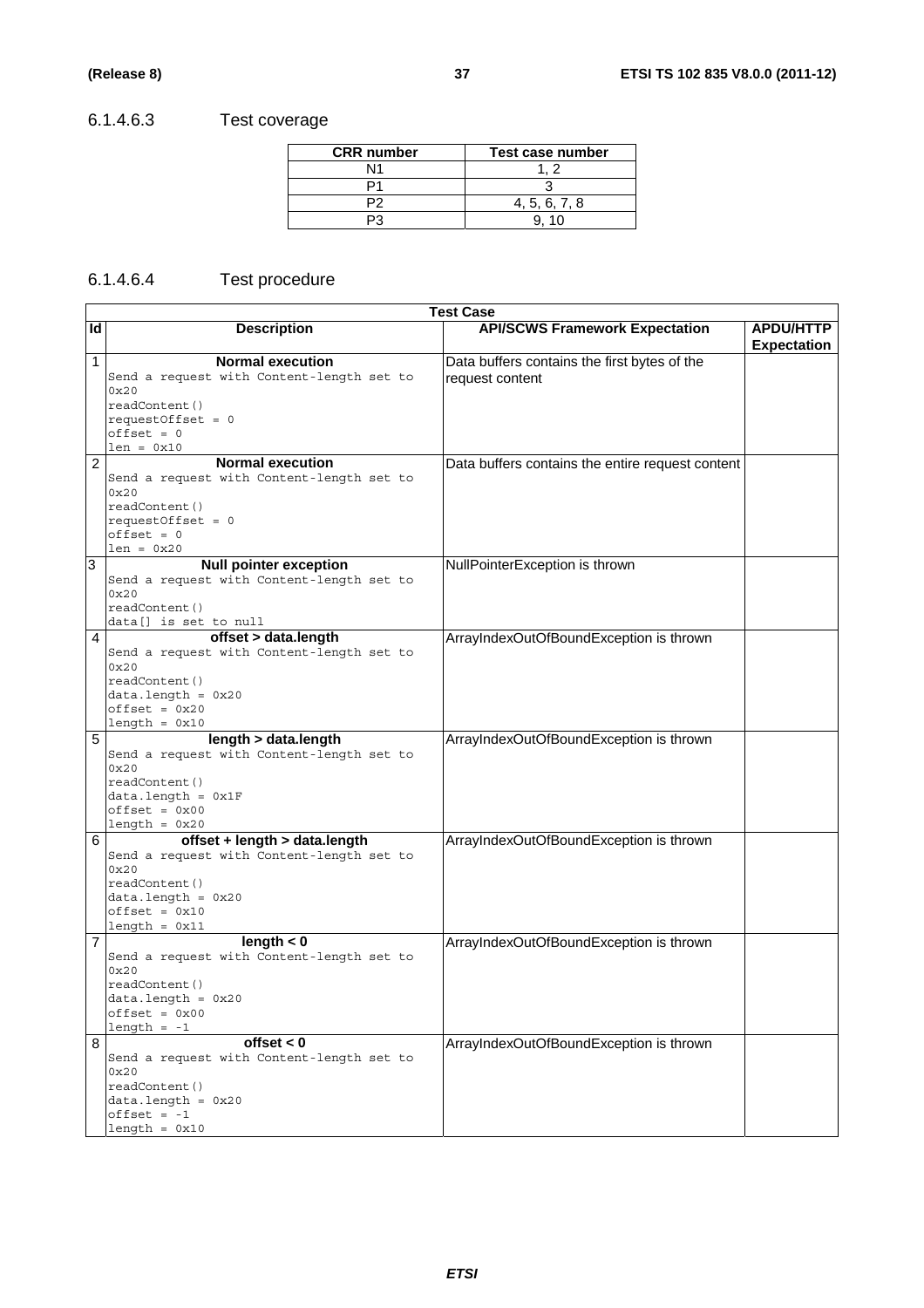# 6.1.4.6.3 Test coverage

| <b>CRR</b> number | Test case number |
|-------------------|------------------|
| Ν1                |                  |
|                   |                  |
|                   | 4, 5, 6, 7, 8    |
|                   |                  |

# 6.1.4.6.4 Test procedure

|              | <b>Test Case</b>                          |                                                  |                    |
|--------------|-------------------------------------------|--------------------------------------------------|--------------------|
| Id           | <b>Description</b>                        | <b>API/SCWS Framework Expectation</b>            | <b>APDU/HTTP</b>   |
|              |                                           |                                                  | <b>Expectation</b> |
| $\mathbf{1}$ | <b>Normal execution</b>                   | Data buffers contains the first bytes of the     |                    |
|              | Send a request with Content-length set to | request content                                  |                    |
|              | 0x20                                      |                                                  |                    |
|              | readContent()                             |                                                  |                    |
|              | requestOffset = $0$                       |                                                  |                    |
|              | $offset = 0$                              |                                                  |                    |
|              | $len = 0x10$                              |                                                  |                    |
| 2            | <b>Normal execution</b>                   | Data buffers contains the entire request content |                    |
|              | Send a request with Content-length set to |                                                  |                    |
|              | 0x20                                      |                                                  |                    |
|              | readContent()                             |                                                  |                    |
|              | requestOffset = $0$                       |                                                  |                    |
|              | $offset = 0$                              |                                                  |                    |
|              | $len = 0x20$                              |                                                  |                    |
| 3            | <b>Null pointer exception</b>             | NullPointerException is thrown                   |                    |
|              | Send a request with Content-length set to |                                                  |                    |
|              | 0x20                                      |                                                  |                    |
|              | readContent()                             |                                                  |                    |
|              | data[] is set to null                     |                                                  |                    |
| 4            | offset > data.length                      | ArrayIndexOutOfBoundException is thrown          |                    |
|              | Send a request with Content-length set to |                                                  |                    |
|              | 0x20                                      |                                                  |                    |
|              | readContent()                             |                                                  |                    |
|              | $data.length = 0x20$<br>$offset = 0x20$   |                                                  |                    |
|              | $length = 0x10$                           |                                                  |                    |
| 5            | length > data.length                      | ArrayIndexOutOfBoundException is thrown          |                    |
|              | Send a request with Content-length set to |                                                  |                    |
|              | 0x20                                      |                                                  |                    |
|              | readContent()                             |                                                  |                    |
|              | $data.length = 0x1F$                      |                                                  |                    |
|              | $offset = 0x00$                           |                                                  |                    |
|              | $length = 0x20$                           |                                                  |                    |
| 6            | offset + length > data.length             | ArrayIndexOutOfBoundException is thrown          |                    |
|              | Send a request with Content-length set to |                                                  |                    |
|              | 0x20                                      |                                                  |                    |
|              | readContent()                             |                                                  |                    |
|              | $data.length = 0x20$                      |                                                  |                    |
|              | $offset = 0x10$                           |                                                  |                    |
|              | $length = 0x11$                           |                                                  |                    |
| 7            | length $< 0$                              | ArrayIndexOutOfBoundException is thrown          |                    |
|              | Send a request with Content-length set to |                                                  |                    |
|              | 0x20                                      |                                                  |                    |
|              | readContent()                             |                                                  |                    |
|              | $data.length = 0x20$<br>$offset = 0x00$   |                                                  |                    |
|              | $length = -1$                             |                                                  |                    |
| 8            | offset $< 0$                              | ArrayIndexOutOfBoundException is thrown          |                    |
|              | Send a request with Content-length set to |                                                  |                    |
|              | 0x20                                      |                                                  |                    |
|              | readContent()                             |                                                  |                    |
|              | $data.length = 0x20$                      |                                                  |                    |
|              | $offset = -1$                             |                                                  |                    |
|              | $length = 0x10$                           |                                                  |                    |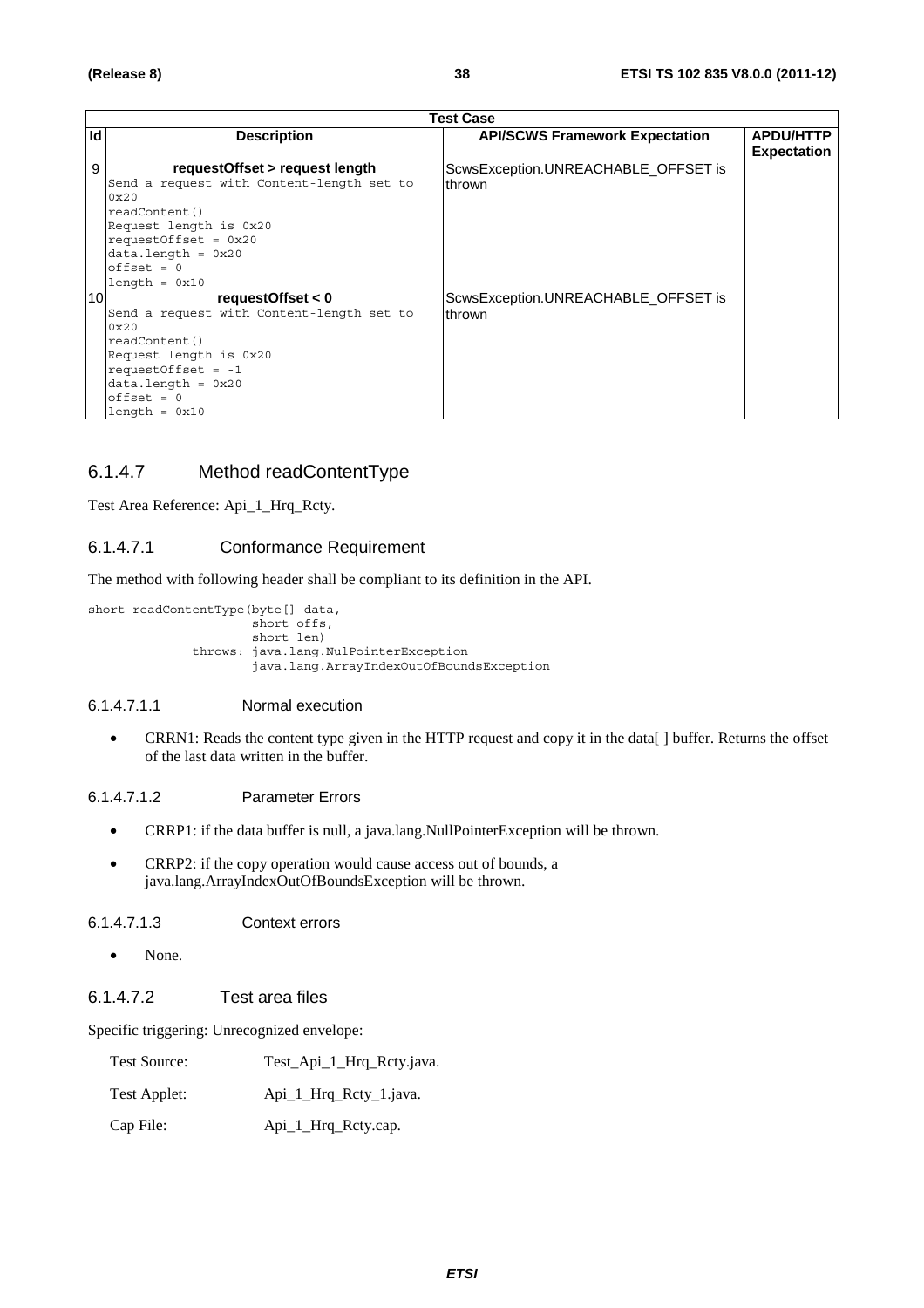|                 | Test Case                                 |                                       |                    |
|-----------------|-------------------------------------------|---------------------------------------|--------------------|
| Id              | <b>Description</b>                        | <b>API/SCWS Framework Expectation</b> | <b>APDU/HTTP</b>   |
|                 |                                           |                                       | <b>Expectation</b> |
| 9               | requestOffset > request length            | ScwsException.UNREACHABLE OFFSET is   |                    |
|                 | Send a request with Content-length set to | lthrown.                              |                    |
|                 | 0x20                                      |                                       |                    |
|                 | readContent()                             |                                       |                    |
|                 | Request length is 0x20                    |                                       |                    |
|                 | requestOffset = $0x20$                    |                                       |                    |
|                 | $data.length = 0x20$                      |                                       |                    |
|                 | $offset = 0$                              |                                       |                    |
|                 | $length = 0x10$                           |                                       |                    |
| 10 <sup>1</sup> | requestOffset $< 0$                       | ScwsException.UNREACHABLE OFFSET is   |                    |
|                 | Send a request with Content-length set to | thrown                                |                    |
|                 | 0x20                                      |                                       |                    |
|                 | readContent()                             |                                       |                    |
|                 | Request length is 0x20                    |                                       |                    |
|                 | requestOffset = $-1$                      |                                       |                    |
|                 | $data.length = 0x20$                      |                                       |                    |
|                 | $offset = 0$                              |                                       |                    |
|                 | $l$ ength = $0x10$                        |                                       |                    |

# 6.1.4.7 Method readContentType

Test Area Reference: Api\_1\_Hrq\_Rcty.

## 6.1.4.7.1 Conformance Requirement

The method with following header shall be compliant to its definition in the API.

```
short readContentType(byte[] data, 
            short offs, 
            short len) 
    throws: java.lang.NulPointerException 
            java.lang.ArrayIndexOutOfBoundsException
```
### 6.1.4.7.1.1 Normal execution

• CRRN1: Reads the content type given in the HTTP request and copy it in the data[ ] buffer. Returns the offset of the last data written in the buffer.

#### 6.1.4.7.1.2 Parameter Errors

- CRRP1: if the data buffer is null, a java.lang.NullPointerException will be thrown.
- CRRP2: if the copy operation would cause access out of bounds, a java.lang.ArrayIndexOutOfBoundsException will be thrown.

### 6.1.4.7.1.3 Context errors

• None.

### 6.1.4.7.2 Test area files

Specific triggering: Unrecognized envelope:

| Test Source: | Test_Api_1_Hrq_Rcty.java. |
|--------------|---------------------------|
| Test Applet: | Api_1_Hrq_Rcty_1.java.    |
| Cap File:    | Api_1_Hrq_Rcty.cap.       |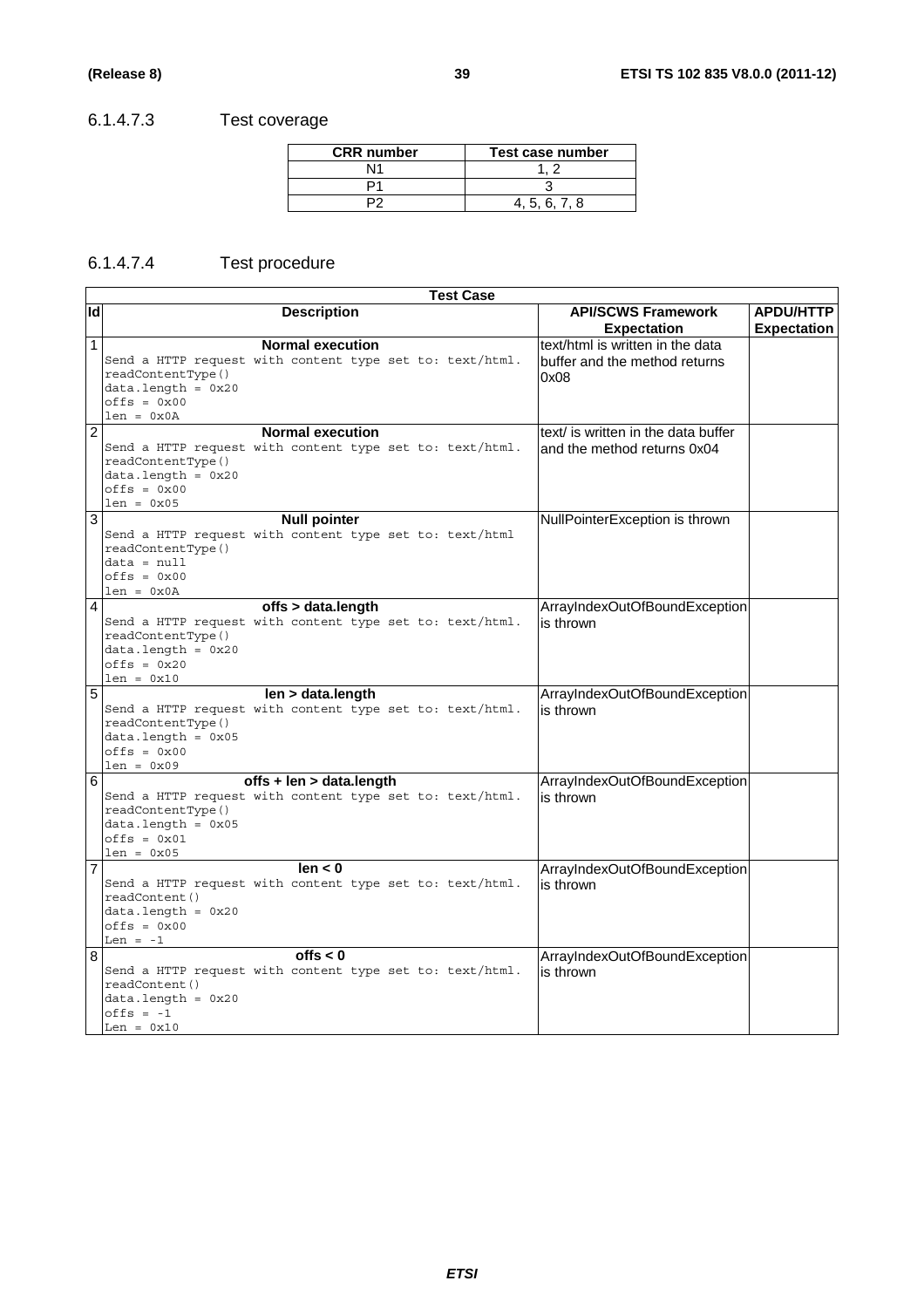**F** 

# 6.1.4.7.3 Test coverage

| <b>CRR</b> number | Test case number |
|-------------------|------------------|
|                   |                  |
|                   |                  |
|                   | 4.5.6.7.8        |

# 6.1.4.7.4 Test procedure

|                | Test Case                                                                                                                                                             |                                                                           |                                        |
|----------------|-----------------------------------------------------------------------------------------------------------------------------------------------------------------------|---------------------------------------------------------------------------|----------------------------------------|
| Id             | <b>Description</b>                                                                                                                                                    | <b>API/SCWS Framework</b><br><b>Expectation</b>                           | <b>APDU/HTTP</b><br><b>Expectation</b> |
| 1              | <b>Normal execution</b><br>Send a HTTP request with content type set to: text/html.<br>readContentType()<br>$data.length = 0x20$<br>$offset = 0x00$<br>$len = 0x0A$   | text/html is written in the data<br>buffer and the method returns<br>0x08 |                                        |
| $\overline{2}$ | <b>Normal execution</b><br>Send a HTTP request with content type set to: text/html.<br>readContentType()<br>$data.length = 0x20$<br>$offset = 0x00$<br>$len = 0x05$   | text/ is written in the data buffer<br>and the method returns 0x04        |                                        |
| 3              | <b>Null pointer</b><br>Send a HTTP request with content type set to: text/html<br>readContentType()<br>$data = null$<br>$offsets = 0x00$<br>$len = 0x0A$              | NullPointerException is thrown                                            |                                        |
| 4              | offs > data.length<br>Send a HTTP request with content type set to: text/html.<br>readContentType()<br>$data.length = 0x20$<br>$offs = 0x20$<br>$len = 0x10$          | ArrayIndexOutOfBoundException<br>is thrown                                |                                        |
| 5              | len > data.length<br>Send a HTTP request with content type set to: text/html.<br>readContentType()<br>$data.length = 0x05$<br>$offset = 0x00$<br>$len = 0x09$         | ArrayIndexOutOfBoundException<br>is thrown                                |                                        |
| 6              | offs + len > data.length<br>Send a HTTP request with content type set to: text/html.<br>readContentType()<br>$data.length = 0x05$<br>$offsets = 0x01$<br>$len = 0x05$ | ArrayIndexOutOfBoundException<br>is thrown                                |                                        |
| 7              | len < 0<br>Send a HTTP request with content type set to: text/html.<br>readContent()<br>$data.length = 0x20$<br>$offset = 0x00$<br>Len = $-1$                         | ArrayIndexOutOfBoundException<br>is thrown                                |                                        |
| $\infty$       | offs $< 0$<br>Send a HTTP request with content type set to: text/html.<br>readContent()<br>$data.length = 0x20$<br>$offs = -1$<br>Len = $0x10$                        | ArrayIndexOutOfBoundException<br>is thrown                                |                                        |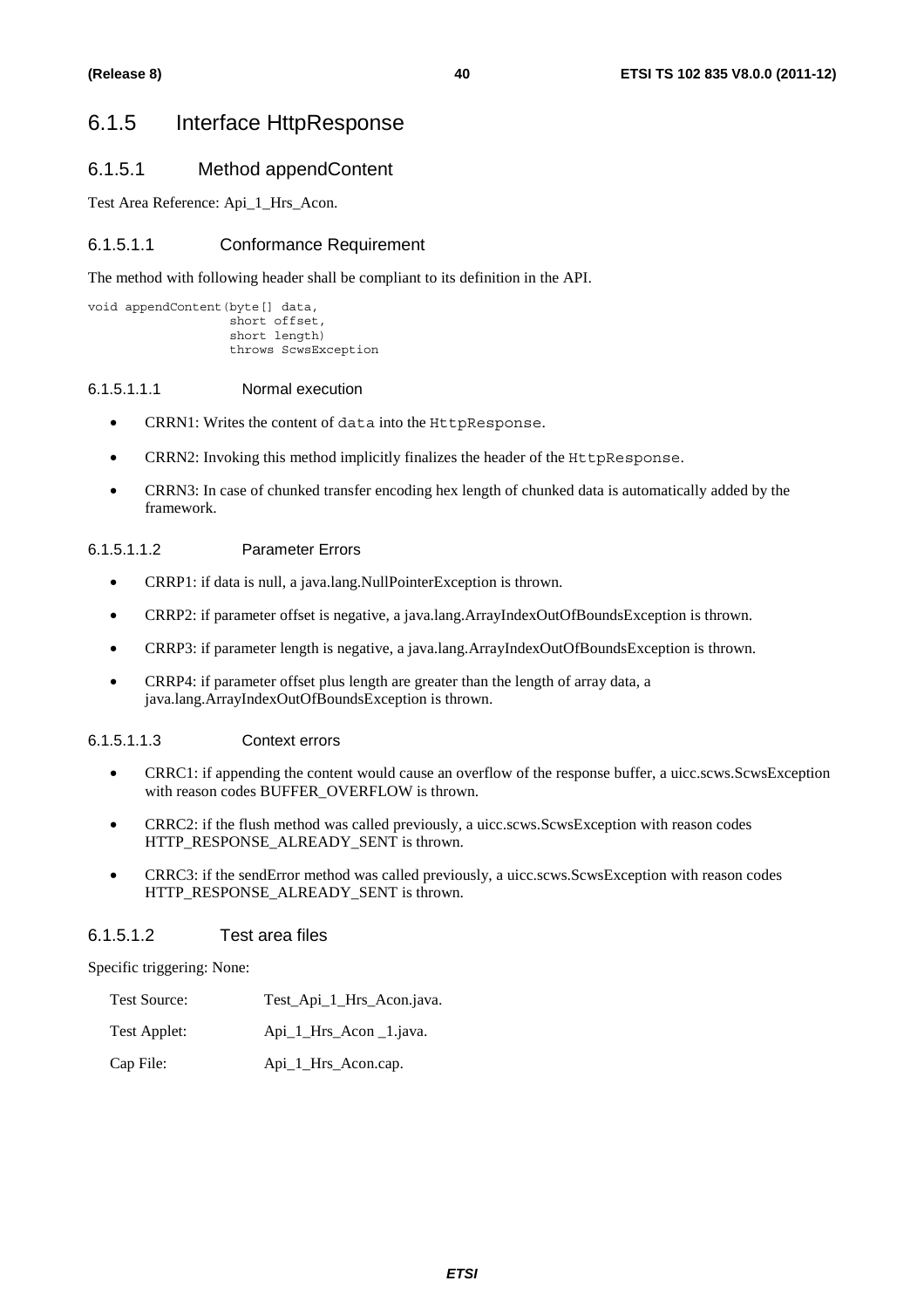# 6.1.5 Interface HttpResponse

# 6.1.5.1 Method appendContent

Test Area Reference: Api\_1\_Hrs\_Acon.

## 6.1.5.1.1 Conformance Requirement

The method with following header shall be compliant to its definition in the API.

```
void appendContent(byte[] data, 
          short offset, 
          short length) 
          throws ScwsException
```
#### 6.1.5.1.1.1 Normal execution

- CRRN1: Writes the content of data into the HttpResponse.
- CRRN2: Invoking this method implicitly finalizes the header of the HttpResponse.
- CRRN3: In case of chunked transfer encoding hex length of chunked data is automatically added by the framework.

### 6.1.5.1.1.2 Parameter Errors

- CRRP1: if data is null, a java.lang.NullPointerException is thrown.
- CRRP2: if parameter offset is negative, a java.lang.ArrayIndexOutOfBoundsException is thrown.
- CRRP3: if parameter length is negative, a java.lang.ArrayIndexOutOfBoundsException is thrown.
- CRRP4: if parameter offset plus length are greater than the length of array data, a java.lang.ArrayIndexOutOfBoundsException is thrown.

### 6.1.5.1.1.3 Context errors

- CRRC1: if appending the content would cause an overflow of the response buffer, a uicc.scws.ScwsException with reason codes BUFFER\_OVERFLOW is thrown.
- CRRC2: if the flush method was called previously, a uicc.scws.ScwsException with reason codes HTTP\_RESPONSE\_ALREADY\_SENT is thrown.
- CRRC3: if the sendError method was called previously, a uicc.scws.ScwsException with reason codes HTTP\_RESPONSE\_ALREADY\_SENT is thrown.

### 6.1.5.1.2 Test area files

Specific triggering: None:

- Test Source: Test\_Api\_1\_Hrs\_Acon.java.
- Test Applet: Api\_1\_Hrs\_Acon \_1.java.

Cap File: Api 1 Hrs Acon.cap.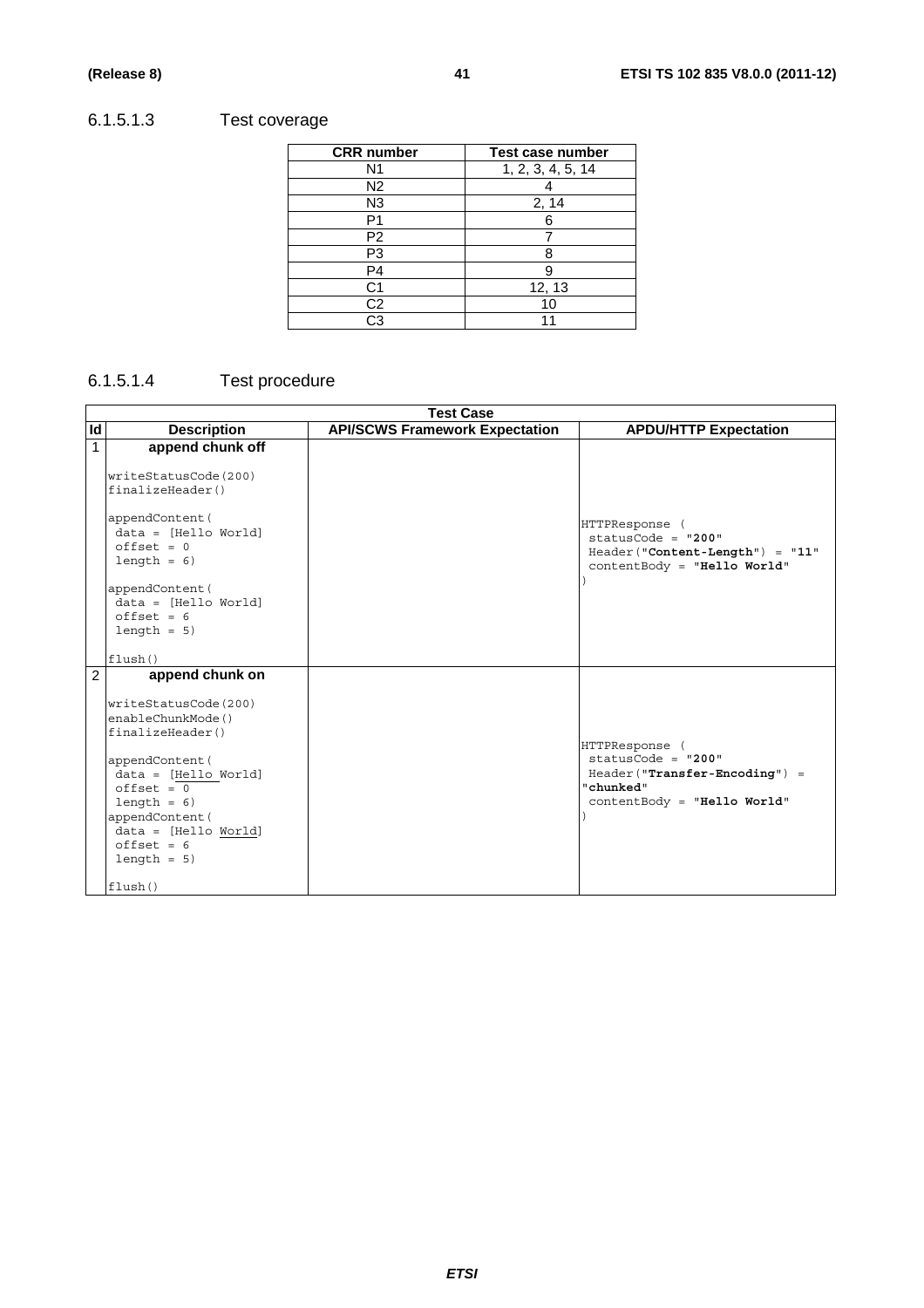# 6.1.5.1.3 Test coverage

| <b>CRR</b> number | Test case number  |
|-------------------|-------------------|
| N <sub>1</sub>    | 1, 2, 3, 4, 5, 14 |
| N <sub>2</sub>    |                   |
| N <sub>3</sub>    | 2, 14             |
| P <sub>1</sub>    |                   |
| P2                |                   |
| P3                |                   |
| P <sub>4</sub>    |                   |
| C1                | 12, 13            |
| $\overline{C2}$   | 10                |
| CЗ                |                   |

# 6.1.5.1.4 Test procedure

|                | <b>Test Case</b>                                                                                                                                                                                                                           |                                       |                                                                                                                       |
|----------------|--------------------------------------------------------------------------------------------------------------------------------------------------------------------------------------------------------------------------------------------|---------------------------------------|-----------------------------------------------------------------------------------------------------------------------|
| Id             | <b>Description</b>                                                                                                                                                                                                                         | <b>API/SCWS Framework Expectation</b> | <b>APDU/HTTP Expectation</b>                                                                                          |
| 1              | append chunk off<br>writeStatusCode(200)<br>finalizeHeader()<br>appendContent (                                                                                                                                                            |                                       | HTTPResponse (                                                                                                        |
|                | $data = [Hello World]$<br>$offset = 0$<br>$length = 6$                                                                                                                                                                                     |                                       | statusCode = $"200"$<br>Header("Content-Length") = "11"<br>contentBody = "Hello World"                                |
|                | appendContent (<br>data = [Hello World]<br>$offset = 6$<br>$length = 5$                                                                                                                                                                    |                                       |                                                                                                                       |
|                | flush()                                                                                                                                                                                                                                    |                                       |                                                                                                                       |
| $\overline{2}$ | append chunk on<br>writeStatusCode(200)<br>enableChunkMode()<br>finalizeHeader()<br>appendContent (<br>$data = [Hello World]$<br>$offset = 0$<br>$length = 6$<br>appendContent (<br>$data = [Hello World]$<br>$offset = 6$<br>$length = 5$ |                                       | HTTPResponse (<br>statusCode = $"200"$<br>Header("Transfer-Encoding") =<br>"chunked"<br>$contentBody = "Hello World"$ |
|                | flush()                                                                                                                                                                                                                                    |                                       |                                                                                                                       |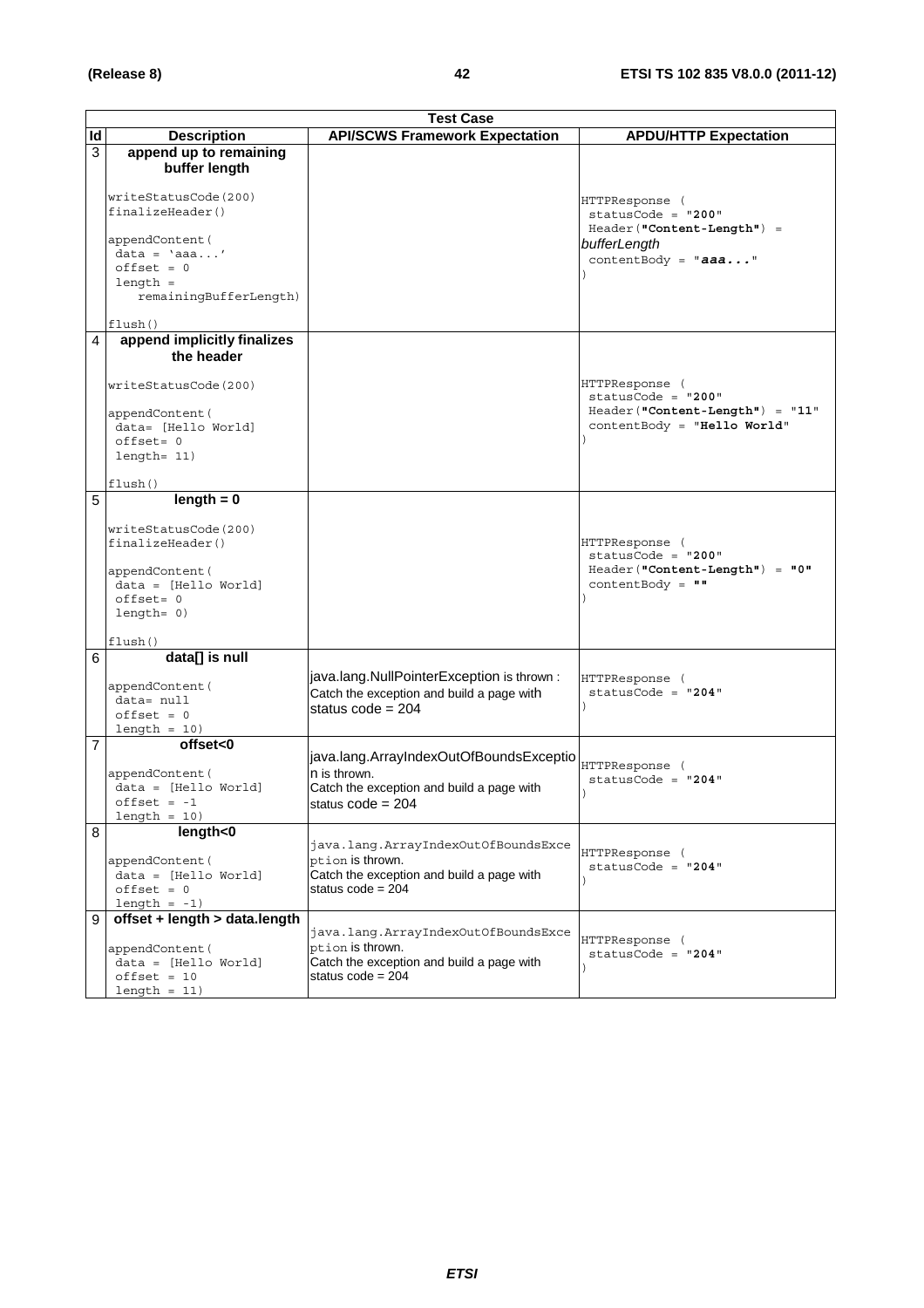|                | <b>Test Case</b>                                                                                             |                                                                                                                             |                                                                                            |  |
|----------------|--------------------------------------------------------------------------------------------------------------|-----------------------------------------------------------------------------------------------------------------------------|--------------------------------------------------------------------------------------------|--|
| ld             | <b>Description</b>                                                                                           | <b>API/SCWS Framework Expectation</b>                                                                                       | <b>APDU/HTTP Expectation</b>                                                               |  |
| 3              | append up to remaining<br>buffer length                                                                      |                                                                                                                             |                                                                                            |  |
|                | writeStatusCode(200)<br>finalizeHeader()                                                                     |                                                                                                                             | HTTPResponse (<br>$statusCode = "200"$                                                     |  |
|                | appendContent(<br>$data = 'aaa'$<br>$offset = 0$<br>$l$ ength =<br>remainingBufferLength)                    |                                                                                                                             | Header ("Content-Length") =<br>bufferLength<br>$contentBody = "aaa"$                       |  |
|                | flush()                                                                                                      |                                                                                                                             |                                                                                            |  |
| 4              | append implicitly finalizes<br>the header                                                                    |                                                                                                                             |                                                                                            |  |
|                | writeStatusCode(200)<br>appendContent (                                                                      |                                                                                                                             | HTTPResponse (<br>statusCode = "200"<br>Header ("Content-Length") = "11"                   |  |
|                | data= [Hello World]<br>$offset = 0$<br>$length = 11)$                                                        |                                                                                                                             | $contentBody = "Hello World"$                                                              |  |
|                | flush()                                                                                                      |                                                                                                                             |                                                                                            |  |
| 5              | $length = 0$                                                                                                 |                                                                                                                             |                                                                                            |  |
|                | writeStatusCode(200)<br>finalizeHeader()                                                                     |                                                                                                                             | HTTPResponse (<br>$statusCode = "200"$                                                     |  |
|                | appendContent (<br>$data = [Hello World]$<br>$offset = 0$<br>$length = 0)$                                   |                                                                                                                             | Header ("Content-Length") = "0"<br>contentBody = $^{\blacksquare\blacksquare\blacksquare}$ |  |
|                | flush()                                                                                                      |                                                                                                                             |                                                                                            |  |
| 6              | data[] is null                                                                                               |                                                                                                                             |                                                                                            |  |
|                | appendContent (<br>data= null<br>$offset = 0$<br>$length = 10$                                               | java.lang.NullPointerException is thrown:<br>Catch the exception and build a page with<br>status $code = 204$               | HTTPResponse (<br>$statusCode = "204"$                                                     |  |
| $\overline{7}$ | offset<0                                                                                                     |                                                                                                                             |                                                                                            |  |
|                | appendContent (<br>$data = [Hello World]$<br>$offset = -1$<br>length = $10)$                                 | java.lang.ArrayIndexOutOfBoundsExceptio<br>n is thrown.<br>Catch the exception and build a page with<br>status $code = 204$ | HTTPResponse (<br>statusCode = $"204"$                                                     |  |
| 8              | length<0                                                                                                     |                                                                                                                             |                                                                                            |  |
|                | appendContent (<br>$data = [Hello World]$<br>$offset = 0$<br>length $= -1$ )                                 | java.lang.ArrayIndexOutOfBoundsExce<br>ption is thrown.<br>Catch the exception and build a page with<br>status $code = 204$ | HTTPResponse (<br>$statusCode = "204"$                                                     |  |
| 9              | offset + length > data.length<br>appendContent(<br>$data = [Hello World]$<br>$offset = 10$<br>length = $11)$ | java.lang.ArrayIndexOutOfBoundsExce<br>ption is thrown.<br>Catch the exception and build a page with<br>status $code = 204$ | HTTPResponse (<br>statusCode = $"204"$                                                     |  |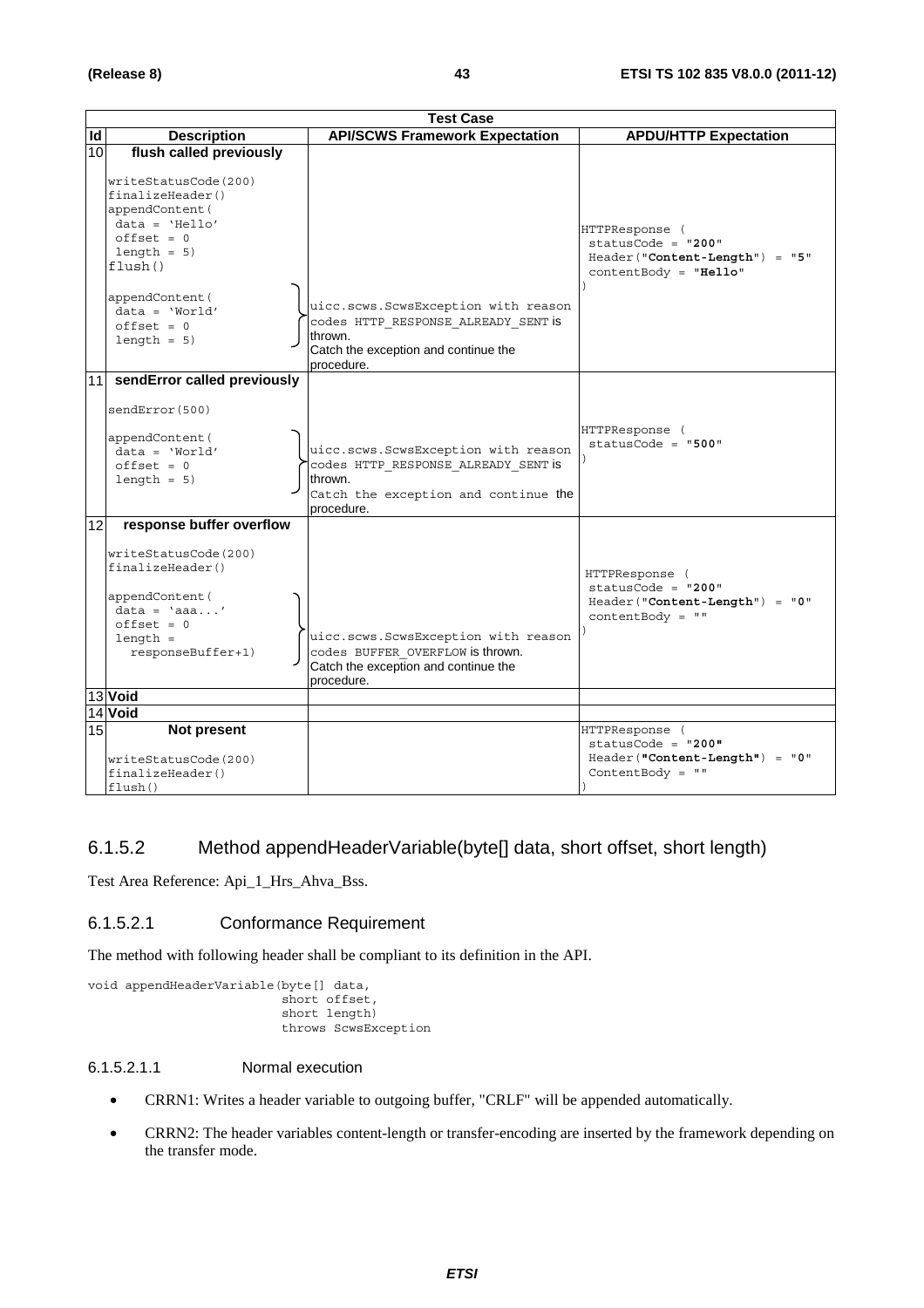|           | <b>Test Case</b>                                                                                                                 |                                                                                                                                             |                                                                                                     |
|-----------|----------------------------------------------------------------------------------------------------------------------------------|---------------------------------------------------------------------------------------------------------------------------------------------|-----------------------------------------------------------------------------------------------------|
| <b>Id</b> | <b>Description</b>                                                                                                               | <b>API/SCWS Framework Expectation</b>                                                                                                       | <b>APDU/HTTP Expectation</b>                                                                        |
| 10        | flush called previously                                                                                                          |                                                                                                                                             |                                                                                                     |
|           | writeStatusCode(200)<br>finalizeHeader()<br>appendContent (<br>$data = 'Hello'$<br>$offset = 0$<br>$length = 5$<br>flush()       |                                                                                                                                             | HTTPResponse (<br>$statusCode = "200"$<br>Header("Content-Length") = "5"<br>$contentBody = "Hello"$ |
|           | appendContent (<br>$data = 'World'$<br>$offset = 0$<br>$length = 5$                                                              | uicc.scws.ScwsException with reason<br>codes HTTP RESPONSE ALREADY SENT is<br>thrown.<br>Catch the exception and continue the<br>procedure. |                                                                                                     |
| 11        | sendError called previously                                                                                                      |                                                                                                                                             |                                                                                                     |
|           | sendError (500)<br>appendContent (<br>$data = 'World'$<br>$offset = 0$<br>$length = 5$                                           | uicc.scws.ScwsException with reason<br>codes HTTP RESPONSE ALREADY SENT is<br>thrown.<br>Catch the exception and continue the<br>procedure. | HTTPResponse (<br>$statusCode = "500"$                                                              |
| 12        | response buffer overflow                                                                                                         |                                                                                                                                             |                                                                                                     |
|           | writeStatusCode(200)<br>finalizeHeader()<br>appendContent (<br>$data = 'aaa'$<br>$offset = 0$<br>$length =$<br>responseBuffer+1) | uicc.scws.ScwsException with reason<br>codes BUFFER OVERFLOW is thrown.<br>Catch the exception and continue the<br>procedure.               | HTTPResponse (<br>$statusCode = "200"$<br>Header("Content-Length") = "0"<br>$contentBody = ""$      |
|           | 13 Void                                                                                                                          |                                                                                                                                             |                                                                                                     |
|           | 14 Void                                                                                                                          |                                                                                                                                             |                                                                                                     |
| 15        | Not present<br>writeStatusCode(200)<br>finalizeHeader()<br>flush()                                                               |                                                                                                                                             | HTTPResponse (<br>$statusCode = "200"$<br>Header("Content-Length") = "0"<br>ContentBody = $" "$     |

# 6.1.5.2 Method appendHeaderVariable(byte[] data, short offset, short length)

Test Area Reference: Api\_1\_Hrs\_Ahva\_Bss.

### 6.1.5.2.1 Conformance Requirement

The method with following header shall be compliant to its definition in the API.

```
void appendHeaderVariable(byte[] data, 
                  short offset, 
                  short length) 
                  throws ScwsException
```
#### 6.1.5.2.1.1 Normal execution

- CRRN1: Writes a header variable to outgoing buffer, "CRLF" will be appended automatically.
- CRRN2: The header variables content-length or transfer-encoding are inserted by the framework depending on the transfer mode.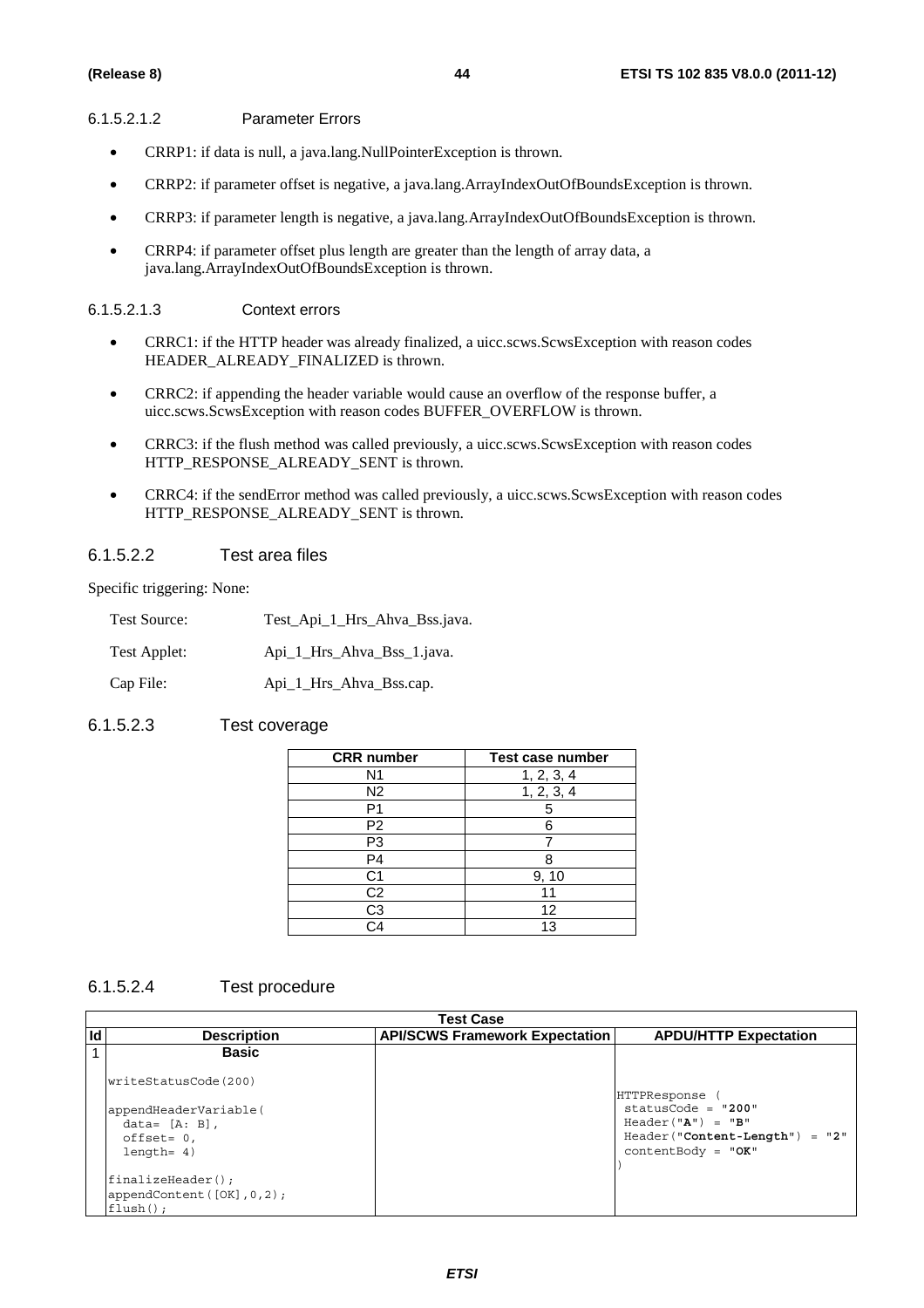#### 6.1.5.2.1.2 Parameter Errors

- CRRP1: if data is null, a java.lang.NullPointerException is thrown.
- CRRP2: if parameter offset is negative, a java.lang.ArrayIndexOutOfBoundsException is thrown.
- CRRP3: if parameter length is negative, a java.lang.ArrayIndexOutOfBoundsException is thrown.
- CRRP4: if parameter offset plus length are greater than the length of array data, a java.lang.ArrayIndexOutOfBoundsException is thrown.

#### 6.1.5.2.1.3 Context errors

- CRRC1: if the HTTP header was already finalized, a uicc.scws.ScwsException with reason codes HEADER\_ALREADY\_FINALIZED is thrown.
- CRRC2: if appending the header variable would cause an overflow of the response buffer, a uicc.scws.ScwsException with reason codes BUFFER\_OVERFLOW is thrown.
- CRRC3: if the flush method was called previously, a uicc.scws.ScwsException with reason codes HTTP\_RESPONSE\_ALREADY\_SENT is thrown.
- CRRC4: if the sendError method was called previously, a uicc.scws.ScwsException with reason codes HTTP\_RESPONSE\_ALREADY\_SENT is thrown.

### 6.1.5.2.2 Test area files

Specific triggering: None:

| Test Source: | Test_Api_1_Hrs_Ahva_Bss.java.       |
|--------------|-------------------------------------|
| Test Applet: | Api 1 Hrs Ahva Bss 1. <i>java</i> . |
| Cap File:    | Api_1_Hrs_Ahva_Bss.cap.             |

## 6.1.5.2.3 Test coverage

| <b>CRR</b> number | <b>Test case number</b> |
|-------------------|-------------------------|
| N1                | 1, 2, 3, 4              |
| N2                | 1, 2, 3, 4              |
| P1                | 5                       |
| P <sub>2</sub>    | ค                       |
| P3                |                         |
| $\overline{P4}$   | ጸ                       |
| C1                | 9, 10                   |
| C <sub>2</sub>    |                         |
| $\overline{C3}$   | 12                      |
| $\mathbin{\cap}4$ | 13                      |

### 6.1.5.2.4 Test procedure

|    | Test Case                                                                                           |                                       |                                                                                                                             |  |
|----|-----------------------------------------------------------------------------------------------------|---------------------------------------|-----------------------------------------------------------------------------------------------------------------------------|--|
| Id | <b>Description</b>                                                                                  | <b>API/SCWS Framework Expectation</b> | <b>APDU/HTTP Expectation</b>                                                                                                |  |
|    | <b>Basic</b>                                                                                        |                                       |                                                                                                                             |  |
|    | writeStatusCode(200)<br>appendHeaderVariable(<br>data= $[A; B]$ ,<br>$offset = 0,$<br>$l$ ength= 4) |                                       | HTTPResponse<br>$statusCode = "200"$<br>$Header("A") = "B"$<br>Header ("Content-Length")<br>$=$ "2"<br>contentBody = $"OK"$ |  |
|    | $finalizeHeader()$ ;                                                                                |                                       |                                                                                                                             |  |
|    | appendContent $([OK], 0, 2)$ ;                                                                      |                                       |                                                                                                                             |  |
|    | $flush()$ ;                                                                                         |                                       |                                                                                                                             |  |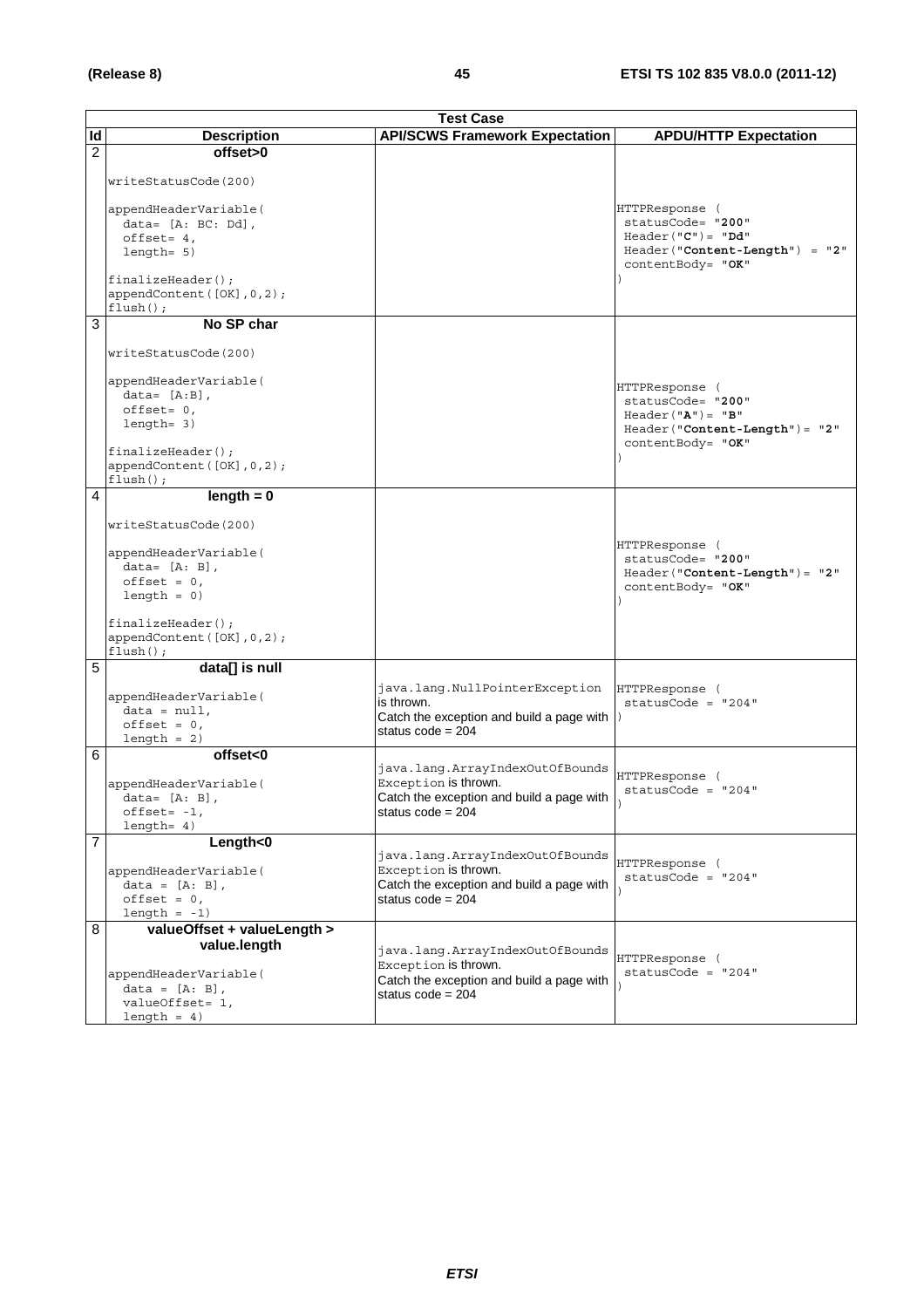|                | <b>Test Case</b>                                                                                                                                                                          |                                                                                                                             |                                                                                                                      |  |
|----------------|-------------------------------------------------------------------------------------------------------------------------------------------------------------------------------------------|-----------------------------------------------------------------------------------------------------------------------------|----------------------------------------------------------------------------------------------------------------------|--|
| Id             | <b>Description</b>                                                                                                                                                                        | <b>API/SCWS Framework Expectation</b>                                                                                       | <b>APDU/HTTP Expectation</b>                                                                                         |  |
| $\overline{2}$ | offset>0<br>writeStatusCode(200)<br>appendHeaderVariable(<br>$data = [A: BC: Dd],$<br>$offset = 4,$<br>$l$ enqth= 5)<br>$finalizeHeader()$ ;<br>appendContent([OK], 0, 2);<br>$flush()$ ; |                                                                                                                             | HTTPResponse (<br>statusCode= "200"<br>$Header('C") = "Dd"$<br>$Header("Content-Length") = "2"$<br>contentBody= "OK" |  |
| 3              | No SP char                                                                                                                                                                                |                                                                                                                             |                                                                                                                      |  |
|                | writeStatusCode(200)<br>appendHeaderVariable(<br>$data = [A:B],$<br>$offset = 0,$<br>$l$ enqth= 3)<br>$finalizeHeader()$ ;<br>appendContent([OK], 0, 2);<br>$flush()$ ;                   |                                                                                                                             | HTTPResponse (<br>statusCode= "200"<br>$Header('A") = "B"$<br>$Header('Content-Length") = "2"$<br>contentBody= "OK"  |  |
| 4              | length = $0$                                                                                                                                                                              |                                                                                                                             |                                                                                                                      |  |
|                | writeStatusCode(200)<br>appendHeaderVariable(<br>$data = [A: B],$<br>$offset = 0,$<br>$length = 0$<br>finalizeHeader();<br>appendContent([OK], 0, 2);<br>$flush()$ ;                      |                                                                                                                             | HTTPResponse (<br>statusCode= "200"<br>$Header('Content-Length") = "2"$<br>contentBody= "OK"                         |  |
| 5              | data[] is null                                                                                                                                                                            |                                                                                                                             |                                                                                                                      |  |
|                | appendHeaderVariable(<br>$data = null,$<br>$offset = 0,$<br>$length = 2)$                                                                                                                 | java.lang.NullPointerException<br>is thrown.<br>Catch the exception and build a page with $\vert$ )<br>status code = $204$  | HTTPResponse (<br>statusCode = $"204"$                                                                               |  |
| 6              | offset<0                                                                                                                                                                                  | java.lang.ArrayIndexOutOfBounds                                                                                             |                                                                                                                      |  |
|                | appendHeaderVariable(<br>data= [A: B],<br>$offset = -1,$<br>$l$ enqth= 4)                                                                                                                 | Exception <b>is thrown.</b><br>Catch the exception and build a page with<br>status $code = 204$                             | HTTPResponse (<br>statusCode = $"204"$                                                                               |  |
| $\overline{7}$ | Length<0                                                                                                                                                                                  | java.lang.ArrayIndexOutOfBounds                                                                                             |                                                                                                                      |  |
|                | appendHeaderVariable(<br>$data = [A: B],$<br>$offset = 0,$<br>$length = -1)$                                                                                                              | Exception is thrown.<br>Catch the exception and build a page with<br>status code = 204                                      | HTTPResponse (<br>$statusCode = "204"$                                                                               |  |
| 8              | valueOffset + valueLength >                                                                                                                                                               |                                                                                                                             |                                                                                                                      |  |
|                | value.length<br>appendHeaderVariable(<br>$data = [A: B],$<br>valueOffset= 1,<br>$length = 4)$                                                                                             | java.lang.ArrayIndexOutOfBounds<br>Exception is thrown.<br>Catch the exception and build a page with<br>status $code = 204$ | HTTPResponse (<br>statusCode = $"204"$                                                                               |  |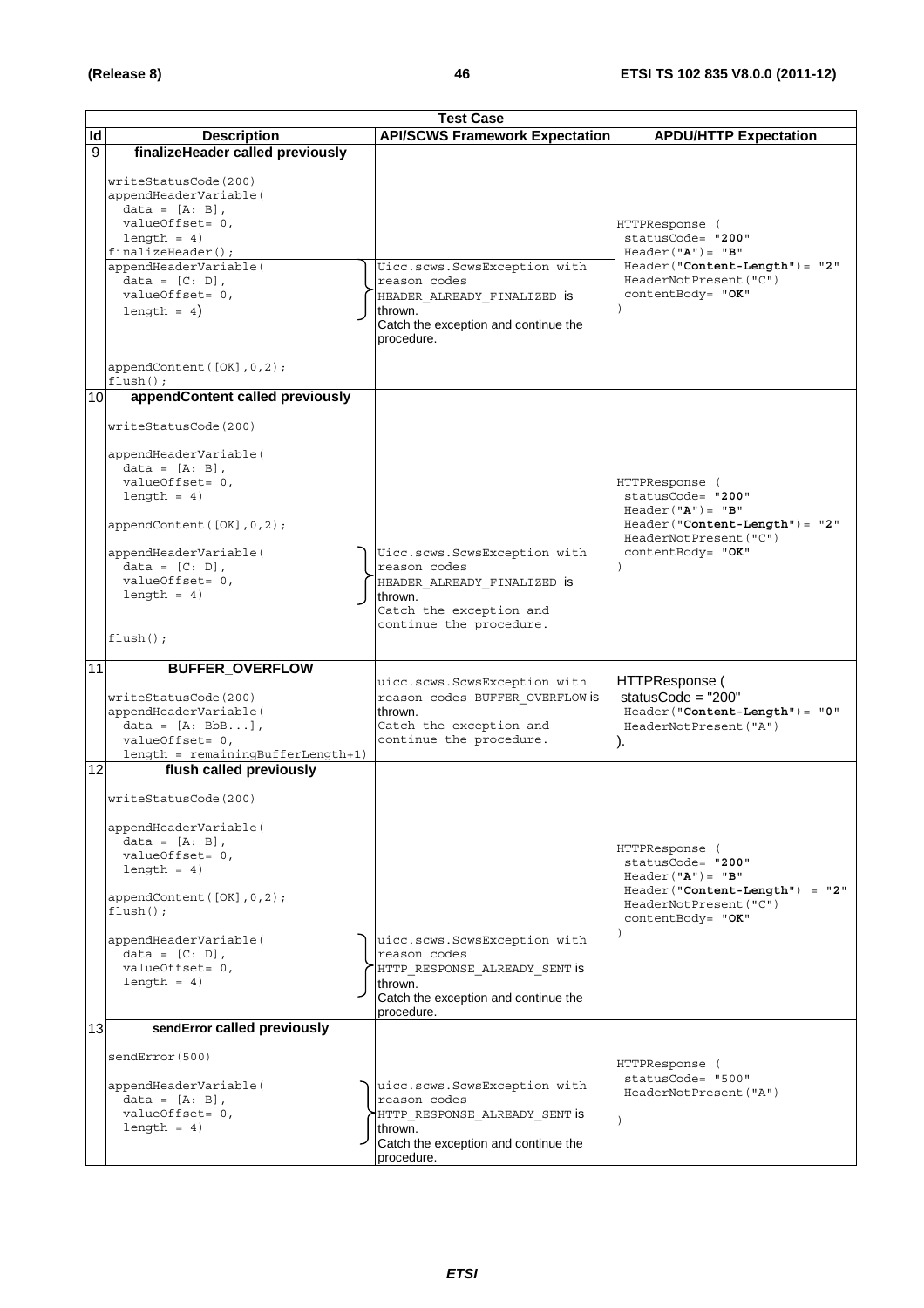|                 | <b>Test Case</b>                                                                                                                                                                                                                                             |                                                                                                                                                |                                                                                                                                               |
|-----------------|--------------------------------------------------------------------------------------------------------------------------------------------------------------------------------------------------------------------------------------------------------------|------------------------------------------------------------------------------------------------------------------------------------------------|-----------------------------------------------------------------------------------------------------------------------------------------------|
| $\overline{d}$  | <b>Description</b>                                                                                                                                                                                                                                           | <b>API/SCWS Framework Expectation</b>                                                                                                          | <b>APDU/HTTP Expectation</b>                                                                                                                  |
| $\overline{9}$  | finalizeHeader called previously                                                                                                                                                                                                                             |                                                                                                                                                |                                                                                                                                               |
|                 | writeStatusCode(200)<br>appendHeaderVariable(<br>$data = [A: B],$<br>valueOffset= 0,<br>length = $4)$<br>$finalizeHeader()$ ;<br>appendHeaderVariable(<br>$data = [C: D],$<br>valueOffset= 0,<br>length = $4$ )<br>appendContent([OK], 0, 2);<br>$flush()$ ; | Uicc.scws.ScwsException with<br>reason codes<br>HEADER ALREADY FINALIZED is<br>thrown.<br>Catch the exception and continue the<br>procedure.   | HTTPResponse (<br>statusCode= "200"<br>$Header(''A") = "B"$<br>Header ("Content-Length") = "2"<br>HeaderNotPresent ("C")<br>contentBody= "OK" |
| 10 <sup>1</sup> | appendContent called previously                                                                                                                                                                                                                              |                                                                                                                                                |                                                                                                                                               |
|                 | writeStatusCode(200)<br>appendHeaderVariable(<br>$data = [A: B],$<br>valueOffset= 0,<br>$length = 4)$<br>appendContent ([OK], 0, 2);<br>appendHeaderVariable(<br>$data = [C: D],$<br>valueOffset= 0,<br>length = $4)$<br>$flush()$ ;                         | Uicc.scws.ScwsException with<br>reason codes<br>HEADER ALREADY FINALIZED is<br>thrown.<br>Catch the exception and<br>continue the procedure.   | HTTPResponse (<br>statusCode= "200"<br>$Header("A") = "B"$<br>$Header('Content-Length") = "2"$<br>HeaderNotPresent ("C")<br>contentBody= "OK" |
| 11              | <b>BUFFER_OVERFLOW</b><br>writeStatusCode(200)<br>appendHeaderVariable(<br>$data = [A: BbB],$<br>valueOffset= 0,<br>length = remainingBufferLength+1)                                                                                                        | uicc.scws.ScwsException with<br>reason codes BUFFER OVERFLOW is<br>thrown.<br>Catch the exception and<br>continue the procedure.               | HTTPResponse (<br>statusCode = $"200"$<br>$Header('Content-Length") = "0"$<br>HeaderNotPresent ("A")                                          |
| 12              | flush called previously                                                                                                                                                                                                                                      |                                                                                                                                                |                                                                                                                                               |
|                 | writeStatusCode(200)<br>appendHeaderVariable(<br>data = $[A: B]$ ,<br>valueOffset= 0,<br>length $= 4$ )<br>appendContent([OK], 0, 2);<br>$flush()$ ;<br>appendHeaderVariable(<br>$data = [C: D],$<br>valueOffset= 0,<br>length = $4)$                        | uicc.scws.ScwsException with<br>reason codes<br>HTTP RESPONSE ALREADY SENT is<br>thrown.<br>Catch the exception and continue the               | HTTPResponse (<br>statusCode= "200"<br>$Header("A") = "B"$<br>Header("Content-Length") = "2"<br>HeaderNotPresent ("C")<br>contentBody= "OK"   |
| 13              | sendError called previously                                                                                                                                                                                                                                  | procedure.                                                                                                                                     |                                                                                                                                               |
|                 | sendError (500)<br>appendHeaderVariable(<br>$data = [A: B],$<br>valueOffset= 0,<br>length = $4)$                                                                                                                                                             | uicc.scws.ScwsException with<br>reason codes<br>HTTP_RESPONSE_ALREADY_SENT is<br>thrown.<br>Catch the exception and continue the<br>procedure. | HTTPResponse (<br>statusCode= "500"<br>HeaderNotPresent ("A")                                                                                 |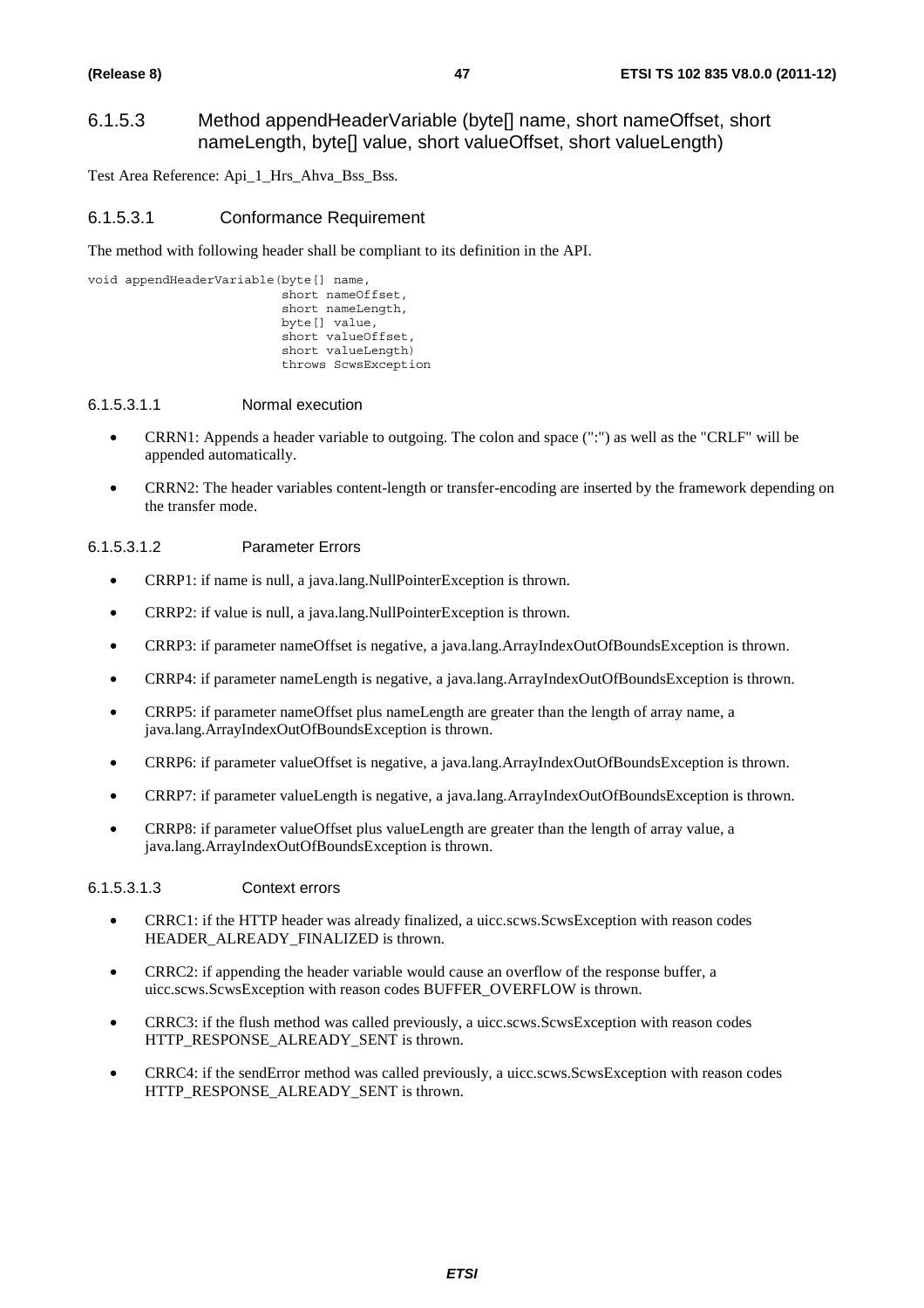# 6.1.5.3 Method appendHeaderVariable (byte[] name, short nameOffset, short nameLength, byte[] value, short valueOffset, short valueLength)

Test Area Reference: Api\_1\_Hrs\_Ahva\_Bss\_Bss.

### 6.1.5.3.1 Conformance Requirement

The method with following header shall be compliant to its definition in the API.

```
void appendHeaderVariable(byte[] name, 
                  short nameOffset, 
                  short nameLength, 
                  byte[] value, 
                 short valueOffset,
                  short valueLength) 
                  throws ScwsException
```
#### 6.1.5.3.1.1 Normal execution

- CRRN1: Appends a header variable to outgoing. The colon and space (":") as well as the "CRLF" will be appended automatically.
- CRRN2: The header variables content-length or transfer-encoding are inserted by the framework depending on the transfer mode.

#### 6.1.5.3.1.2 Parameter Errors

- CRRP1: if name is null, a java.lang.NullPointerException is thrown.
- CRRP2: if value is null, a java.lang.NullPointerException is thrown.
- CRRP3: if parameter nameOffset is negative, a java.lang.ArrayIndexOutOfBoundsException is thrown.
- CRRP4: if parameter nameLength is negative, a java.lang.ArrayIndexOutOfBoundsException is thrown.
- CRRP5: if parameter nameOffset plus nameLength are greater than the length of array name, a java.lang.ArrayIndexOutOfBoundsException is thrown.
- CRRP6: if parameter valueOffset is negative, a java.lang.ArrayIndexOutOfBoundsException is thrown.
- CRRP7: if parameter valueLength is negative, a java.lang.ArrayIndexOutOfBoundsException is thrown.
- CRRP8: if parameter valueOffset plus valueLength are greater than the length of array value, a java.lang.ArrayIndexOutOfBoundsException is thrown.

#### 6.1.5.3.1.3 Context errors

- CRRC1: if the HTTP header was already finalized, a uicc.scws.ScwsException with reason codes HEADER\_ALREADY\_FINALIZED is thrown.
- CRRC2: if appending the header variable would cause an overflow of the response buffer, a uicc.scws.ScwsException with reason codes BUFFER\_OVERFLOW is thrown.
- CRRC3: if the flush method was called previously, a uicc.scws.ScwsException with reason codes HTTP\_RESPONSE\_ALREADY\_SENT is thrown.
- CRRC4: if the sendError method was called previously, a uicc.scws.ScwsException with reason codes HTTP\_RESPONSE\_ALREADY\_SENT is thrown.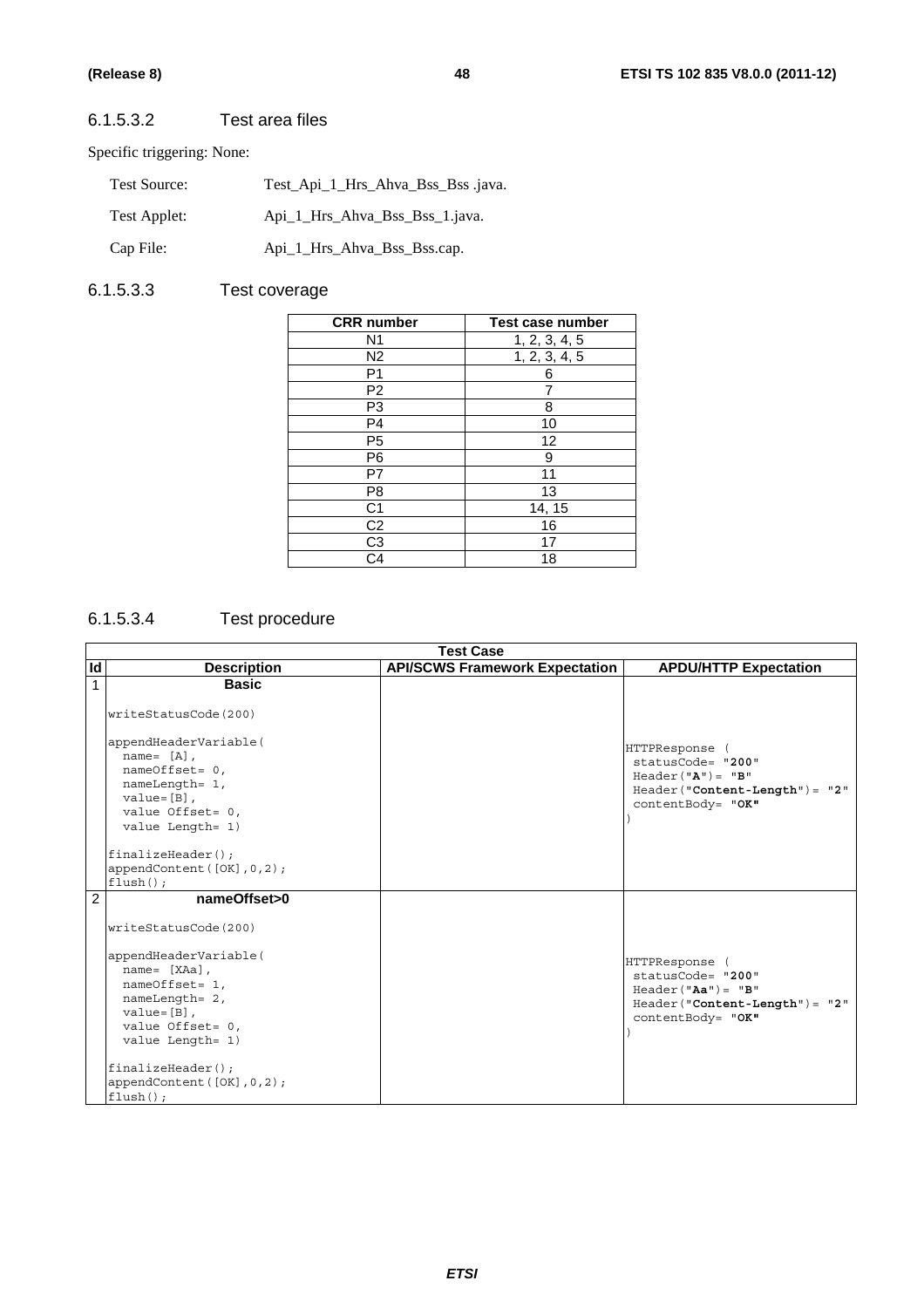# 6.1.5.3.2 Test area files

Specific triggering: None:

| Test Source: | Test_Api_1_Hrs_Ahva_Bss_Bss .java. |
|--------------|------------------------------------|
| Test Applet: | Api 1 Hrs Ahva Bss Bss 1. java.    |
| Cap File:    | Api_1_Hrs_Ahva_Bss_Bss.cap.        |

# 6.1.5.3.3 Test coverage

| <b>CRR</b> number | <b>Test case number</b> |
|-------------------|-------------------------|
| N <sub>1</sub>    | 1, 2, 3, 4, 5           |
| N <sub>2</sub>    | 1, 2, 3, 4, 5           |
| P <sub>1</sub>    | 6                       |
| P <sub>2</sub>    | 7                       |
| P3                | 8                       |
| $\overline{P4}$   | 10                      |
| P <sub>5</sub>    | 12                      |
| P <sub>6</sub>    | 9                       |
| P7                | 11                      |
| P <sub>8</sub>    | 13                      |
| C <sub>1</sub>    | 14, 15                  |
| C <sub>2</sub>    | 16                      |
| $\overline{C3}$   | 17                      |
| $\overline{C4}$   | 18                      |

# 6.1.5.3.4 Test procedure

|                | <b>Test Case</b>                                                                                                                                                                                                                                          |                                       |                                                                                                                          |  |
|----------------|-----------------------------------------------------------------------------------------------------------------------------------------------------------------------------------------------------------------------------------------------------------|---------------------------------------|--------------------------------------------------------------------------------------------------------------------------|--|
| Id             | <b>Description</b>                                                                                                                                                                                                                                        | <b>API/SCWS Framework Expectation</b> | <b>APDU/HTTP Expectation</b>                                                                                             |  |
| 1              | <b>Basic</b><br>writeStatusCode(200)                                                                                                                                                                                                                      |                                       |                                                                                                                          |  |
|                | appendHeaderVariable(<br>$name = [A]$ ,<br>$nameOffset = 0$ ,<br>nameLength= 1,<br>$value = [B]$ ,<br>value Offset= $0,$<br>value Length= 1)                                                                                                              |                                       | <b>HTTPResponse</b><br>statusCode= "200"<br>$Header("A") = "B"$<br>$Header('Content-Length") = "2"$<br>contentBody= "OK" |  |
|                | $finalizeHeader()$ ;<br>appendContent ( $[OK], 0, 2$ );<br>$flush()$ ;                                                                                                                                                                                    |                                       |                                                                                                                          |  |
| $\overline{2}$ | nameOffset>0<br>writeStatusCode(200)<br>appendHeaderVariable(<br>$name = [XAa]$ ,<br>nameOffset= 1,<br>nameLength= 2,<br>$value = [B]$ ,<br>value Offset= 0,<br>value Length= 1)<br>$finalizeHeader()$ ;<br>appendContent $([OK], 0, 2)$ ;<br>$flush()$ ; |                                       | HTTPResponse<br>statusCode= "200"<br>$Header('Aa") = "B"$<br>$Header('Content-Length") = "2"$<br>contentBody= "OK"       |  |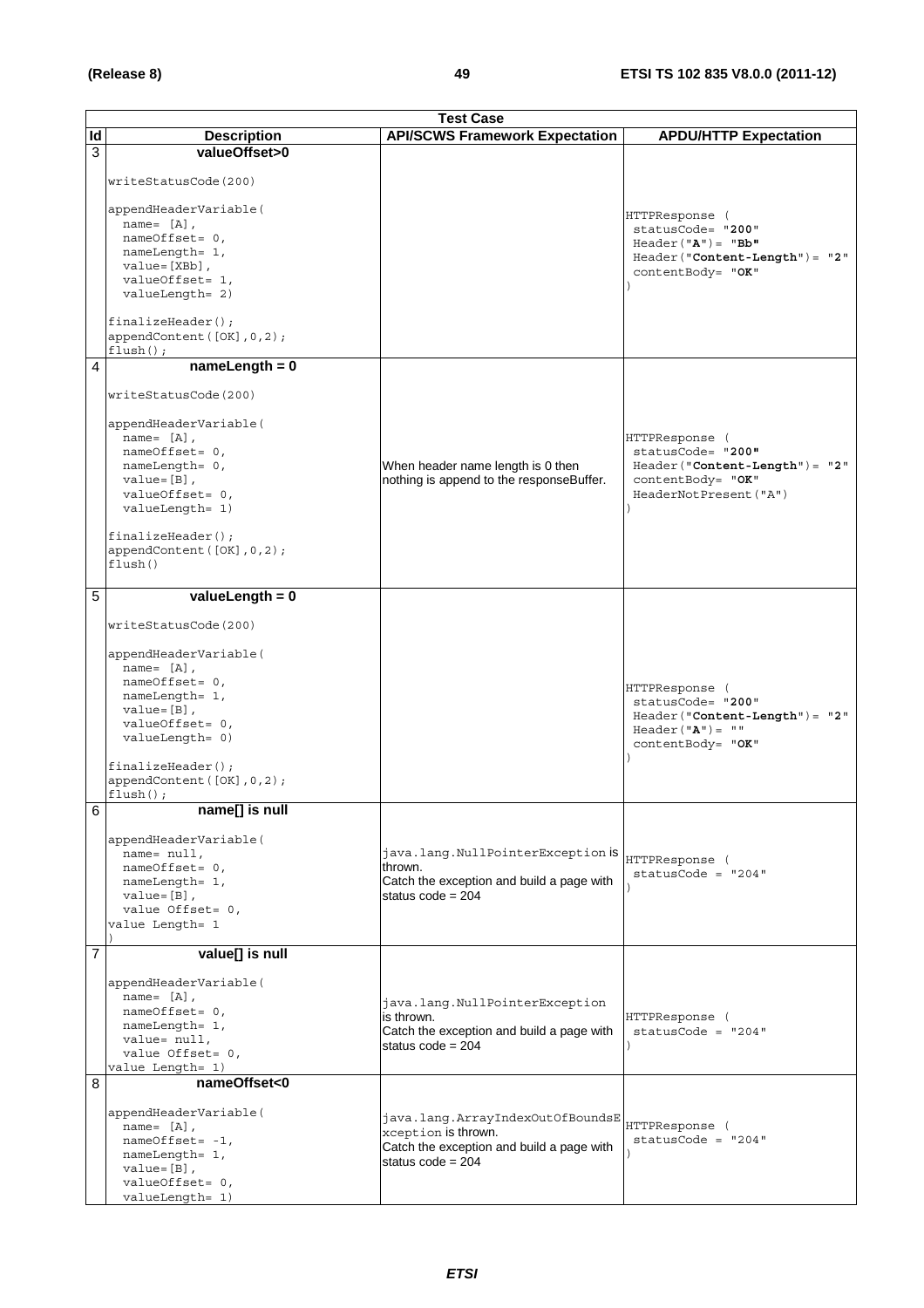|    | <b>Test Case</b>                                                                                                                                            |                                                                                                                             |                                                                                                                        |
|----|-------------------------------------------------------------------------------------------------------------------------------------------------------------|-----------------------------------------------------------------------------------------------------------------------------|------------------------------------------------------------------------------------------------------------------------|
| ld | <b>Description</b>                                                                                                                                          | <b>API/SCWS Framework Expectation</b>                                                                                       | <b>APDU/HTTP Expectation</b>                                                                                           |
| 3  | valueOffset>0                                                                                                                                               |                                                                                                                             |                                                                                                                        |
|    | writeStatusCode(200)                                                                                                                                        |                                                                                                                             |                                                                                                                        |
|    | appendHeaderVariable(<br>name= $[A]$ ,<br>$nameOffset = 0$ ,<br>nameLength= 1,<br>$value = [XBb]$ ,<br>valueOffset= 1,<br>valueLength= 2)                   |                                                                                                                             | HTTPResponse (<br>statusCode= "200"<br>$Header('A") = "Bb"$<br>$Header('Content-Length") = "2"$<br>contentBody= "OK"   |
|    | finalizeHeader();<br>appendContent([OK], 0, 2);<br>$flush()$ ;                                                                                              |                                                                                                                             |                                                                                                                        |
| 4  | $nameLength = 0$                                                                                                                                            |                                                                                                                             |                                                                                                                        |
|    | writeStatusCode(200)                                                                                                                                        |                                                                                                                             |                                                                                                                        |
|    | appendHeaderVariable(<br>name= $[A]$ ,<br>nameOffset= 0,<br>nameLength= 0,<br>$value = [B]$ ,<br>valueOffset= 0,<br>valueLength= 1)                         | When header name length is 0 then<br>nothing is append to the responseBuffer.                                               | HTTPResponse (<br>statusCode= "200"<br>$Header('Content-Length") = "2"$<br>contentBody= "OK"<br>HeaderNotPresent ("A") |
|    | $finalizeHeader()$ ;<br>appendContent([OK], 0, 2);<br>flush()                                                                                               |                                                                                                                             |                                                                                                                        |
| 5  | valueLength = $0$                                                                                                                                           |                                                                                                                             |                                                                                                                        |
|    | writeStatusCode(200)                                                                                                                                        |                                                                                                                             |                                                                                                                        |
|    | appendHeaderVariable(<br>name= $[A]$ ,<br>nameOffset= 0,<br>nameLength= 1,<br>$value = [B]$ ,<br>valueOffset= 0,<br>valueLength= 0)<br>$finalizeHeader()$ ; |                                                                                                                             | HTTPResponse (<br>statusCode= "200"<br>$Header('Content-Length") = "2"$<br>$Header("A") = ""$<br>contentBody= "OK"     |
|    | appendContent([OK], 0, 2);                                                                                                                                  |                                                                                                                             |                                                                                                                        |
|    | $flush()$ ;                                                                                                                                                 |                                                                                                                             |                                                                                                                        |
| 6  | name[] is null<br>appendHeaderVariable(<br>$name = null$ ,<br>$nameOffset = 0.$<br>nameLength= 1,<br>$value = [B]$ ,<br>value Offset= 0,<br>value Length= 1 | java.lang.NullPointerException is<br>thrown.<br>Catch the exception and build a page with<br>status $code = 204$            | HTTPResponse (<br>$statusCode = "204"$                                                                                 |
| 7  | value[] is null                                                                                                                                             |                                                                                                                             |                                                                                                                        |
|    | appendHeaderVariable(<br>$name = [A],$<br>$nameOffset = 0$ ,<br>nameLength= 1,<br>value= null,<br>value Offset= 0,<br>value Length= 1)                      | java.lang.NullPointerException<br>is thrown.<br>Catch the exception and build a page with<br>status $code = 204$            | HTTPResponse (<br>$statusCode = "204"$                                                                                 |
| 8  | nameOffset<0                                                                                                                                                |                                                                                                                             |                                                                                                                        |
|    | appendHeaderVariable(<br>name= $[A]$ ,<br>$nameOffset = -1$ ,<br>nameLength= 1,<br>$value = [B]$ ,<br>valueOffset= 0,<br>valueLength= 1)                    | java.lang.ArrayIndexOutOfBoundsE<br>xception is thrown.<br>Catch the exception and build a page with<br>status $code = 204$ | HTTPResponse (<br>statusCode = $"204"$                                                                                 |
|    |                                                                                                                                                             |                                                                                                                             |                                                                                                                        |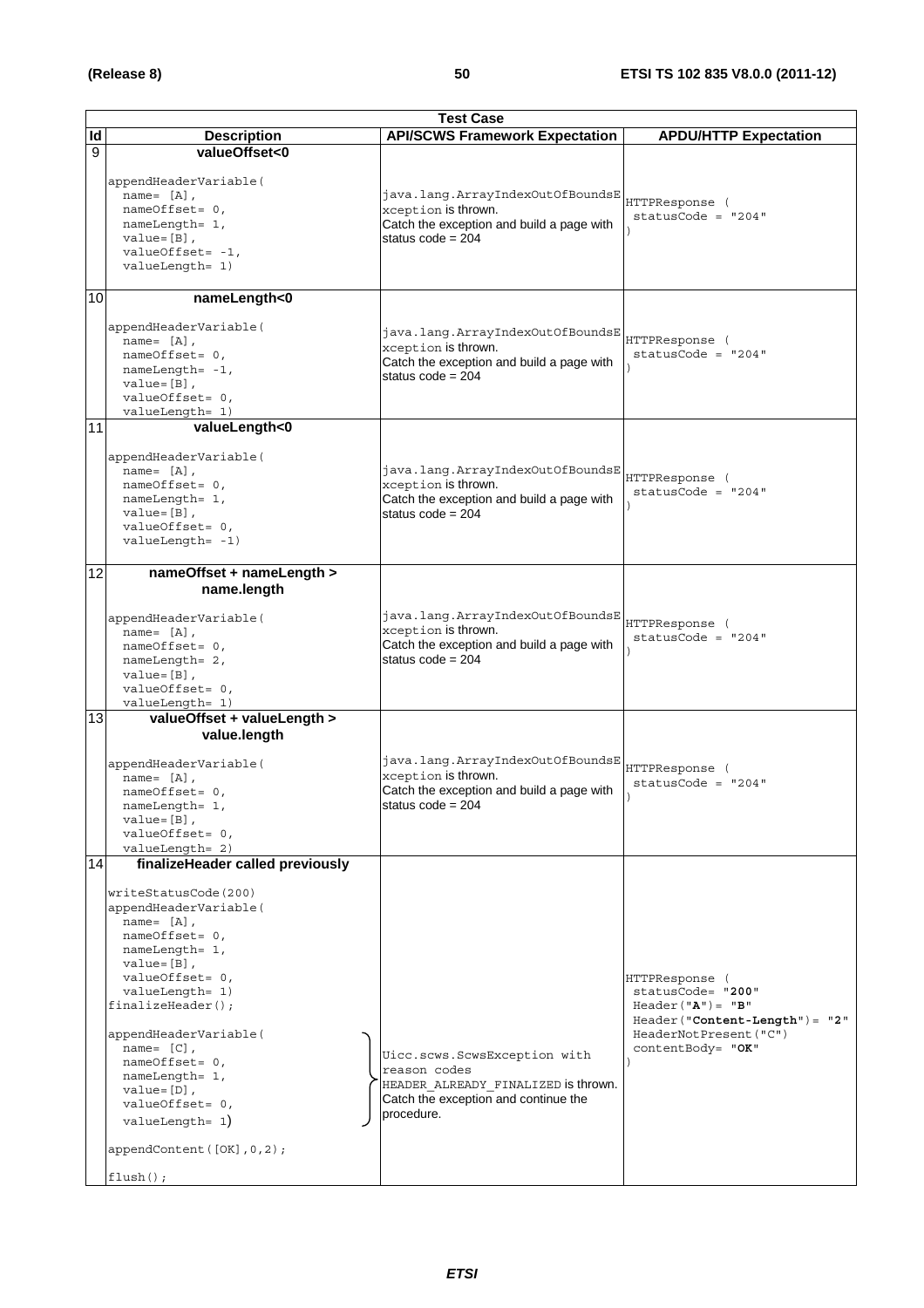|    | <b>Test Case</b>                                                                                                                                                                                                                                                                                                                                                                                                       |                                                                                                                                           |                                                                                                                                               |  |
|----|------------------------------------------------------------------------------------------------------------------------------------------------------------------------------------------------------------------------------------------------------------------------------------------------------------------------------------------------------------------------------------------------------------------------|-------------------------------------------------------------------------------------------------------------------------------------------|-----------------------------------------------------------------------------------------------------------------------------------------------|--|
| Id | <b>Description</b>                                                                                                                                                                                                                                                                                                                                                                                                     | <b>API/SCWS Framework Expectation</b>                                                                                                     | <b>APDU/HTTP Expectation</b>                                                                                                                  |  |
| 9  | valueOffset<0<br>appendHeaderVariable(<br>name= $[A]$ ,<br>nameOffset= 0,                                                                                                                                                                                                                                                                                                                                              | java.lang.ArrayIndexOutOfBoundsE<br>xception is thrown.                                                                                   | HTTPResponse (<br>$statusCode = "204"$                                                                                                        |  |
| 10 | nameLength= 1,<br>$value = [B]$ ,<br>$valueOffset = -1,$<br>valueLength= 1)<br>nameLength<0                                                                                                                                                                                                                                                                                                                            | Catch the exception and build a page with<br>status $code = 204$                                                                          |                                                                                                                                               |  |
|    | appendHeaderVariable(<br>$name = [A],$<br>nameOffset= 0,<br>$nameLength = -1$ ,<br>$value = [B]$ ,<br>valueOffset= 0,<br>valueLength= 1)                                                                                                                                                                                                                                                                               | java.lang.ArrayIndexOutOfBoundsE<br>xception is thrown.<br>Catch the exception and build a page with<br>status $code = 204$               | HTTPResponse (<br>$statusCode = "204"$                                                                                                        |  |
| 11 | valueLength<0<br>appendHeaderVariable(<br>name= $[A]$ ,<br>nameOffset= 0,<br>nameLength= 1,<br>$value = [B]$ ,<br>valueOffset= 0,<br>$valueLength = -1)$                                                                                                                                                                                                                                                               | java.lang.ArrayIndexOutOfBoundsE<br>xception is thrown.<br>Catch the exception and build a page with<br>status $code = 204$               | HTTPResponse (<br>statusCode = $"204"$                                                                                                        |  |
| 12 | nameOffset + nameLength ><br>name.length<br>appendHeaderVariable(<br>$name = [A],$<br>nameOffset= 0,<br>nameLength= 2,<br>$value = [B]$ ,<br>$valueOffset = 0,$<br>valueLength= 1)                                                                                                                                                                                                                                     | java.lang.ArrayIndexOutOfBoundsE<br>xception is thrown.<br>Catch the exception and build a page with<br>status $code = 204$               | HTTPResponse (<br>$statusCode = "204"$                                                                                                        |  |
| 13 | valueOffset + valueLength ><br>value.length<br>appendHeaderVariable(<br>$name = [A],$<br>nameOffset= 0,<br>nameLength= 1,<br>$value = [B]$ ,<br>valueOffset= 0,<br>valueLength= 2)                                                                                                                                                                                                                                     | java.lang.ArrayIndexOutOfBoundsE<br>xception is thrown.<br>Catch the exception and build a page with<br>status $code = 204$               | HTTPResponse (<br>$statusCode = "204"$                                                                                                        |  |
| 14 | finalizeHeader called previously<br>writeStatusCode(200)<br>appendHeaderVariable(<br>name= $[A]$ ,<br>$nameOffset = 0$ ,<br>nameLength= 1,<br>$value = [B]$ ,<br>valueOffset= 0,<br>valueLength= 1)<br>$finalizeHeader()$ ;<br>appendHeaderVariable(<br>name= $[C]$ ,<br>$nameOffset = 0$ ,<br>nameLength= 1,<br>$value = [D]$ ,<br>valueOffset= 0,<br>$valueLength = 1)$<br>appendContent([OK], 0, 2);<br>$flush()$ ; | Uicc.scws.ScwsException with<br>reason codes<br>HEADER ALREADY FINALIZED is thrown.<br>Catch the exception and continue the<br>procedure. | HTTPResponse (<br>statusCode= "200"<br>$Header("A") = "B"$<br>$Header('Content-Length') = "2"$<br>HeaderNotPresent ("C")<br>contentBody= "OK" |  |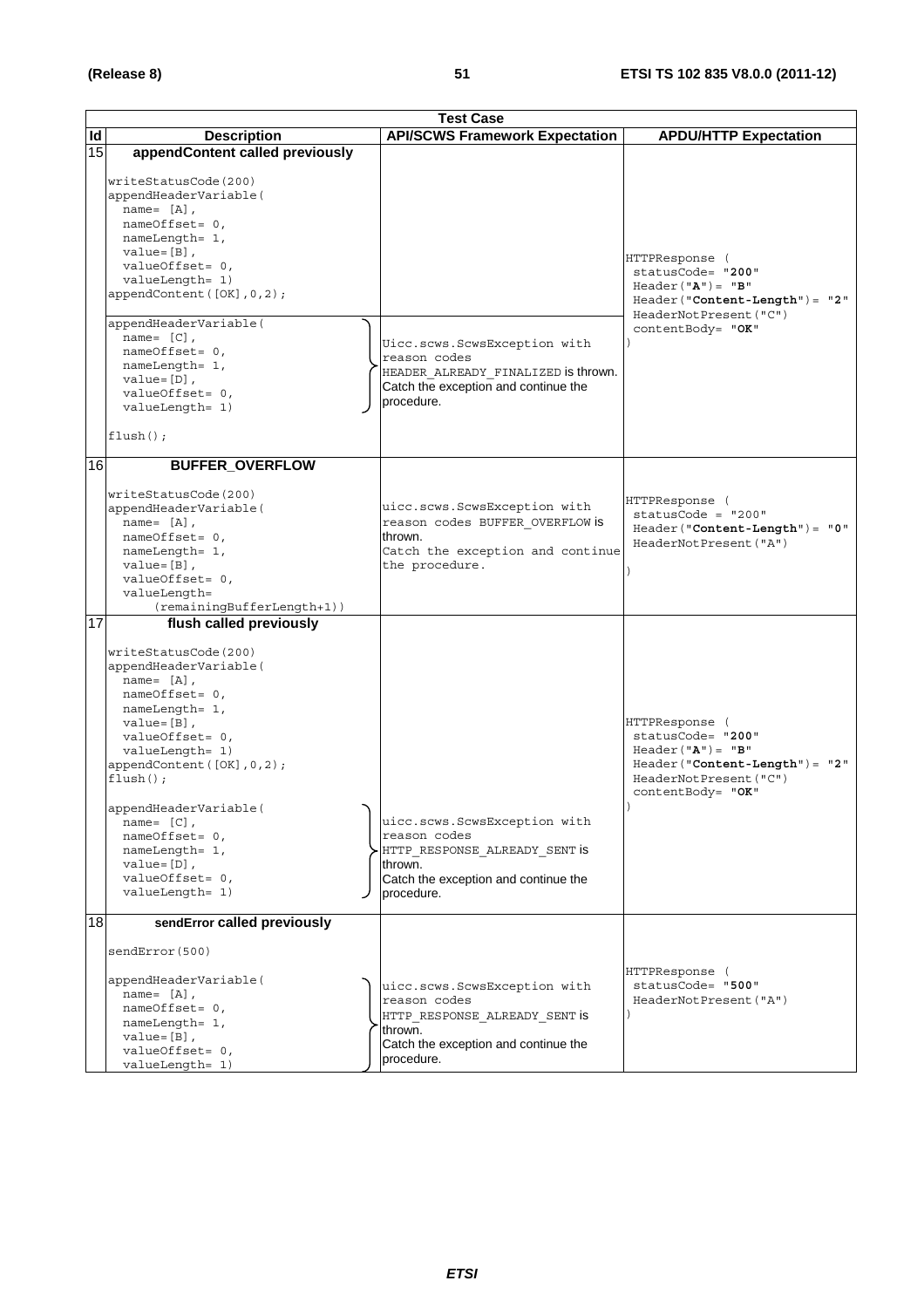|                          | <b>Test Case</b>                                                                                                                                                                                                                                                                                                                                                            |                                                                                                                                                |                                                                                                                                               |
|--------------------------|-----------------------------------------------------------------------------------------------------------------------------------------------------------------------------------------------------------------------------------------------------------------------------------------------------------------------------------------------------------------------------|------------------------------------------------------------------------------------------------------------------------------------------------|-----------------------------------------------------------------------------------------------------------------------------------------------|
| $\overline{\mathsf{Id}}$ | <b>Description</b>                                                                                                                                                                                                                                                                                                                                                          | <b>API/SCWS Framework Expectation</b>                                                                                                          | <b>APDU/HTTP Expectation</b>                                                                                                                  |
| 15                       | appendContent called previously<br>writeStatusCode(200)<br>appendHeaderVariable(<br>name= $[A]$ ,<br>nameOffset= 0,<br>nameLength= 1,<br>$value = [B]$ ,<br>valueOffset= 0,<br>valueLength= 1)<br>appendContent([OK], 0, 2);<br>appendHeaderVariable(<br>name= $[C]$ ,<br>nameOffset= 0,<br>nameLength= 1,<br>$value = [D]$ ,<br>valueOffset= 0,<br>valueLength= 1)         | Uicc.scws.ScwsException with<br>reason codes<br>HEADER_ALREADY_FINALIZED is thrown.<br>Catch the exception and continue the<br>procedure.      | HTTPResponse (<br>statusCode= "200"<br>$Header("A") = "B"$<br>Header("Content-Length")= "2"<br>HeaderNotPresent ("C")<br>contentBody= "OK"    |
|                          | $flush()$ ;                                                                                                                                                                                                                                                                                                                                                                 |                                                                                                                                                |                                                                                                                                               |
| 16                       | <b>BUFFER OVERFLOW</b><br>writeStatusCode(200)<br>appendHeaderVariable(<br>name= $[A]$ ,<br>nameOffset= 0,<br>nameLength= 1,<br>$value = [B]$ ,<br>valueOffset= 0,<br>valueLength=<br>(remainingBufferLength+1))                                                                                                                                                            | uicc.scws.ScwsException with<br>reason codes BUFFER OVERFLOW is<br>thrown.<br>Catch the exception and continue<br>the procedure.               | HTTPResponse (<br>statusCode = "200"<br>$Header("Content-Length") = "0"$<br>HeaderNotPresent ("A")                                            |
| 17                       | flush called previously<br>writeStatusCode(200)<br>appendHeaderVariable(<br>name= $[A]$ ,<br>nameOffset= 0,<br>nameLength= 1,<br>$value = [B]$ ,<br>valueOffset= 0,<br>valueLength= 1)<br>appendContent ([OK], 0, 2);<br>$flush()$ ;<br>appendHeaderVariable(<br>name= $[C]$ ,<br>nameOffset= 0,<br>nameLength= 1,<br>$value = [D]$ ,<br>valueOffset= 0,<br>valueLength= 1) | uicc.scws.ScwsException with<br>reason codes<br>HTTP RESPONSE ALREADY SENT is<br>thrown.<br>Catch the exception and continue the<br>procedure. | HTTPResponse (<br>statusCode= "200"<br>$Header('A") = "B"$<br>$Header('Content-Length") = "2"$<br>HeaderNotPresent ("C")<br>contentBody= "OK" |
| 18                       | sendError called previously<br>sendError(500)<br>appendHeaderVariable(<br>$name = [A],$<br>$nameOffset = 0$ ,<br>nameLength= 1,<br>$value = [B]$ ,<br>valueOffset= 0,<br>valueLength= 1)                                                                                                                                                                                    | uicc.scws.ScwsException with<br>reason codes<br>HTTP RESPONSE ALREADY SENT is<br>thrown.<br>Catch the exception and continue the<br>procedure. | HTTPResponse (<br>statusCode= "500"<br>HeaderNotPresent ("A")                                                                                 |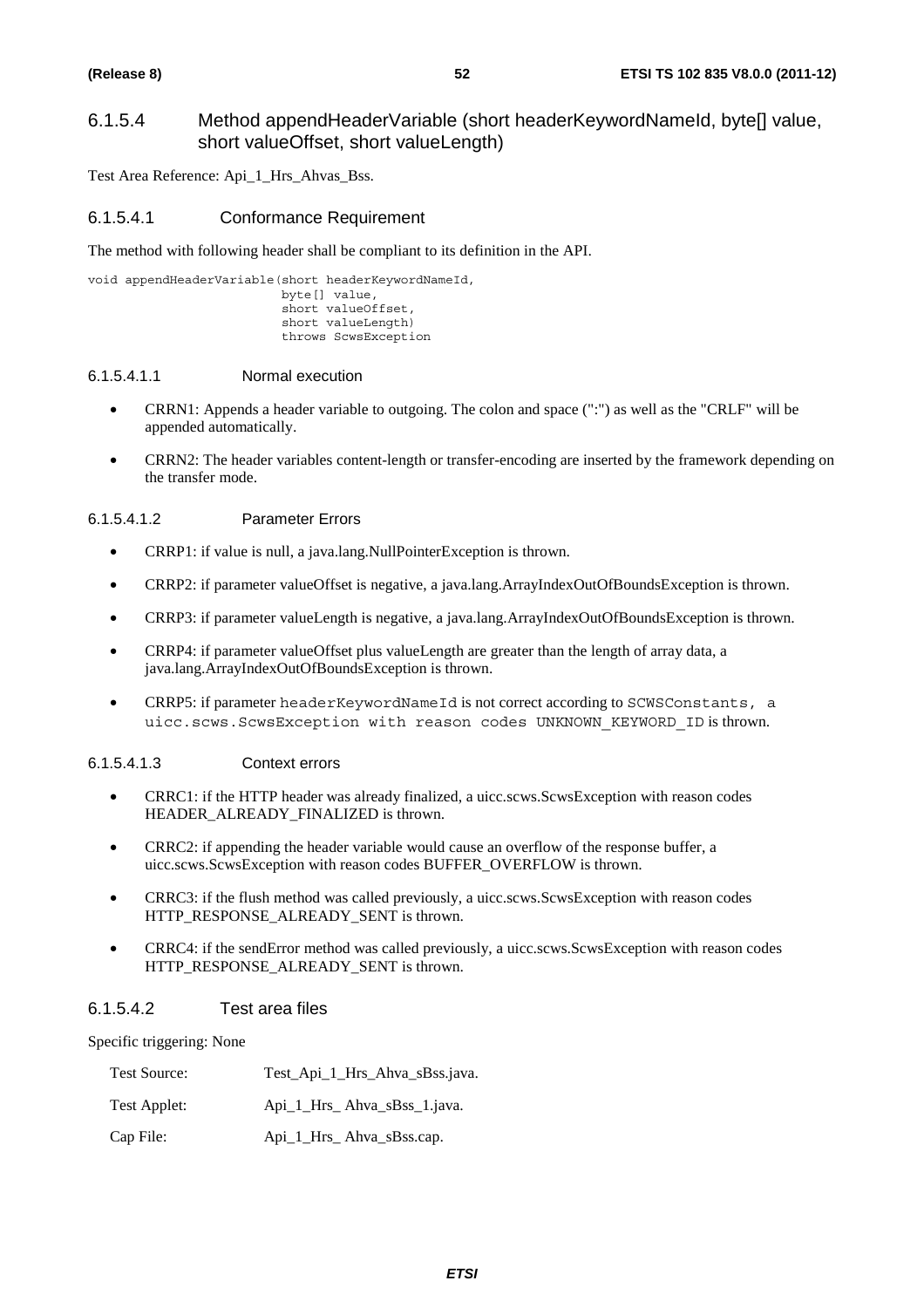# 6.1.5.4 Method appendHeaderVariable (short headerKeywordNameId, byte[] value, short valueOffset, short valueLength)

Test Area Reference: Api\_1\_Hrs\_Ahvas\_Bss.

### 6.1.5.4.1 Conformance Requirement

The method with following header shall be compliant to its definition in the API.

void appendHeaderVariable(short headerKeywordNameId, byte[] value, short valueOffset, short valueLength) throws ScwsException

#### 6.1.5.4.1.1 Normal execution

- CRRN1: Appends a header variable to outgoing. The colon and space (":") as well as the "CRLF" will be appended automatically.
- CRRN2: The header variables content-length or transfer-encoding are inserted by the framework depending on the transfer mode.

### 6.1.5.4.1.2 Parameter Errors

- CRRP1: if value is null, a java.lang.NullPointerException is thrown.
- CRRP2: if parameter valueOffset is negative, a java.lang.ArrayIndexOutOfBoundsException is thrown.
- CRRP3: if parameter valueLength is negative, a java.lang.ArrayIndexOutOfBoundsException is thrown.
- CRRP4: if parameter valueOffset plus valueLength are greater than the length of array data, a java.lang.ArrayIndexOutOfBoundsException is thrown.
- CRRP5: if parameter headerKeywordNameId is not correct according to SCWSConstants, a uicc.scws.ScwsException with reason codes UNKNOWN\_KEYWORD\_ID is thrown.

#### 6.1.5.4.1.3 Context errors

- CRRC1: if the HTTP header was already finalized, a uicc.scws.ScwsException with reason codes HEADER\_ALREADY\_FINALIZED is thrown.
- CRRC2: if appending the header variable would cause an overflow of the response buffer, a uicc.scws.ScwsException with reason codes BUFFER\_OVERFLOW is thrown.
- CRRC3: if the flush method was called previously, a uicc.scws.ScwsException with reason codes HTTP\_RESPONSE\_ALREADY\_SENT is thrown.
- CRRC4: if the sendError method was called previously, a uicc.scws.ScwsException with reason codes HTTP\_RESPONSE\_ALREADY\_SENT is thrown.

#### 6.1.5.4.2 Test area files

Specific triggering: None

| Test Source: | Test_Api_1_Hrs_Ahva_sBss.java. |
|--------------|--------------------------------|
| Test Applet: | Api_1_Hrs_Ahva_sBss_1.java.    |
| Cap File:    | Api_1_Hrs_Ahva_sBss.cap.       |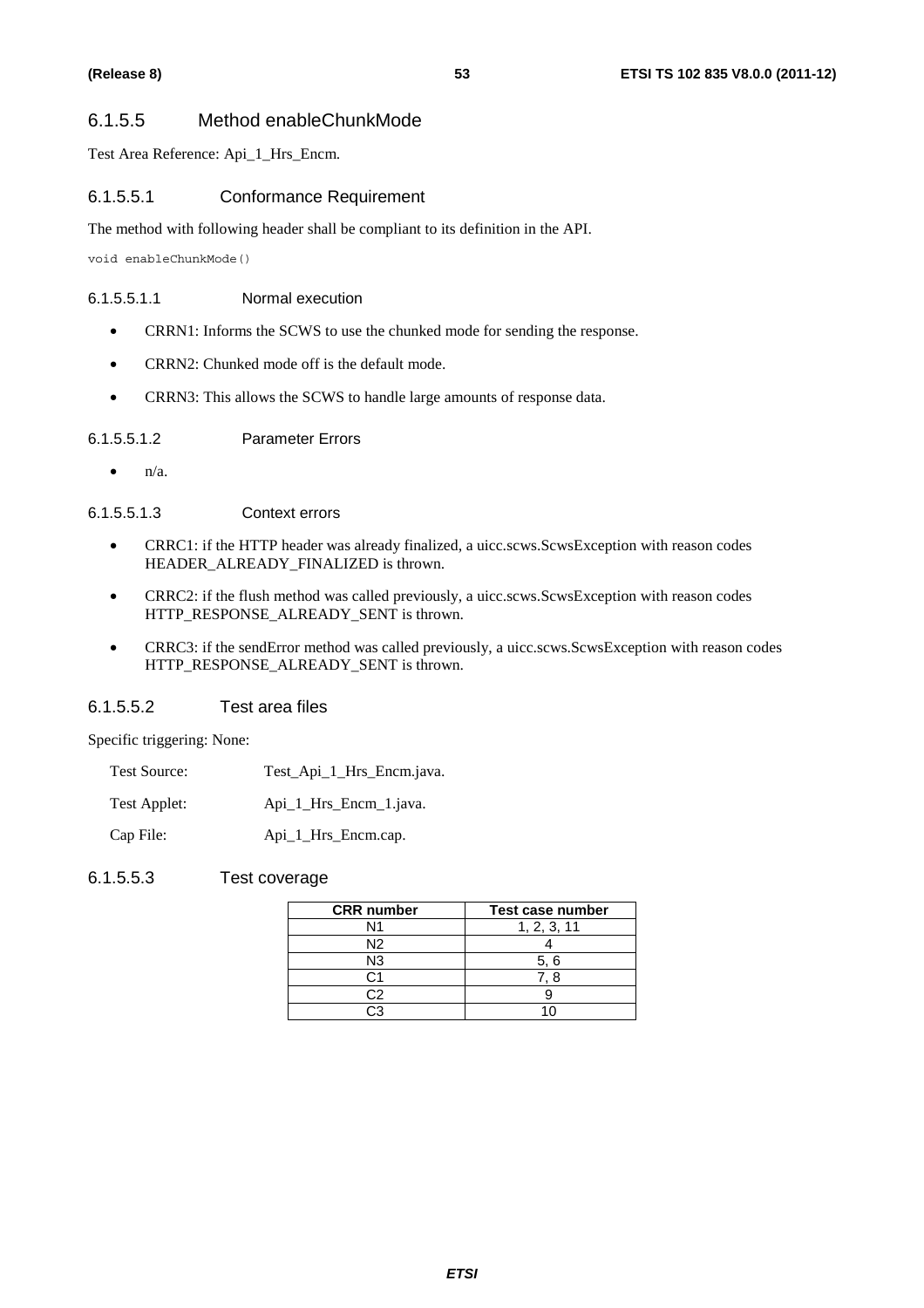## 6.1.5.5 Method enableChunkMode

Test Area Reference: Api\_1\_Hrs\_Encm.

### 6.1.5.5.1 Conformance Requirement

The method with following header shall be compliant to its definition in the API.

void enableChunkMode()

### 6.1.5.5.1.1 Normal execution

- CRRN1: Informs the SCWS to use the chunked mode for sending the response.
- CRRN2: Chunked mode off is the default mode.
- CRRN3: This allows the SCWS to handle large amounts of response data.

### 6.1.5.5.1.2 Parameter Errors

 $\bullet$   $n/a$ .

6.1.5.5.1.3 Context errors

- CRRC1: if the HTTP header was already finalized, a uicc.scws.ScwsException with reason codes HEADER\_ALREADY\_FINALIZED is thrown.
- CRRC2: if the flush method was called previously, a uicc.scws.ScwsException with reason codes HTTP\_RESPONSE\_ALREADY\_SENT is thrown.
- CRRC3: if the sendError method was called previously, a uicc.scws.ScwsException with reason codes HTTP\_RESPONSE\_ALREADY\_SENT is thrown.

### 6.1.5.5.2 Test area files

Specific triggering: None:

- Test Source: Test\_Api\_1\_Hrs\_Encm.java.
- Test Applet: Api\_1\_Hrs\_Encm\_1.java.

Cap File: Api\_1\_Hrs\_Encm.cap.

6.1.5.5.3 Test coverage

| <b>CRR</b> number | Test case number |
|-------------------|------------------|
| N1                | 1, 2, 3, 11      |
| N <sub>2</sub>    |                  |
| N3                | 5, 6             |
| ى:                | 7. 8             |
| 0י                |                  |
|                   |                  |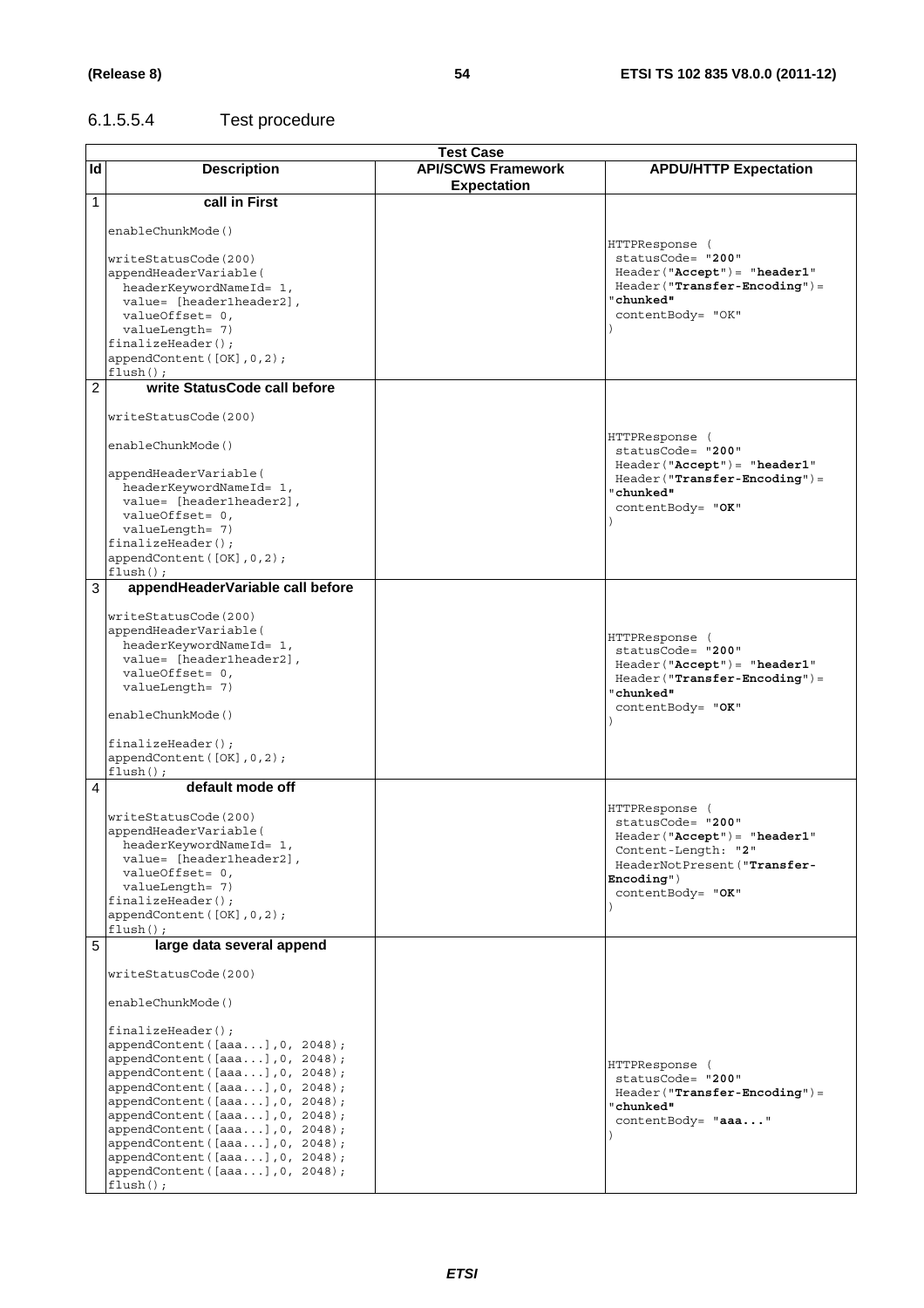# 6.1.5.5.4 Test procedure

|                | <b>Test Case</b>                                                 |                                                 |                                                                   |
|----------------|------------------------------------------------------------------|-------------------------------------------------|-------------------------------------------------------------------|
| Id             | <b>Description</b>                                               | <b>API/SCWS Framework</b><br><b>Expectation</b> | <b>APDU/HTTP Expectation</b>                                      |
| 1              | call in First                                                    |                                                 |                                                                   |
|                | enableChunkMode()                                                |                                                 | HTTPResponse (                                                    |
|                | writeStatusCode(200)                                             |                                                 | statusCode= "200"                                                 |
|                | appendHeaderVariable(                                            |                                                 | $Header('Accept") = "header1"$                                    |
|                | headerKeywordNameId= 1,                                          |                                                 | Header("Transfer-Encoding")=<br>"chunked"                         |
|                | value= [header1header2],<br>valueOffset= 0,                      |                                                 | contentBody= "OK"                                                 |
|                | valueLength= 7)                                                  |                                                 |                                                                   |
|                | $finalizeHeader()$ ;                                             |                                                 |                                                                   |
|                | appendContent ([OK], 0, 2);<br>$flush()$ ;                       |                                                 |                                                                   |
| $\overline{c}$ | write StatusCode call before                                     |                                                 |                                                                   |
|                | writeStatusCode(200)                                             |                                                 |                                                                   |
|                | enableChunkMode()                                                |                                                 | HTTPResponse (<br>statusCode= "200"                               |
|                | appendHeaderVariable(                                            |                                                 | $Header('Accept") = "header1"$<br>$Header("Transfer-Encoding") =$ |
|                | headerKeywordNameId= 1,                                          |                                                 | "chunked"                                                         |
|                | value= [header1header2],<br>valueOffset= 0,                      |                                                 | contentBody= "OK"                                                 |
|                | valueLength= 7)                                                  |                                                 |                                                                   |
|                | $finalizeHeader()$ ;                                             |                                                 |                                                                   |
|                | appendContent ([OK], 0, 2);<br>$flush()$ ;                       |                                                 |                                                                   |
| 3              | appendHeaderVariable call before                                 |                                                 |                                                                   |
|                | writeStatusCode(200)                                             |                                                 |                                                                   |
|                | appendHeaderVariable(<br>headerKeywordNameId= 1,                 |                                                 | HTTPResponse (                                                    |
|                | value= [header1header2],                                         |                                                 | statusCode= "200"<br>Header ("Accept") = "header1"                |
|                | valueOffset= 0,                                                  |                                                 | $Header("Transfer-Encoding") =$                                   |
|                | valueLength= 7)                                                  |                                                 | "chunked"                                                         |
|                | enableChunkMode()                                                |                                                 | contentBody= "OK"                                                 |
|                | $finalizeHeader()$ ;                                             |                                                 |                                                                   |
|                | appendContent ([OK], 0, 2);<br>$flush()$ ;                       |                                                 |                                                                   |
| 4              | default mode off                                                 |                                                 |                                                                   |
|                |                                                                  |                                                 | HTTPResponse (                                                    |
|                | writeStatusCode(200)                                             |                                                 | statusCode= "200"                                                 |
|                | appendHeaderVariable(<br>headerKeywordNameld= 1,                 |                                                 | $Header('Accept") = "header1"$                                    |
|                | value= [header1header2],                                         |                                                 | Content-Length: "2"<br>HeaderNotPresent ("Transfer-               |
|                | valueOffset= 0,                                                  |                                                 | Encoding")                                                        |
|                | valueLength= 7)<br>$finalizeHeader()$ ;                          |                                                 | contentBody= "OK"                                                 |
|                | appendContent ([OK], 0, 2);<br>$flush()$ ;                       |                                                 |                                                                   |
| 5              | large data several append                                        |                                                 |                                                                   |
|                | writeStatusCode(200)                                             |                                                 |                                                                   |
|                | enableChunkMode()                                                |                                                 |                                                                   |
|                | $finalizeHeader()$ ;                                             |                                                 |                                                                   |
|                | appendContent ([aaa], 0, 2048);                                  |                                                 |                                                                   |
|                | appendContent([aaa], 0, 2048);                                   |                                                 | HTTPResponse (                                                    |
|                | appendContent([aaa], 0, 2048);<br>appendContent([aaa], 0, 2048); |                                                 | statusCode= "200"                                                 |
|                | appendContent ([aaa], 0, 2048);                                  |                                                 | $Header("Transfer-Encoding") =$                                   |
|                | appendContent([aaa], 0, 2048);                                   |                                                 | "chunked <b>"</b><br>contentBody= "aaa"                           |
|                | appendContent([aaa], 0, 2048);                                   |                                                 |                                                                   |
|                | appendContent([aaa], 0, 2048);<br>appendContent([aaa], 0, 2048); |                                                 |                                                                   |
|                | appendContent([aaa], 0, 2048);                                   |                                                 |                                                                   |
|                | $flush()$ ;                                                      |                                                 |                                                                   |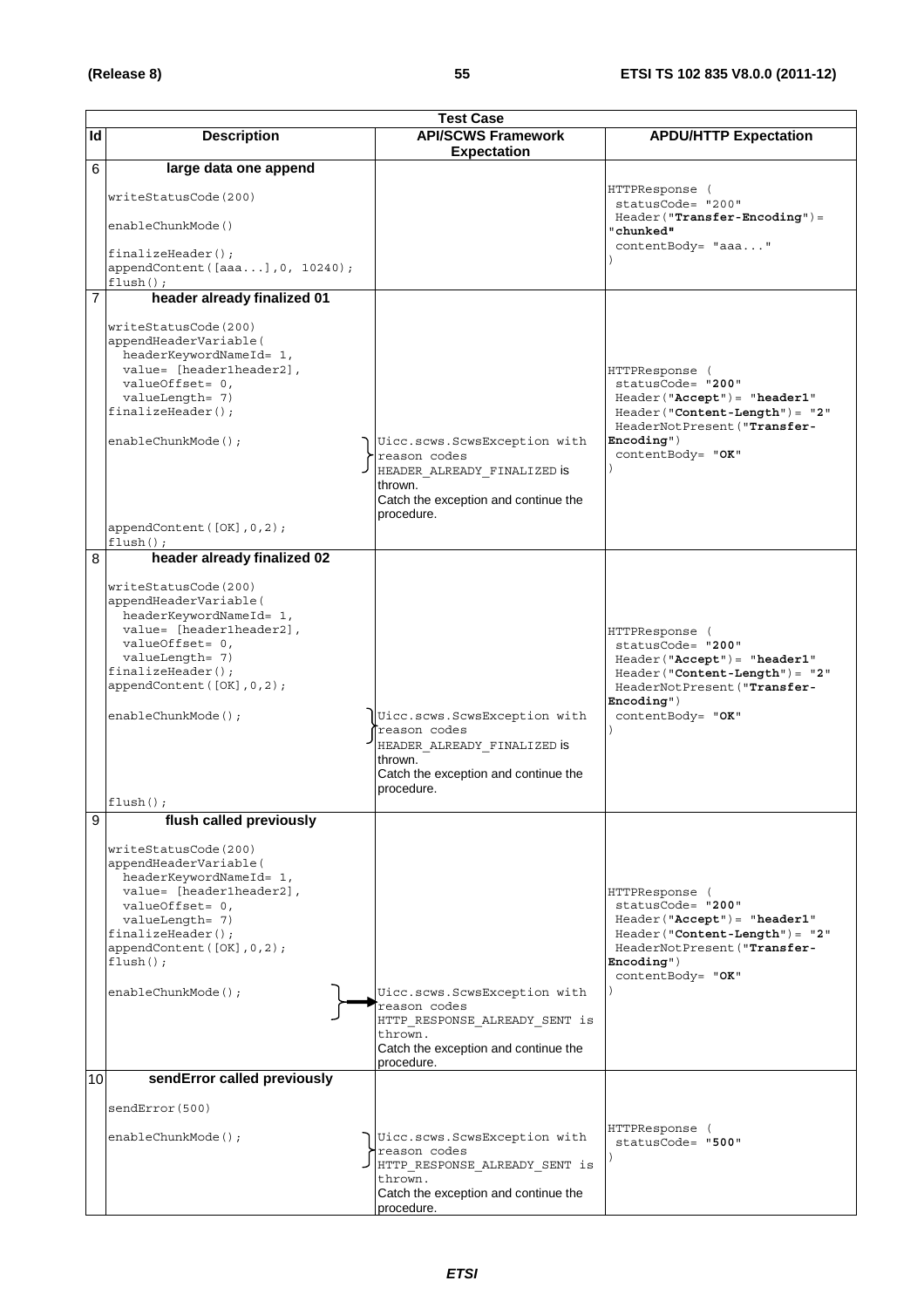|                | <b>Test Case</b>                                                                                                                                                                                                                                                      |                                                                                                                                                |                                                                                                                                                                                        |
|----------------|-----------------------------------------------------------------------------------------------------------------------------------------------------------------------------------------------------------------------------------------------------------------------|------------------------------------------------------------------------------------------------------------------------------------------------|----------------------------------------------------------------------------------------------------------------------------------------------------------------------------------------|
| Id             | <b>Description</b>                                                                                                                                                                                                                                                    | <b>API/SCWS Framework</b><br><b>Expectation</b>                                                                                                | <b>APDU/HTTP Expectation</b>                                                                                                                                                           |
| 6              | large data one append<br>writeStatusCode(200)<br>enableChunkMode()<br>$finalizeHeader()$ ;<br>appendContent ([aaa], 0, 10240);<br>$flush()$ ;                                                                                                                         |                                                                                                                                                | HTTPResponse (<br>statusCode= "200"<br>$Header("Transfer-Encoding") =$<br>"chunked"<br>contentBody= "aaa"                                                                              |
| $\overline{7}$ | header already finalized 01<br>writeStatusCode(200)<br>appendHeaderVariable(<br>headerKeywordNameId= 1,<br>value= [header1header2],<br>valueOffset= 0,<br>valueLength= 7)<br>$finalizeHeader()$ ;<br>enableChunkMode();<br>appendContent ([OK], 0, 2);<br>$flush()$ ; | Uicc.scws.ScwsException with<br>reason codes<br>HEADER ALREADY FINALIZED is<br>thrown.<br>Catch the exception and continue the<br>procedure.   | HTTPResponse (<br>statusCode= "200"<br>$Header('Accept") = "header1"$<br>$Header('Content-Length") = "2"$<br>HeaderNotPresent ("Transfer-<br>Encoding")<br>contentBody= "OK"           |
| 8              | header already finalized 02<br>writeStatusCode(200)<br>appendHeaderVariable(<br>headerKeywordNameId= 1,<br>value= [header1header2],<br>valueOffset= 0,<br>valueLength= 7)<br>$finalizeHeader()$ ;<br>appendContent([OK], 0, 2);<br>enableChunkMode();<br>$flush()$ ;  | Uicc.scws.ScwsException with<br>reason codes<br>HEADER ALREADY FINALIZED is<br>thrown.<br>Catch the exception and continue the<br>procedure.   | HTTPResponse (<br>statusCode= "200"<br>$Header('Accept") = "header1"$<br>$Header('Content-Length") = "2"$<br>HeaderNotPresent ("Transfer-<br>Encoder <sub>1</sub><br>contentBody= "OK" |
| 9              | flush called previously<br>writeStatusCode(200)<br>appendHeaderVariable(<br>headerKeywordNameId= 1,<br>value= [header1header2],<br>valueOffset= 0,<br>valueLength= 7)<br>finalizeHeader();<br>appendContent([OK], 0, 2);<br>$flush()$ ;<br>enableChunkMode();         | Uicc.scws.ScwsException with<br>reason codes<br>HTTP_RESPONSE_ALREADY_SENT is<br>thrown.<br>Catch the exception and continue the<br>procedure. | HTTPResponse (<br>statusCode= "200"<br>Header("Accept")= "header1"<br>$Header("Content-Length") = "2"$<br>HeaderNotPresent ("Transfer-<br>$Encoder"$ )<br>contentBody= "OK"            |
| 10             | sendError called previously<br>sendError(500)<br>enableChunkMode();                                                                                                                                                                                                   | Uicc.scws.ScwsException with<br>reason codes<br>HTTP_RESPONSE_ALREADY_SENT is<br>thrown.<br>Catch the exception and continue the<br>procedure. | HTTPResponse (<br>statusCode= "500"                                                                                                                                                    |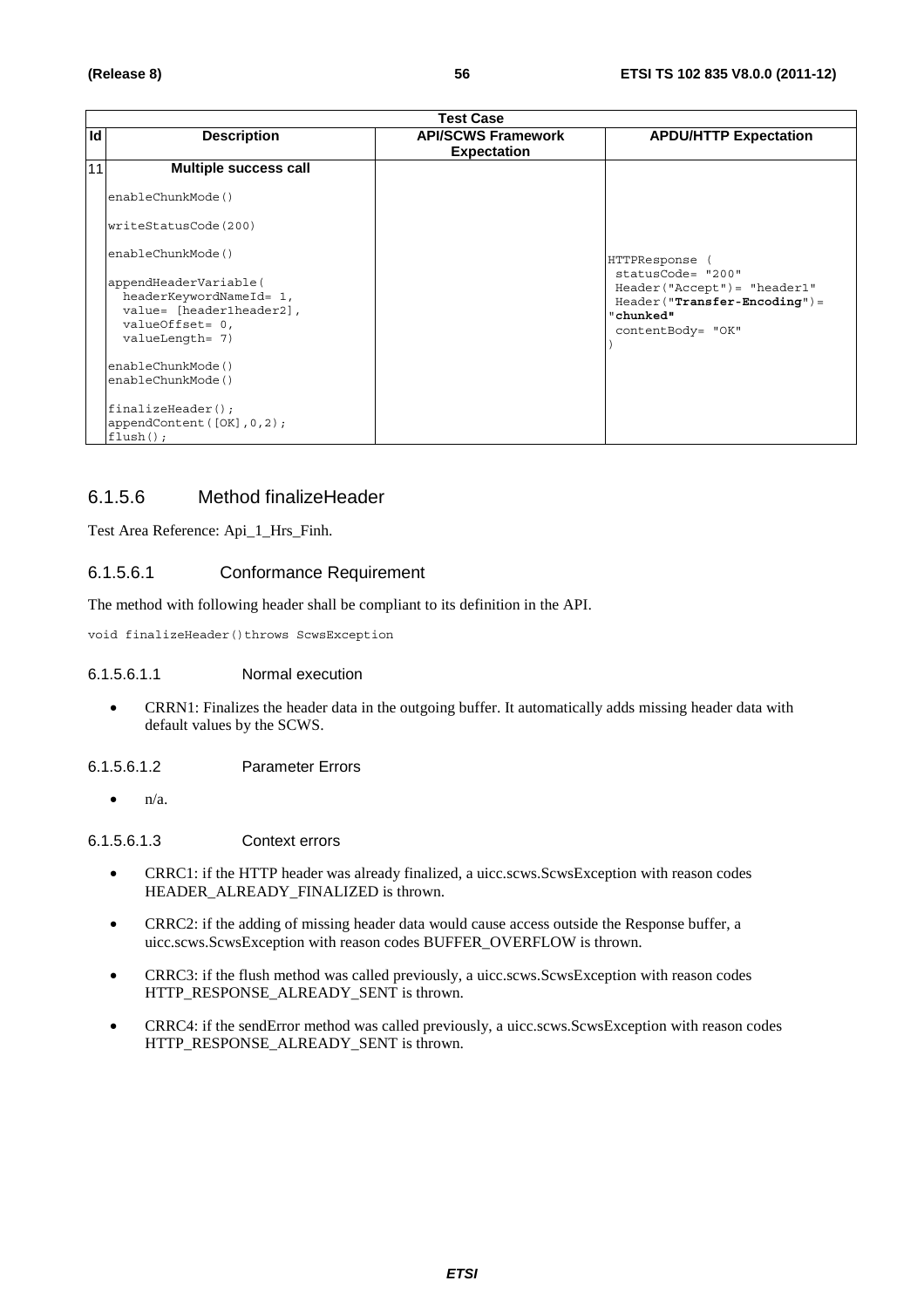|    | <b>Test Case</b>                                                                                                   |                                                 |                                                                                                                          |
|----|--------------------------------------------------------------------------------------------------------------------|-------------------------------------------------|--------------------------------------------------------------------------------------------------------------------------|
| Id | <b>Description</b>                                                                                                 | <b>API/SCWS Framework</b><br><b>Expectation</b> | <b>APDU/HTTP Expectation</b>                                                                                             |
| 11 | <b>Multiple success call</b>                                                                                       |                                                 |                                                                                                                          |
|    | enableChunkMode()                                                                                                  |                                                 |                                                                                                                          |
|    | writeStatusCode(200)                                                                                               |                                                 |                                                                                                                          |
|    | enableChunkMode()                                                                                                  |                                                 | HTTPResponse (                                                                                                           |
|    | appendHeaderVariable(<br>headerKeywordNameId= 1,<br>value= [header1header2],<br>valueOffset= 0,<br>valueLength= 7) |                                                 | statusCode= "200"<br>$Header("Accept") = "header1"$<br>$Header("Transfer-Encoding") =$<br>"chunked"<br>contentBody= "OK" |
|    | enableChunkMode()<br>enableChunkMode()                                                                             |                                                 |                                                                                                                          |
|    | $finalizeHeader()$ ;<br>appendContent([OK], 0, 2);<br>$flush()$ ;                                                  |                                                 |                                                                                                                          |

# 6.1.5.6 Method finalizeHeader

Test Area Reference: Api\_1\_Hrs\_Finh.

## 6.1.5.6.1 Conformance Requirement

The method with following header shall be compliant to its definition in the API.

void finalizeHeader()throws ScwsException

### 6.1.5.6.1.1 Normal execution

• CRRN1: Finalizes the header data in the outgoing buffer. It automatically adds missing header data with default values by the SCWS.

6.1.5.6.1.2 Parameter Errors

 $\bullet$   $\frac{n}{a}$ 

#### 6.1.5.6.1.3 Context errors

- CRRC1: if the HTTP header was already finalized, a uicc.scws.ScwsException with reason codes HEADER\_ALREADY\_FINALIZED is thrown.
- CRRC2: if the adding of missing header data would cause access outside the Response buffer, a uicc.scws.ScwsException with reason codes BUFFER\_OVERFLOW is thrown.
- CRRC3: if the flush method was called previously, a uicc.scws.ScwsException with reason codes HTTP\_RESPONSE\_ALREADY\_SENT is thrown.
- CRRC4: if the sendError method was called previously, a uicc.scws.ScwsException with reason codes HTTP\_RESPONSE\_ALREADY\_SENT is thrown.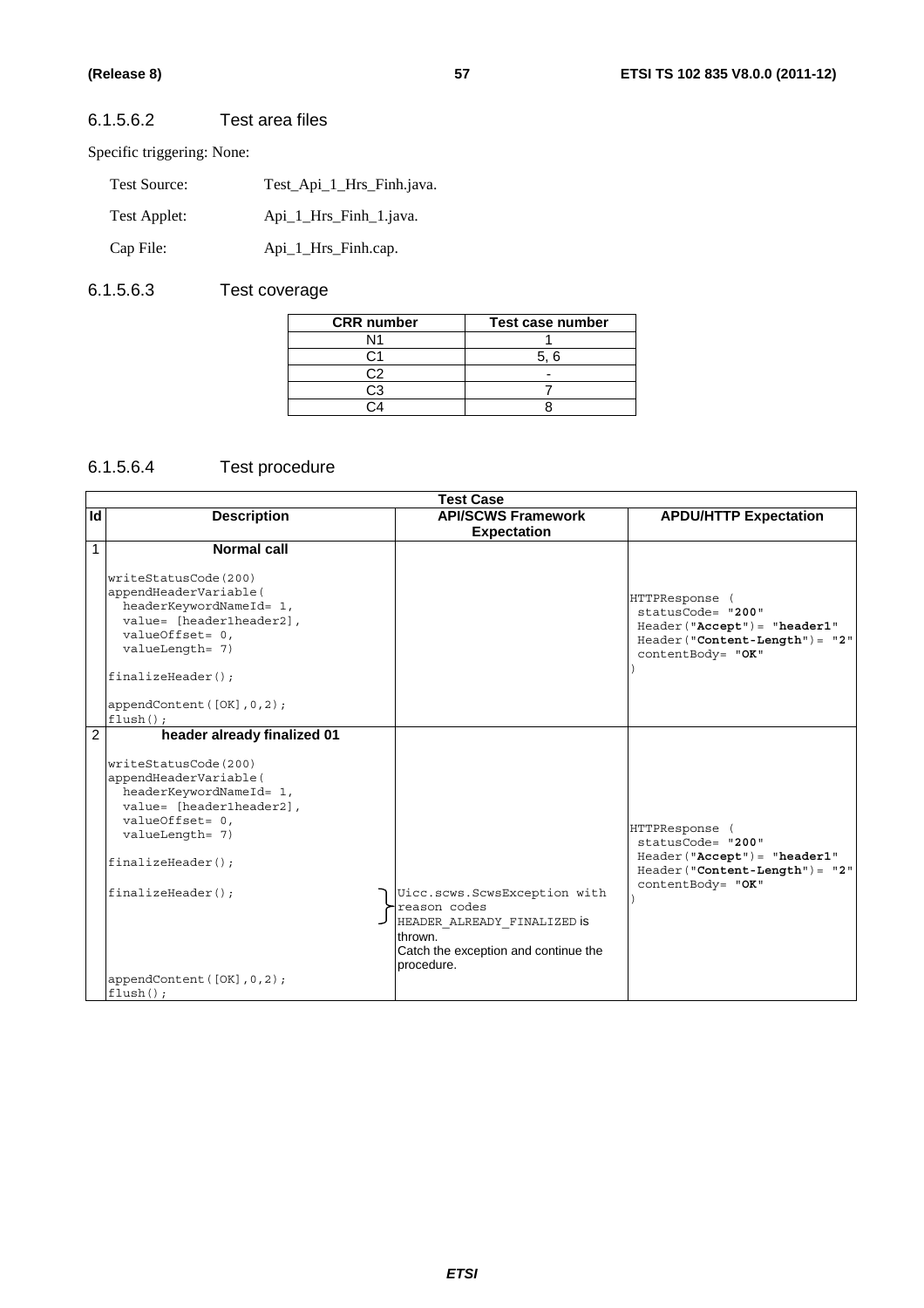## 6.1.5.6.2 Test area files

Specific triggering: None:

| Test Source: | Test Api 1 Hrs Finh.java. |
|--------------|---------------------------|
| Test Applet: | Api 1 Hrs Finh 1. java.   |
| Cap File:    | Api_1_Hrs_Finh.cap.       |

# 6.1.5.6.3 Test coverage

| Test case number |
|------------------|
|                  |
| 5. 6             |
|                  |
|                  |
|                  |
|                  |

# 6.1.5.6.4 Test procedure

|                | <b>Test Case</b>                                                                                                                                                                                                                                                 |                                                                                                                                              |                                                                                                                                |  |
|----------------|------------------------------------------------------------------------------------------------------------------------------------------------------------------------------------------------------------------------------------------------------------------|----------------------------------------------------------------------------------------------------------------------------------------------|--------------------------------------------------------------------------------------------------------------------------------|--|
| Id             | <b>Description</b>                                                                                                                                                                                                                                               | <b>API/SCWS Framework</b><br><b>Expectation</b>                                                                                              | <b>APDU/HTTP Expectation</b>                                                                                                   |  |
| $\mathbf{1}$   | Normal call<br>writeStatusCode(200)<br>appendHeaderVariable(<br>headerKeywordNameId= 1,<br>value= [header1header2],<br>$valueOffset = 0,$<br>valueLength= 7)<br>finalizeHeader();<br>appendContent ([OK], 0, 2);<br>$flush()$ ;                                  |                                                                                                                                              | HTTPResponse (<br>statusCode= "200"<br>$Header("Accept") = "header1"$<br>Header("Content-Length")= "2"<br>contentBody= "OK"    |  |
| $\overline{c}$ | header already finalized 01<br>writeStatusCode(200)<br>appendHeaderVariable(<br>headerKeywordNameId= 1,<br>value= [header1header2],<br>valueOffset= 0,<br>valueLength= 7)<br>finalizeHeader();<br>finalizeHeader()<br>appendContent ([OK], 0, 2);<br>$flush()$ ; | Uicc.scws.ScwsException with<br>reason codes<br>HEADER ALREADY FINALIZED IS<br>thrown.<br>Catch the exception and continue the<br>procedure. | HTTPResponse (<br>statusCode= "200"<br>$Header("Accept") = "header1"$<br>$Header('Content-Length") = "2"$<br>contentBody= "OK" |  |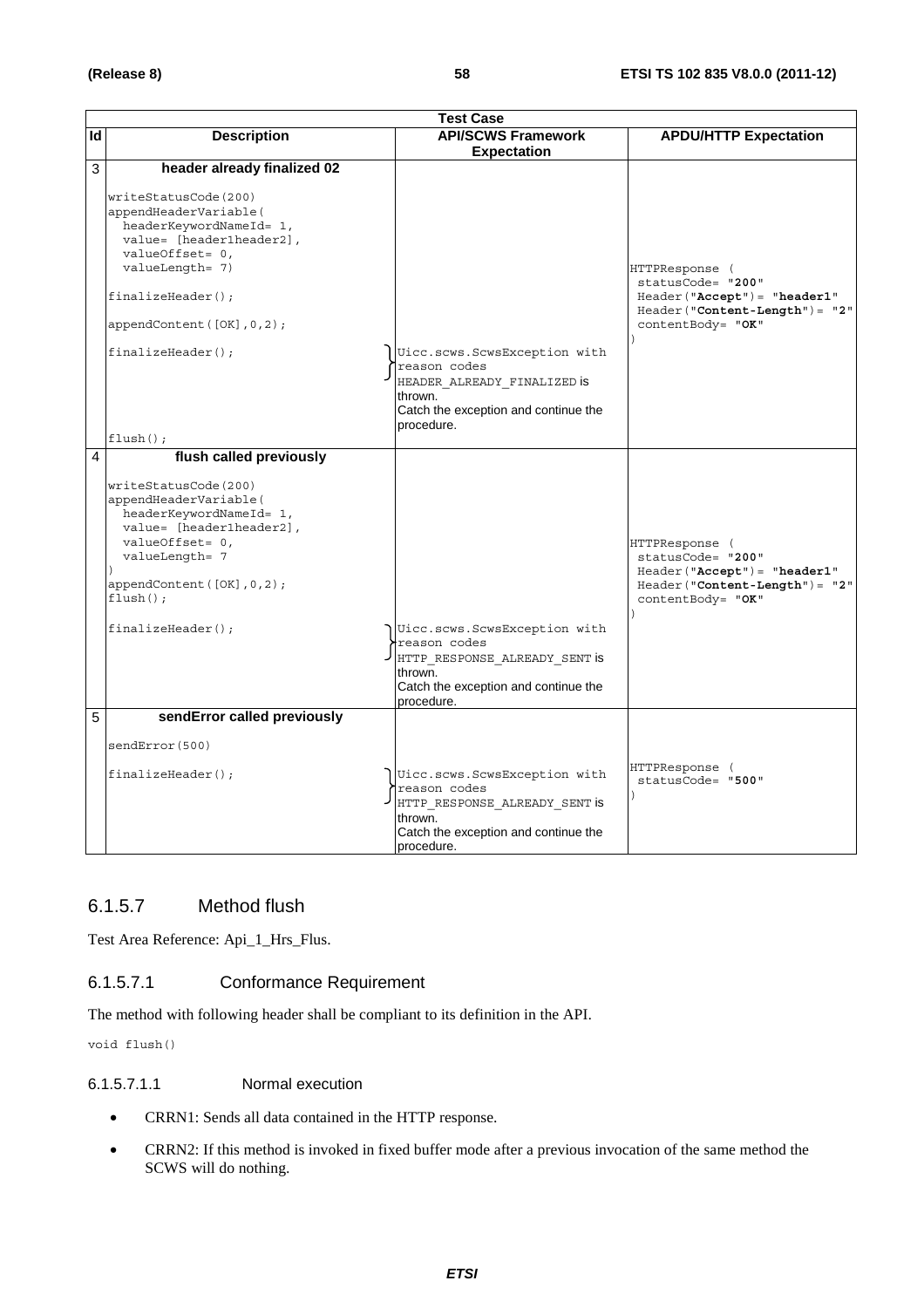|    | <b>Test Case</b>                                                                                                                                                                                                                                                           |                                                                                                                                                |                                                                                                                               |  |
|----|----------------------------------------------------------------------------------------------------------------------------------------------------------------------------------------------------------------------------------------------------------------------------|------------------------------------------------------------------------------------------------------------------------------------------------|-------------------------------------------------------------------------------------------------------------------------------|--|
| Id | <b>Description</b>                                                                                                                                                                                                                                                         | <b>API/SCWS Framework</b>                                                                                                                      | <b>APDU/HTTP Expectation</b>                                                                                                  |  |
|    |                                                                                                                                                                                                                                                                            | <b>Expectation</b>                                                                                                                             |                                                                                                                               |  |
| 3  | header already finalized 02<br>writeStatusCode(200)<br>appendHeaderVariable(<br>headerKeywordNameId= 1,<br>value= [header1header2],<br>valueOffset= 0,<br>valueLength= 7)<br>$finalizeHeader()$ ;<br>appendContent $([OK], 0, 2)$ ;<br>$finalizeHeader()$ ;<br>$flush()$ ; | Uicc.scws.ScwsException with<br>reason codes<br>HEADER ALREADY FINALIZED is<br>thrown.<br>Catch the exception and continue the<br>procedure.   | HTTPResponse (<br>statusCode= "200"<br>Header ("Accept") = "header1"<br>$Header('Content-Length") = "2"$<br>contentBody= "OK" |  |
| 4  | flush called previously<br>writeStatusCode(200)<br>appendHeaderVariable(<br>headerKeywordNameId= 1,<br>value= [header1header2],<br>valueOffset= 0,<br>valueLength= 7<br>appendContent([OK], 0, 2);<br>$flush()$ ;<br>$finalizeHeader()$ ;                                  | Uicc.scws.ScwsException with<br>reason codes<br>HTTP RESPONSE ALREADY SENT is<br>thrown.<br>Catch the exception and continue the<br>procedure. | HTTPResponse (<br>statusCode= "200"<br>Header("Accept") = "header1"<br>Header ("Content-Length") = "2"<br>contentBody= "OK"   |  |
| 5  | sendError called previously<br>sendError (500)<br>finalizeHeader();                                                                                                                                                                                                        | Uicc.scws.ScwsException with<br>reason codes<br>HTTP RESPONSE ALREADY SENT is<br>thrown.<br>Catch the exception and continue the<br>procedure. | HTTPResponse (<br>statusCode= "500"                                                                                           |  |

# 6.1.5.7 Method flush

Test Area Reference: Api\_1\_Hrs\_Flus.

## 6.1.5.7.1 Conformance Requirement

The method with following header shall be compliant to its definition in the API.

void flush()

### 6.1.5.7.1.1 Normal execution

- CRRN1: Sends all data contained in the HTTP response.
- CRRN2: If this method is invoked in fixed buffer mode after a previous invocation of the same method the SCWS will do nothing.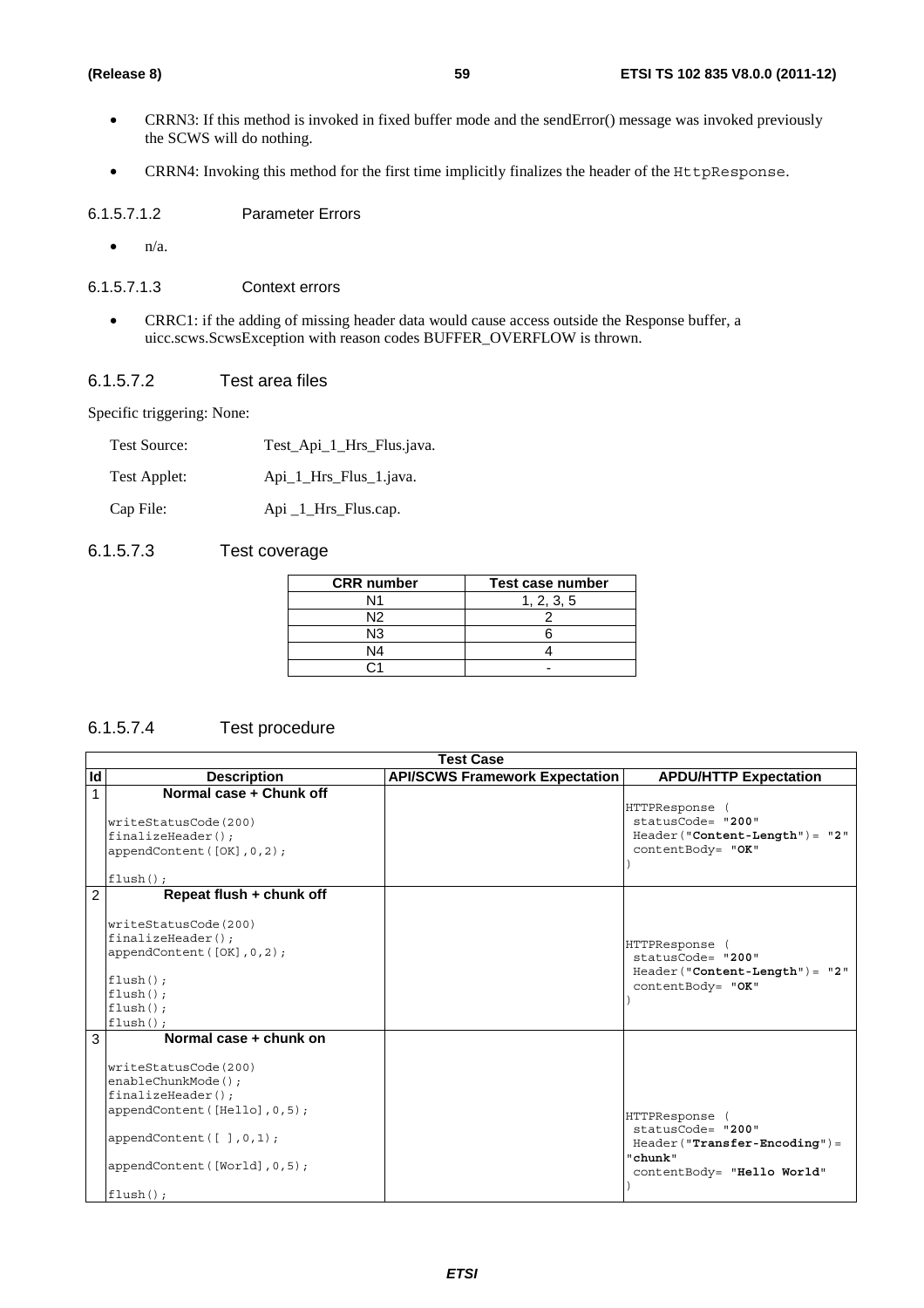- CRRN3: If this method is invoked in fixed buffer mode and the sendError() message was invoked previously the SCWS will do nothing.
- CRRN4: Invoking this method for the first time implicitly finalizes the header of the HttpResponse.

6.1.5.7.1.2 Parameter Errors

 $\bullet$  n/a.

6.1.5.7.1.3 Context errors

• CRRC1: if the adding of missing header data would cause access outside the Response buffer, a uicc.scws.ScwsException with reason codes BUFFER\_OVERFLOW is thrown.

#### 6.1.5.7.2 Test area files

Specific triggering: None:

| <b>Test Source:</b> | Test_Api_1_Hrs_Flus.java. |
|---------------------|---------------------------|
| Test Applet:        | Api_1_Hrs_Flus_1.java.    |
| Cap File:           | Api _1_Hrs_Flus.cap.      |

### 6.1.5.7.3 Test coverage

| <b>CRR</b> number | Test case number |
|-------------------|------------------|
| N1                | 1, 2, 3, 5       |
| N <sub>2</sub>    |                  |
| N <sub>3</sub>    |                  |
| N4                |                  |
|                   |                  |

## 6.1.5.7.4 Test procedure

|                | <b>Test Case</b>                                                                                                                                                                                                |                                       |                                                                                                            |
|----------------|-----------------------------------------------------------------------------------------------------------------------------------------------------------------------------------------------------------------|---------------------------------------|------------------------------------------------------------------------------------------------------------|
| Id             | <b>Description</b>                                                                                                                                                                                              | <b>API/SCWS Framework Expectation</b> | <b>APDU/HTTP Expectation</b>                                                                               |
| $\mathbf{1}$   | Normal case + Chunk off<br>writeStatusCode(200)<br>finalizeHeader()<br>appendContent $([OK], 0, 2)$ ;<br>$flush()$ ;                                                                                            |                                       | <b>HTTPResponse</b><br>statusCode= "200"<br>$Header('Content-Length") = "2"$<br>contentBody= "OK"          |
| $\overline{2}$ | Repeat flush + chunk off<br>writeStatusCode(200)<br>$finalizeHeader()$ ;<br>appendContent $([OK], 0, 2)$ ;<br>$flush()$ ;<br>$flush()$ ;<br>$flush()$ ;<br>$flush()$ ;                                          |                                       | HTTPResponse<br>statusCode= "200"<br>$Header('Content-Length") = "2"$<br>contentBody= "OK"                 |
| 3              | Normal case + chunk on<br>writeStatusCode(200)<br>enableChunkMode();<br>$finalizeHeader()$ ;<br>appendContent ([Hello], 0,5);<br>appendContent $([ ] , 0, 1)$ ;<br>appendContent ([World], 0,5);<br>$flush()$ ; |                                       | HTTPResponse<br>statusCode= "200"<br>Header("Transfer-Encoding")=<br>"chunk"<br>contentBody= "Hello World" |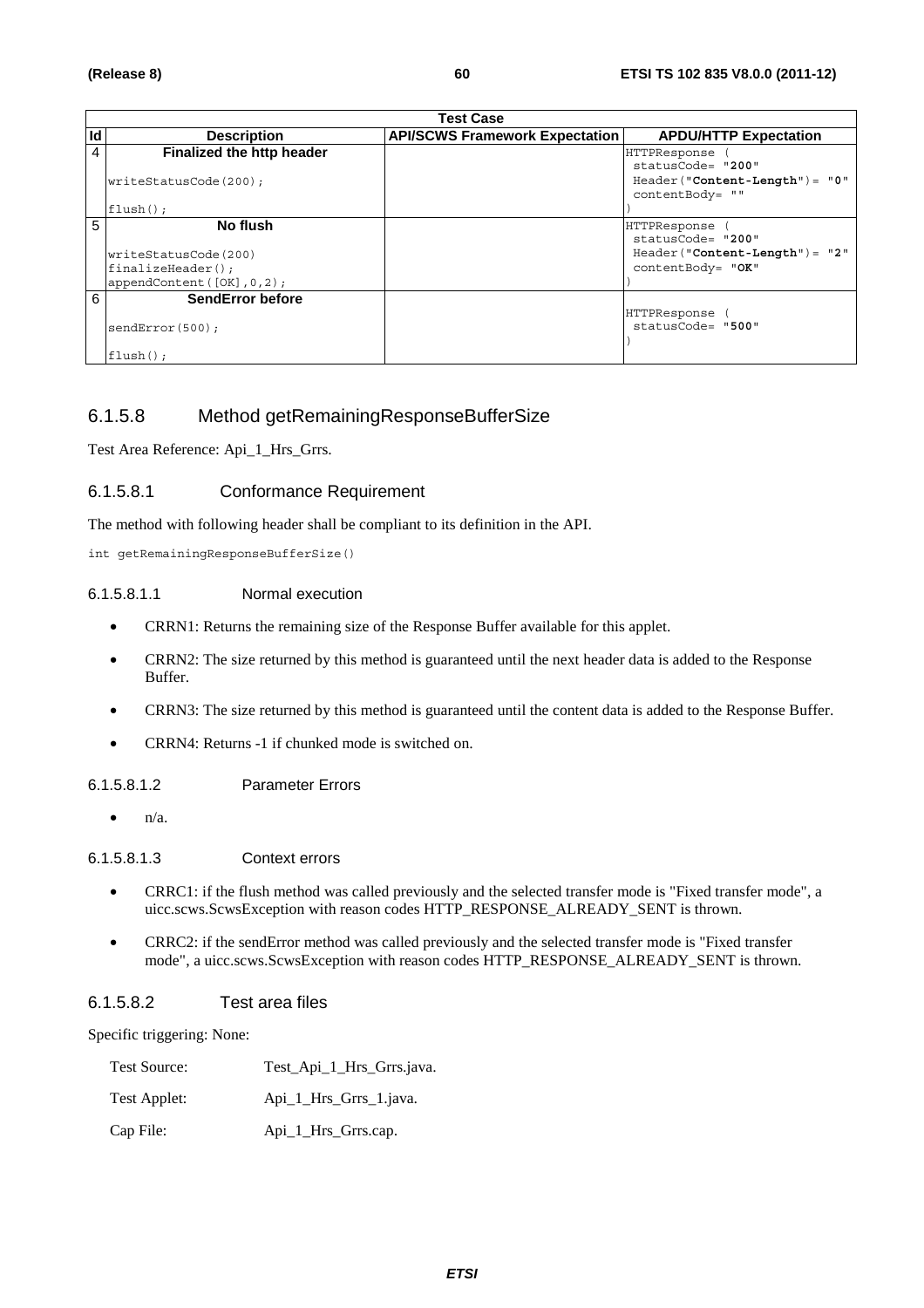|    | <b>Test Case</b>                |                                       |                                  |
|----|---------------------------------|---------------------------------------|----------------------------------|
| ld | <b>Description</b>              | <b>API/SCWS Framework Expectation</b> | <b>APDU/HTTP Expectation</b>     |
| 4  | Finalized the http header       |                                       | HTTPResponse                     |
|    |                                 |                                       | statusCode= "200"                |
|    | writeStatusCode(200);           |                                       | $Header('Content-Length") = "0"$ |
|    |                                 |                                       | contentBody= ""                  |
|    | $flush()$ ;                     |                                       |                                  |
| 5  | No flush                        |                                       | HTTPResponse                     |
|    |                                 |                                       | statusCode= "200"                |
|    | writeStatusCode(200)            |                                       | $Header('Content-Length") = "2"$ |
|    | $finalizeHeader()$ ;            |                                       | contentBody= "OK"                |
|    | appendContent ( $[OK], 0, 2$ ); |                                       |                                  |
| 6  | <b>SendError before</b>         |                                       |                                  |
|    |                                 |                                       | HTTPResponse                     |
|    | sendError(500);                 |                                       | statusCode= "500"                |
|    |                                 |                                       |                                  |
|    | $flush()$ ;                     |                                       |                                  |

# 6.1.5.8 Method getRemainingResponseBufferSize

Test Area Reference: Api\_1\_Hrs\_Grrs.

## 6.1.5.8.1 Conformance Requirement

The method with following header shall be compliant to its definition in the API.

int getRemainingResponseBufferSize()

### 6.1.5.8.1.1 Normal execution

- CRRN1: Returns the remaining size of the Response Buffer available for this applet.
- CRRN2: The size returned by this method is guaranteed until the next header data is added to the Response Buffer.
- CRRN3: The size returned by this method is guaranteed until the content data is added to the Response Buffer.
- CRRN4: Returns -1 if chunked mode is switched on.
- 6.1.5.8.1.2 Parameter Errors
	- $\bullet$   $\mathsf{n}/\mathsf{a}$ .

#### 6.1.5.8.1.3 Context errors

- CRRC1: if the flush method was called previously and the selected transfer mode is "Fixed transfer mode", a uicc.scws.ScwsException with reason codes HTTP\_RESPONSE\_ALREADY\_SENT is thrown.
- CRRC2: if the sendError method was called previously and the selected transfer mode is "Fixed transfer mode", a uicc.scws.ScwsException with reason codes HTTP\_RESPONSE\_ALREADY\_SENT is thrown.

### 6.1.5.8.2 Test area files

Specific triggering: None:

| Test Source: | Test_Api_1_Hrs_Grrs.java. |
|--------------|---------------------------|
| Test Applet: | Api_1_Hrs_Grrs_1.java.    |
| Cap File:    | Api_1_Hrs_Grrs.cap.       |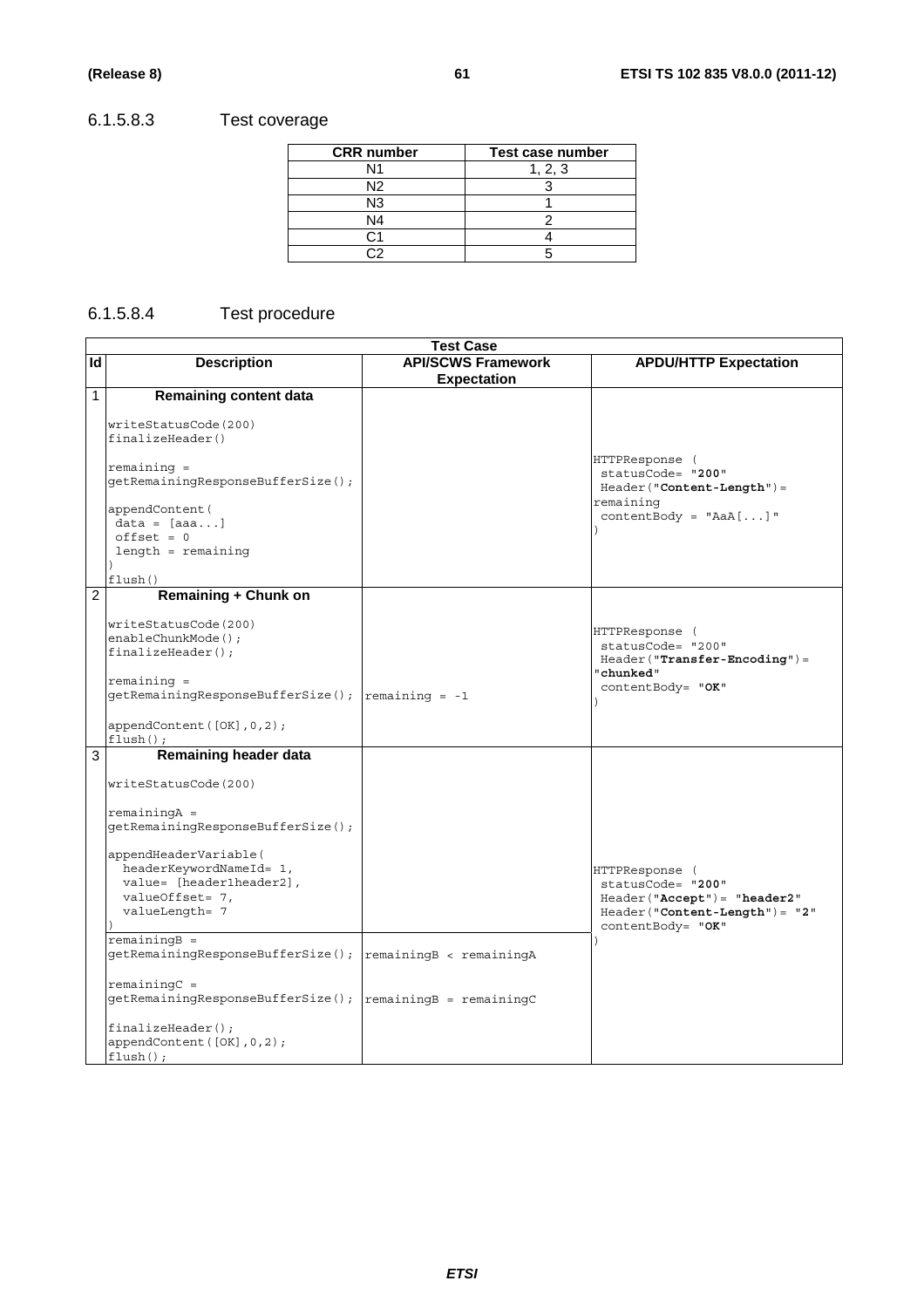# 6.1.5.8.3 Test coverage

| <b>CRR</b> number | Test case number |
|-------------------|------------------|
| N1                | 1, 2, 3          |
| N2                |                  |
| N <sub>3</sub>    |                  |
| N4                |                  |
|                   |                  |
|                   |                  |

# 6.1.5.8.4 Test procedure

|                | <b>Test Case</b>                                                                                                                                                                                 |                                                 |                                                                                                                             |  |
|----------------|--------------------------------------------------------------------------------------------------------------------------------------------------------------------------------------------------|-------------------------------------------------|-----------------------------------------------------------------------------------------------------------------------------|--|
| Id             | <b>Description</b>                                                                                                                                                                               | <b>API/SCWS Framework</b><br><b>Expectation</b> | <b>APDU/HTTP Expectation</b>                                                                                                |  |
| 1              | <b>Remaining content data</b>                                                                                                                                                                    |                                                 |                                                                                                                             |  |
|                | writeStatusCode(200)<br>finalizeHeader()<br>$remaining =$<br>getRemainingResponseBufferSize();<br>appendContent (<br>$data = [aaa]$<br>$offset = 0$<br>$length = remaining$<br>flush()           |                                                 | HTTPResponse (<br>statusCode= "200"<br>$Header('Content-Length") =$<br>remaining<br>$contentBody = "AaA[]$ "                |  |
| $\overline{2}$ | <b>Remaining + Chunk on</b>                                                                                                                                                                      |                                                 |                                                                                                                             |  |
|                | writeStatusCode(200)<br>enableChunkMode();<br>$finalizeHeader()$ ;<br>$remaining =$<br>getRemainingResponseBufferSize();<br>appendContent([OK], 0, 2);                                           | remaining $= -1$                                | HTTPResponse (<br>statusCode= "200"<br>$Header("Transfer-Encoding") =$<br>"chunked"<br>contentBody= "OK"                    |  |
|                | $flush()$ ;                                                                                                                                                                                      |                                                 |                                                                                                                             |  |
| 3              | Remaining header data                                                                                                                                                                            |                                                 |                                                                                                                             |  |
|                | writeStatusCode(200)                                                                                                                                                                             |                                                 |                                                                                                                             |  |
|                | $remainingA =$                                                                                                                                                                                   |                                                 |                                                                                                                             |  |
|                | getRemainingResponseBufferSize();                                                                                                                                                                |                                                 |                                                                                                                             |  |
|                | appendHeaderVariable(<br>headerKeywordNameId= 1,<br>value= [header1header2],<br>valueOffset= 7,<br>valueLength= 7<br>$remainingB =$<br>getRemainingResponseBufferSize(); remainingB < remainingA |                                                 | HTTPResponse (<br>statusCode= "200"<br>Header("Accept")= "header2"<br>$Header('Content-Length") = "2"$<br>contentBody= "OK" |  |
|                | $remainingC =$<br>getRemainingResponseBufferSize(); remainingB = remainingC                                                                                                                      |                                                 |                                                                                                                             |  |
|                | $finalizeHeader()$ ;<br>appendContent ([OK], 0, 2);<br>$flush()$ ;                                                                                                                               |                                                 |                                                                                                                             |  |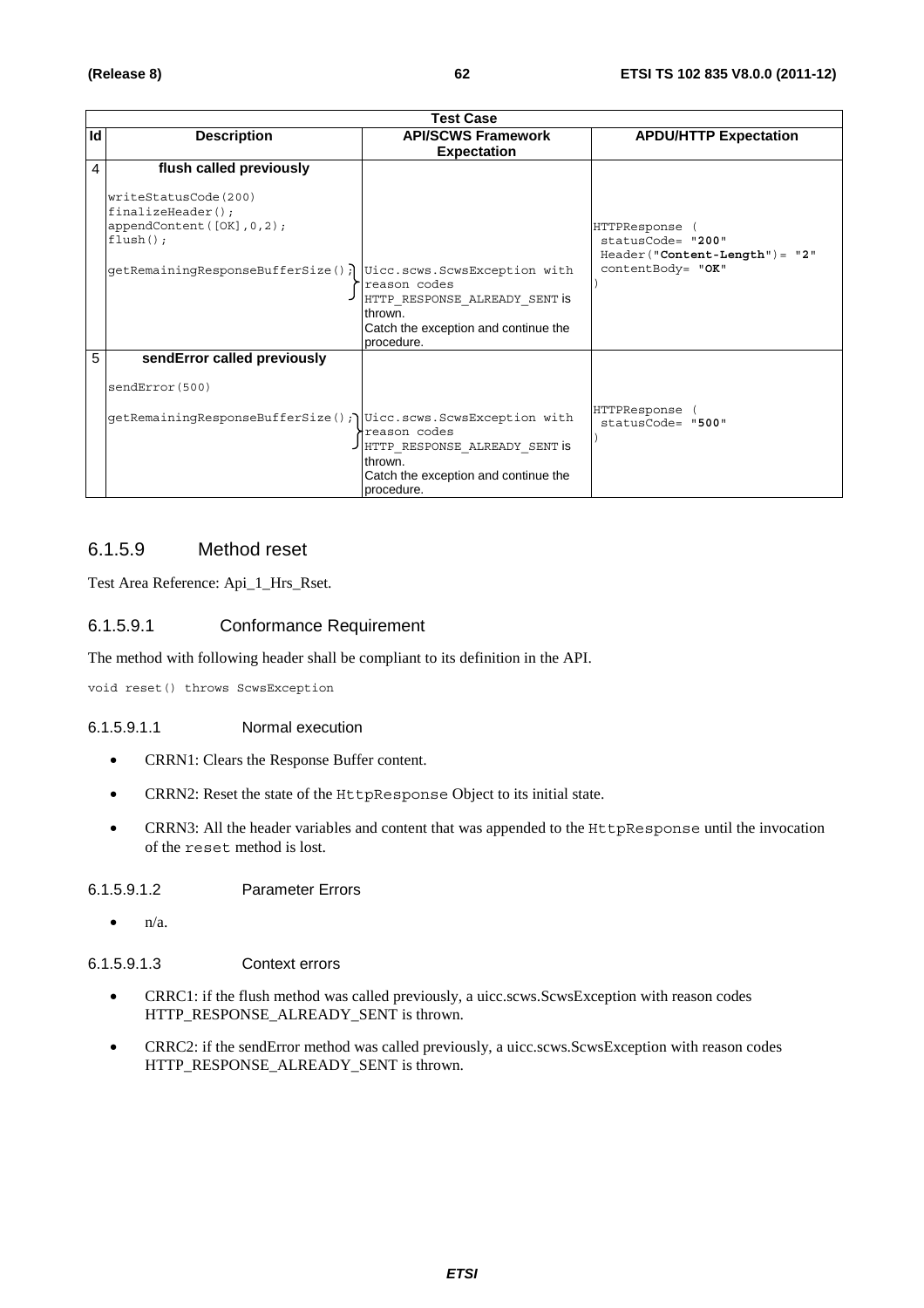|    | <b>Test Case</b>                                                                                                                                                                           |                                                                                                                 |                                                                                            |  |
|----|--------------------------------------------------------------------------------------------------------------------------------------------------------------------------------------------|-----------------------------------------------------------------------------------------------------------------|--------------------------------------------------------------------------------------------|--|
| Id | <b>Description</b>                                                                                                                                                                         | <b>API/SCWS Framework</b><br><b>Expectation</b>                                                                 | <b>APDU/HTTP Expectation</b>                                                               |  |
| 4  | flush called previously<br>writeStatusCode(200)<br>$finalizeHeader()$ ;<br>appendContent $([OK], 0, 2)$ ;<br>$flush()$ ;<br>qetRemainingResponseBufferSize(); Uicc.scws.ScwsException with | reason codes<br>HTTP RESPONSE ALREADY SENT is<br>thrown.<br>Catch the exception and continue the<br>procedure.  | HTTPResponse<br>statusCode= "200"<br>$Header('Content-Length") = "2"$<br>contentBody= "OK" |  |
| 5  | sendError called previously<br>sendError (500)<br>qetRemainingResponseBufferSize(); Uicc.scws.ScwsException with                                                                           | reason codes<br>JHTTP RESPONSE ALREADY SENT IS<br>thrown.<br>Catch the exception and continue the<br>procedure. | HTTPResponse<br>statusCode= "500"                                                          |  |

# 6.1.5.9 Method reset

Test Area Reference: Api\_1\_Hrs\_Rset.

## 6.1.5.9.1 Conformance Requirement

The method with following header shall be compliant to its definition in the API.

void reset() throws ScwsException

#### 6.1.5.9.1.1 Normal execution

- CRRN1: Clears the Response Buffer content.
- CRRN2: Reset the state of the HttpResponse Object to its initial state.
- CRRN3: All the header variables and content that was appended to the HttpResponse until the invocation of the reset method is lost.

6.1.5.9.1.2 Parameter Errors

 $\bullet$  n/a.

### 6.1.5.9.1.3 Context errors

- CRRC1: if the flush method was called previously, a uicc.scws.ScwsException with reason codes HTTP\_RESPONSE\_ALREADY\_SENT is thrown.
- CRRC2: if the sendError method was called previously, a uicc.scws.ScwsException with reason codes HTTP\_RESPONSE\_ALREADY\_SENT is thrown.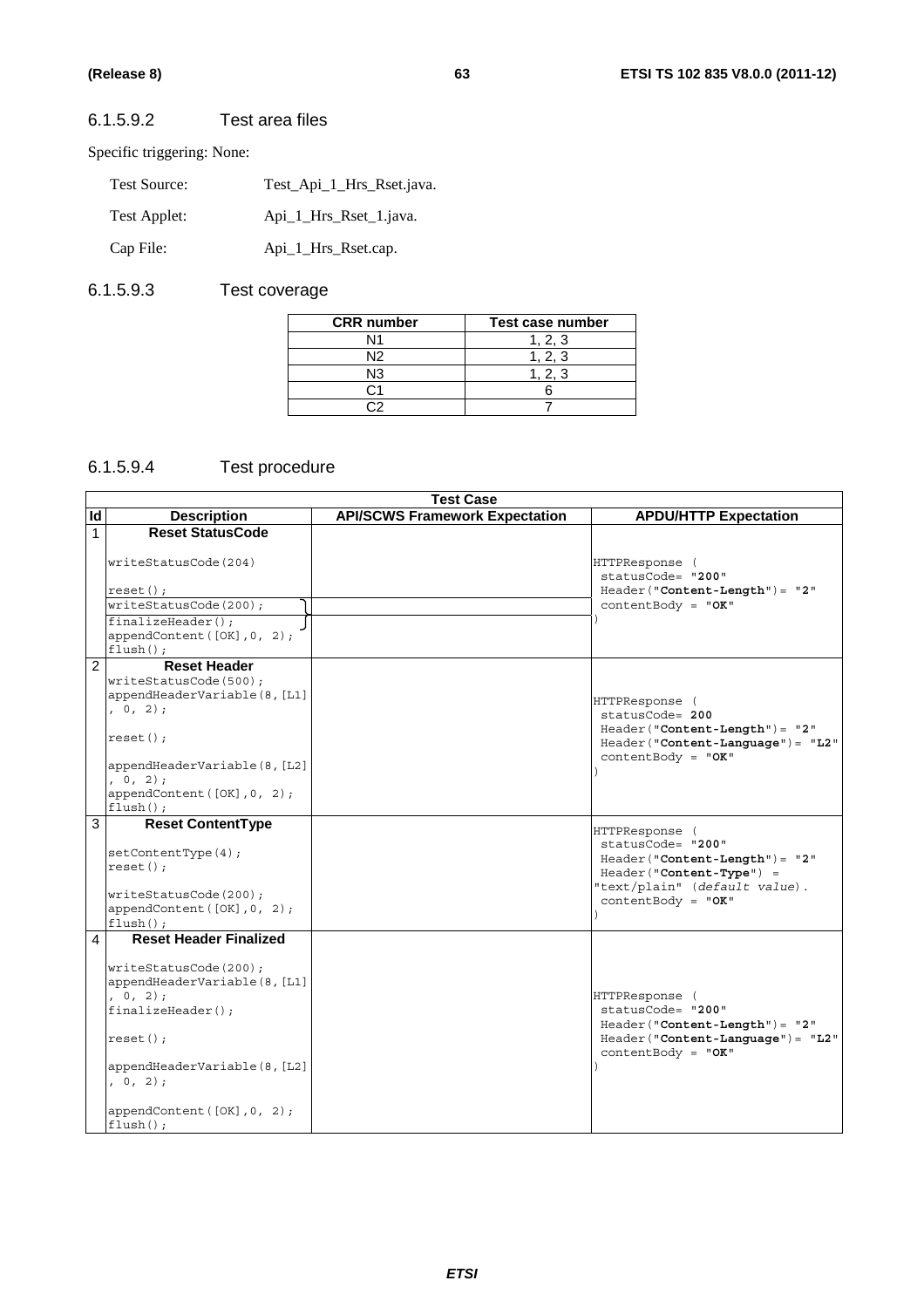## 6.1.5.9.2 Test area files

Specific triggering: None:

| Test Source: | Test Api 1 Hrs Rset.java. |
|--------------|---------------------------|
| Test Applet: | Api_1_Hrs_Rset_1.java.    |
| Cap File:    | Api_1_Hrs_Rset.cap.       |

# 6.1.5.9.3 Test coverage

| <b>CRR</b> number | Test case number |
|-------------------|------------------|
| N1                | 1, 2, 3          |
| N <sub>2</sub>    | 1, 2, 3          |
| N3                | 1, 2, 3          |
|                   |                  |
|                   |                  |

# 6.1.5.9.4 Test procedure

|                | <b>Test Case</b>                          |                                       |                                     |  |
|----------------|-------------------------------------------|---------------------------------------|-------------------------------------|--|
| ld             | <b>Description</b>                        | <b>API/SCWS Framework Expectation</b> | <b>APDU/HTTP Expectation</b>        |  |
| $\mathbf{1}$   | <b>Reset StatusCode</b>                   |                                       |                                     |  |
|                | writeStatusCode(204)                      |                                       | HTTPResponse (<br>statusCode= "200" |  |
|                | $reset()$ ;                               |                                       | $Header('Content-Length") = "2"$    |  |
|                | writeStatusCode(200);                     |                                       | contentBody = $"OK"$                |  |
|                | $finalizeHeader()$ ;                      |                                       |                                     |  |
|                | appendContent([OK], 0, 2);<br>$flush()$ ; |                                       |                                     |  |
| $\overline{2}$ | <b>Reset Header</b>                       |                                       |                                     |  |
|                | writeStatusCode(500);                     |                                       |                                     |  |
|                | appendHeaderVariable(8, [L1]              |                                       | HTTPResponse (                      |  |
|                | , 0, 2);                                  |                                       | statusCode= 200                     |  |
|                |                                           |                                       | $Header('Content-Length") = "2"$    |  |
|                | $reset()$ ;                               |                                       | $Header('Content-Lanquage") = "L2"$ |  |
|                |                                           |                                       | $contentBody = "OK"$                |  |
|                | appendHeaderVariable(8, [L2]              |                                       |                                     |  |
|                | , 0, 2);                                  |                                       |                                     |  |
|                | appendContent([OK], 0, 2);<br>$flush()$ ; |                                       |                                     |  |
|                |                                           |                                       |                                     |  |
| 3              | <b>Reset ContentType</b>                  |                                       | HTTPResponse (                      |  |
|                | setContextType(4);                        |                                       | statusCode= "200"                   |  |
|                | $reset()$ ;                               |                                       | $Header('Content-Length") = "2"$    |  |
|                |                                           |                                       | Header("Content-Type") =            |  |
|                | writeStatusCode(200);                     |                                       | "text/plain" (default value).       |  |
|                | appendContent([OK], 0, 2);                |                                       | $contentBody = "OK"$                |  |
|                | $flush()$ ;                               |                                       |                                     |  |
| $\overline{4}$ | <b>Reset Header Finalized</b>             |                                       |                                     |  |
|                |                                           |                                       |                                     |  |
|                | writeStatusCode(200);                     |                                       |                                     |  |
|                | appendHeaderVariable(8, [L1]              |                                       |                                     |  |
|                | 0, 2);                                    |                                       | HTTPResponse (                      |  |
|                | finalizeHeader();                         |                                       | statusCode= "200"                   |  |
|                |                                           |                                       | $Header('Content-Length") = "2"$    |  |
|                | $reset()$ ;                               |                                       | Header ("Content-Language") = "L2"  |  |
|                |                                           |                                       | $contentBody = "OK"$                |  |
|                | appendHeaderVariable(8, [L2]              |                                       |                                     |  |
|                | , 0, 2);                                  |                                       |                                     |  |
|                | appendContent([OK], 0, 2);                |                                       |                                     |  |
|                | $flush()$ ;                               |                                       |                                     |  |
|                |                                           |                                       |                                     |  |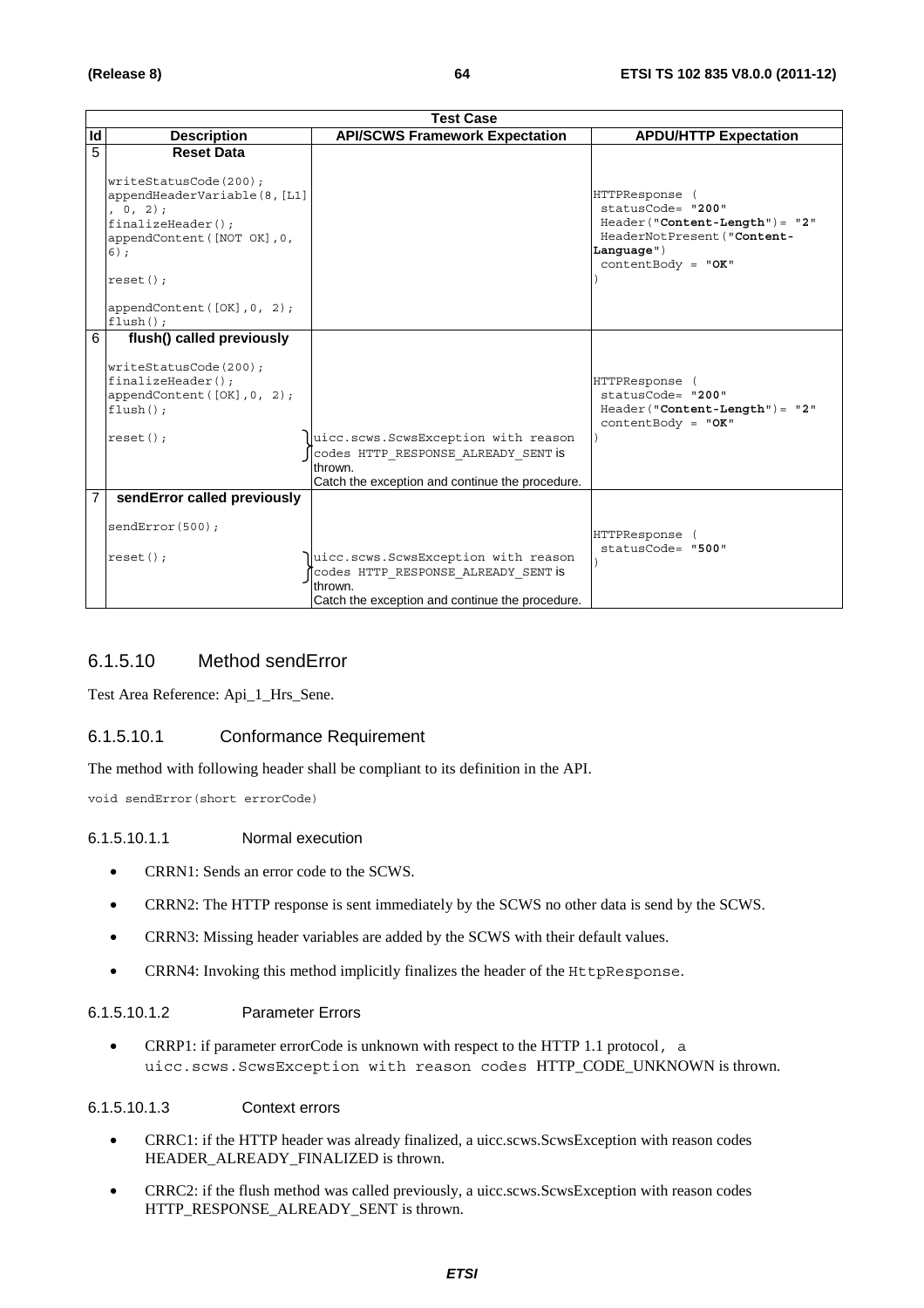|                | <b>Test Case</b>                                                                                                                                                                                     |                                                                                                                                          |                                                                                                                                            |  |
|----------------|------------------------------------------------------------------------------------------------------------------------------------------------------------------------------------------------------|------------------------------------------------------------------------------------------------------------------------------------------|--------------------------------------------------------------------------------------------------------------------------------------------|--|
| ld             | <b>Description</b>                                                                                                                                                                                   | <b>API/SCWS Framework Expectation</b>                                                                                                    | <b>APDU/HTTP Expectation</b>                                                                                                               |  |
| $\overline{5}$ | <b>Reset Data</b><br>writeStatusCode(200);<br>appendHeaderVariable(8, [L1]<br>, 0, 2);<br>$finalizeHeader()$ ;<br>appendContent ([NOT OK], 0,<br>$6)$ ;<br>$reset()$ ;<br>appendContent([OK], 0, 2); |                                                                                                                                          | HTTPResponse<br>statusCode= "200"<br>$Header('Content-Length") = "2"$<br>HeaderNotPresent ("Content-<br>Language")<br>$contentBody = "OK"$ |  |
| 6              | $flush()$ ;<br>flush() called previously<br>writeStatusCode(200);<br>$finalizeHeader()$ ;<br>appendContent([OK], 0, 2);<br>$flush()$ ;<br>$reset()$ ;                                                | uicc.scws.ScwsException with reason<br>codes HTTP RESPONSE ALREADY SENT is<br>thrown.<br>Catch the exception and continue the procedure. | HTTPResponse (<br>statusCode= "200"<br>$Header('Content-Length") = "2"$<br>$contentBody = "OK"$                                            |  |
| 7              | sendError called previously<br>sendError(500);<br>$reset()$ ;                                                                                                                                        | uicc.scws.ScwsException with reason<br>codes HTTP RESPONSE ALREADY SENT is<br>thrown.<br>Catch the exception and continue the procedure. | HTTPResponse (<br>statusCode= "500"                                                                                                        |  |

# 6.1.5.10 Method sendError

Test Area Reference: Api\_1\_Hrs\_Sene.

## 6.1.5.10.1 Conformance Requirement

The method with following header shall be compliant to its definition in the API.

void sendError(short errorCode)

#### 6.1.5.10.1.1 Normal execution

- CRRN1: Sends an error code to the SCWS.
- CRRN2: The HTTP response is sent immediately by the SCWS no other data is send by the SCWS.
- CRRN3: Missing header variables are added by the SCWS with their default values.
- CRRN4: Invoking this method implicitly finalizes the header of the HttpResponse.

### 6.1.5.10.1.2 Parameter Errors

• CRRP1: if parameter errorCode is unknown with respect to the HTTP 1.1 protocol, a uicc.scws.ScwsException with reason codes HTTP\_CODE\_UNKNOWN is thrown.

#### 6.1.5.10.1.3 Context errors

- CRRC1: if the HTTP header was already finalized, a uicc.scws.ScwsException with reason codes HEADER\_ALREADY\_FINALIZED is thrown.
- CRRC2: if the flush method was called previously, a uicc.scws.ScwsException with reason codes HTTP\_RESPONSE\_ALREADY\_SENT is thrown.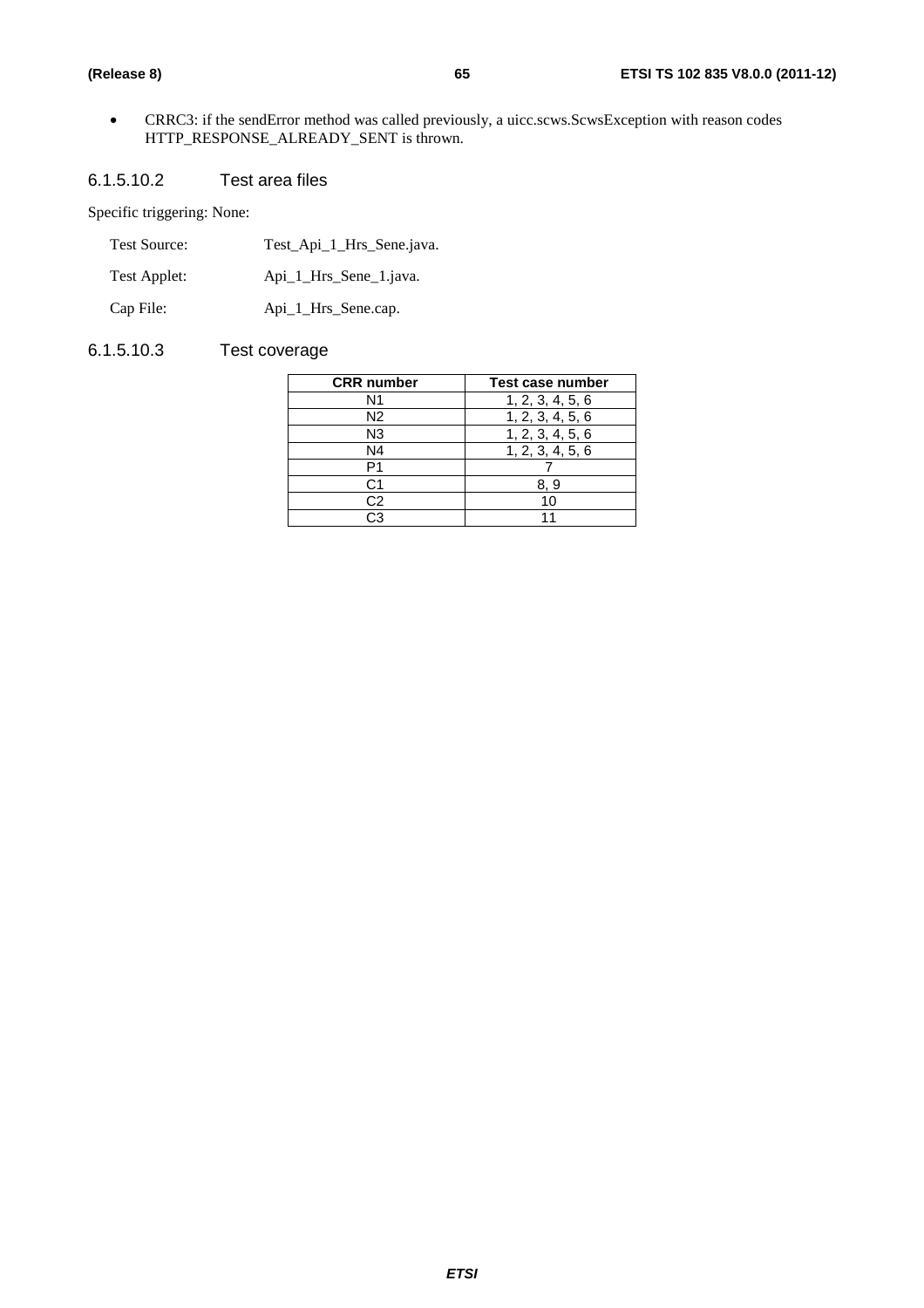• CRRC3: if the sendError method was called previously, a uicc.scws.ScwsException with reason codes HTTP\_RESPONSE\_ALREADY\_SENT is thrown.

## 6.1.5.10.2 Test area files

Specific triggering: None:

| Test Source: | Test Api 1 Hrs Sene.java. |
|--------------|---------------------------|
| Test Applet: | Api_1_Hrs_Sene_1.java.    |
| Cap File:    | Api_1_Hrs_Sene.cap.       |

# 6.1.5.10.3 Test coverage

| <b>CRR</b> number | Test case number |
|-------------------|------------------|
| N1                | 1, 2, 3, 4, 5, 6 |
| N <sub>2</sub>    | 1, 2, 3, 4, 5, 6 |
| N3                | 1, 2, 3, 4, 5, 6 |
| N4                | 1, 2, 3, 4, 5, 6 |
| P1                |                  |
| C1                | 8. 9             |
| C <sub>2</sub>    | 10               |
| CЗ                |                  |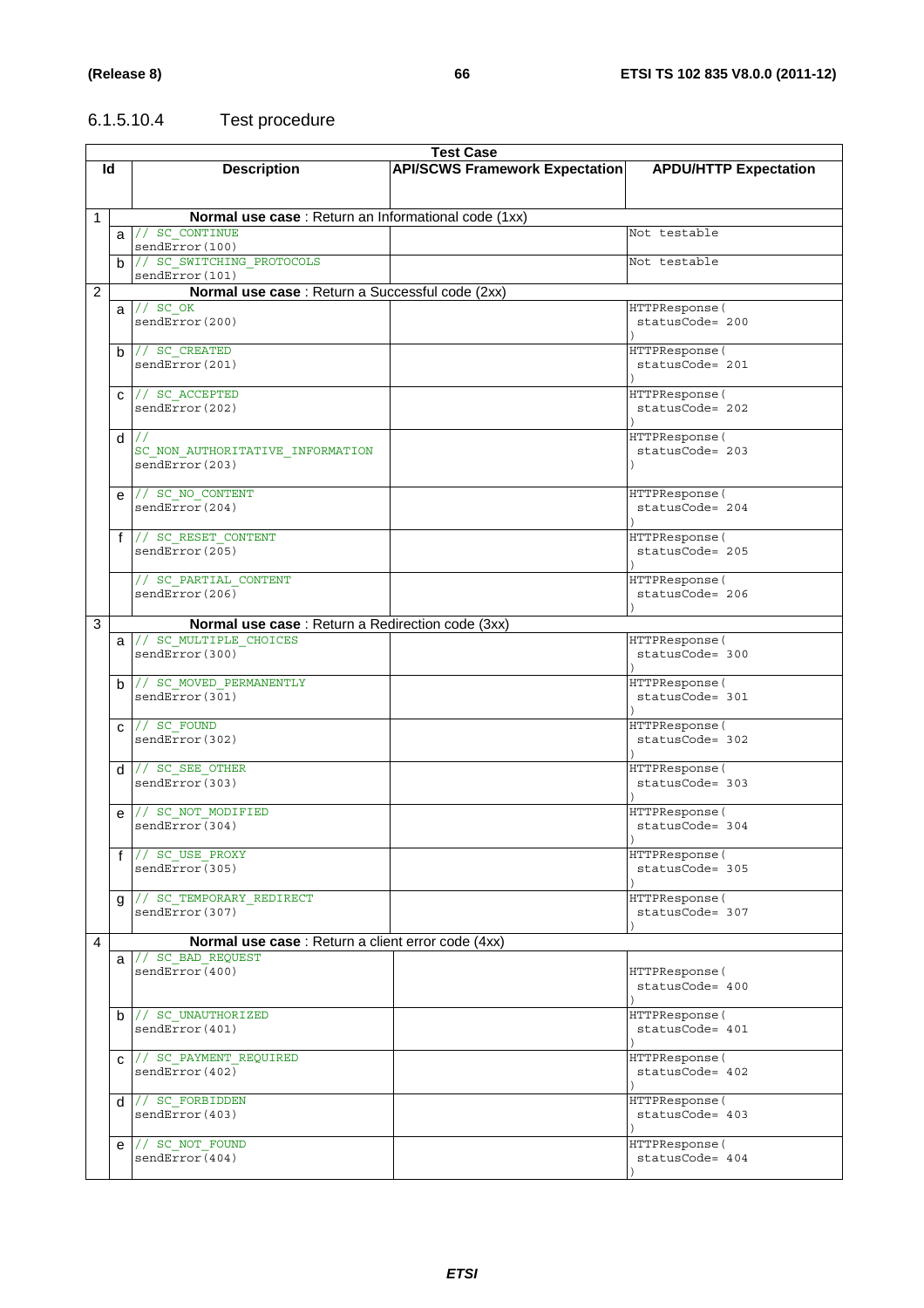# 6.1.5.10.4 Test procedure

| <b>Test Case</b> |    |                                                      |                                       |                              |
|------------------|----|------------------------------------------------------|---------------------------------------|------------------------------|
|                  | ld | <b>Description</b>                                   | <b>API/SCWS Framework Expectation</b> | <b>APDU/HTTP Expectation</b> |
|                  |    |                                                      |                                       |                              |
|                  |    |                                                      |                                       |                              |
| 1                |    | Normal use case : Return an Informational code (1xx) |                                       |                              |
|                  |    | $a$ // $sc$ continue                                 |                                       | Not testable                 |
|                  |    | sendError(100)                                       |                                       |                              |
|                  |    | b // SC_SWITCHING PROTOCOLS                          |                                       | Not testable                 |
|                  |    |                                                      |                                       |                              |
|                  |    | sendError(101)                                       |                                       |                              |
| $\overline{2}$   |    | Normal use case : Return a Successful code (2xx)     |                                       |                              |
|                  |    | $a$ // $\overline{SC\ OK}$                           |                                       | HTTPResponse (               |
|                  |    | sendError(200)                                       |                                       | statusCode= 200              |
|                  |    |                                                      |                                       |                              |
|                  | b  | // SC CREATED                                        |                                       | HTTPResponse (               |
|                  |    | sendError(201)                                       |                                       | statusCode= 201              |
|                  |    |                                                      |                                       |                              |
|                  |    | $C$ // SC_ACCEPTED                                   |                                       | HTTPResponse (               |
|                  |    | sendError(202)                                       |                                       | statusCode= 202              |
|                  |    |                                                      |                                       |                              |
|                  |    | $d$ //                                               |                                       | HTTPResponse (               |
|                  |    | SC NON AUTHORITATIVE INFORMATION                     |                                       | statusCode= 203              |
|                  |    | sendError(203)                                       |                                       |                              |
|                  |    |                                                      |                                       |                              |
|                  |    | e // SC_NO_CONTENT                                   |                                       | HTTPResponse (               |
|                  |    | sendError(204)                                       |                                       | statusCode= 204              |
|                  |    |                                                      |                                       |                              |
|                  |    | f // SC RESET CONTENT                                |                                       | HTTPResponse (               |
|                  |    | sendError(205)                                       |                                       | $statusCode = 205$           |
|                  |    |                                                      |                                       |                              |
|                  |    | // SC PARTIAL CONTENT                                |                                       | HTTPResponse (               |
|                  |    | sendError(206)                                       |                                       | statusCode= 206              |
|                  |    |                                                      |                                       |                              |
| 3                |    | Normal use case : Return a Redirection code (3xx)    |                                       |                              |
|                  |    | a // SC_MULTIPLE CHOICES                             |                                       | HTTPResponse (               |
|                  |    | sendError(300)                                       |                                       | statusCode= 300              |
|                  |    |                                                      |                                       |                              |
|                  |    | b // SC MOVED PERMANENTLY                            |                                       | HTTPResponse (               |
|                  |    | sendError(301)                                       |                                       | statusCode= 301              |
|                  |    |                                                      |                                       |                              |
|                  |    | $c$ // $sc$ FOUND                                    |                                       | HTTPResponse (               |
|                  |    | sendError(302)                                       |                                       | statusCode= 302              |
|                  |    |                                                      |                                       |                              |
|                  |    | $d$ // SC_SEE_OTHER                                  |                                       | HTTPResponse (               |
|                  |    | sendError(303)                                       |                                       | statusCode= 303              |
|                  |    |                                                      |                                       |                              |
|                  | e  | // SC NOT MODIFIED                                   |                                       | HTTPResponse (               |
|                  |    | sendError(304)                                       |                                       | statusCode= 304              |
|                  |    |                                                      |                                       |                              |
|                  |    | $f$ // SC USE PROXY                                  |                                       | HTTPResponse (               |
|                  |    | sendError(305)                                       |                                       | statusCode= 305              |
|                  |    |                                                      |                                       |                              |
|                  | g  | // SC TEMPORARY REDIRECT                             |                                       | HTTPResponse (               |
|                  |    | sendError(307)                                       |                                       | statusCode= 307              |
|                  |    |                                                      |                                       |                              |
| 4                |    | Normal use case : Return a client error code (4xx)   |                                       |                              |
|                  |    | a // SC_BAD REQUEST                                  |                                       |                              |
|                  |    | sendError(400)                                       |                                       | HTTPResponse (               |
|                  |    |                                                      |                                       | statusCode= 400              |
|                  |    |                                                      |                                       |                              |
|                  |    | b // SC_UNAUTHORIZED                                 |                                       | HTTPResponse (               |
|                  |    | sendError(401)                                       |                                       | statusCode= 401              |
|                  |    |                                                      |                                       |                              |
|                  |    | C // SC_PAYMENT_REQUIRED                             |                                       | HTTPResponse (               |
|                  |    | sendError(402)                                       |                                       | statusCode= 402              |
|                  |    |                                                      |                                       |                              |
|                  |    | $d$ $//$ sc FORBIDDEN                                |                                       | HTTPResponse (               |
|                  |    | sendError(403)                                       |                                       | statusCode= 403              |
|                  |    |                                                      |                                       |                              |
|                  |    | e // SC_NOT_FOUND                                    |                                       | HTTPResponse (               |
|                  |    | sendError(404)                                       |                                       | statusCode= 404              |
|                  |    |                                                      |                                       |                              |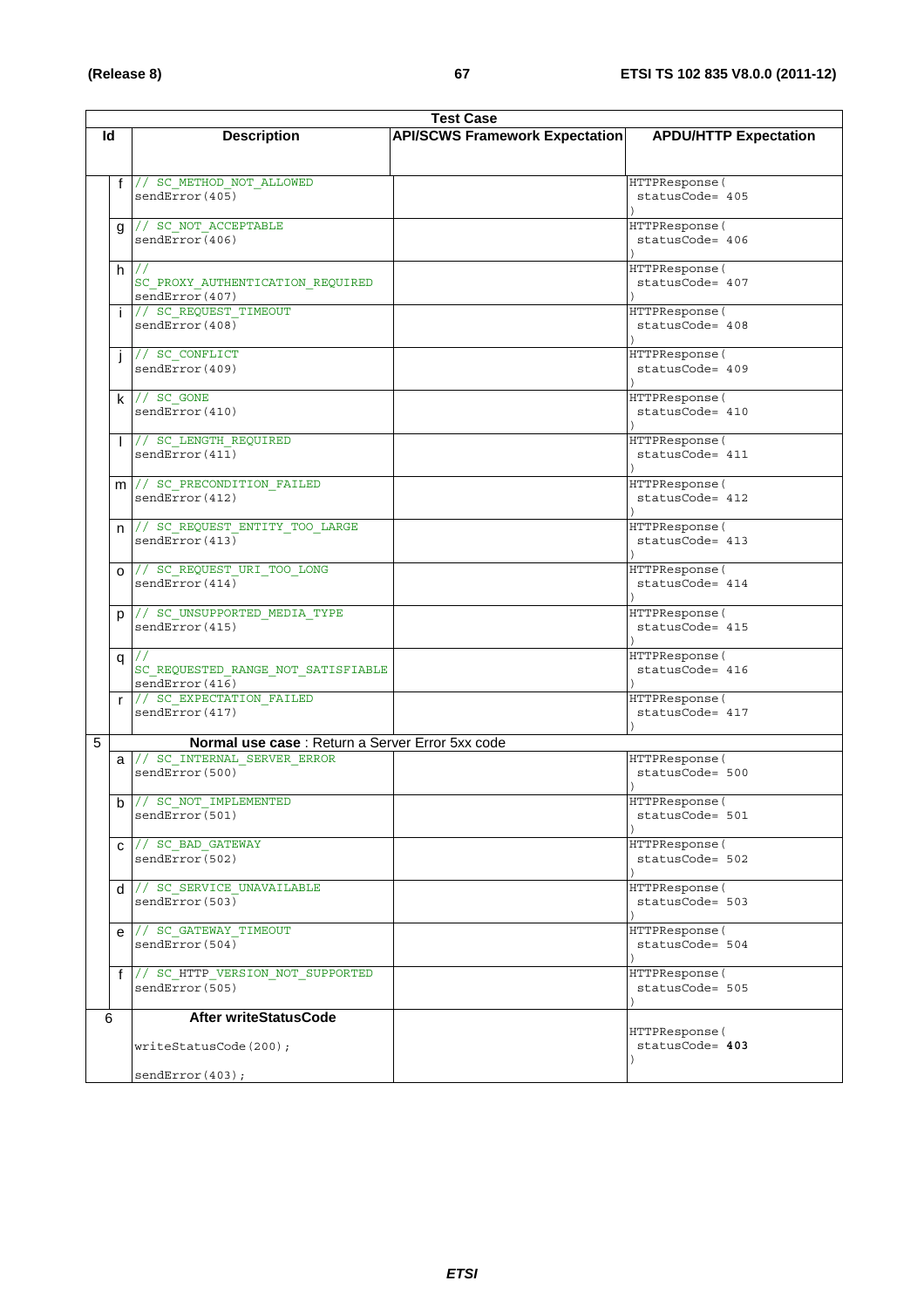|   | <b>Test Case</b> |                                                  |                                       |                                   |
|---|------------------|--------------------------------------------------|---------------------------------------|-----------------------------------|
|   | ld               | <b>Description</b>                               | <b>API/SCWS Framework Expectation</b> | <b>APDU/HTTP Expectation</b>      |
|   |                  |                                                  |                                       |                                   |
|   |                  |                                                  |                                       |                                   |
|   |                  | f // SC METHOD NOT ALLOWED                       |                                       | HTTPResponse (                    |
|   |                  | sendError(405)                                   |                                       | statusCode= 405                   |
|   |                  |                                                  |                                       |                                   |
|   |                  | $q$ // SC_NOT_ACCEPTABLE                         |                                       | HTTPResponse (                    |
|   |                  | sendError (406)                                  |                                       | statusCode= 406                   |
|   |                  |                                                  |                                       |                                   |
|   |                  | $h$ //                                           |                                       | HTTPResponse (                    |
|   |                  | SC PROXY AUTHENTICATION REQUIRED                 |                                       | statusCode= 407                   |
|   |                  | sendError(407)                                   |                                       |                                   |
|   |                  | // SC REQUEST TIMEOUT                            |                                       | HTTPResponse (                    |
|   |                  | sendError(408)                                   |                                       | statusCode= 408                   |
|   |                  |                                                  |                                       |                                   |
|   |                  | // SC CONFLICT                                   |                                       | HTTPResponse (                    |
|   |                  | sendError(409)                                   |                                       | statusCode= 409                   |
|   |                  |                                                  |                                       |                                   |
|   |                  | $k$ // SC GONE                                   |                                       | HTTPResponse (                    |
|   |                  | sendError(410)                                   |                                       | statusCode= 410                   |
|   |                  |                                                  |                                       |                                   |
|   |                  | // SC LENGTH REQUIRED<br>sendError(411)          |                                       | HTTPResponse (<br>statusCode= 411 |
|   |                  |                                                  |                                       |                                   |
|   |                  | m // SC_PRECONDITION FAILED                      |                                       | HTTPResponse (                    |
|   |                  | sendError(412)                                   |                                       | statusCode= 412                   |
|   |                  |                                                  |                                       |                                   |
|   |                  | n // SC_REQUEST_ENTITY_TOO_LARGE                 |                                       | HTTPResponse (                    |
|   |                  | sendError(413)                                   |                                       | statusCode= 413                   |
|   |                  |                                                  |                                       |                                   |
|   |                  | 0 // SC_REQUEST_URI_TOO_LONG                     |                                       | HTTPResponse (                    |
|   |                  | sendError(414)                                   |                                       | statusCode= 414                   |
|   |                  |                                                  |                                       |                                   |
|   |                  | p // SC_UNSUPPORTED_MEDIA_TYPE                   |                                       | HTTPResponse (                    |
|   |                  | sendError(415)                                   |                                       | statusCode= 415                   |
|   |                  |                                                  |                                       |                                   |
|   |                  | $q$ //                                           |                                       | HTTPResponse (                    |
|   |                  | SC REQUESTED RANGE NOT SATISFIABLE               |                                       | statusCode= 416                   |
|   |                  | sendError(416)                                   |                                       |                                   |
|   |                  | [ // SC EXPECTATION FAILED                       |                                       | HTTPResponse (                    |
|   |                  | sendError(417)                                   |                                       | statusCode= 417                   |
|   |                  |                                                  |                                       |                                   |
| 5 |                  | Normal use case : Return a Server Error 5xx code |                                       |                                   |
|   |                  | a // SC_INTERNAL_SERVER ERROR                    |                                       | HTTPResponse (                    |
|   |                  | sendError(500)                                   |                                       | statusCode= 500                   |
|   |                  |                                                  |                                       |                                   |
|   |                  | b // SC_NOT_IMPLEMENTED                          |                                       | HTTPResponse (                    |
|   |                  | sendError(501)                                   |                                       | statusCode= 501                   |
|   |                  |                                                  |                                       |                                   |
|   |                  | C // SC_BAD GATEWAY                              |                                       | HTTPResponse (                    |
|   |                  | sendError(502)                                   |                                       | statusCode= 502                   |
|   |                  |                                                  |                                       |                                   |
|   |                  | $d$ // SC SERVICE UNAVAILABLE                    |                                       | HTTPResponse (                    |
|   |                  | sendError(503)                                   |                                       | statusCode= 503                   |
|   |                  |                                                  |                                       |                                   |
|   |                  | e // SC_GATEWAY_TIMEOUT                          |                                       | HTTPResponse (                    |
|   |                  | sendError(504)                                   |                                       | statusCode= 504                   |
|   |                  | f // SC_HTTP_VERSION_NOT_SUPPORTED               |                                       | HTTPResponse (                    |
|   |                  | sendError(505)                                   |                                       |                                   |
|   |                  |                                                  |                                       | statusCode= 505                   |
|   |                  | <b>After writeStatusCode</b>                     |                                       |                                   |
|   | 6                |                                                  |                                       | HTTPResponse (                    |
|   |                  | writeStatusCode(200);                            |                                       | statusCode= 403                   |
|   |                  |                                                  |                                       |                                   |
|   |                  | sendError(403);                                  |                                       |                                   |
|   |                  |                                                  |                                       |                                   |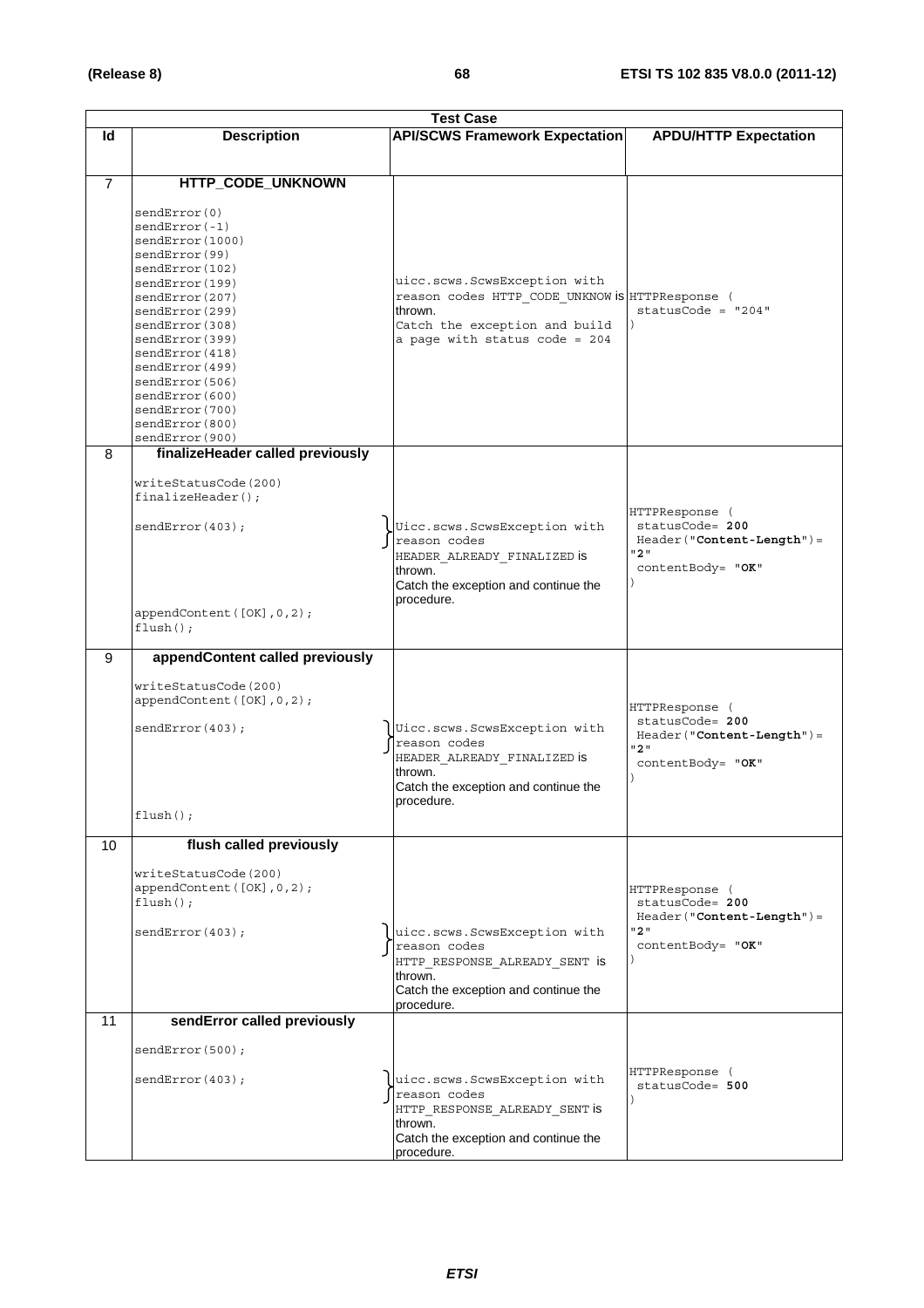|                | <b>Test Case</b>                                                                                                                                                                                                                                                                                                |                                                                                                                                                                |                                                                                            |
|----------------|-----------------------------------------------------------------------------------------------------------------------------------------------------------------------------------------------------------------------------------------------------------------------------------------------------------------|----------------------------------------------------------------------------------------------------------------------------------------------------------------|--------------------------------------------------------------------------------------------|
| ld             | <b>Description</b>                                                                                                                                                                                                                                                                                              | <b>API/SCWS Framework Expectation</b>                                                                                                                          | <b>APDU/HTTP Expectation</b>                                                               |
|                |                                                                                                                                                                                                                                                                                                                 |                                                                                                                                                                |                                                                                            |
| $\overline{7}$ | HTTP_CODE_UNKNOWN                                                                                                                                                                                                                                                                                               |                                                                                                                                                                |                                                                                            |
|                | sendError(0)<br>$sendError(-1)$<br>sendError(1000)<br>sendError(99)<br>sendError(102)<br>sendError(199)<br>sendError(207)<br>sendError(299)<br>sendError(308)<br>sendError(399)<br>sendError (418)<br>sendError (499)<br>sendError(506)<br>sendError(600)<br>sendError(700)<br>sendError(800)<br>sendError(900) | uicc.scws.ScwsException with<br>reason codes HTTP CODE UNKNOW is HTTPResponse (<br>thrown.<br>Catch the exception and build<br>a page with status code = $204$ | $statusCode = "204"$                                                                       |
| 8              | finalizeHeader called previously<br>writeStatusCode(200)<br>$finalizeHeader()$ ;<br>sendError(403);<br>appendContent ([OK], 0, 2);<br>$flush()$ ;                                                                                                                                                               | Uicc.scws.ScwsException with<br>reason codes<br>HEADER ALREADY FINALIZED is<br>thrown.<br>Catch the exception and continue the<br>procedure.                   | HTTPResponse (<br>statusCode= 200<br>Header("Content-Length")=<br>"2"<br>contentBody= "OK" |
| 9              | appendContent called previously<br>writeStatusCode(200)<br>appendContent([OK], 0, 2);<br>sendError(403);<br>$flush()$ ;                                                                                                                                                                                         | Uicc.scws.ScwsException with<br>reason codes<br>HEADER_ALREADY_FINALIZED is<br>thrown.<br>Catch the exception and continue the<br>procedure.                   | HTTPResponse (<br>statusCode= 200<br>Header("Content-Length")=<br>"2"<br>contentBody= "OK" |
| 10             | flush called previously                                                                                                                                                                                                                                                                                         |                                                                                                                                                                |                                                                                            |
|                | writeStatusCode(200)<br>appendContent([OK], 0, 2);<br>$flush()$ ;<br>sendError(403);                                                                                                                                                                                                                            | [uicc.scws.ScwsException with<br>reason codes<br>HTTP RESPONSE ALREADY SENT is<br>thrown.<br>Catch the exception and continue the<br>procedure.                | HTTPResponse (<br>statusCode= 200<br>Header("Content-Length")=<br>"2"<br>contentBody= "OK" |
| 11             | sendError called previously                                                                                                                                                                                                                                                                                     |                                                                                                                                                                |                                                                                            |
|                | sendError(500);<br>sendError(403);                                                                                                                                                                                                                                                                              | Uuicc.scws.ScwsException with<br>reason codes<br>HTTP RESPONSE ALREADY SENT is<br>thrown.<br>Catch the exception and continue the<br>procedure.                | HTTPResponse (<br>statusCode= 500<br>$\lambda$                                             |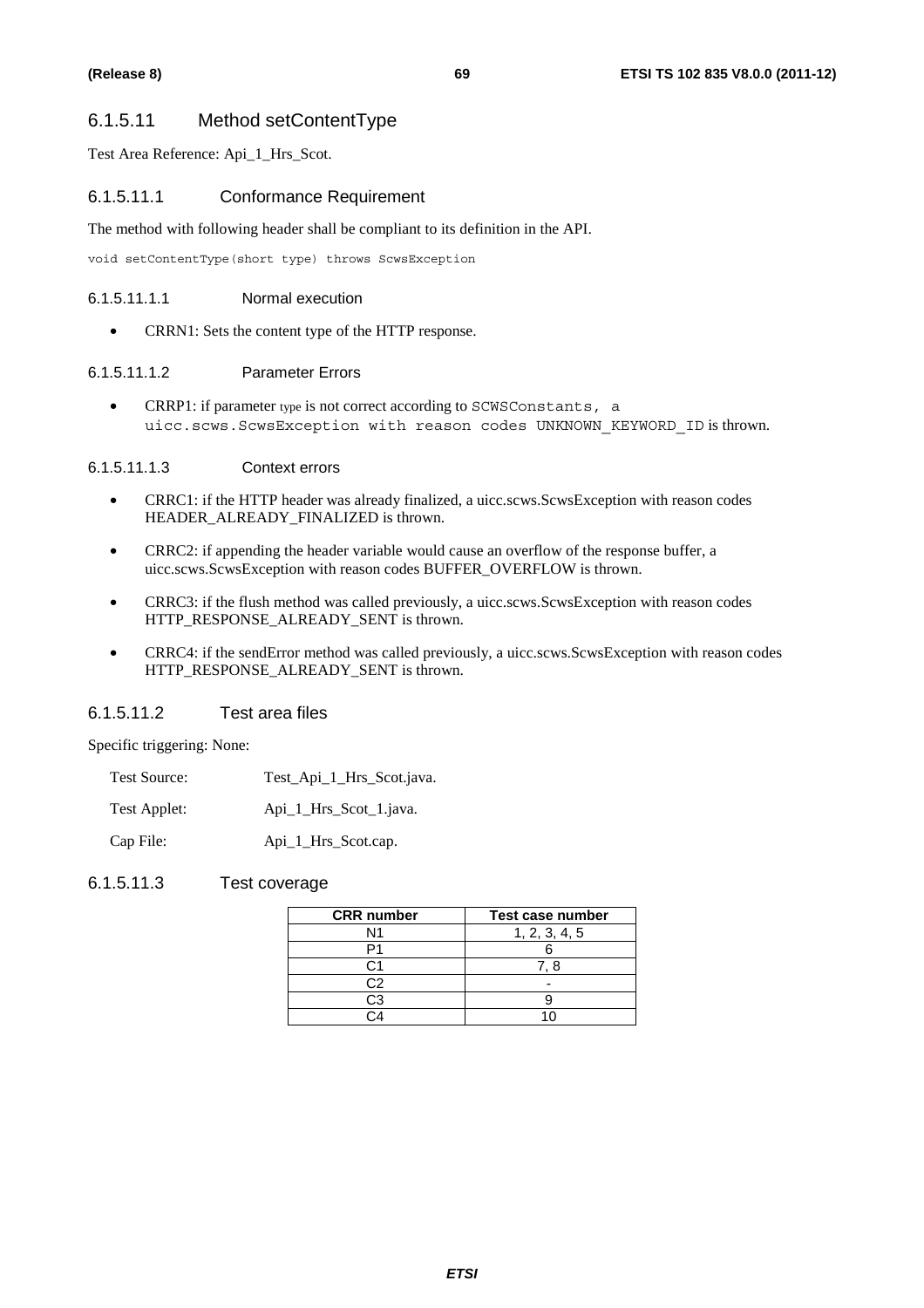## 6.1.5.11 Method setContentType

Test Area Reference: Api\_1\_Hrs\_Scot.

### 6.1.5.11.1 Conformance Requirement

The method with following header shall be compliant to its definition in the API.

void setContentType(short type) throws ScwsException

### 6.1.5.11.1.1 Normal execution

• CRRN1: Sets the content type of the HTTP response.

### 6.1.5.11.1.2 Parameter Errors

• CRRP1: if parameter type is not correct according to SCWSConstants, a uicc.scws.ScwsException with reason codes UNKNOWN\_KEYWORD\_ID is thrown.

6.1.5.11.1.3 Context errors

- CRRC1: if the HTTP header was already finalized, a uicc.scws.ScwsException with reason codes HEADER\_ALREADY\_FINALIZED is thrown.
- CRRC2: if appending the header variable would cause an overflow of the response buffer, a uicc.scws.ScwsException with reason codes BUFFER\_OVERFLOW is thrown.
- CRRC3: if the flush method was called previously, a uicc.scws.ScwsException with reason codes HTTP\_RESPONSE\_ALREADY\_SENT is thrown.
- CRRC4: if the sendError method was called previously, a uicc.scws.ScwsException with reason codes HTTP\_RESPONSE\_ALREADY\_SENT is thrown.

## 6.1.5.11.2 Test area files

Specific triggering: None:

| Test Source: | Test_Api_1_Hrs_Scot.java. |
|--------------|---------------------------|
|--------------|---------------------------|

Test Applet: Api\_1\_Hrs\_Scot\_1.java.

Cap File: Api\_1\_Hrs\_Scot.cap.

### 6.1.5.11.3 Test coverage

| <b>CRR</b> number | <b>Test case number</b> |
|-------------------|-------------------------|
| N1                | 1, 2, 3, 4, 5           |
|                   |                         |
|                   | 7 R                     |
| C2                |                         |
| CЗ                |                         |
|                   |                         |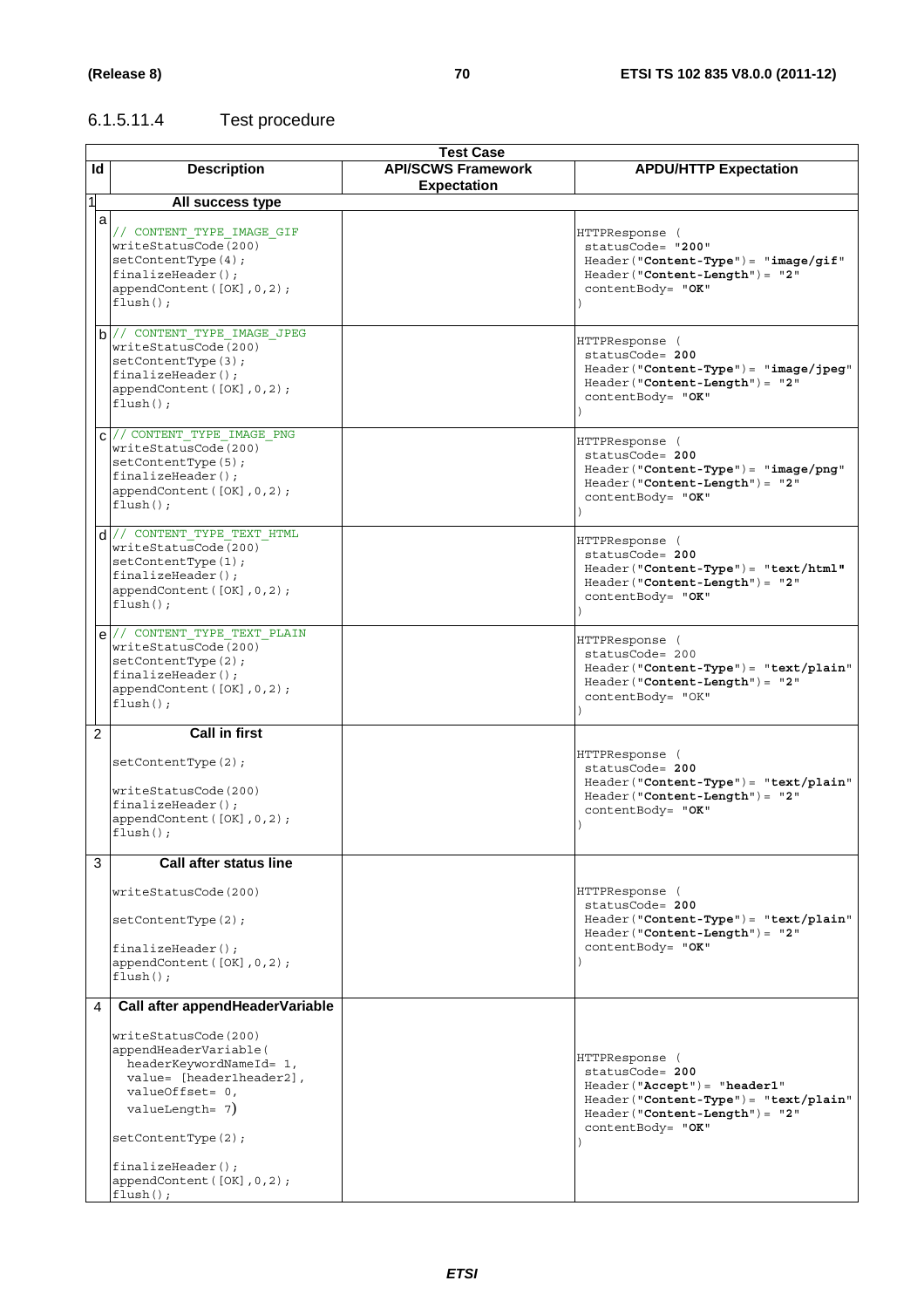# 6.1.5.11.4 Test procedure

|              | <b>Test Case</b>                                                                                                                                                 |                                                 |                                                                                                                                                                            |  |  |
|--------------|------------------------------------------------------------------------------------------------------------------------------------------------------------------|-------------------------------------------------|----------------------------------------------------------------------------------------------------------------------------------------------------------------------------|--|--|
| ld.          | <b>Description</b>                                                                                                                                               | <b>API/SCWS Framework</b><br><b>Expectation</b> | <b>APDU/HTTP Expectation</b>                                                                                                                                               |  |  |
| $\mathbf{1}$ | All success type                                                                                                                                                 |                                                 |                                                                                                                                                                            |  |  |
| a            | // CONTENT TYPE IMAGE GIF<br>writeStatusCode(200)<br>setContextType(4);<br>$finalizeHeader()$ ;<br>appendContent([OK], 0, 2);<br>$flush()$ ;                     |                                                 | HTTPResponse (<br>statusCode= "200"<br>$Header("Content-Type") = "image/gif"$<br>Header("Content-Length")= "2"<br>contentBody= "OK"                                        |  |  |
|              | b // CONTENT TYPE IMAGE JPEG<br>writeStatusCode(200)<br>setContentType(3);<br>$finalizeHeader()$ ;<br>appendContent([OK], 0, 2);<br>$flush()$ ;                  |                                                 | HTTPResponse (<br>statusCode= 200<br>Header("Content-Type")= "image/jpeg"<br>Header("Content-Length")= "2"<br>contentBody= "OK"                                            |  |  |
|              | $C$ // CONTENT TYPE IMAGE PNG<br>writeStatusCode(200)<br>setContextType(5);<br>$finalizeHeader()$ ;<br>appendContent([OK], 0, 2);<br>$flush()$ ;                 |                                                 | HTTPResponse (<br>statusCode= 200<br>$Header('Content-Type") = "image/pnq"$<br>Header("Content-Length")= "2"<br>contentBody= "OK"                                          |  |  |
|              | $d$ // CONTENT TYPE TEXT HTML<br>writeStatusCode(200)<br>setContextType(1);<br>$finalizeHeader()$ ;<br>appendContent([OK], 0, 2);<br>$flush()$ ;                 |                                                 | HTTPResponse (<br>statusCode= 200<br>$Header("Content-Type") = "text/html"$<br>$Header('Content-Length") = "2"$<br>contentBody= "OK"                                       |  |  |
|              | $e$ // CONTENT TYPE TEXT PLAIN<br>writeStatusCode(200)<br>setContextType(2);<br>$finalizeHeader()$ ;<br>appendContent([OK], 0, 2);<br>$flush()$ ;                |                                                 | HTTPResponse (<br>statusCode= 200<br>Header ("Content-Type") = "text/plain"<br>Header("Content-Length")= "2"<br>contentBody= "OK"                                          |  |  |
| 2            | <b>Call in first</b><br>setContextType(2);<br>writeStatusCode(200)<br>$finalizeHeader()$ ;<br>appendContent([OK], 0, 2);<br>$flush()$ ;                          |                                                 | HTTPResponse (<br>statusCode= 200<br>$Header("Content-Type") = "text/plain"$<br>Header("Content-Length")= "2"<br>contentBody= "OK"                                         |  |  |
| 3            | <b>Call after status line</b><br>writeStatusCode(200)<br>setContentType(2);<br>$finalizeHeader()$ ;<br>appendContent([OK], 0, 2);<br>$flush()$ ;                 |                                                 | HTTPResponse (<br>statusCode= 200<br>Header("Content-Type")= "text/plain"<br>$Header('Content-Length") = "2"$<br>contentBody= "OK"                                         |  |  |
| 4            | Call after appendHeaderVariable                                                                                                                                  |                                                 |                                                                                                                                                                            |  |  |
|              | writeStatusCode(200)<br>appendHeaderVariable(<br>headerKeywordNameId= 1,<br>value= [header1header2],<br>valueOffset= 0,<br>valueLength= 7)<br>setContentType(2); |                                                 | HTTPResponse (<br>statusCode= 200<br>$\texttt{Header}("Accept") = "header1"$<br>Header("Content-Type")= "text/plain"<br>Header("Content-Length")= "2"<br>contentBody= "OK" |  |  |
|              | $finalizeHeader()$ ;<br>appendContent ([OK], 0, 2);<br>$flush()$ ;                                                                                               |                                                 |                                                                                                                                                                            |  |  |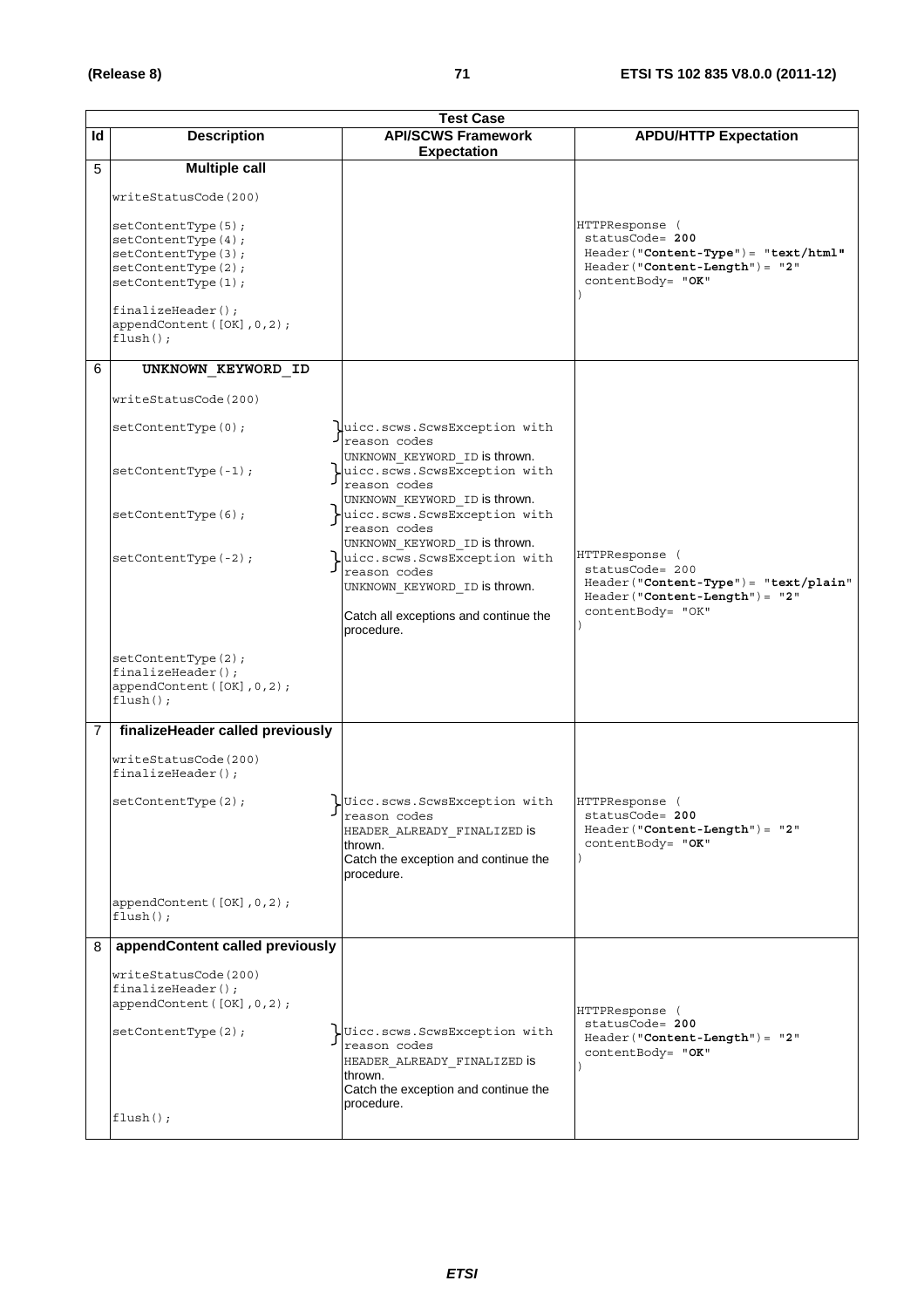|    | <b>Test Case</b>                                                                                           |                                                                                                                                               |                                                                                                                                  |  |  |  |
|----|------------------------------------------------------------------------------------------------------------|-----------------------------------------------------------------------------------------------------------------------------------------------|----------------------------------------------------------------------------------------------------------------------------------|--|--|--|
| Id | <b>Description</b>                                                                                         | <b>API/SCWS Framework</b><br><b>Expectation</b>                                                                                               | <b>APDU/HTTP Expectation</b>                                                                                                     |  |  |  |
| 5  | <b>Multiple call</b>                                                                                       |                                                                                                                                               |                                                                                                                                  |  |  |  |
|    | writeStatusCode(200)                                                                                       |                                                                                                                                               |                                                                                                                                  |  |  |  |
|    | setContentType(5);<br>setContextType(4);<br>setContextType(3);<br>setContextType(2);<br>setContextType(1); |                                                                                                                                               | HTTPResponse (<br>statusCode= 200<br>Header ("Content-Type") = "text/html"<br>Header("Content-Length")= "2"<br>contentBody= "OK" |  |  |  |
|    | $finalizeHeader()$ ;<br>appendContent ([OK], 0, 2);<br>$flush()$ ;                                         |                                                                                                                                               |                                                                                                                                  |  |  |  |
| 6  | UNKNOWN KEYWORD ID                                                                                         |                                                                                                                                               |                                                                                                                                  |  |  |  |
|    | writeStatusCode(200)                                                                                       |                                                                                                                                               |                                                                                                                                  |  |  |  |
|    | setContextType(0);                                                                                         | luicc.scws.ScwsException with<br>lreason codes                                                                                                |                                                                                                                                  |  |  |  |
|    | $setContextType(-1);$                                                                                      | UNKNOWN KEYWORD ID is thrown.<br>uicc.scws.ScwsException with<br>reason codes                                                                 |                                                                                                                                  |  |  |  |
|    | setContentType(6);                                                                                         | UNKNOWN KEYWORD ID is thrown.<br>uicc.scws.ScwsException with<br>reason codes                                                                 |                                                                                                                                  |  |  |  |
|    | $setContextType(-2);$                                                                                      | UNKNOWN KEYWORD ID is thrown.<br>uicc.scws.ScwsException with<br>reason codes<br>UNKNOWN_KEYWORD_ID is thrown.                                | HTTPResponse (<br>statusCode= 200<br>Header("Content-Type")= "text/plain"<br>Header("Content-Length")= "2"<br>contentBody= "OK"  |  |  |  |
|    |                                                                                                            | Catch all exceptions and continue the<br>procedure.                                                                                           |                                                                                                                                  |  |  |  |
|    | setContextType(2);<br>$finalizeHeader()$ ;<br>appendContent ([OK], 0, 2);<br>$flush()$ ;                   |                                                                                                                                               |                                                                                                                                  |  |  |  |
| 7  | finalizeHeader called previously                                                                           |                                                                                                                                               |                                                                                                                                  |  |  |  |
|    | writeStatusCode(200)<br>$finalizeHeader()$ ;                                                               |                                                                                                                                               |                                                                                                                                  |  |  |  |
|    | setContentType(2);                                                                                         | Uicc.scws.ScwsException with<br>reason codes<br>HEADER_ALREADY_FINALIZED is<br>thrown.<br>Catch the exception and continue the<br>procedure.  | HTTPResponse (<br>statusCode= 200<br>$Header('Content-Length") = "2"$<br>contentBody= "OK"                                       |  |  |  |
|    | appendContent ([OK], 0, 2);<br>$flush()$ ;                                                                 |                                                                                                                                               |                                                                                                                                  |  |  |  |
| 8  | appendContent called previously                                                                            |                                                                                                                                               |                                                                                                                                  |  |  |  |
|    | writeStatusCode(200)<br>$finalizeHeader()$ ;<br>appendContent([OK], 0, 2);                                 |                                                                                                                                               | HTTPResponse (<br>statusCode= 200                                                                                                |  |  |  |
|    | setContextType(2);                                                                                         | UUicc.scws.ScwsException with<br>reason codes<br>HEADER ALREADY FINALIZED IS<br>thrown.<br>Catch the exception and continue the<br>procedure. | Header("Content-Length")= "2"<br>contentBody= "OK"                                                                               |  |  |  |
|    | $flush()$ ;                                                                                                |                                                                                                                                               |                                                                                                                                  |  |  |  |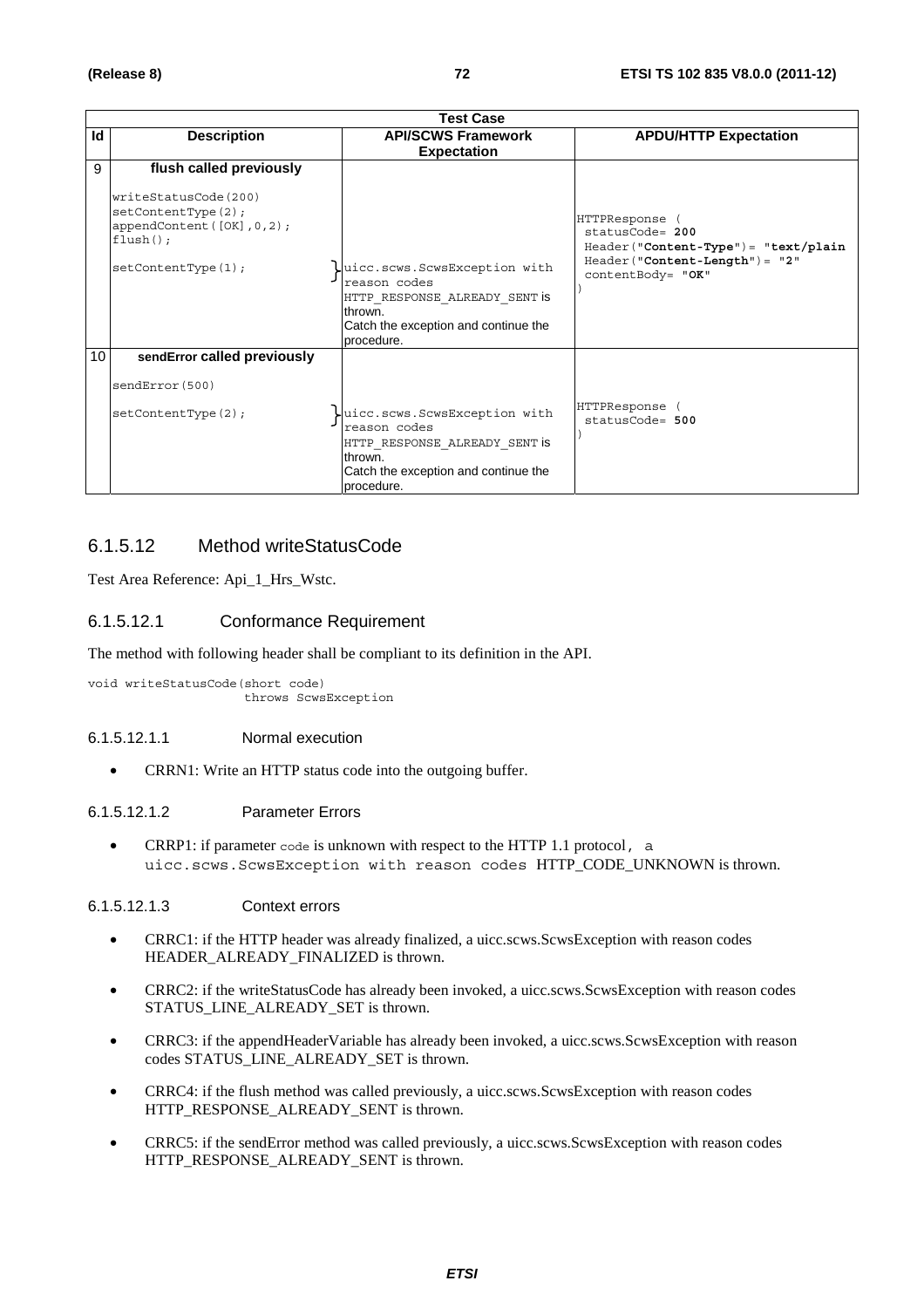|                 | <b>Test Case</b>                                                                                                                         |                                                                                                                                                |                                                                                                                                    |  |  |
|-----------------|------------------------------------------------------------------------------------------------------------------------------------------|------------------------------------------------------------------------------------------------------------------------------------------------|------------------------------------------------------------------------------------------------------------------------------------|--|--|
| Id              | <b>Description</b>                                                                                                                       | <b>API/SCWS Framework</b><br><b>Expectation</b>                                                                                                | <b>APDU/HTTP Expectation</b>                                                                                                       |  |  |
| 9               | flush called previously<br>writeStatusCode(200)<br>setContextType(2);<br>appendContent([OK], 0, 2);<br>$flush()$ ;<br>setContextType(1); | uicc.scws.ScwsException with<br>reason codes<br>HTTP RESPONSE ALREADY SENT IS<br>thrown.<br>Catch the exception and continue the<br>procedure. | HTTPResponse<br>statusCode= 200<br>$Header("Content-Type") = "text/plain$<br>$Header('Content-Length") = "2"$<br>contentBody= "OK" |  |  |
| 10 <sup>°</sup> | sendError called previously<br>sendError(500)<br>setContextType(2);                                                                      | uicc.scws.ScwsException with<br>reason codes<br>HTTP RESPONSE ALREADY SENT IS<br>thrown.<br>Catch the exception and continue the<br>procedure. | HTTPResponse<br>$statusCode = 500$                                                                                                 |  |  |

## 6.1.5.12 Method writeStatusCode

Test Area Reference: Api\_1\_Hrs\_Wstc.

### 6.1.5.12.1 Conformance Requirement

The method with following header shall be compliant to its definition in the API.

void writeStatusCode(short code) throws ScwsException

#### 6.1.5.12.1.1 Normal execution

• CRRN1: Write an HTTP status code into the outgoing buffer.

### 6.1.5.12.1.2 Parameter Errors

• CRRP1: if parameter code is unknown with respect to the HTTP 1.1 protocol, a uicc.scws.ScwsException with reason codes HTTP\_CODE\_UNKNOWN is thrown.

#### 6.1.5.12.1.3 Context errors

- CRRC1: if the HTTP header was already finalized, a uicc.scws.ScwsException with reason codes HEADER\_ALREADY\_FINALIZED is thrown.
- CRRC2: if the writeStatusCode has already been invoked, a uicc.scws.ScwsException with reason codes STATUS\_LINE\_ALREADY\_SET is thrown.
- CRRC3: if the appendHeaderVariable has already been invoked, a uicc.scws.ScwsException with reason codes STATUS\_LINE\_ALREADY\_SET is thrown.
- CRRC4: if the flush method was called previously, a uicc.scws.ScwsException with reason codes HTTP\_RESPONSE\_ALREADY\_SENT is thrown.
- CRRC5: if the sendError method was called previously, a uicc.scws.ScwsException with reason codes HTTP\_RESPONSE\_ALREADY\_SENT is thrown.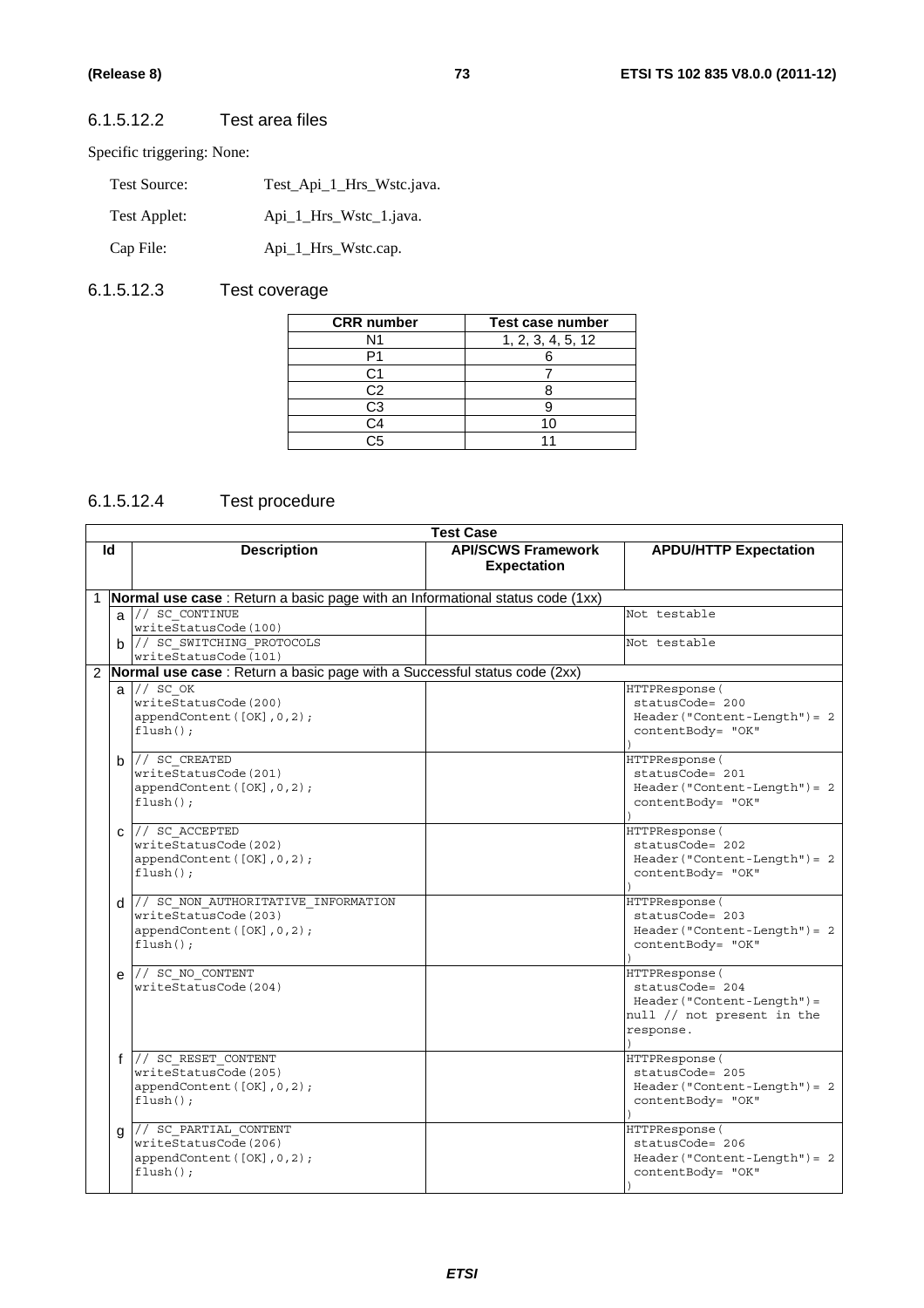### 6.1.5.12.2 Test area files

Specific triggering: None:

| Test Source: | Test_Api_1_Hrs_Wstc.java. |
|--------------|---------------------------|
| Test Applet: | Api_1_Hrs_Wstc_1.java.    |
| Cap File:    | Api_1_Hrs_Wstc.cap.       |

## 6.1.5.12.3 Test coverage

| <b>CRR</b> number | <b>Test case number</b> |
|-------------------|-------------------------|
| N <sub>1</sub>    | 1, 2, 3, 4, 5, 12       |
|                   |                         |
|                   |                         |
| 32                |                         |
| C3                |                         |
|                   |                         |
|                   |                         |

## 6.1.5.12.4 Test procedure

|                | <b>Test Case</b> |                                                                                                            |                                                                                                           |                                                                                          |  |
|----------------|------------------|------------------------------------------------------------------------------------------------------------|-----------------------------------------------------------------------------------------------------------|------------------------------------------------------------------------------------------|--|
| ld             |                  | <b>Description</b>                                                                                         | <b>API/SCWS Framework</b><br><b>Expectation</b>                                                           | <b>APDU/HTTP Expectation</b>                                                             |  |
|                |                  | 1   Normal use case : Return a basic page with an Informational status code (1xx)                          |                                                                                                           |                                                                                          |  |
|                |                  | $a$ // $sc$ continue<br>writeStatusCode(100)                                                               |                                                                                                           | Not testable                                                                             |  |
|                |                  | b // SC SWITCHING PROTOCOLS<br>writeStatusCode(101)                                                        |                                                                                                           | Not testable                                                                             |  |
| $\overline{2}$ |                  | Normal use case: Return a basic page with a Successful status code (2xx)                                   |                                                                                                           |                                                                                          |  |
|                |                  | $a$ // sc $OK$<br>writeStatusCode(200)<br>appendContent([OK], 0, 2);<br>$flush()$ ;                        |                                                                                                           | HTTPResponse(<br>statusCode= 200<br>$Header('Content-Length") = 2$<br>contentBody= "OK"  |  |
|                |                  | $b$ // SC CREATED<br>writeStatusCode(201)<br>appendContent([OK], 0, 2);<br>$flush()$ ;                     |                                                                                                           | HTTPResponse(<br>statusCode= 201<br>$Header('Content-Length") = 2$<br>contentBody= "OK"  |  |
|                |                  | $C$ // SC ACCEPTED<br>writeStatusCode(202)<br>appendContent([OK], 0, 2);<br>$flush()$ ;                    |                                                                                                           | HTTPResponse (<br>statusCode= 202<br>$Header('Content-Length") = 2$<br>contentBody= "OK" |  |
|                |                  | d // SC NON AUTHORITATIVE INFORMATION<br>writeStatusCode(203)<br>appendContent([OK], 0, 2);<br>$flush()$ ; |                                                                                                           | HTTPResponse (<br>statusCode= 203<br>$Header('Content-Length") = 2$<br>contentBody= "OK" |  |
|                |                  | $e$ // $SC$ NO CONTENT<br>writeStatusCode(204)                                                             | HTTPResponse (<br>statusCode= 204<br>Header("Content-Length")=<br>null // not present in the<br>response. |                                                                                          |  |
|                |                  | f // SC RESET CONTENT<br>writeStatusCode(205)<br>appendContent([OK], 0, 2);<br>$flush()$ ;                 |                                                                                                           | HTTPResponse (<br>statusCode= 205<br>$Header('Content-Length") = 2$<br>contentBody= "OK" |  |
|                | a                | // SC PARTIAL CONTENT<br>writeStatusCode(206)<br>appendContent ([OK], 0, 2);<br>$flush()$ ;                |                                                                                                           | HTTPResponse (<br>statusCode= 206<br>$Header('Content-Length") = 2$<br>contentBody= "OK" |  |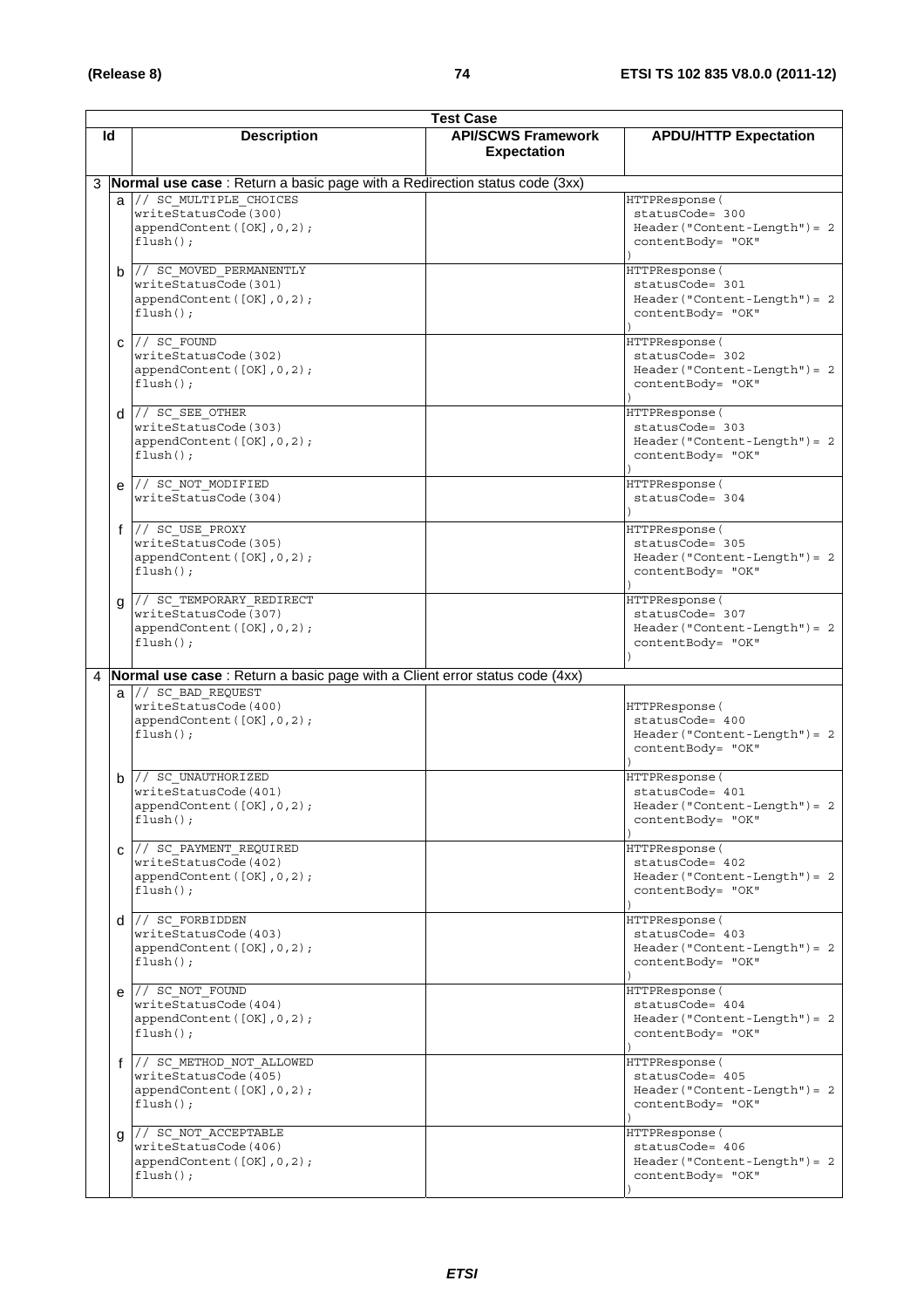|              | <b>Test Case</b>                                                                               |                                                 |                                                                                            |  |  |  |
|--------------|------------------------------------------------------------------------------------------------|-------------------------------------------------|--------------------------------------------------------------------------------------------|--|--|--|
| ld           | <b>Description</b>                                                                             | <b>API/SCWS Framework</b><br><b>Expectation</b> | <b>APDU/HTTP Expectation</b>                                                               |  |  |  |
|              | 3 <b>Normal use case</b> : Return a basic page with a Redirection status code (3xx)            |                                                 |                                                                                            |  |  |  |
|              | a // SC MULTIPLE CHOICES<br>writeStatusCode(300)<br>appendContent([OK], 0, 2);<br>$flush()$ ;  |                                                 | HTTPResponse(<br>statusCode= 300<br>$Header('Content-Length") = 2$<br>contentBody= "OK"    |  |  |  |
|              | b // SC MOVED PERMANENTLY<br>writeStatusCode(301)<br>appendContent([OK], 0, 2);<br>$flush()$ : |                                                 | HTTPResponse (<br>statusCode= 301<br>$Header('Content-Length") = 2$<br>contentBody= "OK"   |  |  |  |
|              | $C$ // $SC$ FOUND<br>writeStatusCode(302)<br>appendContent([OK], 0, 2);<br>$flush()$ ;         |                                                 | HTTPResponse (<br>statusCode= 302<br>$Header('Content-Length") = 2$<br>contentBody= "OK"   |  |  |  |
|              | $d$ // SC SEE OTHER<br>writeStatusCode(303)<br>appendContent ([OK], 0, 2);<br>$flush()$ ;      |                                                 | HTTPResponse (<br>statusCode= 303<br>$Header('Content-Length") = 2$<br>contentBody= "OK"   |  |  |  |
|              | $\rho$ // SC NOT MODIFIED<br>writeStatusCode(304)                                              |                                                 | HTTPResponse(<br>statusCode= 304                                                           |  |  |  |
|              | $f$ // SC USE PROXY<br>writeStatusCode(305)<br>appendContent ([OK], 0, 2);<br>$flush()$ ;      |                                                 | HTTPResponse (<br>statusCode= 305<br>$Header('Content-Length") = 2$<br>contentBody= "OK"   |  |  |  |
| g            | // SC TEMPORARY REDIRECT<br>writeStatusCode(307)<br>appendContent([OK], 0, 2);<br>$flush()$ ;  |                                                 | HTTPResponse(<br>statusCode= 307<br>Header("Content-Length") = 2<br>contentBody= "OK"      |  |  |  |
|              | <b>Normal use case</b> : Return a basic page with a Client error status code (4xx)<br>4        |                                                 |                                                                                            |  |  |  |
|              | $a$ // $SC$ BAD REQUEST<br>writeStatusCode(400)<br>appendContent([OK], 0, 2);<br>$flush()$ ;   |                                                 | HTTPResponse(<br>statusCode= 400<br>$Header('Content-Length") = 2$<br>contentBody= "OK"    |  |  |  |
| b            | // SC UNAUTHORIZED<br>writeStatusCode(401)<br>appendContent([OK], 0, 2);<br>$flush()$ ;        |                                                 | HTTPResponse(<br>$statusCode = 401$<br>$Header('Content-Length") = 2$<br>contentBody= "OK" |  |  |  |
|              | C // SC PAYMENT REQUIRED<br>writeStatusCode(402)<br>appendContent([OK], 0, 2);<br>$flush()$ ;  |                                                 | HTTPResponse (<br>statusCode= 402<br>$Header('Content-Length") = 2$<br>contentBody= "OK"   |  |  |  |
|              | $d$ // SC FORBIDDEN<br>writeStatusCode(403)<br>appendContent ([OK], 0, 2);<br>$flush()$ ;      |                                                 | HTTPResponse (<br>statusCode= 403<br>$Header('Content-Length") = 2$<br>contentBody= "OK"   |  |  |  |
|              | $e$ // $SCNOT$ FOUND<br>writeStatusCode(404)<br>appendContent([OK], 0, 2);<br>$flush()$ ;      |                                                 | HTTPResponse (<br>statusCode= 404<br>$Header("Content-Length") = 2$<br>contentBody= "OK"   |  |  |  |
| $\mathbf{f}$ | // SC METHOD NOT ALLOWED<br>writeStatusCode(405)<br>appendContent ([OK], 0, 2);<br>$flush()$ ; |                                                 | HTTPResponse (<br>statusCode= 405<br>$Header('Content-Length") = 2$<br>contentBody= "OK"   |  |  |  |
| g            | // SC_NOT_ACCEPTABLE<br>writeStatusCode(406)<br>appendContent([OK], 0, 2);<br>$flush()$ ;      |                                                 | HTTPResponse (<br>statusCode= 406<br>$Header('Content-Length") = 2$<br>contentBody= "OK"   |  |  |  |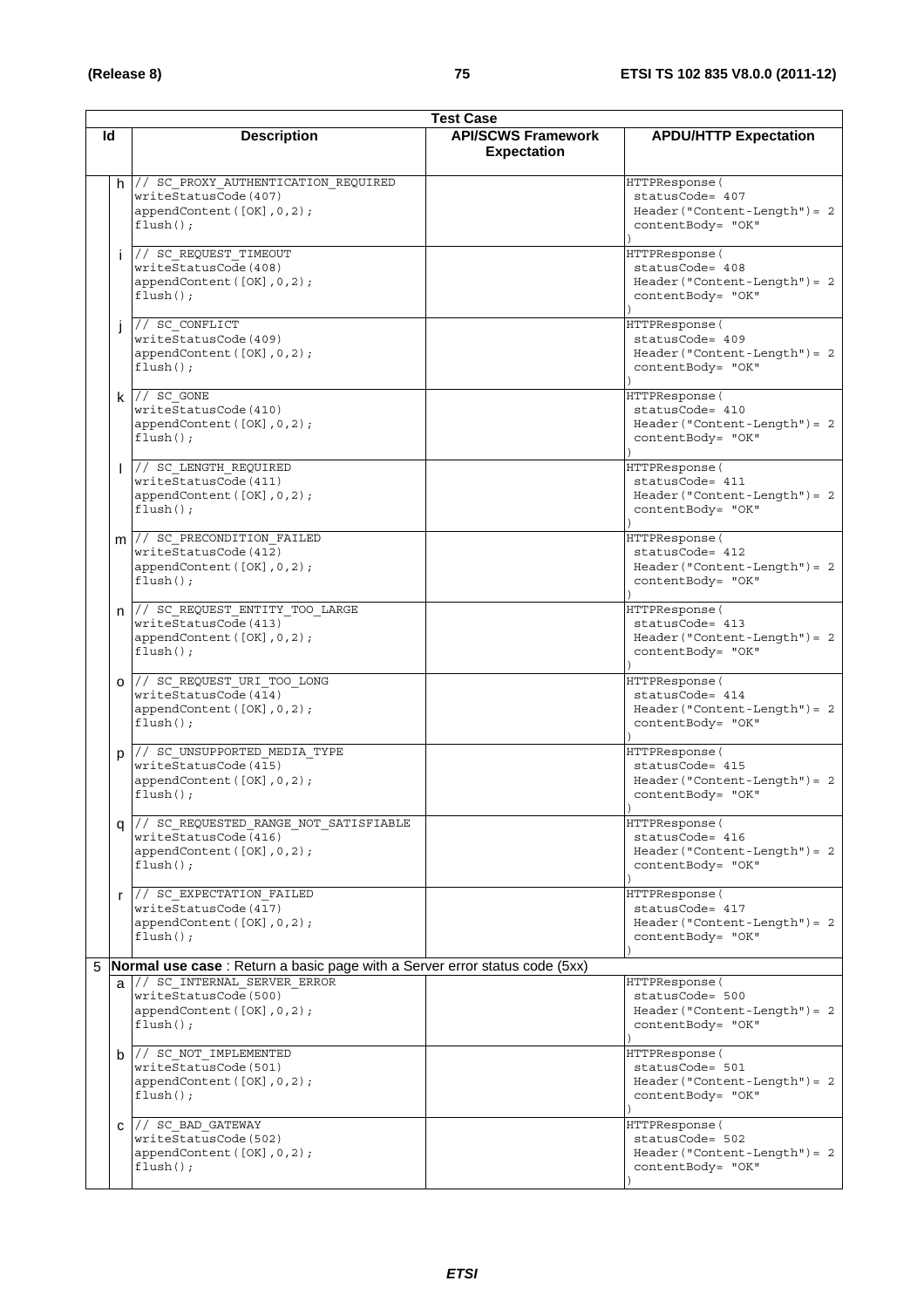|    | <b>Test Case</b> |                                                                                                               |                              |                                                                                          |  |
|----|------------------|---------------------------------------------------------------------------------------------------------------|------------------------------|------------------------------------------------------------------------------------------|--|
| ld |                  | <b>Description</b>                                                                                            | <b>APDU/HTTP Expectation</b> |                                                                                          |  |
|    |                  | $h$ // SC_PROXY_AUTHENTICATION_REQUIRED<br>writeStatusCode(407)<br>appendContent ([OK], 0, 2);<br>$flush()$ ; |                              | HTTPResponse (<br>statusCode= 407<br>$Header('Content-Length") = 2$<br>contentBody= "OK" |  |
|    | i.               | // SC REQUEST TIMEOUT<br>writeStatusCode(408)<br>appendContent([OK], 0, 2);<br>$flush()$ ;                    |                              | HTTPResponse (<br>statusCode= 408<br>$Header('Content-Length') = 2$<br>contentBody= "OK" |  |
|    |                  | // SC_CONFLICT<br>writeStatusCode(409)<br>appendContent ([OK], 0, 2);<br>$flush()$ ;                          |                              | HTTPResponse (<br>statusCode= 409<br>$Header('Content-Length') = 2$<br>contentBody= "OK" |  |
|    |                  | $k$ // $SC_GONE$<br>writeStatusCode(410)<br>appendContent ([OK], 0, 2);<br>$flush()$ ;                        |                              | HTTPResponse (<br>statusCode= 410<br>$Header('Content-Length') = 2$<br>contentBody= "OK" |  |
|    |                  | // SC LENGTH REQUIRED<br>writeStatusCode(411)<br>appendContent ([OK], 0, 2);<br>$flush()$ ;                   |                              | HTTPResponse (<br>statusCode= 411<br>$Header('Content-Length") = 2$<br>contentBody= "OK" |  |
|    |                  | m // SC_PRECONDITION FAILED<br>writeStatusCode(412)<br>appendContent([OK], 0, 2);<br>$flush()$ ;              |                              | HTTPResponse (<br>statusCode= 412<br>$Header('Content-Length') = 2$<br>contentBody= "OK" |  |
|    |                  | n  // SC REQUEST ENTITY TOO LARGE<br>writeStatusCode(413)<br>appendContent([OK], 0, 2);<br>$flush()$ ;        |                              | HTTPResponse (<br>statusCode= 413<br>$Header('Content-Length") = 2$<br>contentBody= "OK" |  |
|    |                  | 0 // SC_REQUEST_URI_TOO_LONG<br>writeStatusCode(414)<br>appendContent([OK], 0, 2);<br>$flush()$ ;             |                              | HTTPResponse (<br>statusCode= 414<br>$Header('Content-Length") = 2$<br>contentBody= "OK" |  |
|    | p                | // SC UNSUPPORTED MEDIA TYPE<br>writeStatusCode(415)<br>appendContent([OK], 0, 2);<br>$flush()$ ;             |                              | HTTPResponse (<br>statusCode= 415<br>$Header('Content-Length') = 2$<br>contentBody= "OK" |  |
|    |                  | q // SC_REQUESTED_RANGE_NOT_SATISFIABLE<br>writeStatusCode(416)<br>appendContent([OK], 0, 2);<br>$flush()$ ;  |                              | HTTPResponse (<br>statusCode= 416<br>$Header('Content-Length") = 2$<br>contentBody= "OK" |  |
|    | r                | // SC EXPECTATION FAILED<br>writeStatusCode(417)<br>appendContent ([OK], 0, 2);<br>$flush()$ ;                |                              | HTTPResponse (<br>statusCode= 417<br>$Header('Content-Length") = 2$<br>contentBody= "OK" |  |
|    |                  | 5 <b>Normal use case</b> : Return a basic page with a Server error status code (5xx)                          |                              |                                                                                          |  |
|    |                  | a // SC INTERNAL SERVER ERROR<br>writeStatusCode(500)<br>appendContent([OK], 0, 2);<br>$flush()$ ;            |                              | HTTPResponse (<br>statusCode= 500<br>$Header('Content-Length") = 2$<br>contentBody= "OK" |  |
|    |                  | b // SC_NOT_IMPLEMENTED<br>writeStatusCode(501)<br>appendContent ([OK], 0, 2);<br>$flush()$ ;                 |                              | HTTPResponse (<br>statusCode= 501<br>$Header('Content-Length") = 2$<br>contentBody= "OK" |  |
|    | C                | $\frac{1}{2}$ SC BAD GATEWAY<br>writeStatusCode(502)<br>appendContent([OK], 0, 2);<br>flush();                |                              | HTTPResponse (<br>statusCode= 502<br>$Header('Content-Length") = 2$<br>contentBody= "OK" |  |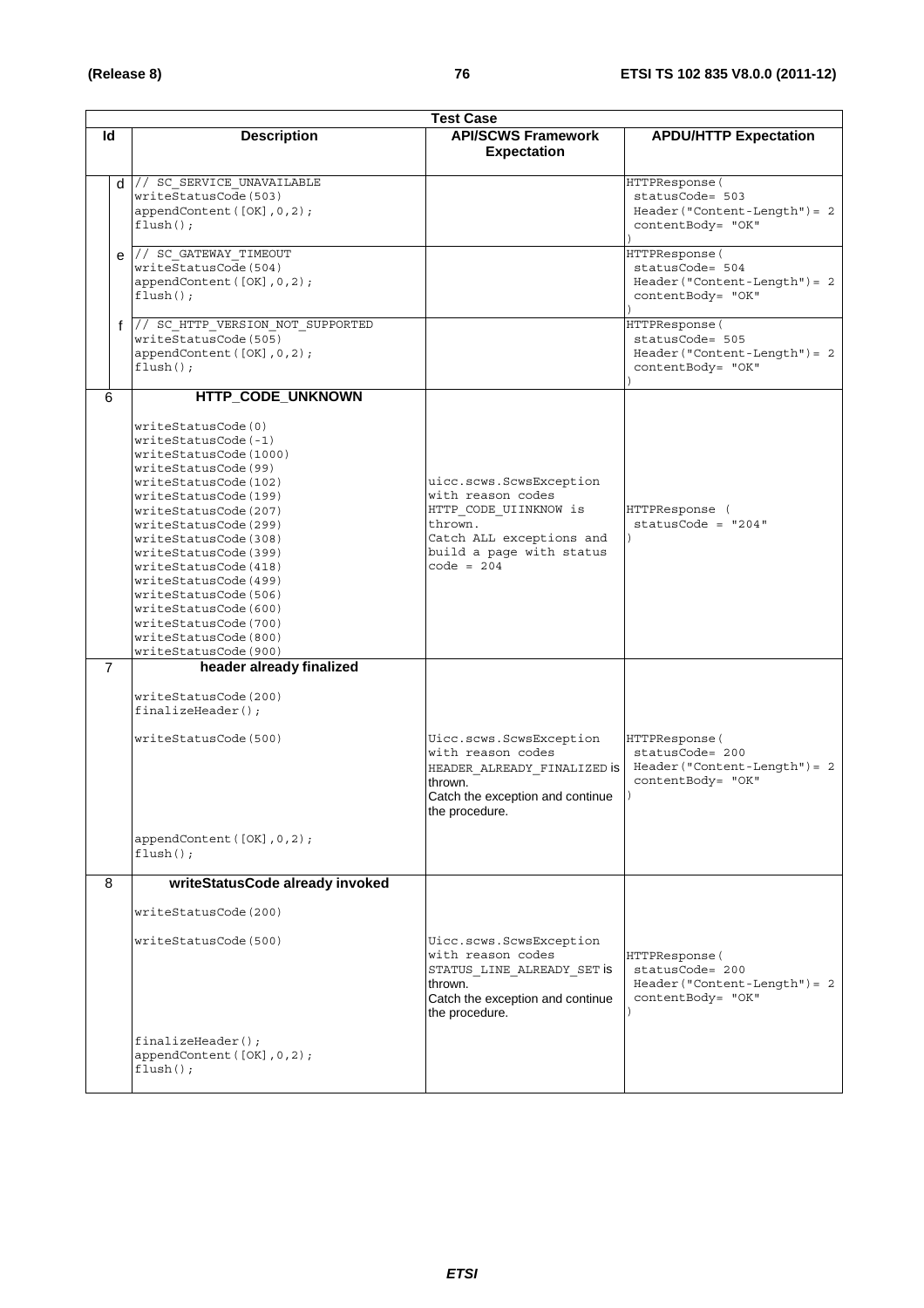|    | <b>Test Case</b>                                  |                                              |                                   |  |  |  |
|----|---------------------------------------------------|----------------------------------------------|-----------------------------------|--|--|--|
| ld | <b>Description</b>                                | <b>API/SCWS Framework</b>                    | <b>APDU/HTTP Expectation</b>      |  |  |  |
|    |                                                   | <b>Expectation</b>                           |                                   |  |  |  |
|    |                                                   |                                              |                                   |  |  |  |
|    | d // SC SERVICE UNAVAILABLE                       |                                              | HTTPResponse(                     |  |  |  |
|    | writeStatusCode(503)                              |                                              | statusCode= 503                   |  |  |  |
|    | appendContent([OK], 0, 2);                        |                                              | $Header("Content-Length") = 2$    |  |  |  |
|    | $flush()$ ;                                       |                                              | contentBody= "OK"                 |  |  |  |
|    |                                                   |                                              |                                   |  |  |  |
|    | $e$ // SC GATEWAY TIMEOUT<br>writeStatusCode(504) |                                              | HTTPResponse(<br>statusCode= 504  |  |  |  |
|    | appendContent([OK], 0, 2);                        |                                              | $Header('Content-Length") = 2$    |  |  |  |
|    | $flush()$ ;                                       |                                              | contentBody= "OK"                 |  |  |  |
|    |                                                   |                                              |                                   |  |  |  |
|    | f // SC HTTP VERSION NOT SUPPORTED                |                                              | HTTPResponse(                     |  |  |  |
|    | writeStatusCode(505)                              |                                              | statusCode= 505                   |  |  |  |
|    | appendContent ([OK], 0, 2);                       |                                              | $Header('Content-Length") = 2$    |  |  |  |
|    | $flush()$ ;                                       |                                              | contentBody= "OK"                 |  |  |  |
| 6  | HTTP_CODE_UNKNOWN                                 |                                              |                                   |  |  |  |
|    |                                                   |                                              |                                   |  |  |  |
|    | writeStatusCode(0)                                |                                              |                                   |  |  |  |
|    | writeStatusCode(-1)                               |                                              |                                   |  |  |  |
|    | writeStatusCode(1000)<br>writeStatusCode(99)      |                                              |                                   |  |  |  |
|    | writeStatusCode(102)                              | uicc.scws.ScwsException                      |                                   |  |  |  |
|    | writeStatusCode(199)                              | with reason codes                            |                                   |  |  |  |
|    | writeStatusCode(207)                              | HTTP CODE UIINKNOW is                        | HTTPResponse (                    |  |  |  |
|    | writeStatusCode(299)                              | thrown.                                      | $statusCode = "204"$              |  |  |  |
|    | writeStatusCode(308)                              | Catch ALL exceptions and                     |                                   |  |  |  |
|    | writeStatusCode(399)                              | build a page with status                     |                                   |  |  |  |
|    | writeStatusCode(418)                              | $code = 204$                                 |                                   |  |  |  |
|    | writeStatusCode(499)                              |                                              |                                   |  |  |  |
|    | writeStatusCode(506)                              |                                              |                                   |  |  |  |
|    | writeStatusCode(600)<br>writeStatusCode(700)      |                                              |                                   |  |  |  |
|    | writeStatusCode(800)                              |                                              |                                   |  |  |  |
|    | writeStatusCode(900)                              |                                              |                                   |  |  |  |
| 7  | header already finalized                          |                                              |                                   |  |  |  |
|    |                                                   |                                              |                                   |  |  |  |
|    | writeStatusCode(200)                              |                                              |                                   |  |  |  |
|    | $finalizeHeader()$ ;                              |                                              |                                   |  |  |  |
|    | writeStatusCode(500)                              |                                              |                                   |  |  |  |
|    |                                                   | Uicc.scws.ScwsException<br>with reason codes | HTTPResponse (<br>statusCode= 200 |  |  |  |
|    |                                                   | HEADER ALREADY FINALIZED is                  | $Header('Content-Length') = 2$    |  |  |  |
|    |                                                   | thrown.                                      | contentBody= "OK"                 |  |  |  |
|    |                                                   | Catch the exception and continue             |                                   |  |  |  |
|    |                                                   | the procedure.                               |                                   |  |  |  |
|    |                                                   |                                              |                                   |  |  |  |
|    | appendContent([OK], 0, 2);                        |                                              |                                   |  |  |  |
|    | $flush()$ ;                                       |                                              |                                   |  |  |  |
| 8  | writeStatusCode already invoked                   |                                              |                                   |  |  |  |
|    | writeStatusCode(200)                              |                                              |                                   |  |  |  |
|    |                                                   |                                              |                                   |  |  |  |
|    | writeStatusCode(500)                              | Uicc.scws.ScwsException<br>with reason codes |                                   |  |  |  |
|    |                                                   | STATUS LINE ALREADY SET IS                   | HTTPResponse(<br>statusCode= 200  |  |  |  |
|    |                                                   | thrown.                                      | $Header('Content-Length") = 2$    |  |  |  |
|    |                                                   | Catch the exception and continue             | contentBody= "OK"                 |  |  |  |
|    |                                                   | the procedure.                               |                                   |  |  |  |
|    |                                                   |                                              |                                   |  |  |  |
|    | $finalizeHeader()$ ;                              |                                              |                                   |  |  |  |
|    | appendContent([OK], 0, 2);                        |                                              |                                   |  |  |  |
|    | $flush()$ ;                                       |                                              |                                   |  |  |  |
|    |                                                   |                                              |                                   |  |  |  |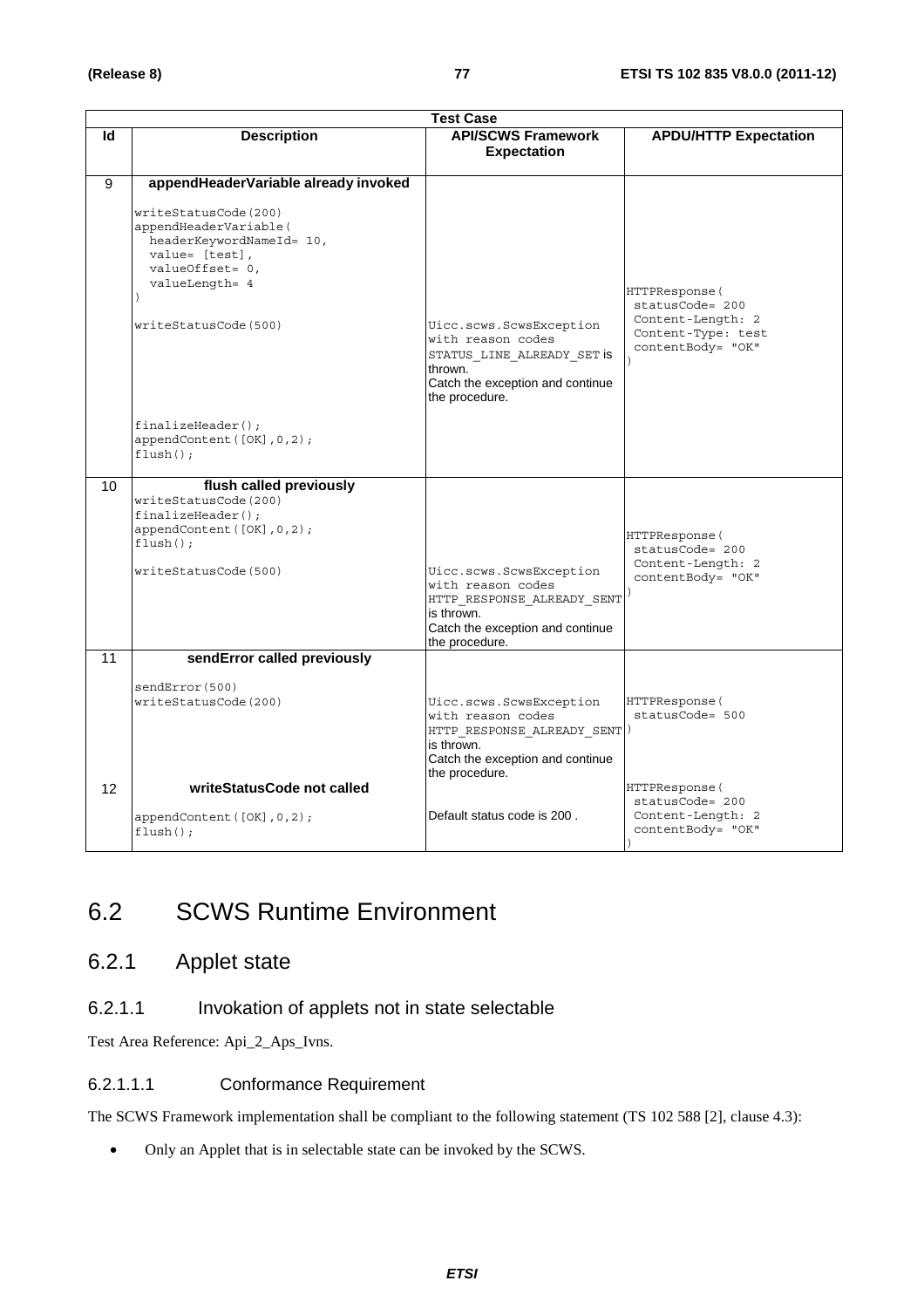|    | <b>Test Case</b>                                                                                                                                                                                                                                        |                                                                                                                                                |                                                                                                   |  |  |  |
|----|---------------------------------------------------------------------------------------------------------------------------------------------------------------------------------------------------------------------------------------------------------|------------------------------------------------------------------------------------------------------------------------------------------------|---------------------------------------------------------------------------------------------------|--|--|--|
| ld | <b>Description</b>                                                                                                                                                                                                                                      | <b>API/SCWS Framework</b><br><b>Expectation</b>                                                                                                | <b>APDU/HTTP Expectation</b>                                                                      |  |  |  |
| 9  | appendHeaderVariable already invoked<br>writeStatusCode(200)<br>appendHeaderVariable(<br>headerKeywordNameId= 10,<br>value= [test],<br>valueOffset= 0,<br>valueLength= 4<br>writeStatusCode(500)<br>$finalizeHeader()$ ;<br>appendContent ([OK], 0, 2); | Uicc.scws.ScwsException<br>with reason codes<br>STATUS LINE ALREADY SET IS<br>thrown.<br>Catch the exception and continue<br>the procedure.    | HTTPResponse (<br>statusCode= 200<br>Content-Length: 2<br>Content-Type: test<br>contentBody= "OK" |  |  |  |
| 10 | $flush()$ ;<br>flush called previously<br>writeStatusCode(200)<br>$finalizeHeader()$ ;<br>appendContent([OK], 0, 2);<br>$flush()$ ;<br>writeStatusCode(500)                                                                                             | Uicc.scws.ScwsException<br>with reason codes<br>HTTP_RESPONSE_ALREADY_SENT<br>is thrown.<br>Catch the exception and continue<br>the procedure. | HTTPResponse(<br>statusCode= 200<br>Content-Length: 2<br>contentBody= "OK"                        |  |  |  |
| 11 | sendError called previously<br>sendError(500)<br>writeStatusCode(200)                                                                                                                                                                                   | Uicc.scws.ScwsException<br>with reason codes<br>HTTP RESPONSE ALREADY SENT<br>is thrown.<br>Catch the exception and continue<br>the procedure. | HTTPResponse (<br>statusCode= 500                                                                 |  |  |  |
| 12 | writeStatusCode not called<br>appendContent([OK], 0, 2);<br>$flush()$ ;                                                                                                                                                                                 | Default status code is 200.                                                                                                                    | HTTPResponse(<br>statusCode= 200<br>Content-Length: 2<br>contentBody= "OK"                        |  |  |  |

## 6.2 SCWS Runtime Environment

## 6.2.1 Applet state

## 6.2.1.1 Invokation of applets not in state selectable

Test Area Reference: Api\_2\_Aps\_Ivns.

### 6.2.1.1.1 Conformance Requirement

The SCWS Framework implementation shall be compliant to the following statement (TS 102 588 [2], clause 4.3):

• Only an Applet that is in selectable state can be invoked by the SCWS.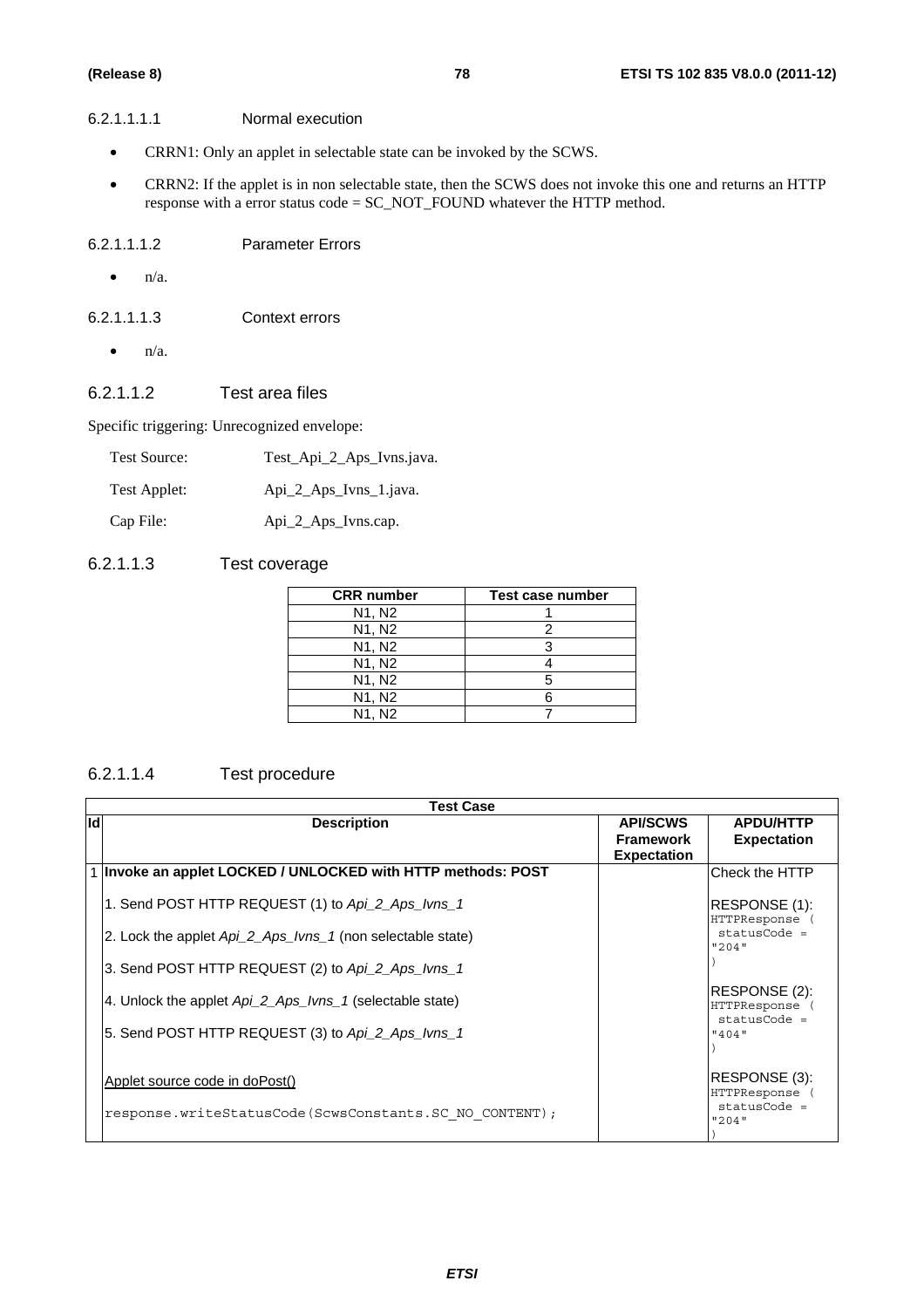#### 6.2.1.1.1.1 Normal execution

- CRRN1: Only an applet in selectable state can be invoked by the SCWS.
- CRRN2: If the applet is in non selectable state, then the SCWS does not invoke this one and returns an HTTP response with a error status code = SC\_NOT\_FOUND whatever the HTTP method.

#### 6.2.1.1.1.2 Parameter Errors

- $\bullet$  n/a.
- 6.2.1.1.1.3 Context errors
	- $\bullet$  n/a.

#### 6.2.1.1.2 Test area files

Specific triggering: Unrecognized envelope:

| Test Source: | Test_Api_2_Aps_Ivns.java. |
|--------------|---------------------------|
| Test Applet: | Api_2_Aps_Ivns_1.java.    |
| Cap File:    | Api_2_Aps_Ivns.cap.       |

#### 6.2.1.1.3 Test coverage

| <b>CRR</b> number               | Test case number |
|---------------------------------|------------------|
| N <sub>1</sub> , N <sub>2</sub> |                  |
| N <sub>1</sub> , N <sub>2</sub> |                  |
| N <sub>1</sub> , N <sub>2</sub> |                  |
| N <sub>1</sub> , N <sub>2</sub> |                  |
| N <sub>1</sub> , N <sub>2</sub> |                  |
| N <sub>1</sub> , N <sub>2</sub> |                  |
| N <sub>1</sub> . N <sub>2</sub> |                  |

## 6.2.1.1.4 Test procedure

|     | <b>Test Case</b>                                             |                                                           |                                                        |  |  |  |
|-----|--------------------------------------------------------------|-----------------------------------------------------------|--------------------------------------------------------|--|--|--|
| lld | <b>Description</b>                                           | <b>API/SCWS</b><br><b>Framework</b><br><b>Expectation</b> | <b>APDU/HTTP</b><br><b>Expectation</b>                 |  |  |  |
|     | 1 Invoke an applet LOCKED / UNLOCKED with HTTP methods: POST |                                                           | Check the HTTP                                         |  |  |  |
|     | 1. Send POST HTTP REQUEST (1) to Api_2_Aps_lvns_1            |                                                           | RESPONSE (1):<br>HTTPResponse                          |  |  |  |
|     | 2. Lock the applet Api 2 Aps Ivns 1 (non selectable state)   |                                                           | $statusCode =$<br>"204"                                |  |  |  |
|     | 3. Send POST HTTP REQUEST (2) to Api_2_Aps_lvns_1            |                                                           |                                                        |  |  |  |
|     | 4. Unlock the applet Api 2 Aps Ivns 1 (selectable state)     |                                                           | RESPONSE (2):<br><b>HTTPResponse</b><br>$statusCode =$ |  |  |  |
|     | 5. Send POST HTTP REQUEST (3) to Api_2_Aps_lvns_1            |                                                           | "404"                                                  |  |  |  |
|     | Applet source code in doPost()                               |                                                           | RESPONSE (3):<br><b>HTTPResponse</b><br>$statusCode =$ |  |  |  |
|     | response.writeStatusCode(ScwsConstants.SC NO CONTENT);       |                                                           | "204"                                                  |  |  |  |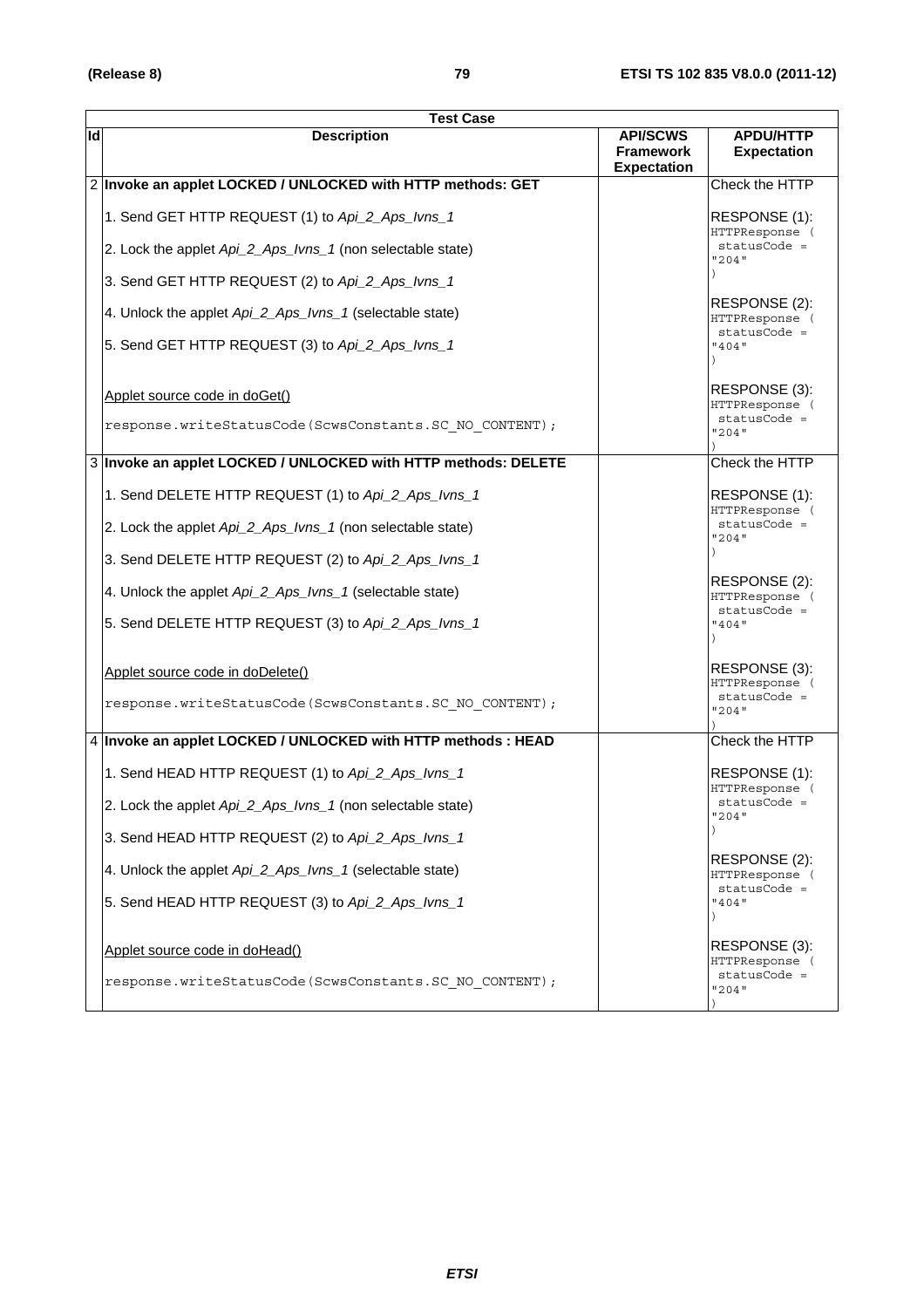|    | <b>Test Case</b>                                               |                                                           |                                                   |  |  |
|----|----------------------------------------------------------------|-----------------------------------------------------------|---------------------------------------------------|--|--|
| ld | <b>Description</b>                                             | <b>API/SCWS</b><br><b>Framework</b><br><b>Expectation</b> | <b>APDU/HTTP</b><br><b>Expectation</b>            |  |  |
|    | 2 Invoke an applet LOCKED / UNLOCKED with HTTP methods: GET    |                                                           | Check the HTTP                                    |  |  |
|    | 1. Send GET HTTP REQUEST (1) to Api_2_Aps_lvns_1               |                                                           | RESPONSE (1):<br>HTTPResponse (                   |  |  |
|    | 2. Lock the applet Api_2_Aps_Ivns_1 (non selectable state)     |                                                           | statusCode =<br>"204"                             |  |  |
|    | 3. Send GET HTTP REQUEST (2) to Api_2_Aps_lvns_1               |                                                           |                                                   |  |  |
|    | 4. Unlock the applet Api_2_Aps_Ivns_1 (selectable state)       |                                                           | RESPONSE (2):<br>HTTPResponse (<br>$statusCode =$ |  |  |
|    | 5. Send GET HTTP REQUEST (3) to Api_2_Aps_lvns_1               |                                                           | "404"                                             |  |  |
|    | Applet source code in doGet()                                  |                                                           | RESPONSE (3):<br>HTTPResponse (                   |  |  |
|    | response.writeStatusCode(ScwsConstants.SC NO CONTENT);         |                                                           | $statusCode =$<br>"204"                           |  |  |
|    | 3 Invoke an applet LOCKED / UNLOCKED with HTTP methods: DELETE |                                                           | Check the HTTP                                    |  |  |
|    | 1. Send DELETE HTTP REQUEST (1) to Api_2_Aps_lvns_1            |                                                           | RESPONSE (1):<br>HTTPResponse (                   |  |  |
|    | 2. Lock the applet Api_2_Aps_Ivns_1 (non selectable state)     |                                                           | statusCode =                                      |  |  |
|    | 3. Send DELETE HTTP REQUEST (2) to Api_2_Aps_lvns_1            |                                                           | "204"                                             |  |  |
|    | 4. Unlock the applet Api_2_Aps_Ivns_1 (selectable state)       |                                                           | RESPONSE (2):<br>HTTPResponse (                   |  |  |
|    | 5. Send DELETE HTTP REQUEST (3) to Api_2_Aps_lvns_1            |                                                           | statusCode =<br>"404"                             |  |  |
|    | Applet source code in doDelete()                               |                                                           | RESPONSE (3):<br>HTTPResponse (                   |  |  |
|    | response.writeStatusCode(ScwsConstants.SC NO CONTENT);         |                                                           | $statusCode =$<br>"204"                           |  |  |
|    | 4 Invoke an applet LOCKED / UNLOCKED with HTTP methods : HEAD  |                                                           | Check the HTTP                                    |  |  |
|    | 1. Send HEAD HTTP REQUEST (1) to Api_2_Aps_lvns_1              |                                                           | RESPONSE (1):                                     |  |  |
|    | 2. Lock the applet Api_2_Aps_Ivns_1 (non selectable state)     |                                                           | HTTPResponse (<br>statusCode =<br>"204"           |  |  |
|    | 3. Send HEAD HTTP REQUEST (2) to Api_2_Aps_lvns_1              |                                                           |                                                   |  |  |
|    | 4. Unlock the applet Api_2_Aps_Ivns_1 (selectable state)       |                                                           | RESPONSE (2):<br>HTTPResponse (                   |  |  |
|    | 5. Send HEAD HTTP REQUEST (3) to Api_2_Aps_lvns_1              |                                                           | statusCode =<br>"404"                             |  |  |
|    | Applet source code in doHead()                                 |                                                           | RESPONSE (3):                                     |  |  |
|    | response.writeStatusCode(ScwsConstants.SC NO CONTENT);         |                                                           | HTTPResponse (<br>$statusCode =$<br>"204"         |  |  |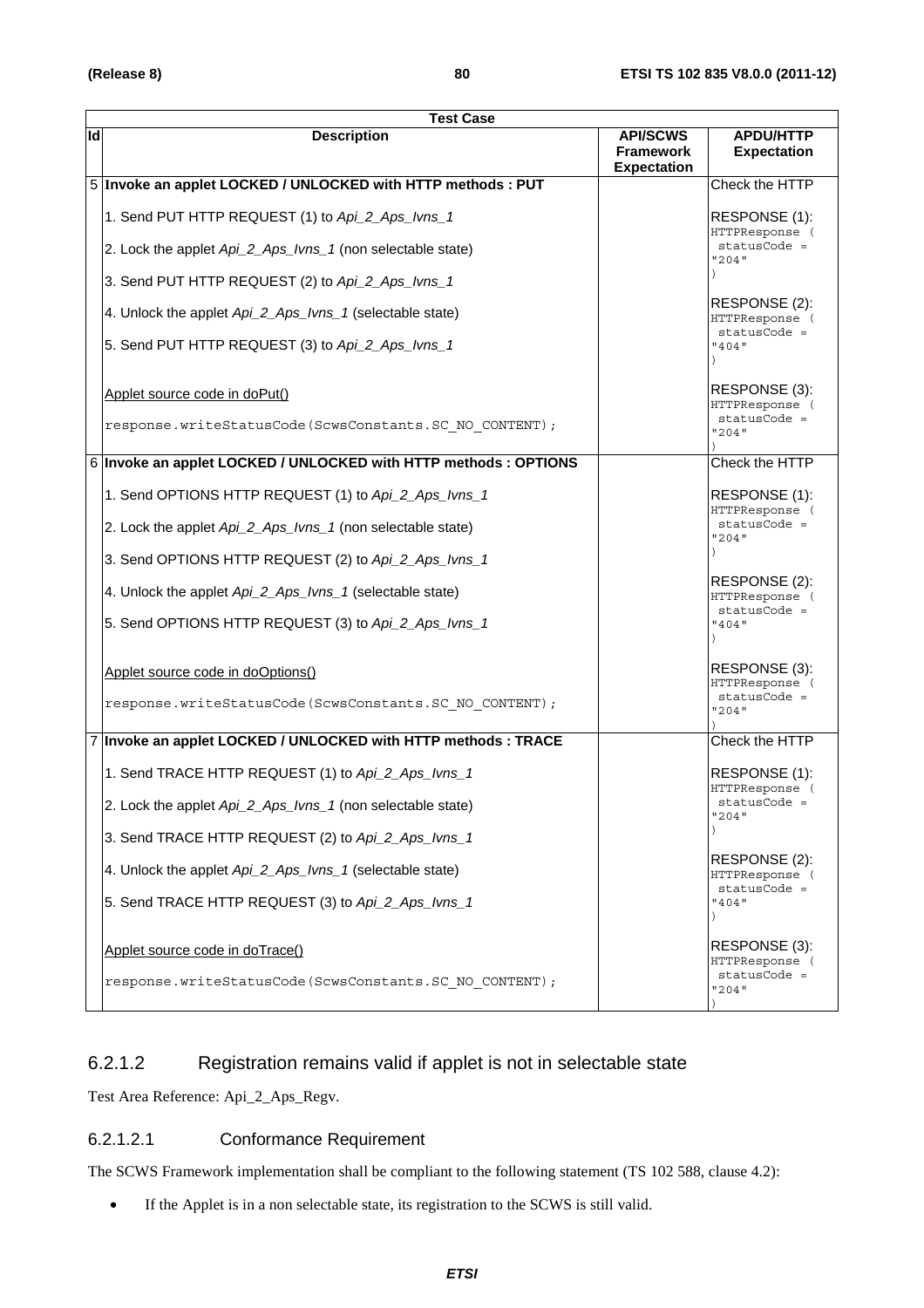|    | <b>Test Case</b>                                                 |                                                           |                                                 |  |  |
|----|------------------------------------------------------------------|-----------------------------------------------------------|-------------------------------------------------|--|--|
| ld | <b>Description</b>                                               | <b>API/SCWS</b><br><b>Framework</b><br><b>Expectation</b> | <b>APDU/HTTP</b><br><b>Expectation</b>          |  |  |
|    | 5 Invoke an applet LOCKED / UNLOCKED with HTTP methods : PUT     |                                                           | Check the HTTP                                  |  |  |
|    | 1. Send PUT HTTP REQUEST (1) to Api_2_Aps_lvns_1                 |                                                           | RESPONSE (1):<br>HTTPResponse (                 |  |  |
|    | 2. Lock the applet Api_2_Aps_Ivns_1 (non selectable state)       |                                                           | statusCode =<br>"204"                           |  |  |
|    | 3. Send PUT HTTP REQUEST (2) to Api_2_Aps_lvns_1                 |                                                           |                                                 |  |  |
|    | 4. Unlock the applet Api_2_Aps_Ivns_1 (selectable state)         |                                                           | RESPONSE (2):<br>HTTPResponse (<br>statusCode = |  |  |
|    | 5. Send PUT HTTP REQUEST (3) to Api_2_Aps_lvns_1                 |                                                           | "404"                                           |  |  |
|    | Applet source code in doPut()                                    |                                                           | RESPONSE (3):<br>HTTPResponse (                 |  |  |
|    | response.writeStatusCode(ScwsConstants.SC NO CONTENT);           |                                                           | $statusCode =$<br>"204"                         |  |  |
|    | 6 Invoke an applet LOCKED / UNLOCKED with HTTP methods : OPTIONS |                                                           | Check the HTTP                                  |  |  |
|    | 1. Send OPTIONS HTTP REQUEST (1) to Api_2_Aps_lvns_1             |                                                           | RESPONSE (1):<br>HTTPResponse (                 |  |  |
|    | 2. Lock the applet Api_2_Aps_Ivns_1 (non selectable state)       |                                                           | statusCode =<br>"204"                           |  |  |
|    | 3. Send OPTIONS HTTP REQUEST (2) to Api_2_Aps_lvns_1             |                                                           |                                                 |  |  |
|    | 4. Unlock the applet Api_2_Aps_Ivns_1 (selectable state)         |                                                           | RESPONSE (2):<br>HTTPResponse (<br>statusCode = |  |  |
|    | 5. Send OPTIONS HTTP REQUEST (3) to Api_2_Aps_lvns_1             |                                                           | "404"                                           |  |  |
|    | Applet source code in doOptions()                                |                                                           | RESPONSE (3):<br>HTTPResponse (                 |  |  |
|    | response.writeStatusCode(ScwsConstants.SC NO CONTENT);           |                                                           | $statusCode =$<br>"204"                         |  |  |
|    | 7 Invoke an applet LOCKED / UNLOCKED with HTTP methods : TRACE   |                                                           | Check the HTTP                                  |  |  |
|    | 1. Send TRACE HTTP REQUEST (1) to Api_2_Aps_lvns_1               |                                                           | RESPONSE (1):<br>HTTPResponse (                 |  |  |
|    | 2. Lock the applet Api_2_Aps_Ivns_1 (non selectable state)       |                                                           | statusCode =<br>"204"                           |  |  |
|    | 3. Send TRACE HTTP REQUEST (2) to Api_2_Aps_lvns_1               |                                                           |                                                 |  |  |
|    | 4. Unlock the applet Api_2_Aps_Ivns_1 (selectable state)         |                                                           | RESPONSE (2):<br>HTTPResponse (<br>statusCode = |  |  |
|    | 5. Send TRACE HTTP REQUEST (3) to Api_2_Aps_lvns_1               |                                                           | "404"                                           |  |  |
|    | Applet source code in doTrace()                                  |                                                           | RESPONSE (3):<br>HTTPResponse (                 |  |  |
|    | response.writeStatusCode(ScwsConstants.SC_NO_CONTENT);           |                                                           | statusCode =<br>"204"                           |  |  |

## 6.2.1.2 Registration remains valid if applet is not in selectable state

Test Area Reference: Api\_2\_Aps\_Regv.

### 6.2.1.2.1 Conformance Requirement

The SCWS Framework implementation shall be compliant to the following statement (TS 102 588, clause 4.2):

• If the Applet is in a non selectable state, its registration to the SCWS is still valid.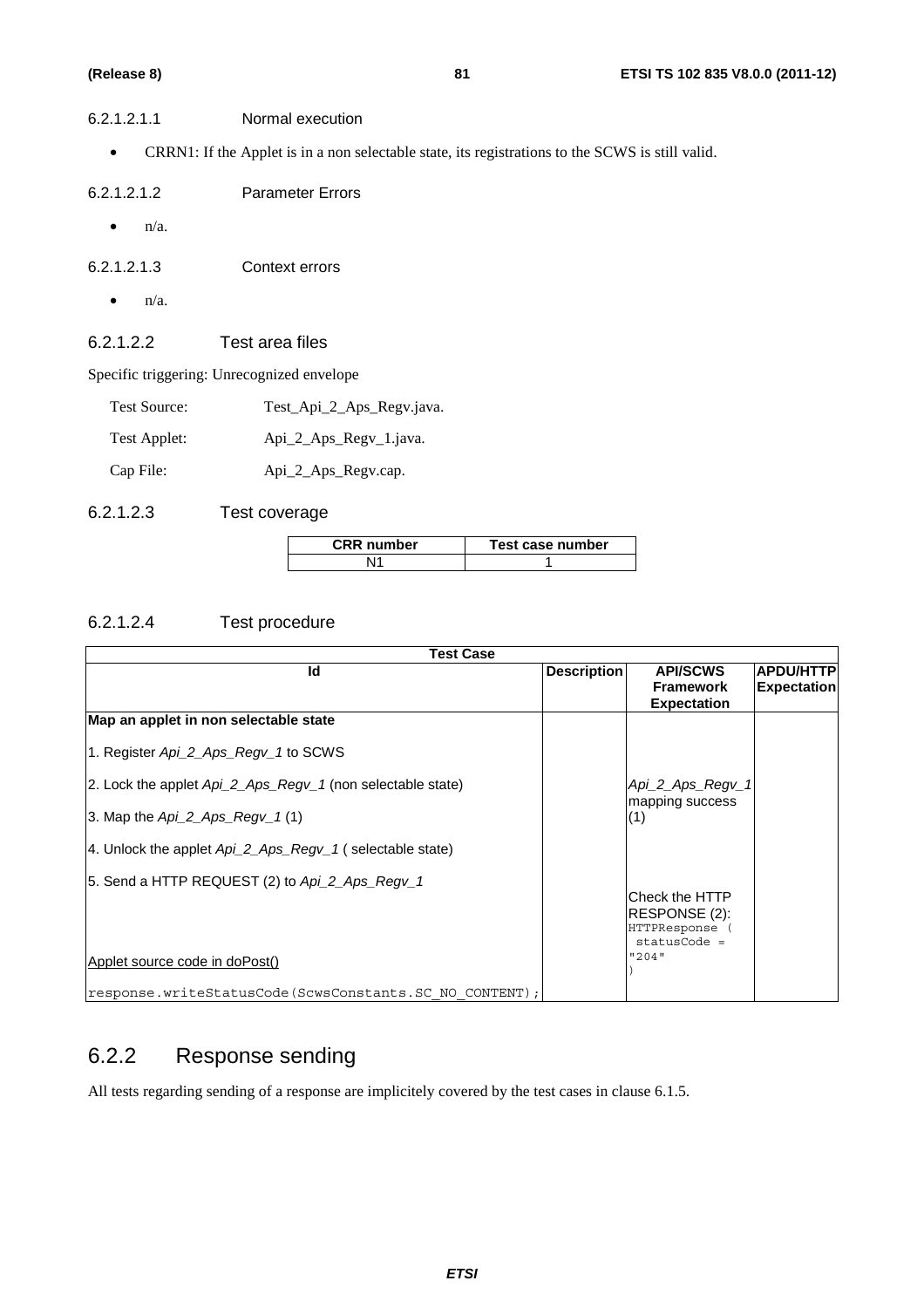| 6.2.1.2.1.1          | Normal execution                                                                                 |
|----------------------|--------------------------------------------------------------------------------------------------|
| $\bullet$            | CRRN1: If the Applet is in a non selectable state, its registrations to the SCWS is still valid. |
| 6.2.1.2.1.2          | <b>Parameter Errors</b>                                                                          |
| $n/a$ .<br>$\bullet$ |                                                                                                  |
| 6.2.1.2.1.3          | Context errors                                                                                   |
| $n/a$ .              |                                                                                                  |

### 6.2.1.2.2 Test area files

Specific triggering: Unrecognized envelope

| Test Source: | Test_Api_2_Aps_Regv.java. |
|--------------|---------------------------|
|--------------|---------------------------|

Test Applet: Api\_2\_Aps\_Regv\_1.java.

Cap File:  $\text{Api\_2\_Aps\_Regv.cap.}$ 

6.2.1.2.3 Test coverage

| <b>CRR</b> number | Test case number |
|-------------------|------------------|
|                   |                  |

## 6.2.1.2.4 Test procedure

| <b>Test Case</b>                                                   |                    |                                                                      |                    |  |
|--------------------------------------------------------------------|--------------------|----------------------------------------------------------------------|--------------------|--|
| Id                                                                 | <b>Description</b> | <b>API/SCWS</b>                                                      | <b>APDU/HTTP</b>   |  |
|                                                                    |                    | <b>Framework</b><br><b>Expectation</b>                               | <b>Expectation</b> |  |
| Map an applet in non selectable state                              |                    |                                                                      |                    |  |
| 1. Register Api 2 Aps Regy 1 to SCWS                               |                    |                                                                      |                    |  |
| 2. Lock the applet Api_2_Aps_Regv_1 (non selectable state)         |                    | Api_2_Aps_Regv_1<br>mapping success                                  |                    |  |
| 3. Map the $Api 2$ $Aps$ $Regv 1(1)$                               |                    | (1)                                                                  |                    |  |
| 4. Unlock the applet $Api 2 \text{ Aps}$ Regy 1 (selectable state) |                    |                                                                      |                    |  |
| 5. Send a HTTP REQUEST (2) to Api_2_Aps_Regv_1                     |                    | lCheck the HTTP<br>RESPONSE (2):<br>HTTPResponse (<br>$statusCode =$ |                    |  |
| Applet source code in doPost()                                     |                    | "204"                                                                |                    |  |
| response.writeStatusCode(ScwsConstants.SC NO CONTENT);             |                    |                                                                      |                    |  |

## 6.2.2 Response sending

All tests regarding sending of a response are implicitely covered by the test cases in clause 6.1.5.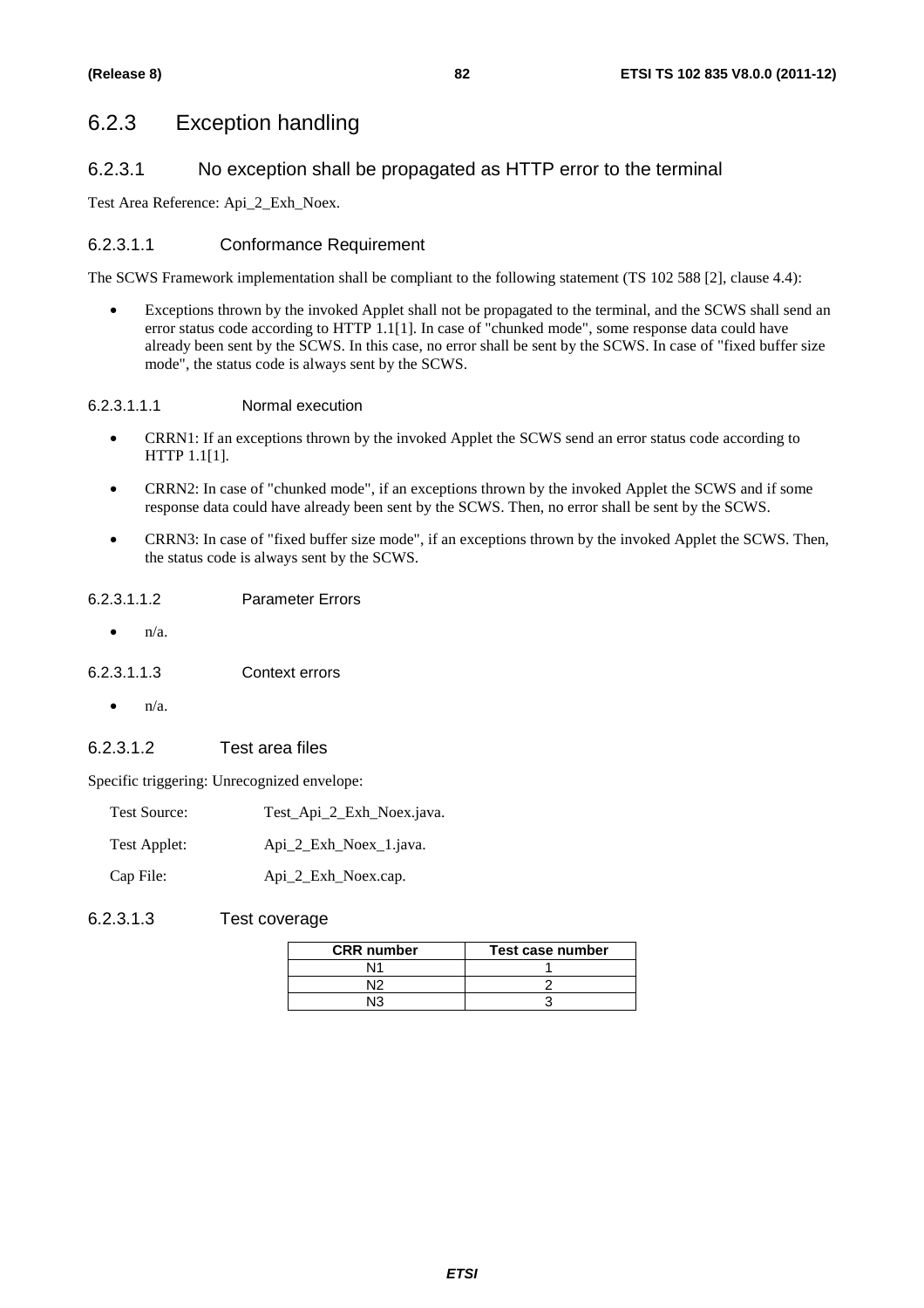## 6.2.3 Exception handling

## 6.2.3.1 No exception shall be propagated as HTTP error to the terminal

Test Area Reference: Api\_2\_Exh\_Noex.

### 6.2.3.1.1 Conformance Requirement

The SCWS Framework implementation shall be compliant to the following statement (TS 102 588 [2], clause 4.4):

• Exceptions thrown by the invoked Applet shall not be propagated to the terminal, and the SCWS shall send an error status code according to HTTP 1.1[1]. In case of "chunked mode", some response data could have already been sent by the SCWS. In this case, no error shall be sent by the SCWS. In case of "fixed buffer size mode", the status code is always sent by the SCWS.

#### 6.2.3.1.1.1 Normal execution

- CRRN1: If an exceptions thrown by the invoked Applet the SCWS send an error status code according to HTTP 1.1[1].
- CRRN2: In case of "chunked mode", if an exceptions thrown by the invoked Applet the SCWS and if some response data could have already been sent by the SCWS. Then, no error shall be sent by the SCWS.
- CRRN3: In case of "fixed buffer size mode", if an exceptions thrown by the invoked Applet the SCWS. Then, the status code is always sent by the SCWS.

#### 6.2.3.1.1.2 Parameter Errors

• n/a.

#### 6.2.3.1.1.3 Context errors

• n/a.

### 6.2.3.1.2 Test area files

Specific triggering: Unrecognized envelope:

| Test Source: | Test_Api_2_Exh_Noex.java. |
|--------------|---------------------------|
| Test Applet: | Api 2 Exh Noex 1. java.   |
| Cap File:    | Api_2_Exh_Noex.cap.       |

### 6.2.3.1.3 Test coverage

| <b>CRR</b> number | Test case number |
|-------------------|------------------|
|                   |                  |
| NIC               |                  |
| ୲୵                |                  |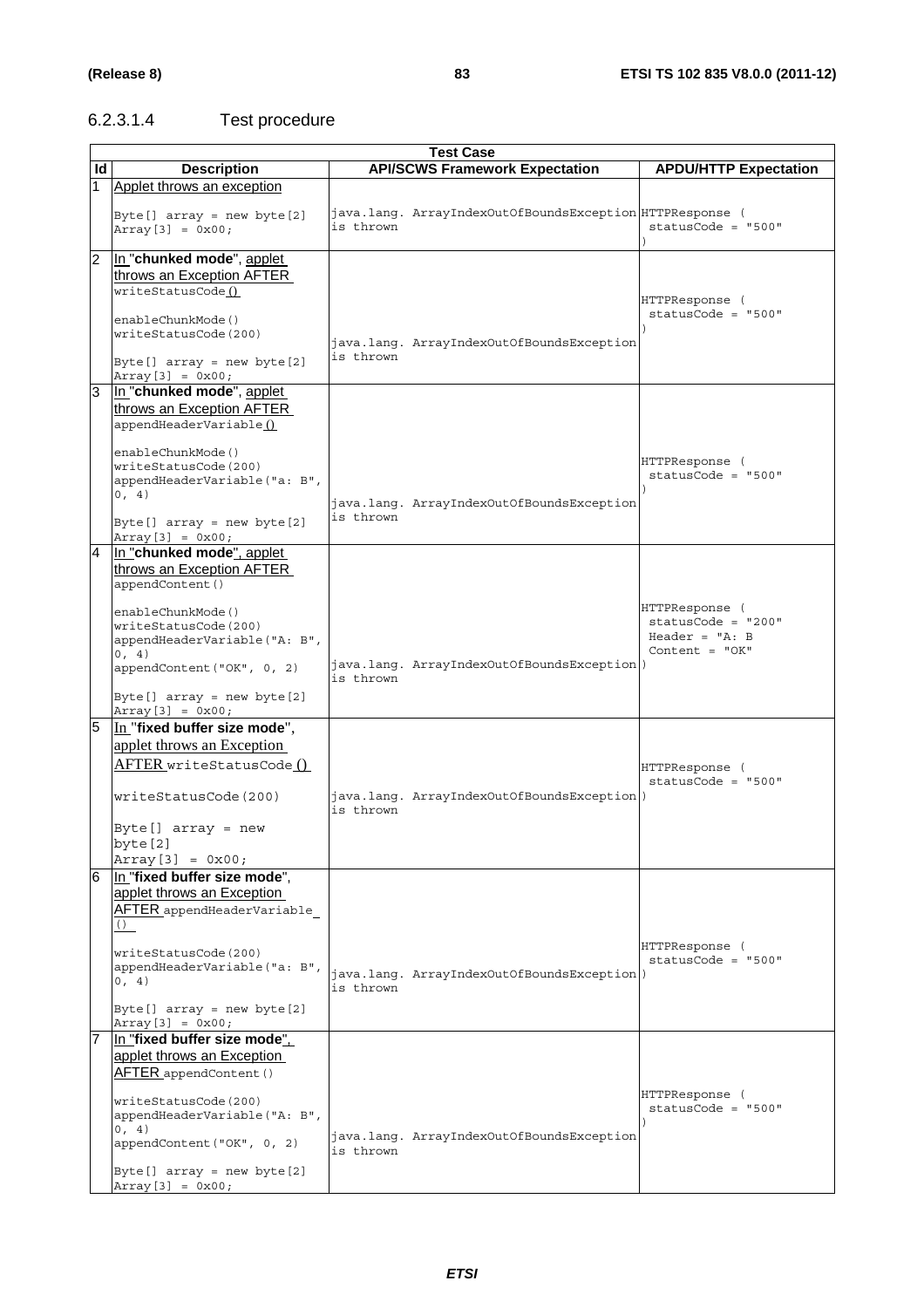## 6.2.3.1.4 Test procedure

|                | <b>Test Case</b>                                                                                                                                                                                                                                      |           |                                                          |                                                                                |
|----------------|-------------------------------------------------------------------------------------------------------------------------------------------------------------------------------------------------------------------------------------------------------|-----------|----------------------------------------------------------|--------------------------------------------------------------------------------|
| ld             | <b>Description</b>                                                                                                                                                                                                                                    |           | <b>API/SCWS Framework Expectation</b>                    | <b>APDU/HTTP Expectation</b>                                                   |
|                | Applet throws an exception                                                                                                                                                                                                                            |           |                                                          |                                                                                |
|                | Byte[] $array = new byte[2]$<br>$Array[3] = 0x00;$                                                                                                                                                                                                    | is thrown | java.lang. ArrayIndexOutOfBoundsException HTTPResponse ( | $statusCode = "500"$                                                           |
| $\overline{2}$ | In "chunked mode", applet<br>throws an Exception AFTER<br>writeStatusCode()<br>enableChunkMode()<br>writeStatusCode(200)<br>Byte[] $array = new byte[2]$                                                                                              | is thrown | java.lang. ArrayIndexOutOfBoundsException                | HTTPResponse (<br>$statusCode = "500"$                                         |
| $\overline{3}$ | $Array[3] = 0x00;$<br>In "chunked mode", applet<br>throws an Exception AFTER<br>appendHeaderVariable()<br>enableChunkMode()<br>writeStatusCode(200)<br>appendHeaderVariable("a: B",<br>0, 4)<br>Byte[] $array = new byte[2]$<br>Array [3] = $0x00;$   | is thrown | java.lang. ArrayIndexOutOfBoundsException                | HTTPResponse (<br>$statusCode = "500"$                                         |
| $\overline{4}$ | In "chunked mode", applet<br>throws an Exception AFTER<br>appendContent()<br>enableChunkMode()<br>writeStatusCode(200)<br>appendHeaderVariable("A: B",<br>0, 4)<br>appendContent ("OK", 0, 2)<br>Byte[] $array = new byte[2]$<br>$Array[3] = 0x00;$   | is thrown | java.lang. ArrayIndexOutOfBoundsException)               | HTTPResponse (<br>$statusCode = "200"$<br>Header = $"A: B$<br>Content = $"OK"$ |
| $\overline{5}$ | In "fixed buffer size mode",<br>applet throws an Exception<br>AFTER writeStatusCode ()<br>writeStatusCode(200)<br>Byte $[]$ array = new<br>byte [2]<br>$Array[3] = 0x00;$                                                                             | is thrown | java.lang. ArrayIndexOutOfBoundsException)               | HTTPResponse (<br>$statusCode = "500"$                                         |
| 6              | In "fixed buffer size mode",<br>applet throws an Exception<br>AFTER appendHeaderVariable<br>()<br>writeStatusCode(200)<br>appendHeaderVariable("a: B",<br>0, 4)<br>Byte[] $array = new byte[2]$<br>$Array[3] = 0x00;$<br>In "fixed buffer size mode". | is thrown | java.lang. ArrayIndexOutOfBoundsException)               | HTTPResponse (<br>$statusCode = "500"$                                         |
|                | applet throws an Exception<br>AFTER appendContent()<br>writeStatusCode(200)<br>appendHeaderVariable("A: B",<br>0, 4)<br>appendContent ("OK", 0, 2)<br>Byte[] $array = new byte[2]$<br>$Array[3] = 0x00;$                                              | is thrown | java.lang. ArrayIndexOutOfBoundsException                | HTTPResponse (<br>$statusCode = "500"$                                         |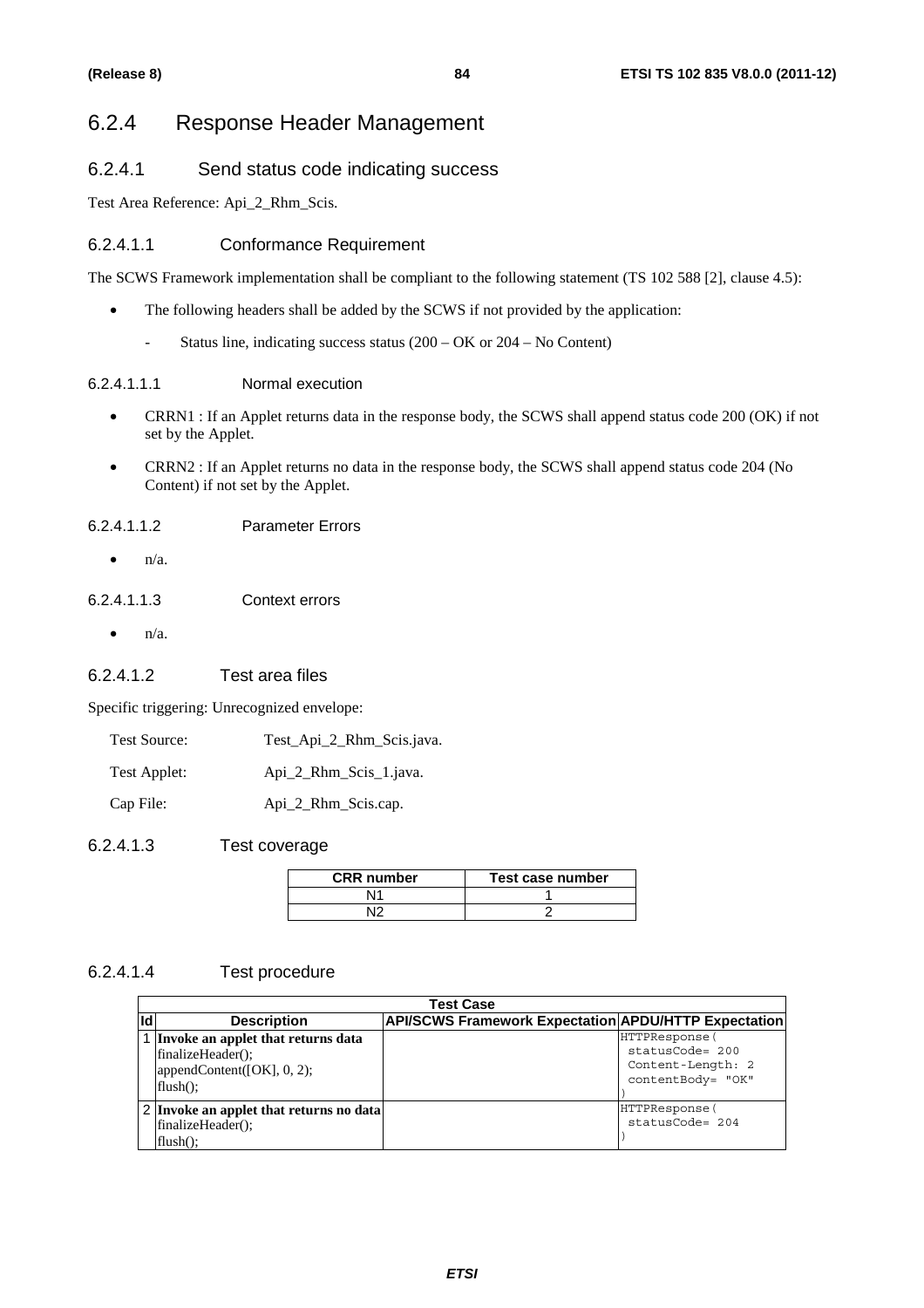## 6.2.4 Response Header Management

## 6.2.4.1 Send status code indicating success

Test Area Reference: Api\_2\_Rhm\_Scis.

#### 6.2.4.1.1 Conformance Requirement

The SCWS Framework implementation shall be compliant to the following statement (TS 102 588 [2], clause 4.5):

- The following headers shall be added by the SCWS if not provided by the application:
	- Status line, indicating success status  $(200 OK)$  or  $204 No$  Content)

#### 6.2.4.1.1.1 Normal execution

- CRRN1 : If an Applet returns data in the response body, the SCWS shall append status code 200 (OK) if not set by the Applet.
- CRRN2 : If an Applet returns no data in the response body, the SCWS shall append status code 204 (No Content) if not set by the Applet.

#### 6.2.4.1.1.2 Parameter Errors

 $\bullet$  n/a.

#### 6.2.4.1.1.3 Context errors

 $n/a$ .

#### 6.2.4.1.2 Test area files

Specific triggering: Unrecognized envelope:

- Test Source: Test\_Api\_2\_Rhm\_Scis.java.
- Test Applet: Api\_2\_Rhm\_Scis\_1.java.

Cap File: Api\_2\_Rhm\_Scis.cap.

#### 6.2.4.1.3 Test coverage

| <b>CRR</b> number | Test case number |
|-------------------|------------------|
| Ν1                |                  |
| מות               |                  |

#### 6.2.4.1.4 Test procedure

|     | <b>Test Case</b>                                                                                              |                                                             |                                                                                |  |  |
|-----|---------------------------------------------------------------------------------------------------------------|-------------------------------------------------------------|--------------------------------------------------------------------------------|--|--|
| lld | <b>Description</b>                                                                                            | <b>API/SCWS Framework Expectation APDU/HTTP Expectation</b> |                                                                                |  |  |
|     | 1 Invoke an applet that returns data<br>$finalizeHeader()$ ;<br>appendContent( $[OK]$ , 0, 2);<br>$flush()$ : |                                                             | HTTPResponse (<br>$statusCode = 200$<br>Content-Length: 2<br>contentBody= "OK" |  |  |
|     | 2 Invoke an applet that returns no data<br>finalizeHeader();<br>$flush()$ :                                   |                                                             | HTTPResponse (<br>statusCode= 204                                              |  |  |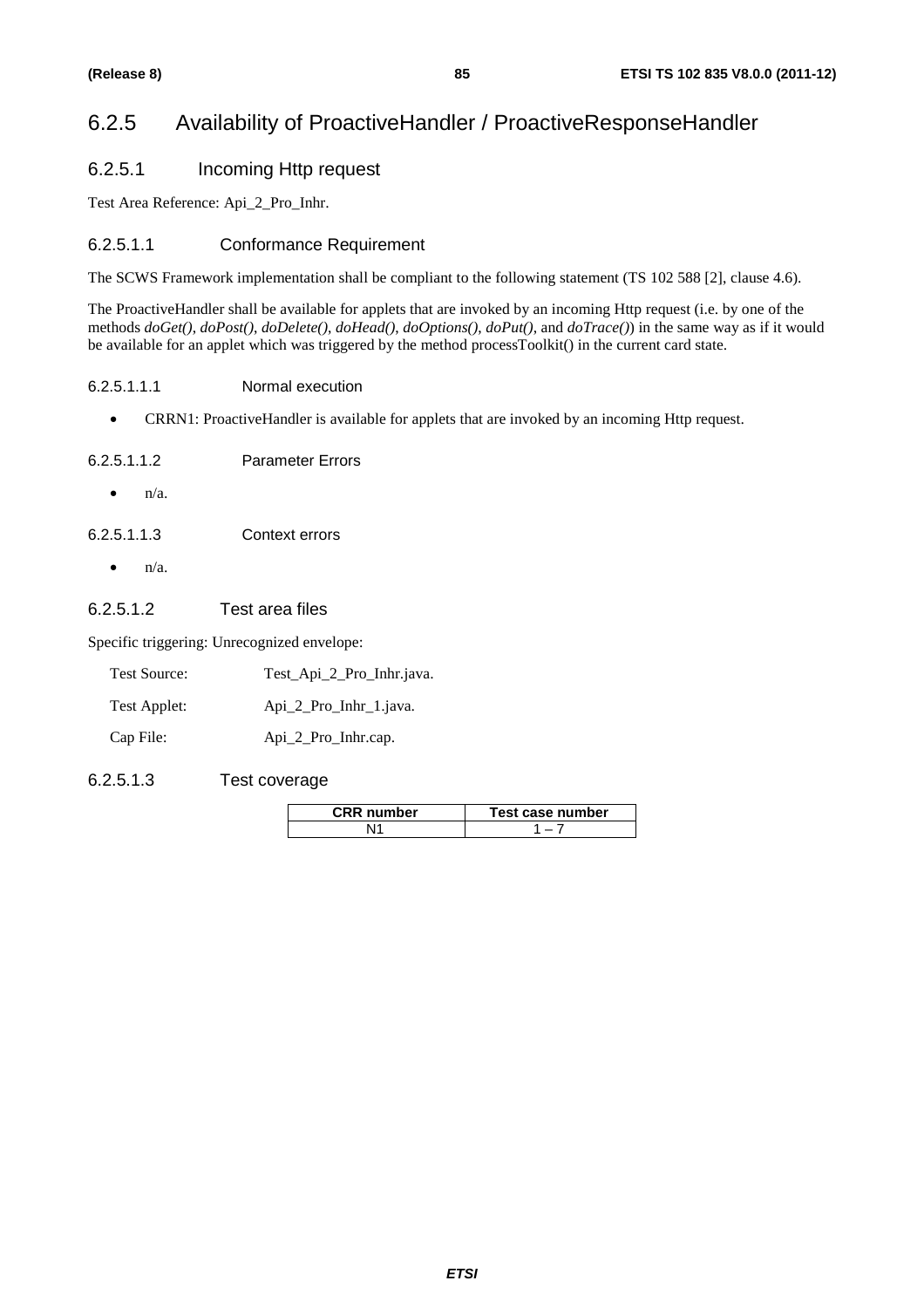## 6.2.5 Availability of ProactiveHandler / ProactiveResponseHandler

## 6.2.5.1 Incoming Http request

Test Area Reference: Api\_2\_Pro\_Inhr.

#### 6.2.5.1.1 Conformance Requirement

The SCWS Framework implementation shall be compliant to the following statement (TS 102 588 [2], clause 4.6).

The ProactiveHandler shall be available for applets that are invoked by an incoming Http request (i.e. by one of the methods *doGet()*, *doPost()*, *doDelete()*, *doHead()*, *doOptions()*, *doPut()*, and *doTrace()*) in the same way as if it would be available for an applet which was triggered by the method processToolkit() in the current card state.

#### 6.2.5.1.1.1 Normal execution

• CRRN1: ProactiveHandler is available for applets that are invoked by an incoming Http request.

- $\bullet$   $n/a$ .
- 6.2.5.1.1.3 Context errors
	- $\bullet$  n/a.

#### 6.2.5.1.2 Test area files

Specific triggering: Unrecognized envelope:

| Test Source: | Test_Api_2_Pro_Inhr.java. |
|--------------|---------------------------|
|              |                           |

| Test Applet: | Api_2_Pro_Inhr_1.java. |
|--------------|------------------------|
|              |                        |

Cap File: Api\_2\_Pro\_Inhr.cap.

#### 6.2.5.1.3 Test coverage

| <b>CRR</b> number | Test case number |
|-------------------|------------------|
|                   |                  |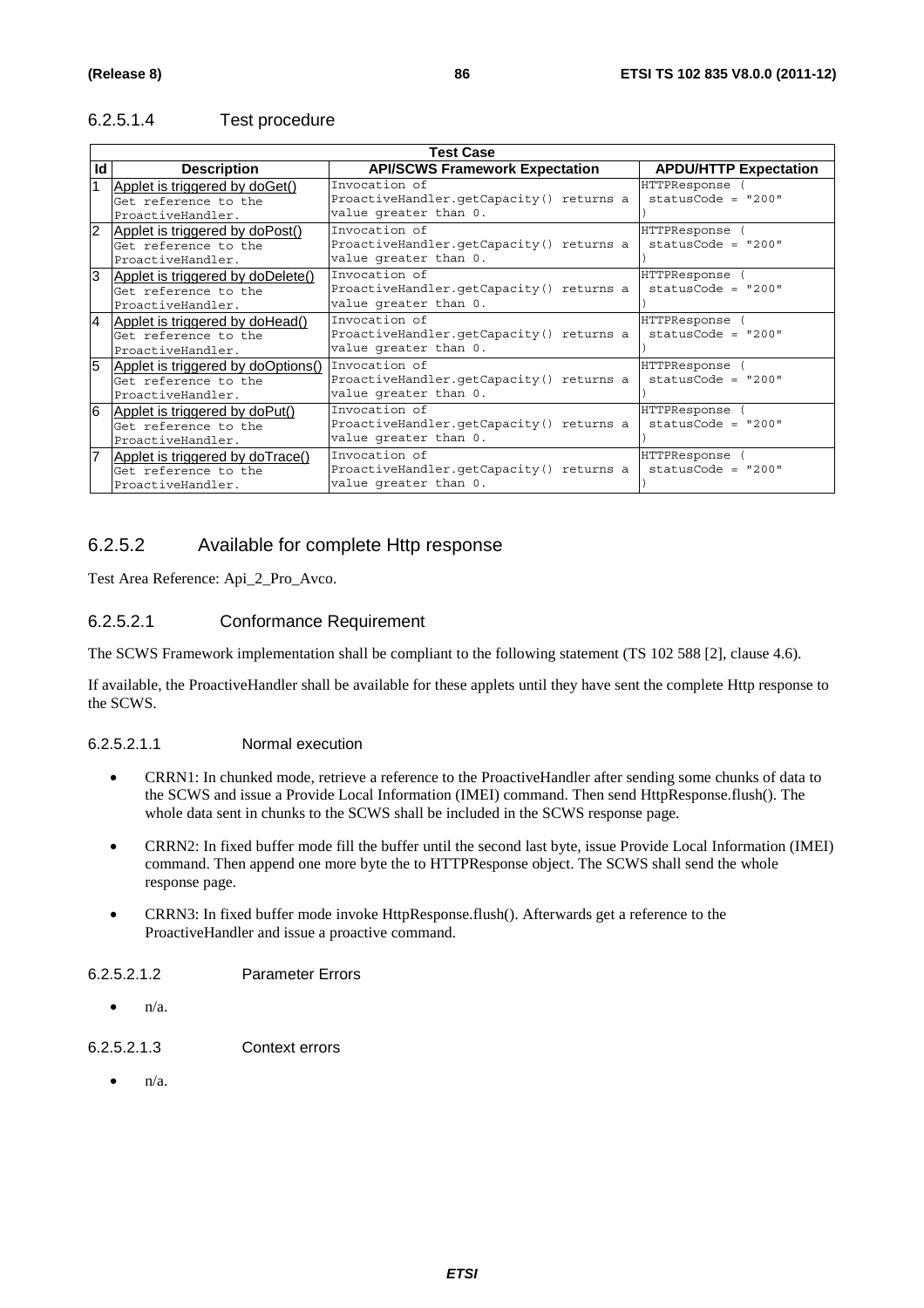### 6.2.5.1.4 Test procedure

|                | <b>Test Case</b>                                                                |                                                                                    |                                        |  |
|----------------|---------------------------------------------------------------------------------|------------------------------------------------------------------------------------|----------------------------------------|--|
| ld             | <b>Description</b>                                                              | <b>API/SCWS Framework Expectation</b>                                              | <b>APDU/HTTP Expectation</b>           |  |
|                | Applet is triggered by doGet()<br>Get reference to the<br>ProactiveHandler.     | Invocation of<br>ProactiveHandler.qetCapacity() returns a<br>value greater than 0. | HTTPResponse<br>$statusCode = "200"$   |  |
| 2              | Applet is triggered by doPost()<br>Get reference to the<br>ProactiveHandler.    | Invocation of<br>ProactiveHandler.getCapacity() returns a<br>value greater than 0. | HTTPResponse<br>$statusCode = "200"$   |  |
| 3              | Applet is triggered by doDelete()<br>Get reference to the<br>ProactiveHandler.  | Invocation of<br>ProactiveHandler.getCapacity() returns a<br>value greater than 0. | HTTPResponse<br>statusCode = $"200"$   |  |
| $\overline{4}$ | Applet is triggered by doHead()<br>Get reference to the<br>ProactiveHandler.    | Invocation of<br>ProactiveHandler.getCapacity() returns a<br>value greater than 0. | HTTPResponse<br>$statusCode = "200"$   |  |
| $5^{\circ}$    | Applet is triggered by doOptions()<br>Get reference to the<br>ProactiveHandler. | Invocation of<br>ProactiveHandler.getCapacity() returns a<br>value greater than 0. | HTTPResponse (<br>$statusCode = "200"$ |  |
| 6              | Applet is triggered by doPut()<br>Get reference to the<br>ProactiveHandler.     | Invocation of<br>ProactiveHandler.getCapacity() returns a<br>value greater than 0. | HTTPResponse<br>$statusCode = "200"$   |  |
| $\overline{7}$ | Applet is triggered by doTrace()<br>Get reference to the<br>ProactiveHandler.   | Invocation of<br>ProactiveHandler.getCapacity() returns a<br>value greater than 0. | HTTPResponse<br>$statusCode = "200"$   |  |

### 6.2.5.2 Available for complete Http response

Test Area Reference: Api\_2\_Pro\_Avco.

#### 6.2.5.2.1 Conformance Requirement

The SCWS Framework implementation shall be compliant to the following statement (TS 102 588 [2], clause 4.6).

If available, the ProactiveHandler shall be available for these applets until they have sent the complete Http response to the SCWS.

#### 6.2.5.2.1.1 Normal execution

- CRRN1: In chunked mode, retrieve a reference to the ProactiveHandler after sending some chunks of data to the SCWS and issue a Provide Local Information (IMEI) command. Then send HttpResponse.flush(). The whole data sent in chunks to the SCWS shall be included in the SCWS response page.
- CRRN2: In fixed buffer mode fill the buffer until the second last byte, issue Provide Local Information (IMEI) command. Then append one more byte the to HTTPResponse object. The SCWS shall send the whole response page.
- CRRN3: In fixed buffer mode invoke HttpResponse.flush(). Afterwards get a reference to the ProactiveHandler and issue a proactive command.

#### 6.2.5.2.1.2 Parameter Errors

 $n/a$ .

#### 6.2.5.2.1.3 Context errors

 $\bullet$   $n/a$ .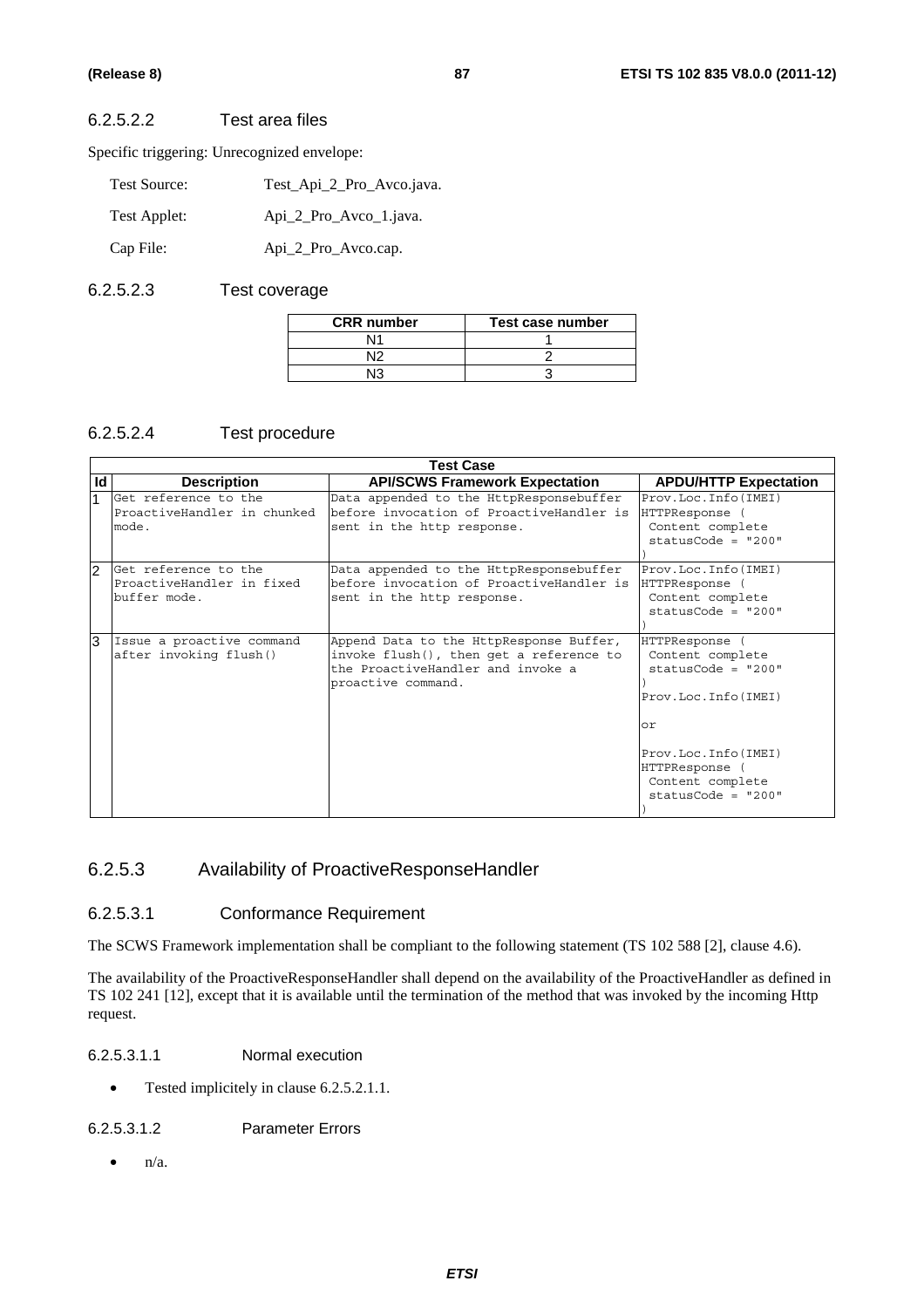### 6.2.5.2.2 Test area files

Specific triggering: Unrecognized envelope:

| <b>Test Source:</b> | Test_Api_2_Pro_Avco.java. |
|---------------------|---------------------------|
| Test Applet:        | Api_2_Pro_Avco_1.java.    |
| Cap File:           | Api_2_Pro_Avco.cap.       |

### 6.2.5.2.3 Test coverage

| <b>CRR</b> number | Test case number |
|-------------------|------------------|
| Ν١                |                  |
| מות               |                  |
| N۱                |                  |

### 6.2.5.2.4 Test procedure

|                | <b>Test Case</b>                                                  |                                                                                                                                               |                                                                                                                                                                            |  |
|----------------|-------------------------------------------------------------------|-----------------------------------------------------------------------------------------------------------------------------------------------|----------------------------------------------------------------------------------------------------------------------------------------------------------------------------|--|
| ld             | <b>Description</b>                                                | <b>API/SCWS Framework Expectation</b>                                                                                                         | <b>APDU/HTTP Expectation</b>                                                                                                                                               |  |
|                | Get reference to the<br>ProactiveHandler in chunked<br>mode.      | Data appended to the HttpResponsebuffer<br>before invocation of ProactiveHandler is<br>sent in the http response.                             | Prov.Loc.Info(IMEI)<br>HTTPResponse (<br>Content complete<br>$statusCode = "200"$                                                                                          |  |
| $\overline{2}$ | Get reference to the<br>ProactiveHandler in fixed<br>buffer mode. | Data appended to the HttpResponsebuffer<br>before invocation of ProactiveHandler is<br>sent in the http response.                             | Prov.Loc.Info(IMEI)<br>HTTPResponse<br>Content complete<br>$statusCode = "200"$                                                                                            |  |
| l3.            | Issue a proactive command<br>after invoking flush()               | Append Data to the HttpResponse Buffer,<br>invoke flush(), then get a reference to<br>the ProactiveHandler and invoke a<br>proactive command. | HTTPResponse<br>Content complete<br>$statusCode = "200"$<br>Prov.Loc.Info(IMEI)<br>or<br>Prov.Loc.Info(IMEI)<br>HTTPResponse (<br>Content complete<br>$statusCode = "200"$ |  |

#### 6.2.5.3 Availability of ProactiveResponseHandler

#### 6.2.5.3.1 Conformance Requirement

The SCWS Framework implementation shall be compliant to the following statement (TS 102 588 [2], clause 4.6).

The availability of the ProactiveResponseHandler shall depend on the availability of the ProactiveHandler as defined in TS 102 241 [12], except that it is available until the termination of the method that was invoked by the incoming Http request.

#### 6.2.5.3.1.1 Normal execution

• Tested implicitely in clause 6.2.5.2.1.1.

#### 6.2.5.3.1.2 Parameter Errors

 $\bullet$  n/a.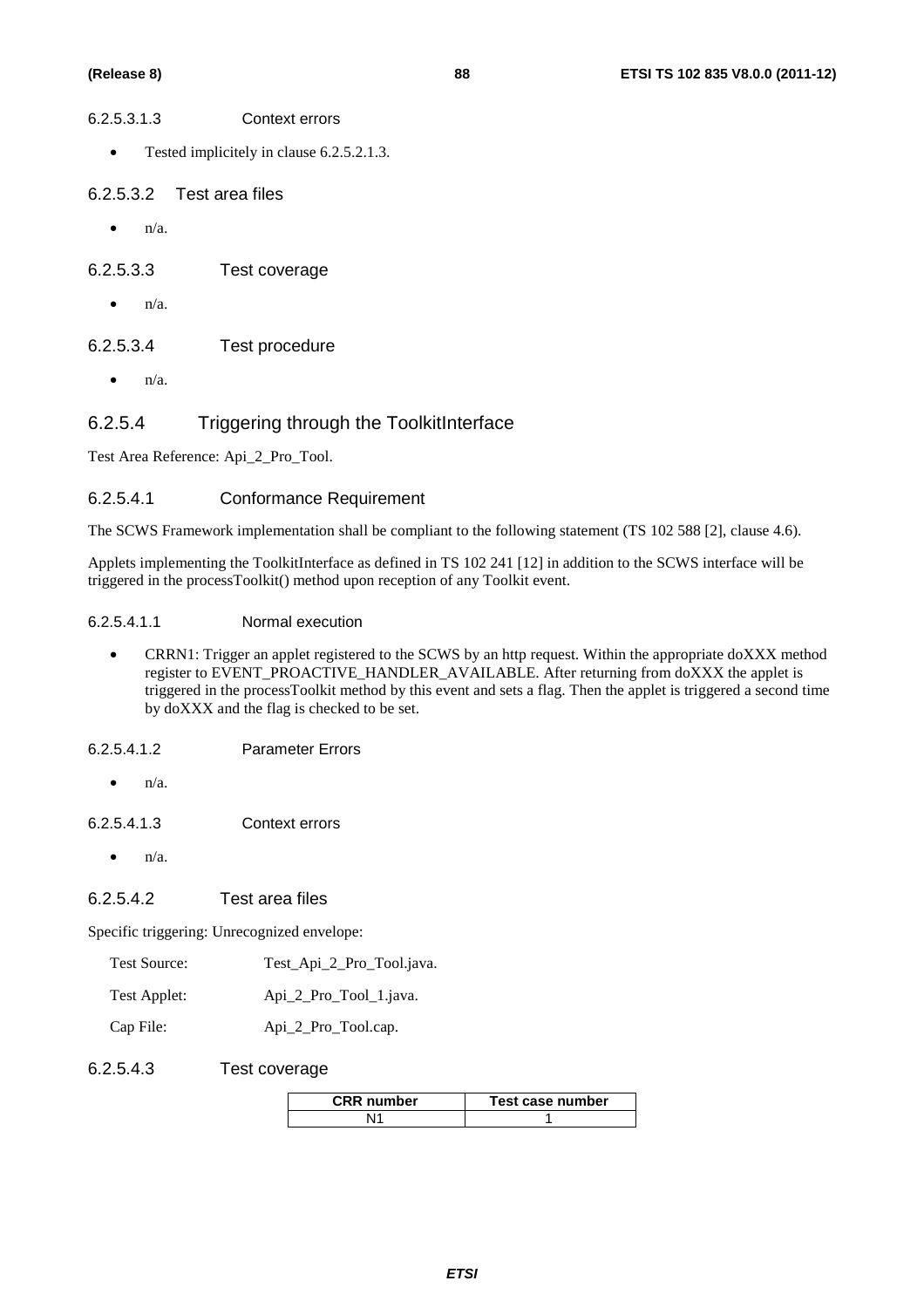#### 6.2.5.3.1.3 Context errors

- Tested implicitely in clause 6.2.5.2.1.3.
- 6.2.5.3.2 Test area files
	- $\bullet$   $n/a$ .

6.2.5.3.3 Test coverage

 $\bullet$  n/a.

#### 6.2.5.3.4 Test procedure

 $\bullet$   $n/a$ .

### 6.2.5.4 Triggering through the ToolkitInterface

Test Area Reference: Api\_2\_Pro\_Tool.

#### 6.2.5.4.1 Conformance Requirement

The SCWS Framework implementation shall be compliant to the following statement (TS 102 588 [2], clause 4.6).

Applets implementing the ToolkitInterface as defined in TS 102 241 [12] in addition to the SCWS interface will be triggered in the processToolkit() method upon reception of any Toolkit event.

#### 6.2.5.4.1.1 Normal execution

• CRRN1: Trigger an applet registered to the SCWS by an http request. Within the appropriate doXXX method register to EVENT\_PROACTIVE\_HANDLER\_AVAILABLE. After returning from doXXX the applet is triggered in the processToolkit method by this event and sets a flag. Then the applet is triggered a second time by doXXX and the flag is checked to be set.

6.2.5.4.1.2 Parameter Errors

 $\bullet$   $n/a$ .

6.2.5.4.1.3 Context errors

 $\bullet$   $n/a$ 

#### 6.2.5.4.2 Test area files

Specific triggering: Unrecognized envelope:

- Test Source: Test Api 2 Pro Tool.java.
- Test Applet: Api\_2\_Pro\_Tool\_1.java.

Cap File: Api\_2\_Pro\_Tool.cap.

#### 6.2.5.4.3 Test coverage

| <b>CRR</b> number | Test case number |
|-------------------|------------------|
|                   |                  |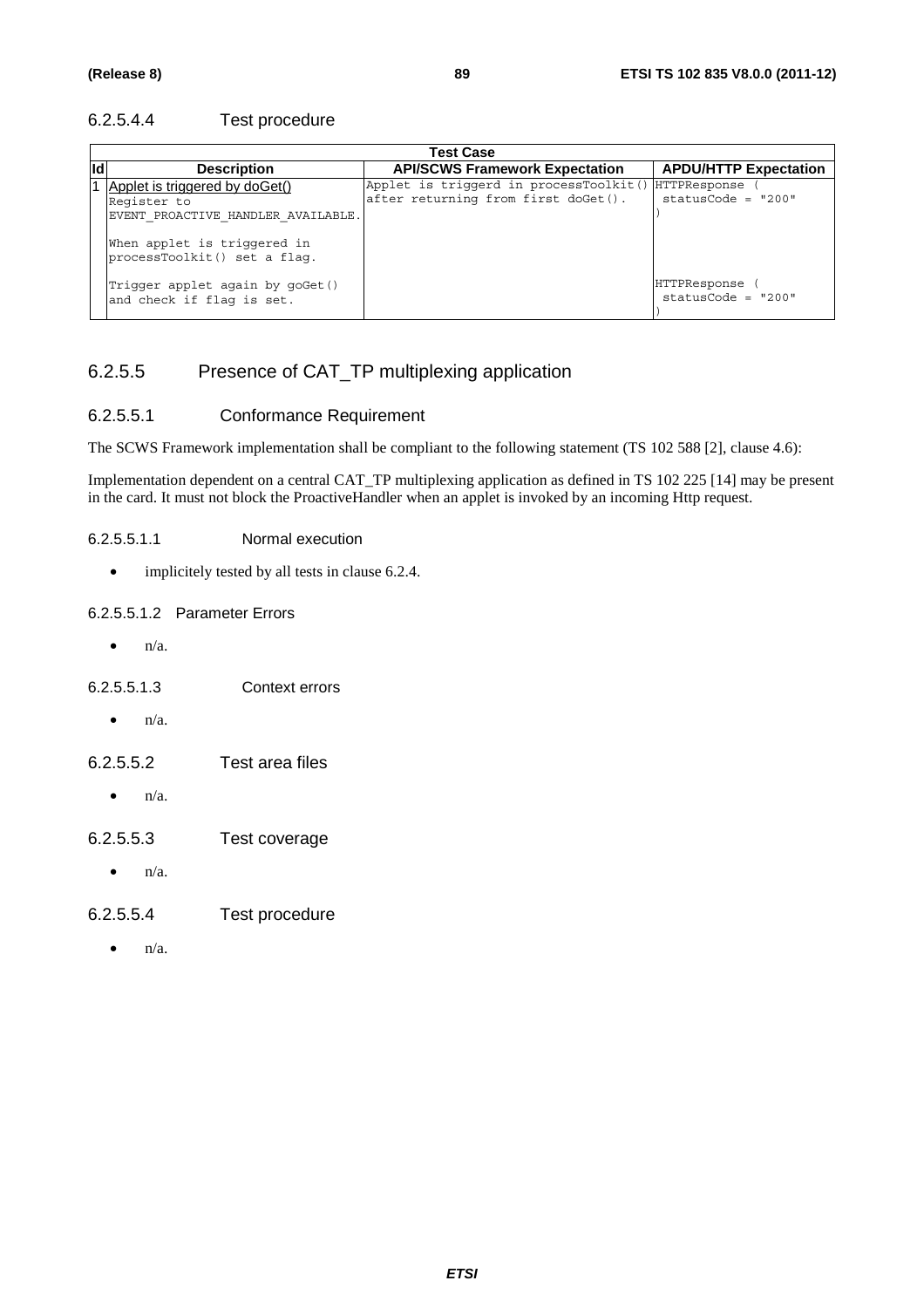#### 6.2.5.4.4 Test procedure

| Test Case                                                                                                                                          |                                                                               |                                      |  |
|----------------------------------------------------------------------------------------------------------------------------------------------------|-------------------------------------------------------------------------------|--------------------------------------|--|
| <b>Description</b>                                                                                                                                 | <b>API/SCWS Framework Expectation</b>                                         | <b>APDU/HTTP Expectation</b>         |  |
| Applet is triggered by doGet()<br>Register to<br>EVENT PROACTIVE HANDLER AVAILABLE.<br>When applet is triggered in<br>processToolkit() set a flaq. | Applet is triggerd in processToolkit()<br>after returning from first doGet(). | HTTPResponse<br>$statusCode = "200"$ |  |
| Trigger applet again by goGet()<br>and check if flag is set.                                                                                       |                                                                               | HTTPResponse<br>$statusCode = "200"$ |  |

## 6.2.5.5 Presence of CAT\_TP multiplexing application

#### 6.2.5.5.1 Conformance Requirement

The SCWS Framework implementation shall be compliant to the following statement (TS 102 588 [2], clause 4.6):

Implementation dependent on a central CAT\_TP multiplexing application as defined in TS 102 225 [14] may be present in the card. It must not block the ProactiveHandler when an applet is invoked by an incoming Http request.

6.2.5.5.1.1 Normal execution

• implicitely tested by all tests in clause 6.2.4.

#### 6.2.5.5.1.2 Parameter Errors

- $\bullet$   $n/a$ .
- 6.2.5.5.1.3 Context errors
	- $\bullet$  n/a.
- 6.2.5.5.2 Test area files
	- $\bullet$  n/a.
- 6.2.5.5.3 Test coverage
	- n/a.
- 6.2.5.5.4 Test procedure
	- $n/a$ .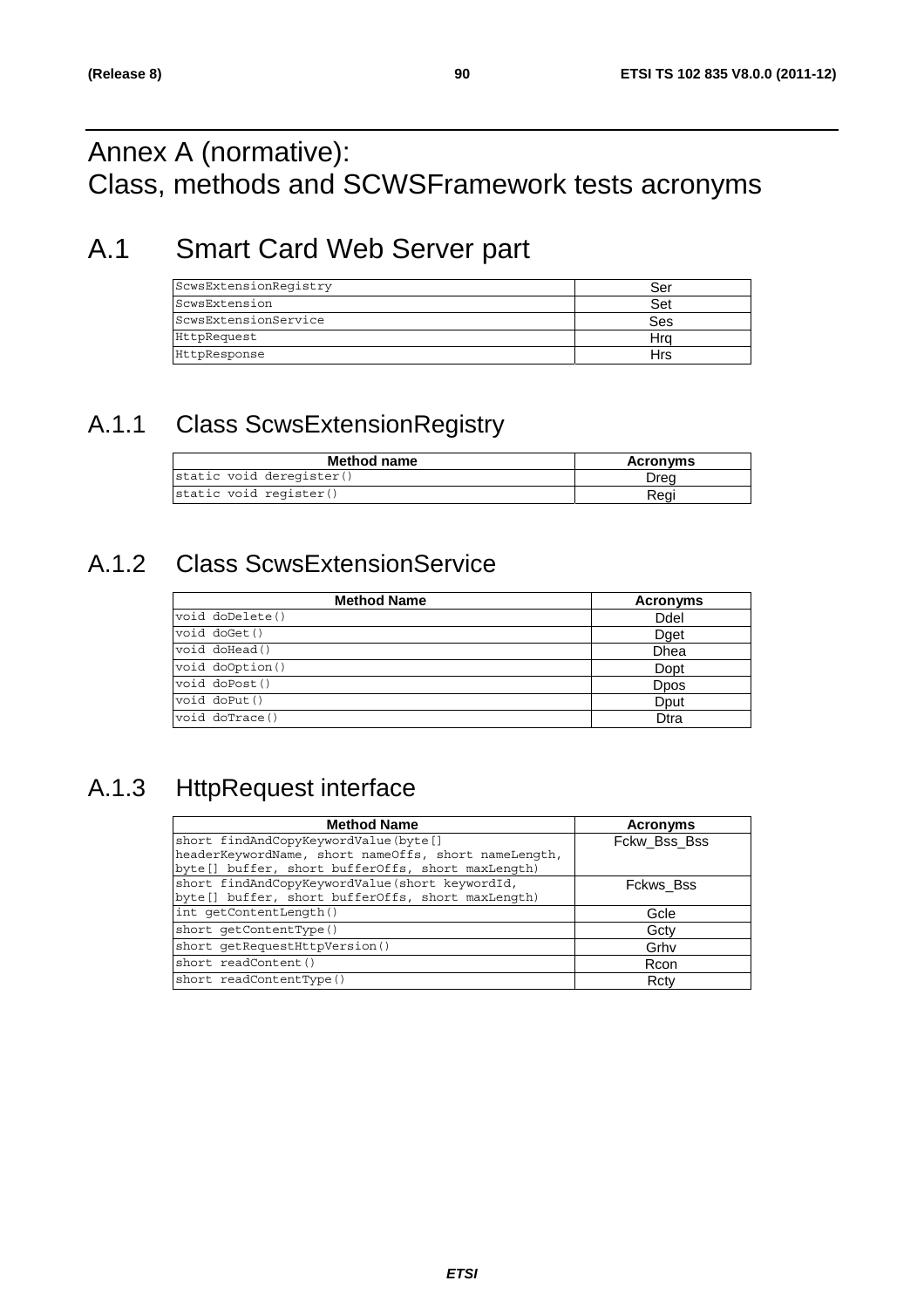# Annex A (normative): Class, methods and SCWSFramework tests acronyms

# A.1 Smart Card Web Server part

| ScwsExtensionReqistry | Ser |
|-----------------------|-----|
| ScwsExtension         | Set |
| ScwsExtensionService  | Ses |
| HttpRequest           | Hro |
| HttpResponse          | Hrs |

## A.1.1 Class ScwsExtensionRegistry

| Method name              | <b>Acronyms</b> |
|--------------------------|-----------------|
| static void deregister() | Drea            |
| static void register()   | Reai            |

## A.1.2 Class ScwsExtensionService

| <b>Method Name</b> | <b>Acronyms</b> |
|--------------------|-----------------|
| void doDelete()    | Ddel            |
| void doGet ()      | Dget            |
| void doHead()      | <b>Dhea</b>     |
| void doOption()    | Dopt            |
| void doPost()      | <b>D</b> pos    |
| void doPut()       | Dput            |
| void doTrace()     | Dtra            |

# A.1.3 HttpRequest interface

| <b>Method Name</b>                                   | <b>Acronyms</b> |
|------------------------------------------------------|-----------------|
| short findAndCopyKeywordValue(byte[]                 | Fckw_Bss_Bss    |
| headerKeywordName, short nameOffs, short nameLength, |                 |
| byte[] buffer, short bufferOffs, short maxLength)    |                 |
| short findAndCopyKeywordValue(short keywordId,       | Fckws Bss       |
| byte[] buffer, short bufferOffs, short maxLength)    |                 |
| int getContentLength()                               | Gcle            |
| short getContentType()                               | Gcty            |
| short getRequestHttpVersion()                        | Grhv            |
| short readContent()                                  | Rcon            |
| short readContentType()                              | Rcty            |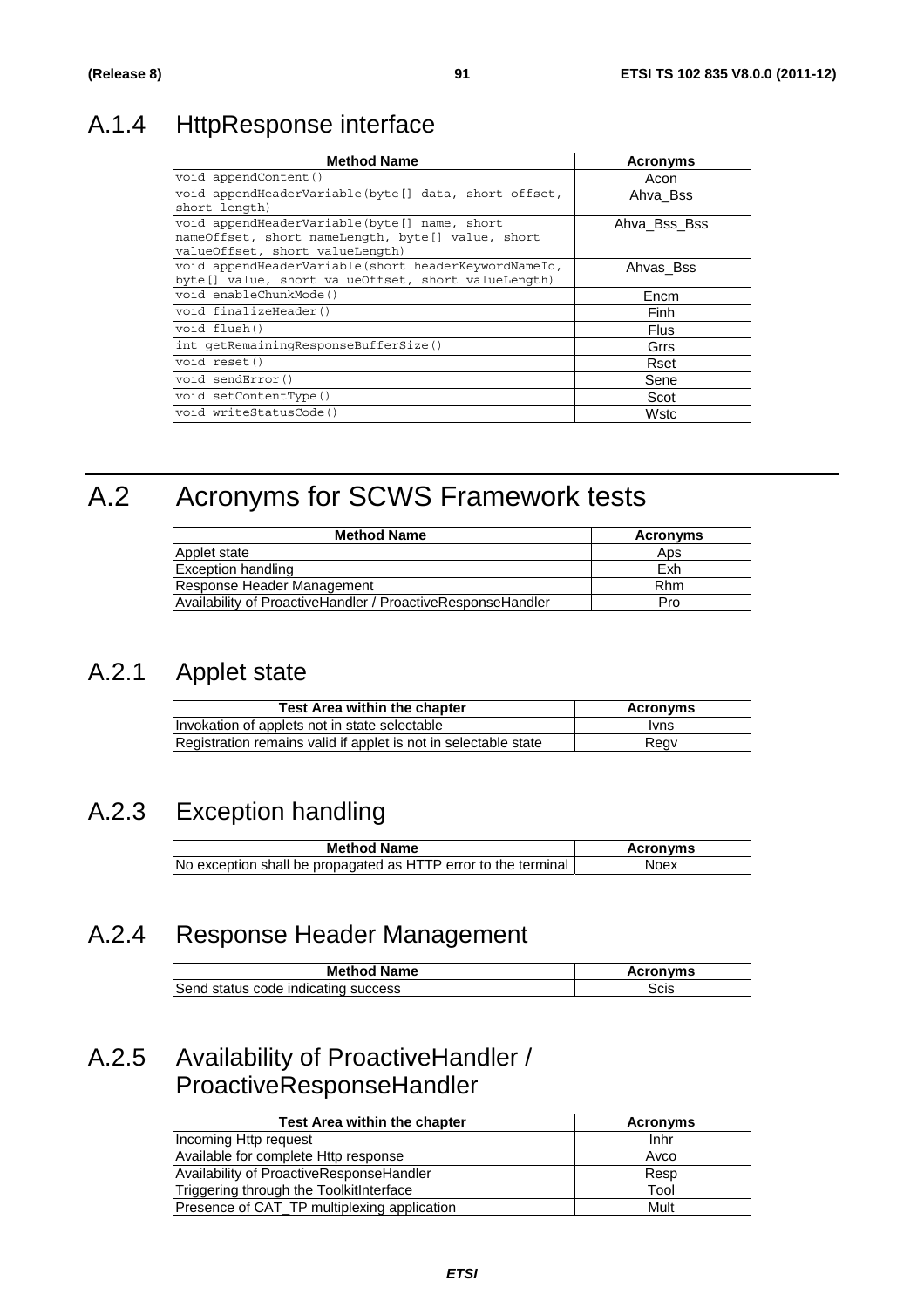## A.1.4 HttpResponse interface

| <b>Method Name</b>                                                                                                                   | <b>Acronyms</b> |
|--------------------------------------------------------------------------------------------------------------------------------------|-----------------|
| void appendContent()                                                                                                                 | Acon            |
| void appendHeaderVariable(byte[] data, short offset,<br>short length)                                                                | Ahva Bss        |
| void appendHeaderVariable(byte[] name, short<br>nameOffset, short nameLength, byte[] value, short<br>valueOffset, short valueLength) | Ahva Bss Bss    |
| void appendHeaderVariable (short headerKeywordNameId,<br>byte[] value, short valueOffset, short valueLength)                         | Ahvas_Bss       |
| void enableChunkMode()                                                                                                               | Encm            |
| void finalizeHeader()                                                                                                                | Finh            |
| void flush()                                                                                                                         | <b>Flus</b>     |
| int getRemainingResponseBufferSize()                                                                                                 | Grrs            |
| void reset ()                                                                                                                        | Rset            |
| void sendError()                                                                                                                     | Sene            |
| void setContentType()                                                                                                                | Scot            |
| void writeStatusCode()                                                                                                               | Wstc            |

# A.2 Acronyms for SCWS Framework tests

| <b>Method Name</b>                                          | Acronyms   |  |  |
|-------------------------------------------------------------|------------|--|--|
| Applet state                                                | Aps        |  |  |
| <b>Exception handling</b>                                   | Exh        |  |  |
| Response Header Management                                  | <b>Rhm</b> |  |  |
| Availability of ProactiveHandler / ProactiveResponseHandler | Pro        |  |  |

## A.2.1 Applet state

| <b>Test Area within the chapter</b>                             | Acronyms    |
|-----------------------------------------------------------------|-------------|
| Invokation of applets not in state selectable                   | <b>Ivns</b> |
| Registration remains valid if applet is not in selectable state | Regv        |

## A.2.3 Exception handling

| <b>Method Name</b>                                             | <b>Acronyms</b> |
|----------------------------------------------------------------|-----------------|
| No exception shall be propagated as HTTP error to the terminal | Noex            |

## A.2.4 Response Header Management

| <b>Method Name</b>                  | Acronyms |
|-------------------------------------|----------|
| Send status code indicating success | Scis     |

## A.2.5 Availability of ProactiveHandler / ProactiveResponseHandler

| <b>Test Area within the chapter</b>         | <b>Acronyms</b> |
|---------------------------------------------|-----------------|
| Incoming Http request                       | Inhr            |
| Available for complete Http response        | Avco            |
| Availability of ProactiveResponseHandler    | Resp            |
| Triggering through the ToolkitInterface     | Tool            |
| Presence of CAT_TP multiplexing application | Mult            |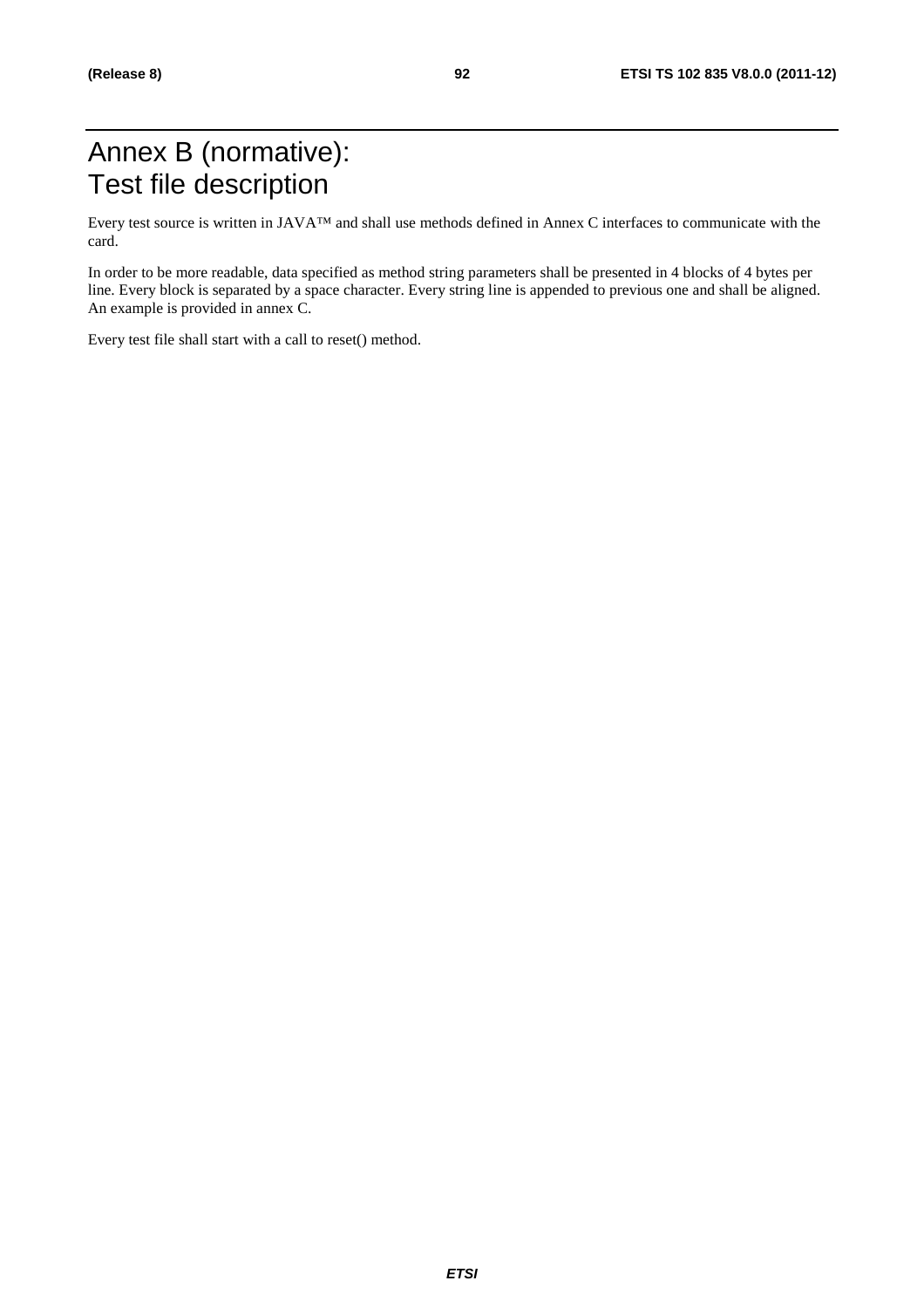# Annex B (normative): Test file description

Every test source is written in JAVA™ and shall use methods defined in Annex C interfaces to communicate with the card.

In order to be more readable, data specified as method string parameters shall be presented in 4 blocks of 4 bytes per line. Every block is separated by a space character. Every string line is appended to previous one and shall be aligned. An example is provided in annex C.

Every test file shall start with a call to reset() method.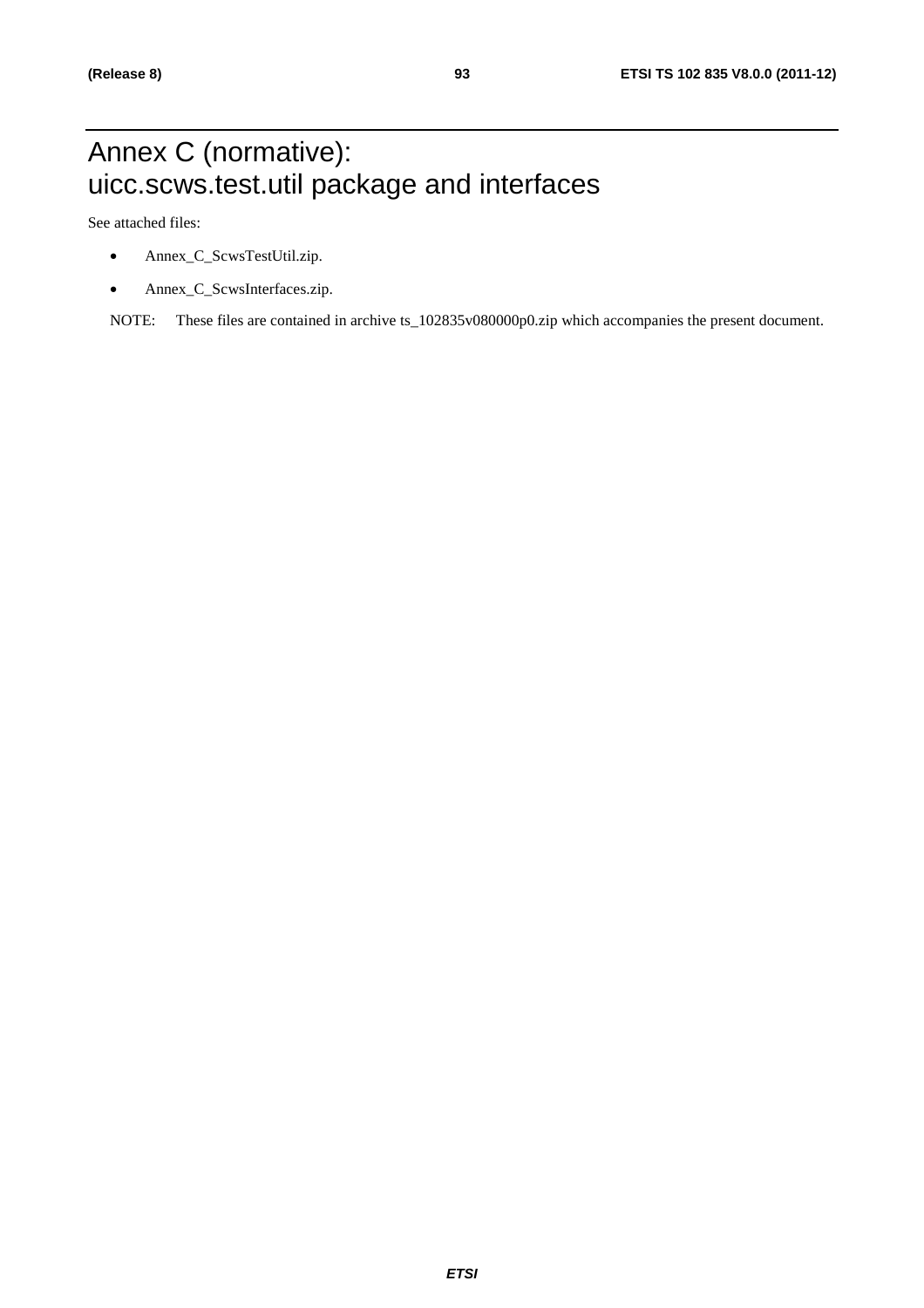# Annex C (normative): uicc.scws.test.util package and interfaces

See attached files:

- Annex\_C\_ScwsTestUtil.zip.
- Annex\_C\_ScwsInterfaces.zip.

NOTE: These files are contained in archive ts\_102835v080000p0.zip which accompanies the present document.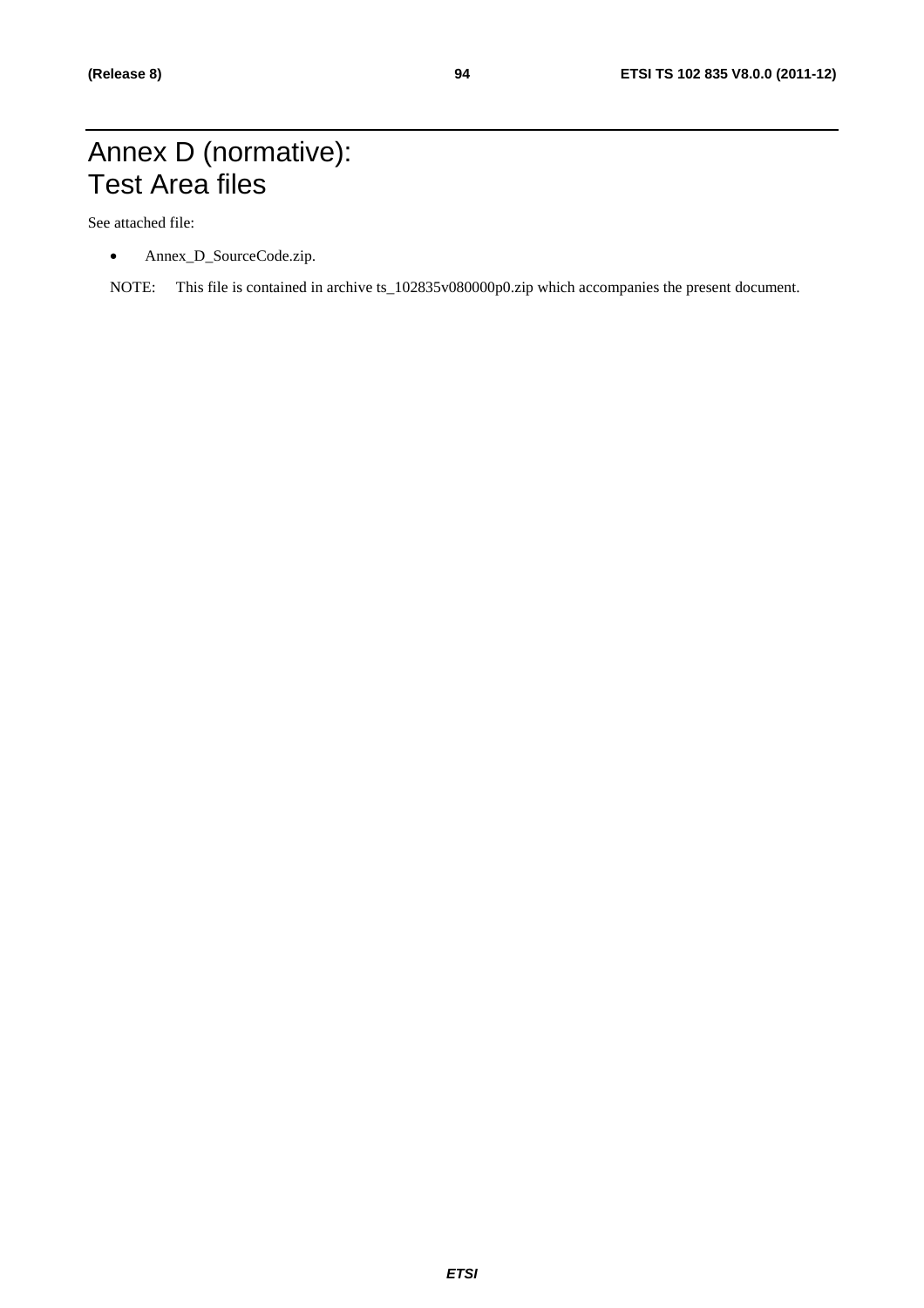## Annex D (normative): Test Area files

See attached file:

- Annex\_D\_SourceCode.zip.
- NOTE: This file is contained in archive ts\_102835v080000p0.zip which accompanies the present document.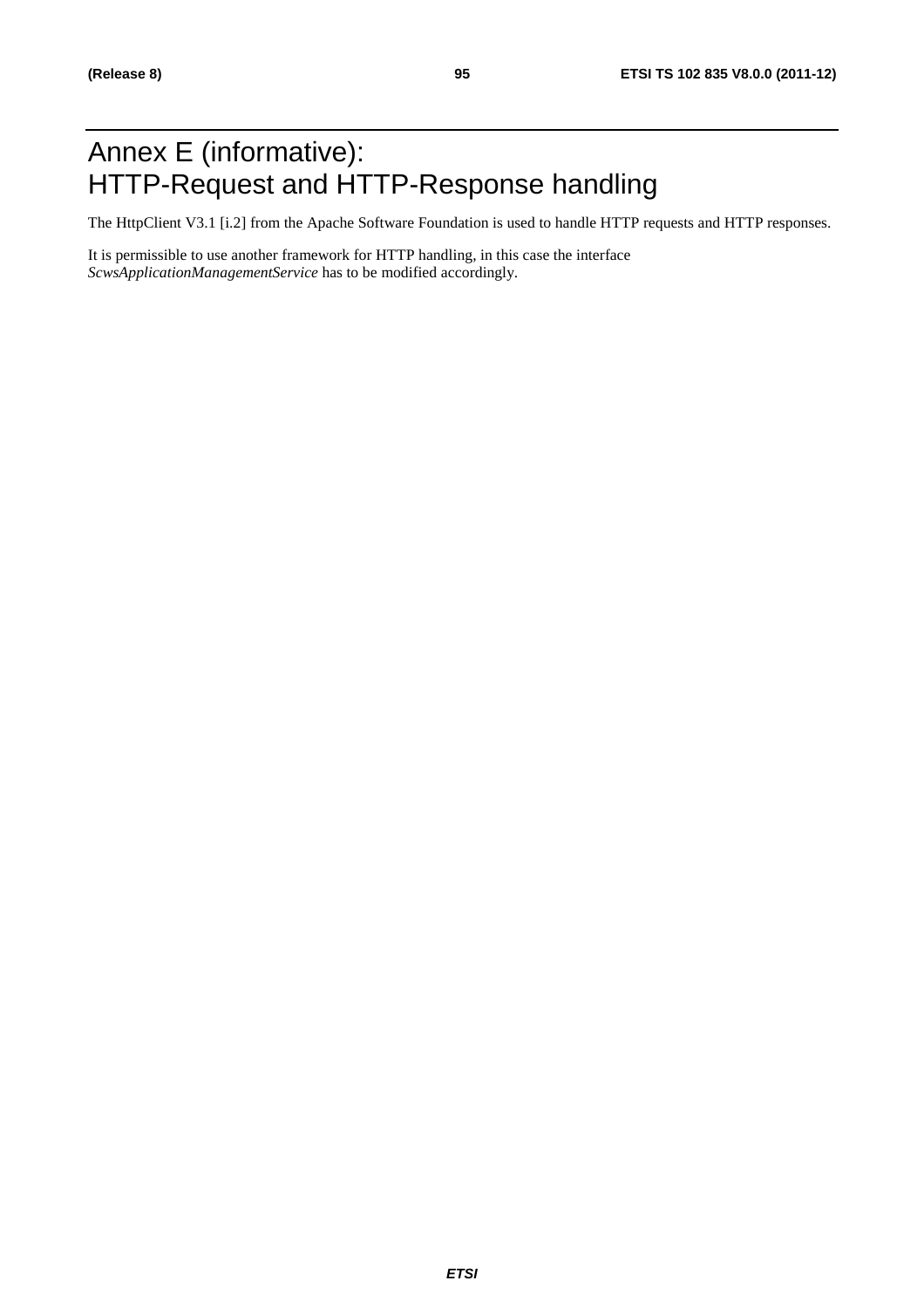# Annex E (informative): HTTP-Request and HTTP-Response handling

The HttpClient V3.1 [i.2] from the Apache Software Foundation is used to handle HTTP requests and HTTP responses.

It is permissible to use another framework for HTTP handling, in this case the interface *ScwsApplicationManagementService* has to be modified accordingly.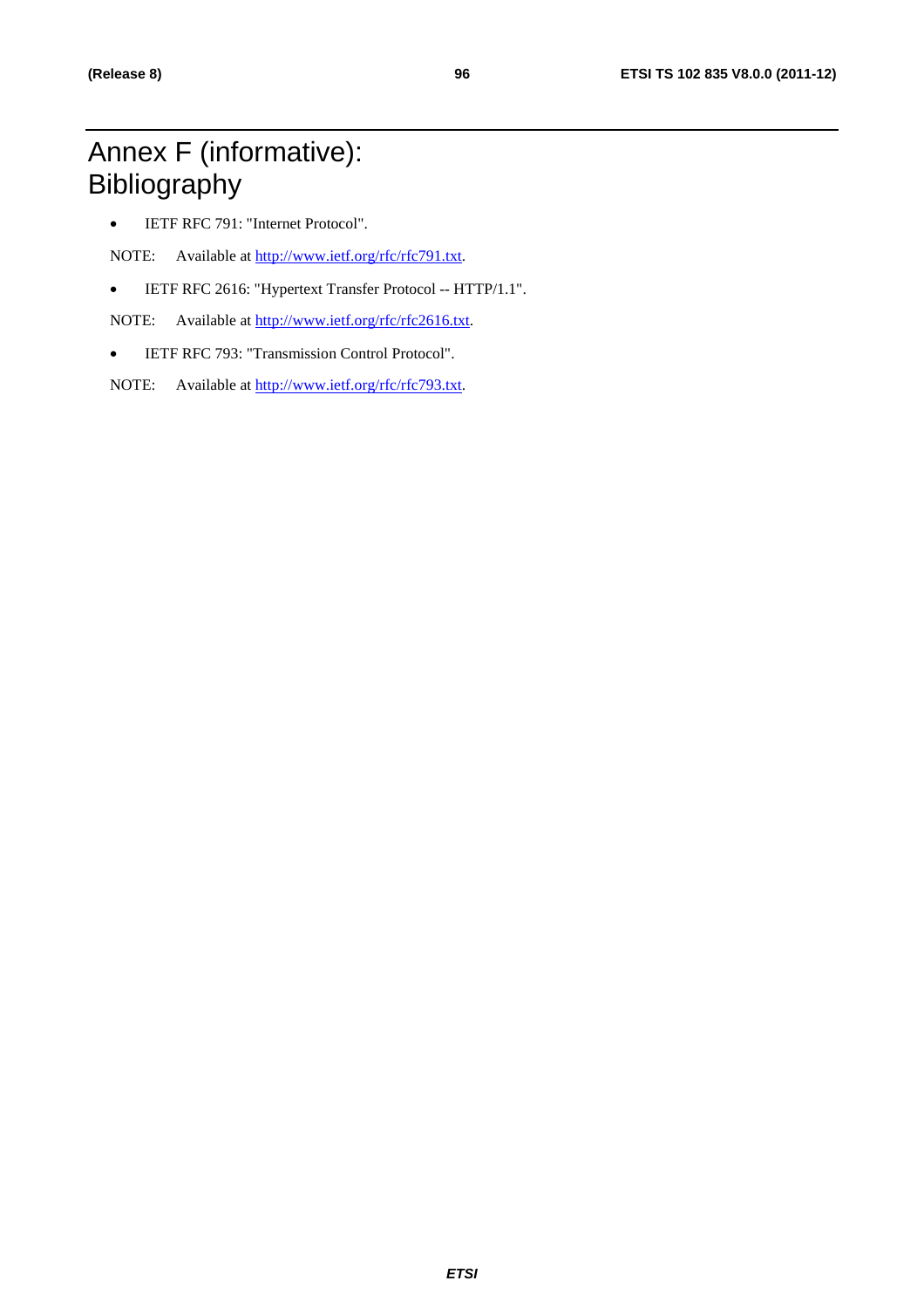# Annex F (informative): Bibliography

• IETF RFC 791: "Internet Protocol".

NOTE: Available at [http://www.ietf.org/rfc/rfc791.txt.](http://www.ietf.org/rfc/rfc791.txt)

• IETF RFC 2616: "Hypertext Transfer Protocol -- HTTP/1.1".

NOTE: Available at [http://www.ietf.org/rfc/rfc2616.txt.](http://www.ietf.org/rfc/rfc2616.txt)

• IETF RFC 793: "Transmission Control Protocol".

NOTE: Available at [http://www.ietf.org/rfc/rfc793.txt.](http://www.ietf.org/rfc/rfc793.txt)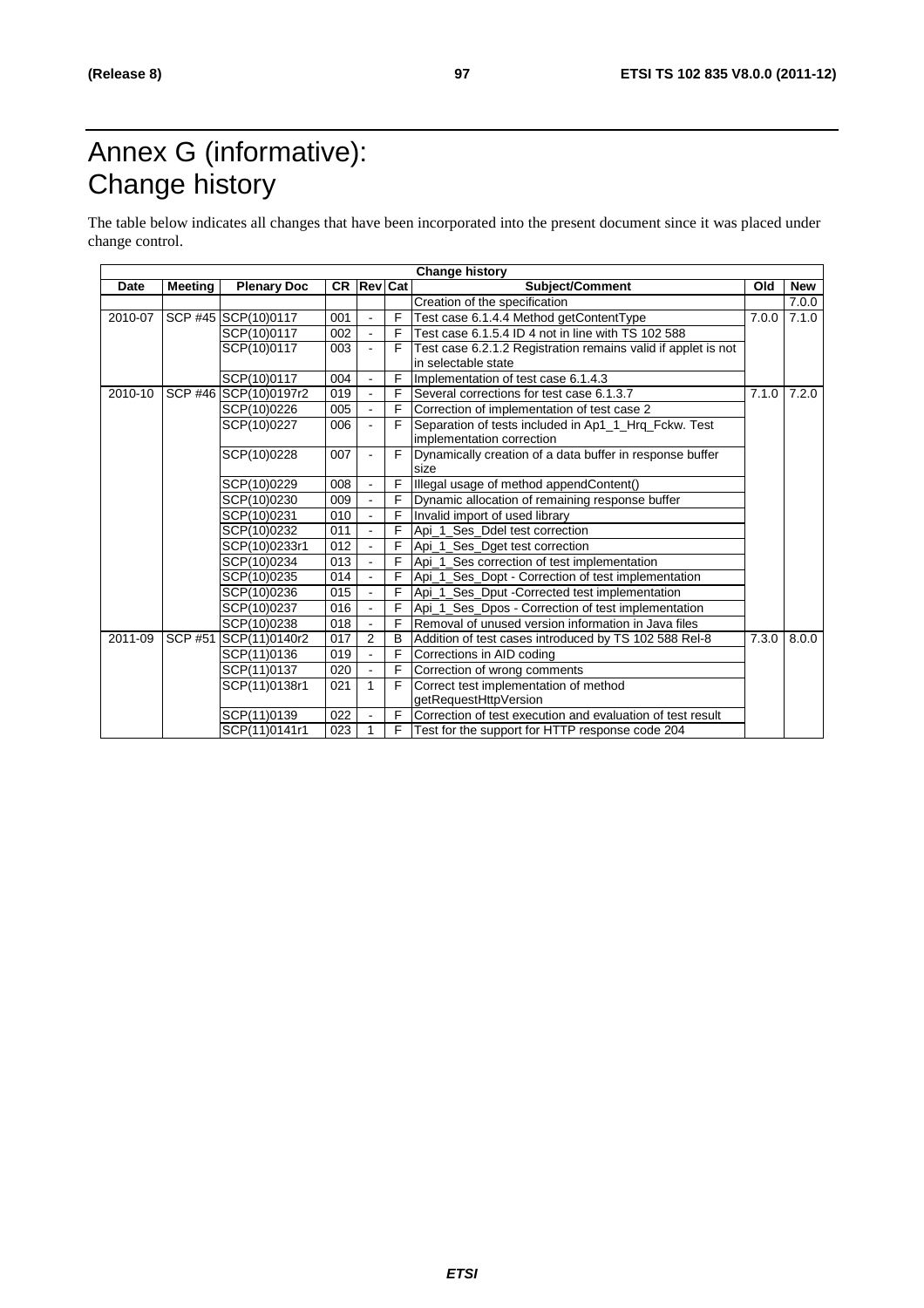# Annex G (informative): Change history

The table below indicates all changes that have been incorporated into the present document since it was placed under change control.

| <b>Change history</b> |                |                       |     |                |                |                                                               |       |            |
|-----------------------|----------------|-----------------------|-----|----------------|----------------|---------------------------------------------------------------|-------|------------|
| Date                  | Meeting        | <b>Plenary Doc</b>    |     | CR Rev Cat     |                | Subject/Comment                                               | Old   | <b>New</b> |
|                       |                |                       |     |                |                | Creation of the specification                                 |       | 7.0.0      |
| 2010-07               |                | SCP #45 SCP(10)0117   | 001 | $\blacksquare$ | F              | Test case 6.1.4.4 Method getContentType                       | 7.0.0 | 7.1.0      |
|                       |                | SCP(10)0117           | 002 | $\mathbf{r}$   | $\overline{F}$ | Test case 6.1.5.4 ID 4 not in line with TS 102 588            |       |            |
|                       |                | SCP(10)0117           | 003 | $\blacksquare$ | F              | Test case 6.2.1.2 Registration remains valid if applet is not |       |            |
|                       |                |                       |     |                |                | in selectable state                                           |       |            |
|                       |                | SCP(10)0117           | 004 |                | E              | Implementation of test case 6.1.4.3                           |       |            |
| 2010-10               |                | SCP #46 SCP(10)0197r2 | 019 | $\blacksquare$ | E              | Several corrections for test case 6.1.3.7                     | 7.1.0 | 7.2.0      |
|                       |                | SCP(10)0226           | 005 | $\mathbf{r}$   | F              | Correction of implementation of test case 2                   |       |            |
|                       |                | SCP(10)0227           | 006 | ÷.             | F              | Separation of tests included in Ap1 1 Hrg Fckw. Test          |       |            |
|                       |                |                       |     |                |                | implementation correction                                     |       |            |
|                       |                | SCP(10)0228           | 007 |                | F              | Dynamically creation of a data buffer in response buffer      |       |            |
|                       |                |                       |     |                |                | size                                                          |       |            |
|                       |                | SCP(10)0229           | 008 | $\blacksquare$ |                | F Illegal usage of method appendContent()                     |       |            |
|                       |                | SCP(10)0230           | 009 |                | F              | Dynamic allocation of remaining response buffer               |       |            |
|                       |                | SCP(10)0231           | 010 | $\omega$       |                | F Invalid import of used library                              |       |            |
|                       |                | SCP(10)0232           | 011 |                | $\mathsf{F}$   | Api_1_Ses_Ddel test correction                                |       |            |
|                       |                | SCP(10)0233r1         | 012 | $\blacksquare$ | F              | Api 1 Ses Dget test correction                                |       |            |
|                       |                | SCP(10)0234           | 013 | $\blacksquare$ | $\mathsf{F}$   | Api_1_Ses correction of test implementation                   |       |            |
|                       |                | SCP(10)0235           | 014 | $\blacksquare$ | F              | Api_1_Ses_Dopt - Correction of test implementation            |       |            |
|                       |                | SCP(10)0236           | 015 | $\blacksquare$ | $\overline{F}$ | Api_1_Ses_Dput -Corrected test implementation                 |       |            |
|                       |                | SCP(10)0237           | 016 | ÷.             | F              | Api 1 Ses Dpos - Correction of test implementation            |       |            |
|                       |                | SCP(10)0238           | 018 | $\blacksquare$ | $\overline{F}$ | Removal of unused version information in Java files           |       |            |
| 2011-09               | <b>SCP #51</b> | SCP(11)0140r2         | 017 | $\mathbf{2}$   | B              | Addition of test cases introduced by TS 102 588 Rel-8         | 7.3.0 | 8.0.0      |
|                       |                | SCP(11)0136           | 019 | $\blacksquare$ | F              | Corrections in AID coding                                     |       |            |
|                       |                | SCP(11)0137           | 020 |                | $\mathsf{F}$   | Correction of wrong comments                                  |       |            |
|                       |                | SCP(11)0138r1         | 021 | 1              | F              | Correct test implementation of method                         |       |            |
|                       |                |                       |     |                |                | getRequestHttpVersion                                         |       |            |
|                       |                | SCP(11)0139           | 022 |                | F              | Correction of test execution and evaluation of test result    |       |            |
|                       |                | SCP(11)0141r1         | 023 |                | F              | Test for the support for HTTP response code 204               |       |            |